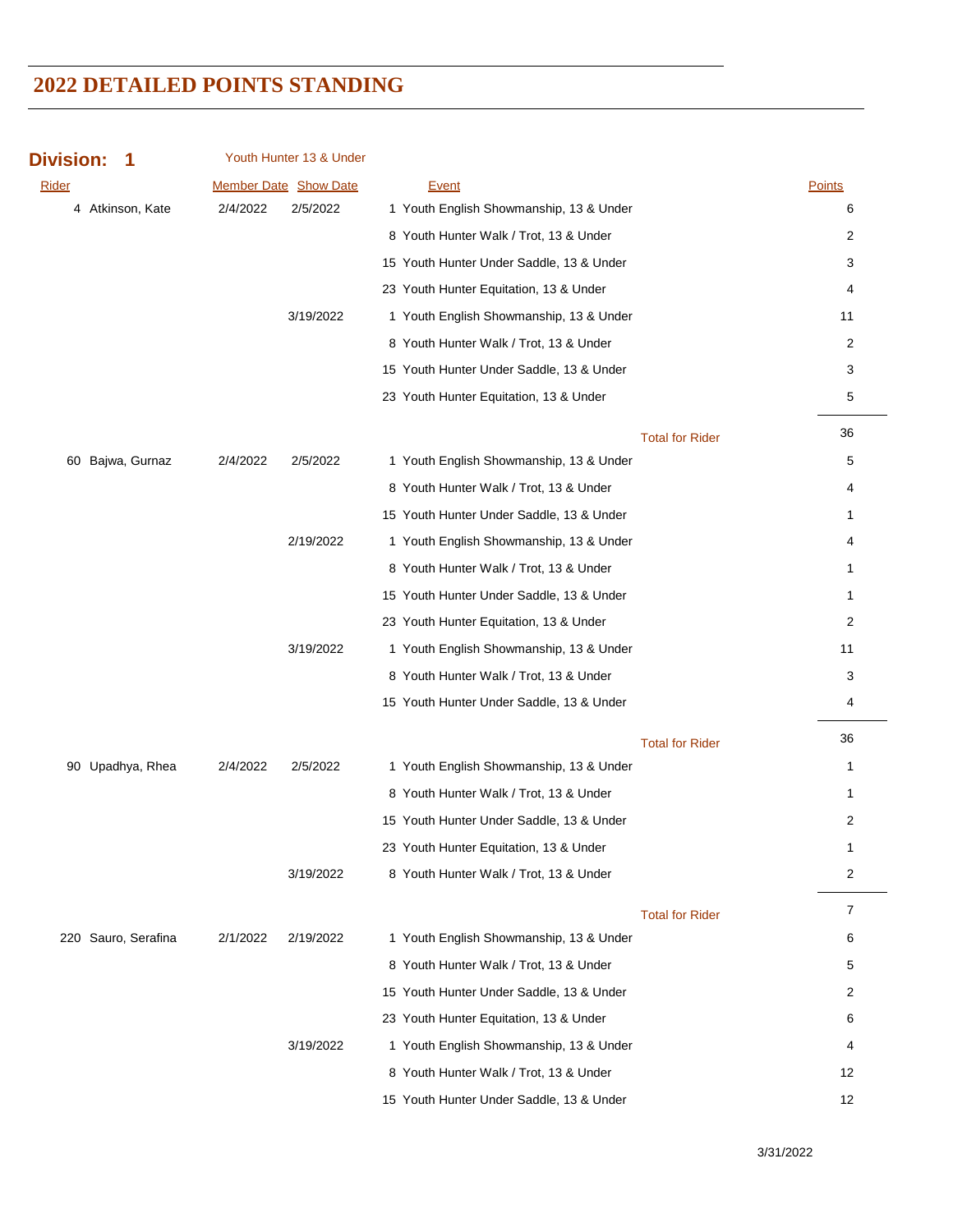| <b>Division:</b>    |          | Youth Hunter 13 & Under      |                                          |                              |  |
|---------------------|----------|------------------------------|------------------------------------------|------------------------------|--|
| <b>Rider</b>        |          | <b>Member Date Show Date</b> | Event                                    | <b>Points</b>                |  |
| 4 Atkinson, Kate    | 2/4/2022 | 2/5/2022                     | 1 Youth English Showmanship, 13 & Under  | 6                            |  |
|                     |          |                              | 8 Youth Hunter Walk / Trot, 13 & Under   | 2                            |  |
|                     |          |                              | 15 Youth Hunter Under Saddle, 13 & Under | 3                            |  |
|                     |          |                              | 23 Youth Hunter Equitation, 13 & Under   | 4                            |  |
|                     |          | 3/19/2022                    | 1 Youth English Showmanship, 13 & Under  | 11                           |  |
|                     |          |                              | 8 Youth Hunter Walk / Trot, 13 & Under   | 2                            |  |
|                     |          |                              | 15 Youth Hunter Under Saddle, 13 & Under | 3                            |  |
|                     |          |                              | 23 Youth Hunter Equitation, 13 & Under   | 5                            |  |
|                     |          |                              |                                          | 36<br><b>Total for Rider</b> |  |
| 60 Bajwa, Gurnaz    | 2/4/2022 | 2/5/2022                     | 1 Youth English Showmanship, 13 & Under  | 5                            |  |
|                     |          |                              | 8 Youth Hunter Walk / Trot, 13 & Under   | 4                            |  |
|                     |          |                              | 15 Youth Hunter Under Saddle, 13 & Under | 1                            |  |
|                     |          | 2/19/2022                    | 1 Youth English Showmanship, 13 & Under  | 4                            |  |
|                     |          |                              | 8 Youth Hunter Walk / Trot, 13 & Under   | 1                            |  |
|                     |          |                              | 15 Youth Hunter Under Saddle, 13 & Under | $\mathbf{1}$                 |  |
|                     |          |                              | 23 Youth Hunter Equitation, 13 & Under   | 2                            |  |
|                     |          | 3/19/2022                    | 1 Youth English Showmanship, 13 & Under  | 11                           |  |
|                     |          |                              | 8 Youth Hunter Walk / Trot, 13 & Under   | 3                            |  |
|                     |          |                              | 15 Youth Hunter Under Saddle, 13 & Under | 4                            |  |
|                     |          |                              |                                          | 36<br><b>Total for Rider</b> |  |
| 90 Upadhya, Rhea    | 2/4/2022 | 2/5/2022                     | 1 Youth English Showmanship, 13 & Under  | $\mathbf{1}$                 |  |
|                     |          |                              | 8 Youth Hunter Walk / Trot, 13 & Under   | 1                            |  |
|                     |          |                              | 15 Youth Hunter Under Saddle, 13 & Under | 2                            |  |
|                     |          |                              | 23 Youth Hunter Equitation, 13 & Under   | T.                           |  |
|                     |          | 3/19/2022                    | 8 Youth Hunter Walk / Trot, 13 & Under   | 2                            |  |
|                     |          |                              |                                          | 7<br><b>Total for Rider</b>  |  |
| 220 Sauro, Serafina | 2/1/2022 | 2/19/2022                    | 1 Youth English Showmanship, 13 & Under  | 6                            |  |
|                     |          |                              | 8 Youth Hunter Walk / Trot, 13 & Under   | 5                            |  |
|                     |          |                              | 15 Youth Hunter Under Saddle, 13 & Under | 2                            |  |
|                     |          |                              | 23 Youth Hunter Equitation, 13 & Under   | 6                            |  |
|                     |          | 3/19/2022                    | 1 Youth English Showmanship, 13 & Under  | 4                            |  |
|                     |          |                              | 8 Youth Hunter Walk / Trot, 13 & Under   | 12                           |  |
|                     |          |                              | 15 Youth Hunter Under Saddle, 13 & Under | 12                           |  |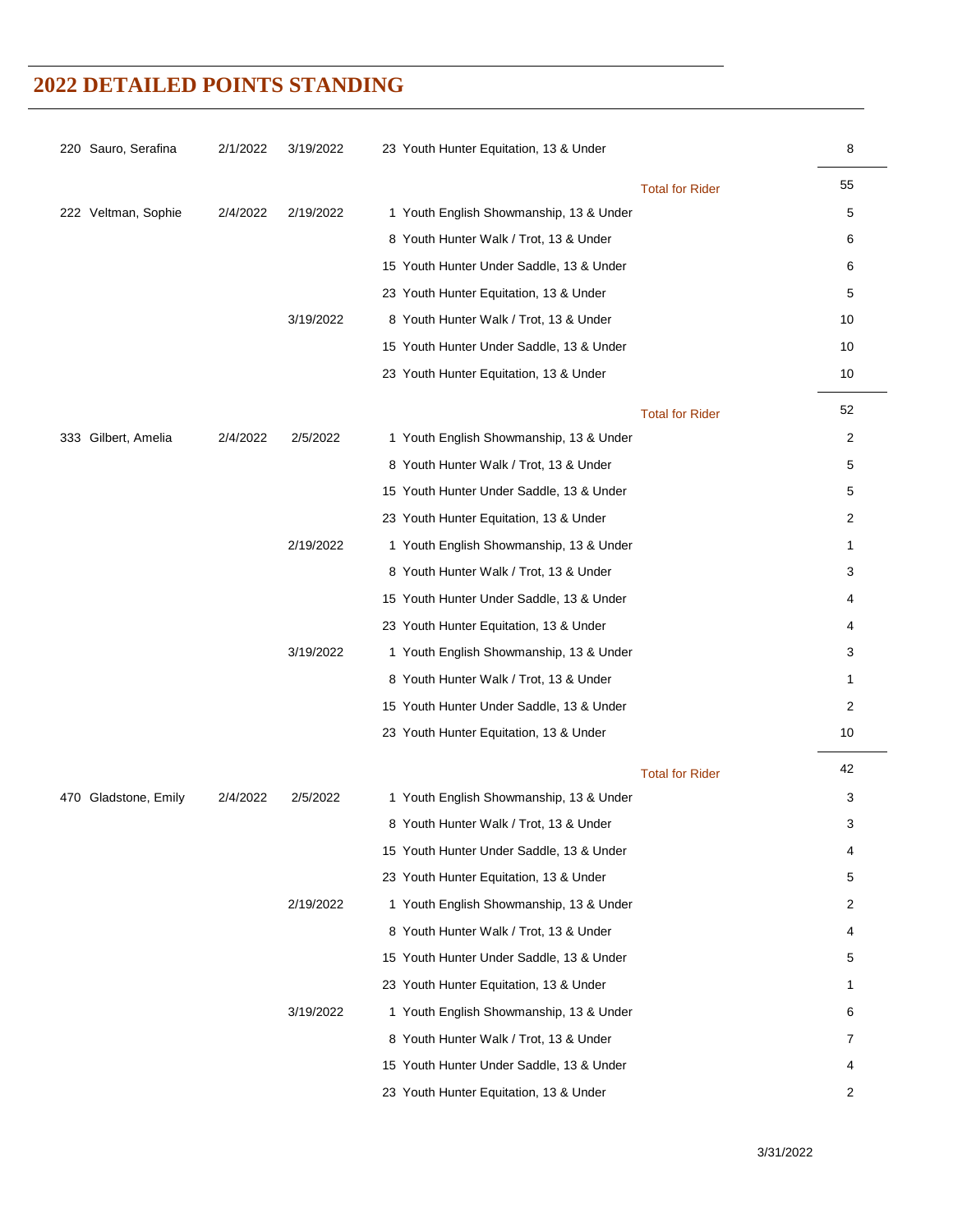| 220 Sauro, Serafina  | 2/1/2022 | 3/19/2022 | 23 Youth Hunter Equitation, 13 & Under   | 8  |
|----------------------|----------|-----------|------------------------------------------|----|
|                      |          |           | <b>Total for Rider</b>                   | 55 |
| 222 Veltman, Sophie  | 2/4/2022 | 2/19/2022 | 1 Youth English Showmanship, 13 & Under  | 5  |
|                      |          |           | 8 Youth Hunter Walk / Trot, 13 & Under   | 6  |
|                      |          |           | 15 Youth Hunter Under Saddle, 13 & Under | 6  |
|                      |          |           | 23 Youth Hunter Equitation, 13 & Under   | 5  |
|                      |          | 3/19/2022 | 8 Youth Hunter Walk / Trot, 13 & Under   | 10 |
|                      |          |           | 15 Youth Hunter Under Saddle, 13 & Under | 10 |
|                      |          |           | 23 Youth Hunter Equitation, 13 & Under   | 10 |
|                      |          |           | <b>Total for Rider</b>                   | 52 |
| 333 Gilbert, Amelia  | 2/4/2022 | 2/5/2022  | 1 Youth English Showmanship, 13 & Under  | 2  |
|                      |          |           | 8 Youth Hunter Walk / Trot, 13 & Under   | 5  |
|                      |          |           | 15 Youth Hunter Under Saddle, 13 & Under | 5  |
|                      |          |           | 23 Youth Hunter Equitation, 13 & Under   | 2  |
|                      |          | 2/19/2022 | 1 Youth English Showmanship, 13 & Under  | 1  |
|                      |          |           | 8 Youth Hunter Walk / Trot, 13 & Under   | 3  |
|                      |          |           | 15 Youth Hunter Under Saddle, 13 & Under | 4  |
|                      |          |           | 23 Youth Hunter Equitation, 13 & Under   | 4  |
|                      |          | 3/19/2022 | 1 Youth English Showmanship, 13 & Under  | 3  |
|                      |          |           | 8 Youth Hunter Walk / Trot, 13 & Under   | 1  |
|                      |          |           | 15 Youth Hunter Under Saddle, 13 & Under | 2  |
|                      |          |           | 23 Youth Hunter Equitation, 13 & Under   | 10 |
|                      |          |           | <b>Total for Rider</b>                   | 42 |
| 470 Gladstone, Emily | 2/4/2022 | 2/5/2022  | 1 Youth English Showmanship, 13 & Under  | 3  |
|                      |          |           | 8 Youth Hunter Walk / Trot, 13 & Under   | 3  |
|                      |          |           | 15 Youth Hunter Under Saddle, 13 & Under | 4  |
|                      |          |           | 23 Youth Hunter Equitation, 13 & Under   | 5  |
|                      |          | 2/19/2022 | 1 Youth English Showmanship, 13 & Under  | 2  |
|                      |          |           | 8 Youth Hunter Walk / Trot, 13 & Under   | 4  |
|                      |          |           | 15 Youth Hunter Under Saddle, 13 & Under | 5  |
|                      |          |           | 23 Youth Hunter Equitation, 13 & Under   | 1  |
|                      |          | 3/19/2022 | 1 Youth English Showmanship, 13 & Under  | 6  |
|                      |          |           | 8 Youth Hunter Walk / Trot, 13 & Under   | 7  |
|                      |          |           | 15 Youth Hunter Under Saddle, 13 & Under | 4  |
|                      |          |           | 23 Youth Hunter Equitation, 13 & Under   | 2  |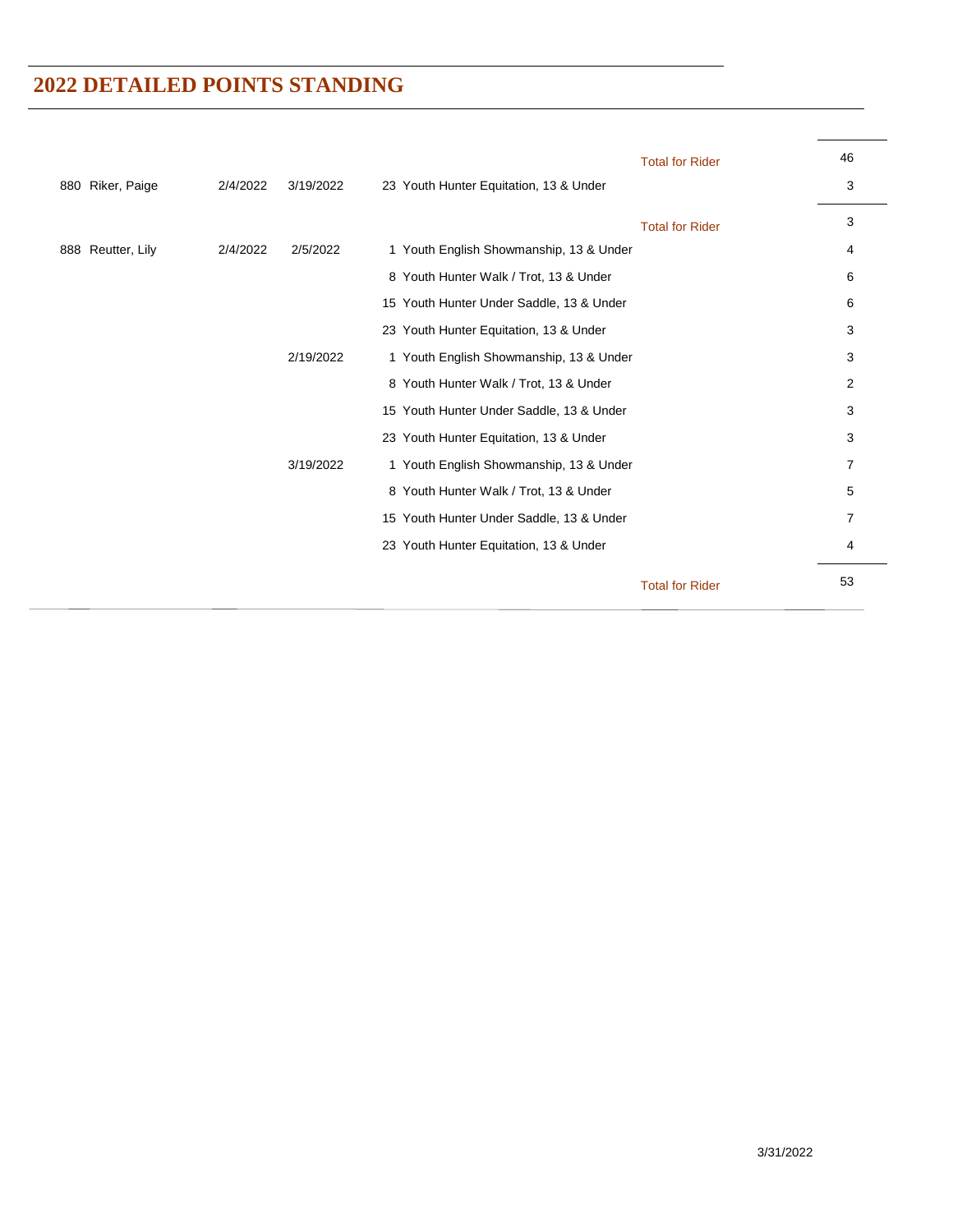|                   |          |           | <b>Total for Rider</b>                   | 46             |
|-------------------|----------|-----------|------------------------------------------|----------------|
| 880 Riker, Paige  | 2/4/2022 | 3/19/2022 | 23 Youth Hunter Equitation, 13 & Under   | 3              |
|                   |          |           | <b>Total for Rider</b>                   | 3              |
| 888 Reutter, Lily | 2/4/2022 | 2/5/2022  | 1 Youth English Showmanship, 13 & Under  | 4              |
|                   |          |           | 8 Youth Hunter Walk / Trot, 13 & Under   | 6              |
|                   |          |           | 15 Youth Hunter Under Saddle, 13 & Under | 6              |
|                   |          |           | 23 Youth Hunter Equitation, 13 & Under   | 3              |
|                   |          | 2/19/2022 | 1 Youth English Showmanship, 13 & Under  | 3              |
|                   |          |           | 8 Youth Hunter Walk / Trot, 13 & Under   | $\overline{2}$ |
|                   |          |           | 15 Youth Hunter Under Saddle, 13 & Under | 3              |
|                   |          |           | 23 Youth Hunter Equitation, 13 & Under   | 3              |
|                   |          | 3/19/2022 | 1 Youth English Showmanship, 13 & Under  | 7              |
|                   |          |           | 8 Youth Hunter Walk / Trot, 13 & Under   | 5              |
|                   |          |           | 15 Youth Hunter Under Saddle, 13 & Under | $\overline{7}$ |
|                   |          |           | 23 Youth Hunter Equitation, 13 & Under   | 4              |
|                   |          |           | <b>Total for Rider</b>                   | 53             |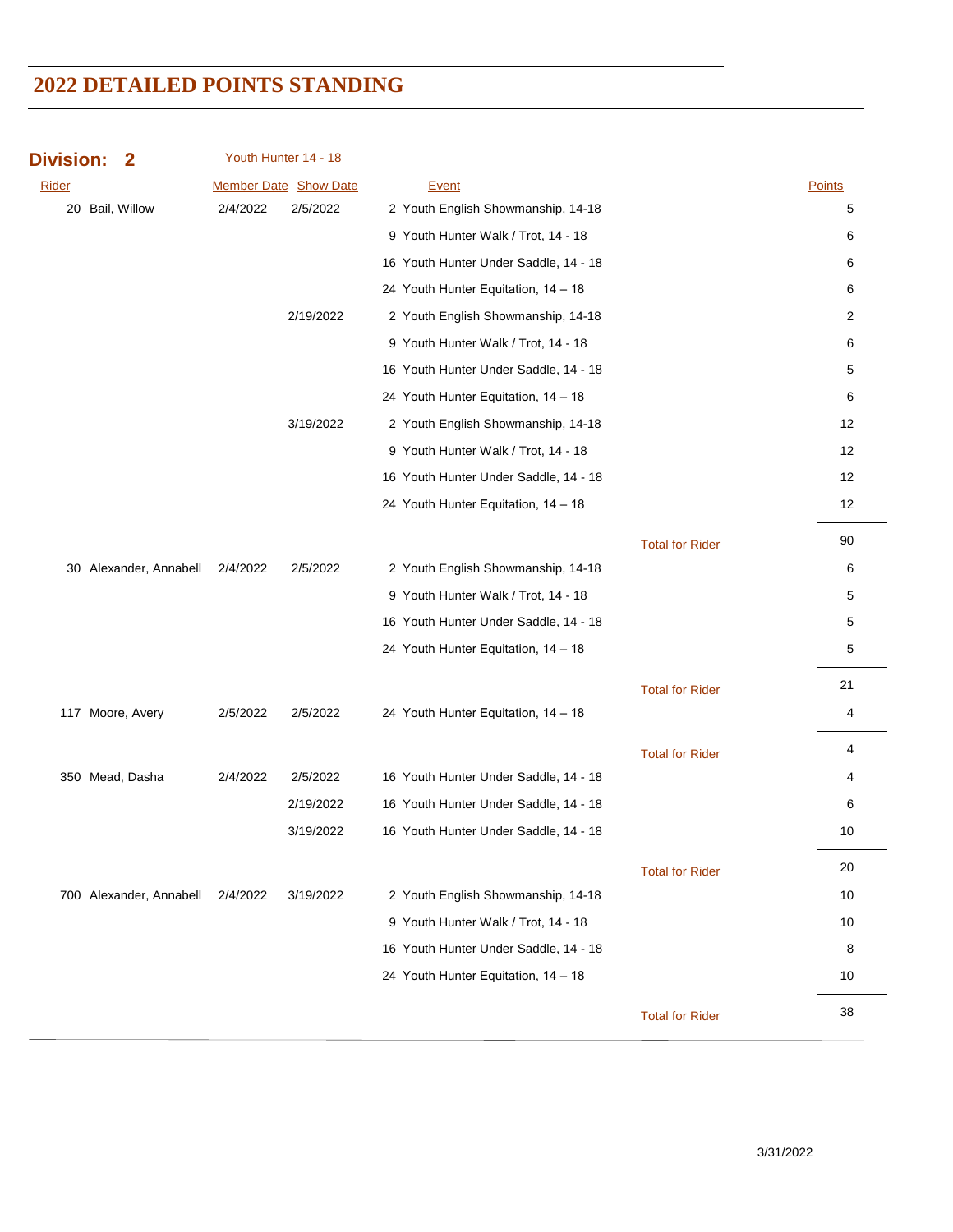| <b>Division:</b><br>2   |          | Youth Hunter 14 - 18  |                                       |                        |        |
|-------------------------|----------|-----------------------|---------------------------------------|------------------------|--------|
| <b>Rider</b>            |          | Member Date Show Date | Event                                 |                        | Points |
| 20 Bail, Willow         | 2/4/2022 | 2/5/2022              | 2 Youth English Showmanship, 14-18    |                        | 5      |
|                         |          |                       | 9 Youth Hunter Walk / Trot, 14 - 18   |                        | 6      |
|                         |          |                       | 16 Youth Hunter Under Saddle, 14 - 18 |                        | 6      |
|                         |          |                       | 24 Youth Hunter Equitation, 14 - 18   |                        | 6      |
|                         |          | 2/19/2022             | 2 Youth English Showmanship, 14-18    |                        | 2      |
|                         |          |                       | 9 Youth Hunter Walk / Trot, 14 - 18   |                        | 6      |
|                         |          |                       | 16 Youth Hunter Under Saddle, 14 - 18 |                        | 5      |
|                         |          |                       | 24 Youth Hunter Equitation, 14 - 18   |                        | 6      |
|                         |          | 3/19/2022             | 2 Youth English Showmanship, 14-18    |                        | 12     |
|                         |          |                       | 9 Youth Hunter Walk / Trot, 14 - 18   |                        | 12     |
|                         |          |                       | 16 Youth Hunter Under Saddle, 14 - 18 |                        | 12     |
|                         |          |                       | 24 Youth Hunter Equitation, 14 - 18   |                        | 12     |
|                         |          |                       |                                       | <b>Total for Rider</b> | 90     |
| 30 Alexander, Annabell  | 2/4/2022 | 2/5/2022              | 2 Youth English Showmanship, 14-18    |                        | 6      |
|                         |          |                       | 9 Youth Hunter Walk / Trot, 14 - 18   |                        | 5      |
|                         |          |                       | 16 Youth Hunter Under Saddle, 14 - 18 |                        | 5      |
|                         |          |                       | 24 Youth Hunter Equitation, 14 - 18   |                        | 5      |
|                         |          |                       |                                       | <b>Total for Rider</b> | 21     |
| 117 Moore, Avery        | 2/5/2022 | 2/5/2022              | 24 Youth Hunter Equitation, 14 - 18   |                        | 4      |
|                         |          |                       |                                       | <b>Total for Rider</b> | 4      |
| 350 Mead, Dasha         | 2/4/2022 | 2/5/2022              | 16 Youth Hunter Under Saddle, 14 - 18 |                        | 4      |
|                         |          | 2/19/2022             | 16 Youth Hunter Under Saddle, 14 - 18 |                        | 6      |
|                         |          | 3/19/2022             | 16 Youth Hunter Under Saddle, 14 - 18 |                        | 10     |
|                         |          |                       |                                       | <b>Total for Rider</b> | 20     |
| 700 Alexander, Annabell | 2/4/2022 | 3/19/2022             | 2 Youth English Showmanship, 14-18    |                        | 10     |
|                         |          |                       | 9 Youth Hunter Walk / Trot, 14 - 18   |                        | 10     |
|                         |          |                       | 16 Youth Hunter Under Saddle, 14 - 18 |                        | 8      |
|                         |          |                       | 24 Youth Hunter Equitation, 14 - 18   |                        | 10     |
|                         |          |                       |                                       | <b>Total for Rider</b> | 38     |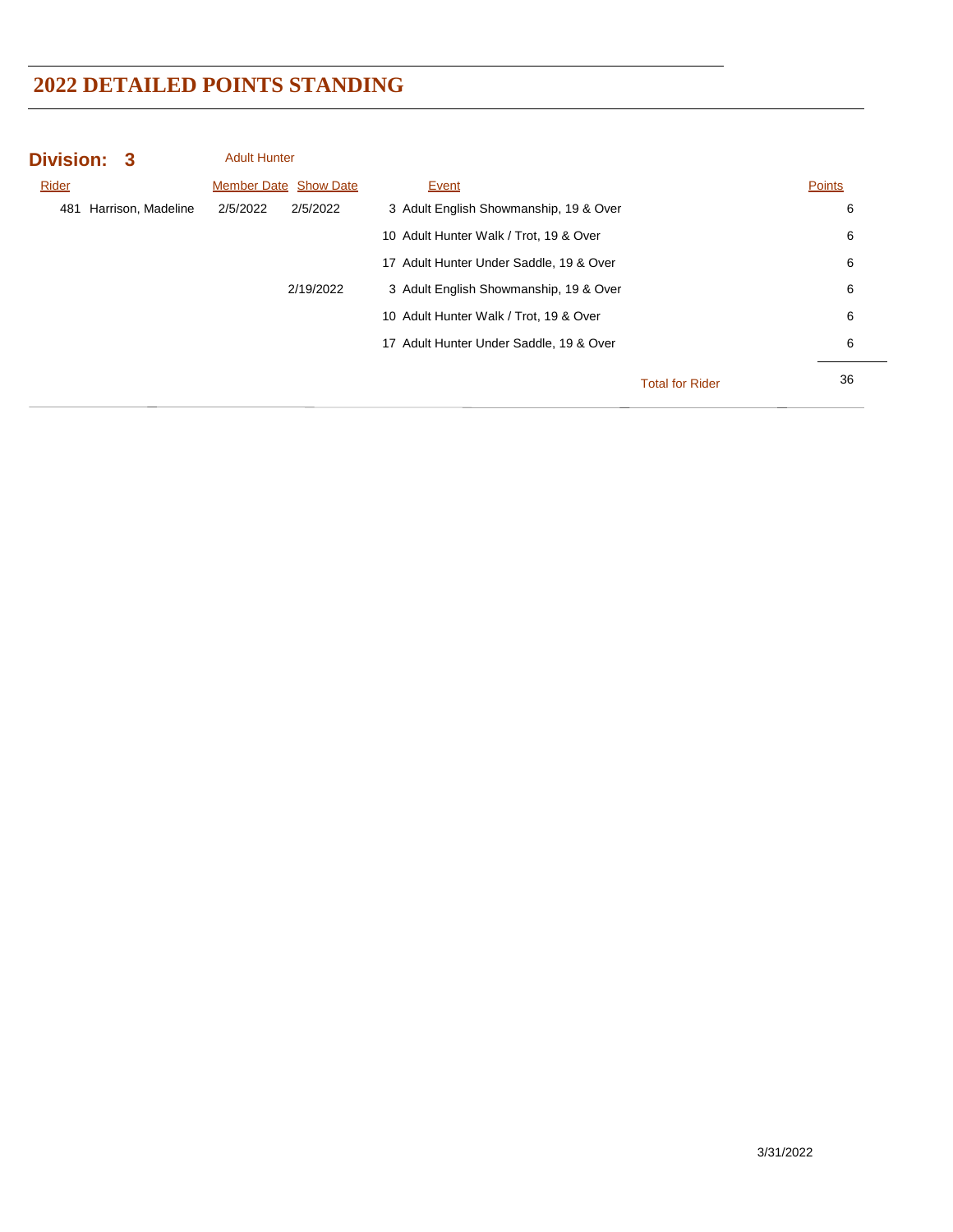| Division: 3 |                    | <b>Adult Hunter</b> |                              |                                         |                        |        |
|-------------|--------------------|---------------------|------------------------------|-----------------------------------------|------------------------|--------|
| Rider       |                    |                     | <b>Member Date Show Date</b> | Event                                   |                        | Points |
| 481         | Harrison, Madeline | 2/5/2022            | 2/5/2022                     | 3 Adult English Showmanship, 19 & Over  |                        | 6      |
|             |                    |                     |                              | 10 Adult Hunter Walk / Trot, 19 & Over  |                        | 6      |
|             |                    |                     |                              | 17 Adult Hunter Under Saddle, 19 & Over |                        | 6      |
|             |                    |                     | 2/19/2022                    | 3 Adult English Showmanship, 19 & Over  |                        | 6      |
|             |                    |                     |                              | 10 Adult Hunter Walk / Trot, 19 & Over  |                        | 6      |
|             |                    |                     |                              | 17 Adult Hunter Under Saddle, 19 & Over |                        | 6      |
|             |                    |                     |                              |                                         | <b>Total for Rider</b> | 36     |
|             |                    |                     |                              |                                         |                        |        |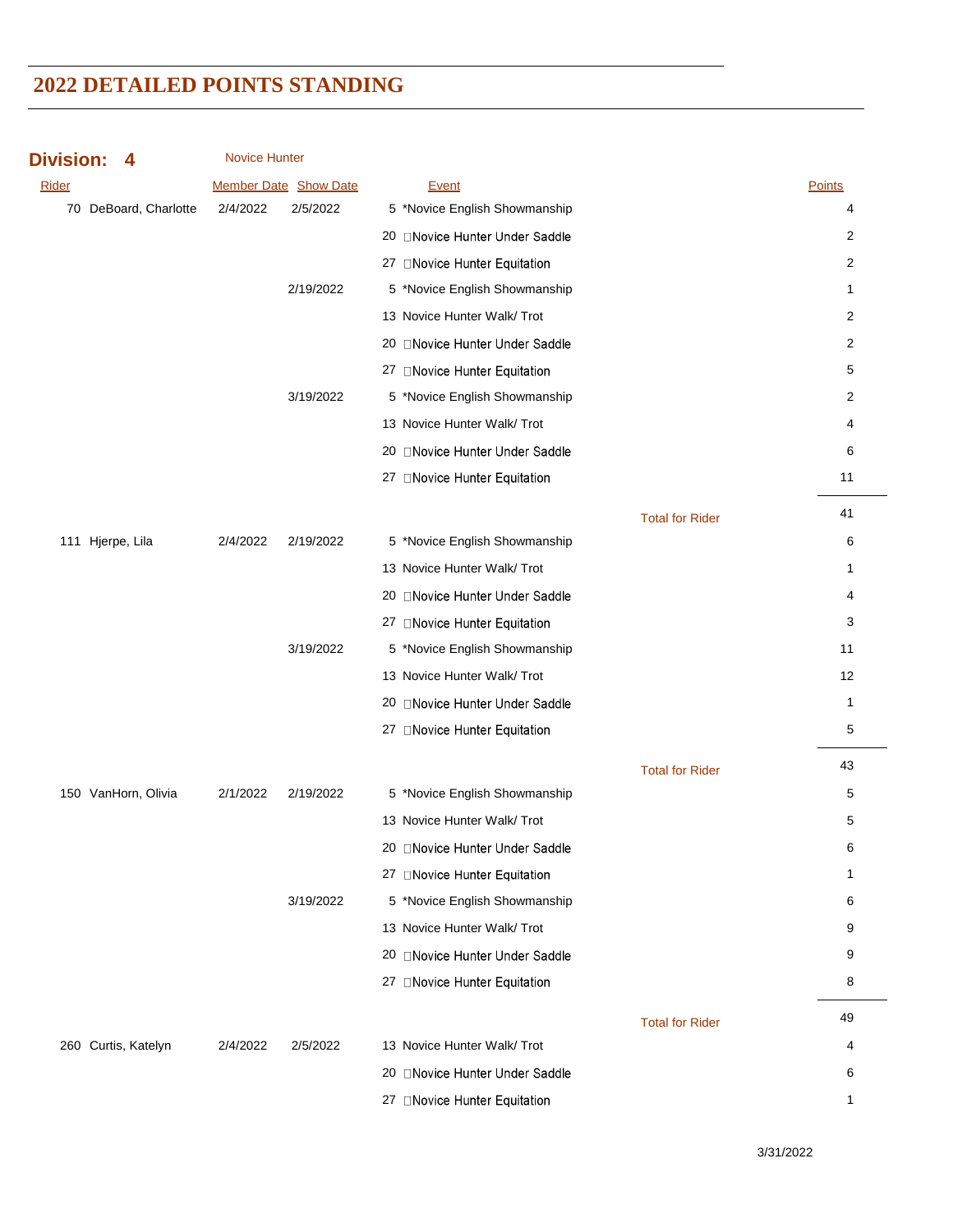| <b>Division:</b><br>4 | <b>Novice Hunter</b> |                              |                                |                        |                |
|-----------------------|----------------------|------------------------------|--------------------------------|------------------------|----------------|
| Rider                 |                      | <b>Member Date Show Date</b> | Event                          |                        | Points         |
| 70 DeBoard, Charlotte | 2/4/2022             | 2/5/2022                     | 5 *Novice English Showmanship  |                        | 4              |
|                       |                      |                              | 20 ONovice Hunter Under Saddle |                        | 2              |
|                       |                      |                              | 27 □ Novice Hunter Equitation  |                        | $\overline{c}$ |
|                       |                      | 2/19/2022                    | 5 *Novice English Showmanship  |                        | 1              |
|                       |                      |                              | 13 Novice Hunter Walk/ Trot    |                        | $\overline{c}$ |
|                       |                      |                              | 20 Novice Hunter Under Saddle  |                        | $\overline{c}$ |
|                       |                      |                              | 27 ONovice Hunter Equitation   |                        | 5              |
|                       |                      | 3/19/2022                    | 5 *Novice English Showmanship  |                        | 2              |
|                       |                      |                              | 13 Novice Hunter Walk/ Trot    |                        | 4              |
|                       |                      |                              | 20 ONovice Hunter Under Saddle |                        | 6              |
|                       |                      |                              | 27 □Novice Hunter Equitation   |                        | 11             |
|                       |                      |                              |                                | <b>Total for Rider</b> | 41             |
| 111 Hjerpe, Lila      | 2/4/2022             | 2/19/2022                    | 5 *Novice English Showmanship  |                        | 6              |
|                       |                      |                              | 13 Novice Hunter Walk/ Trot    |                        | 1              |
|                       |                      |                              | 20 ONovice Hunter Under Saddle |                        | 4              |
|                       |                      |                              | 27 □ Novice Hunter Equitation  |                        | 3              |
|                       |                      | 3/19/2022                    | 5 *Novice English Showmanship  |                        | 11             |
|                       |                      |                              | 13 Novice Hunter Walk/ Trot    |                        | 12             |
|                       |                      |                              | 20 ONovice Hunter Under Saddle |                        | 1              |
|                       |                      |                              | 27 □ Novice Hunter Equitation  |                        | 5              |
|                       |                      |                              |                                | <b>Total for Rider</b> | 43             |
| 150 VanHorn, Olivia   | 2/1/2022             | 2/19/2022                    | 5 *Novice English Showmanship  |                        | 5              |
|                       |                      |                              | 13 Novice Hunter Walk/ Trot    |                        | 5              |
|                       |                      |                              | 20 Novice Hunter Under Saddle  |                        | 6              |
|                       |                      |                              | 27 ONovice Hunter Equitation   |                        | 1              |
|                       |                      | 3/19/2022                    | 5 *Novice English Showmanship  |                        | 6              |
|                       |                      |                              | 13 Novice Hunter Walk/ Trot    |                        | 9              |
|                       |                      |                              | 20 ONovice Hunter Under Saddle |                        | 9              |
|                       |                      |                              | 27 ONovice Hunter Equitation   |                        | 8              |
|                       |                      |                              |                                | <b>Total for Rider</b> | 49             |
| 260 Curtis, Katelyn   | 2/4/2022             | 2/5/2022                     | 13 Novice Hunter Walk/ Trot    |                        | 4              |
|                       |                      |                              | 20 □Novice Hunter Under Saddle |                        | 6              |
|                       |                      |                              | 27 □Novice Hunter Equitation   |                        | 1              |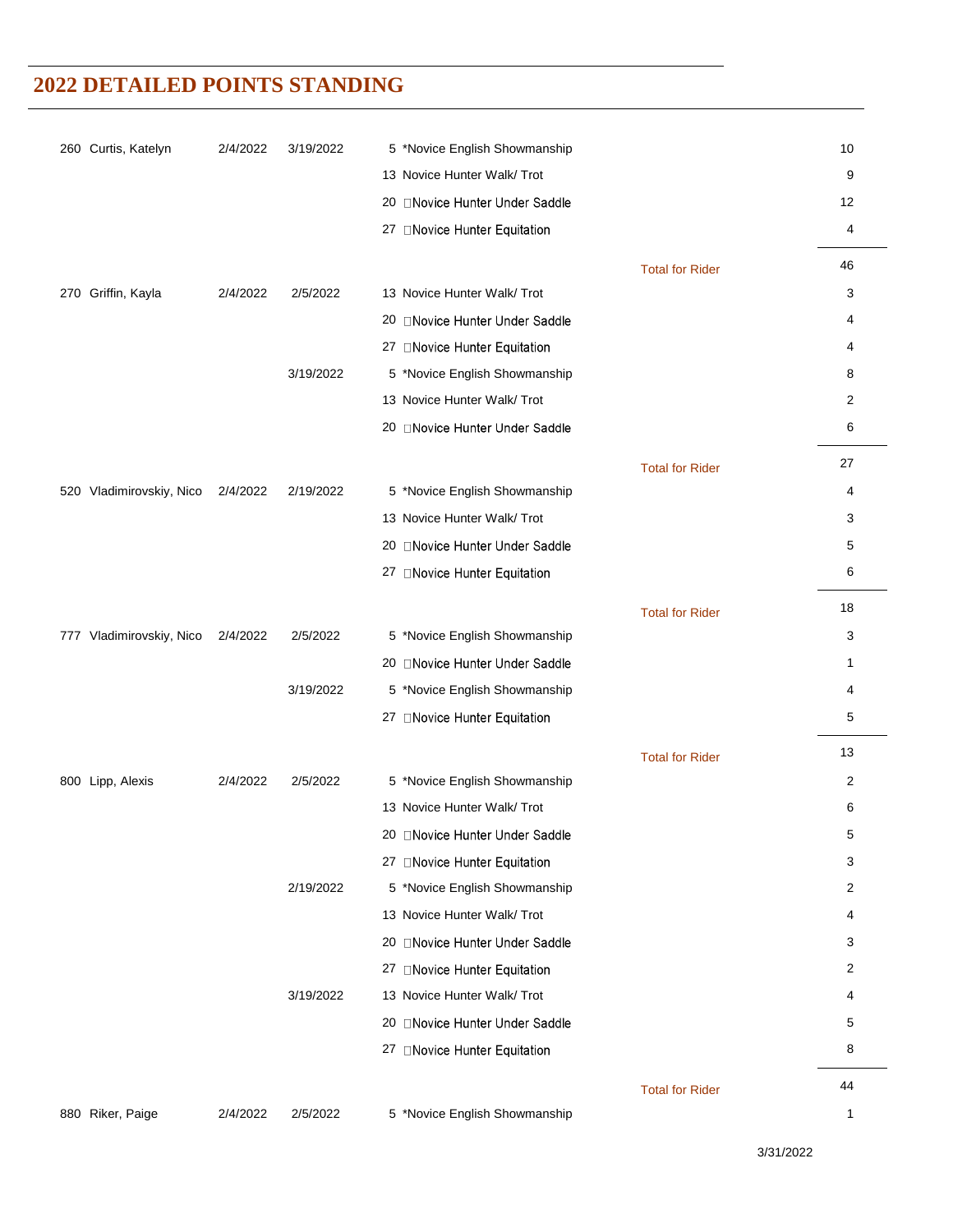| 260 Curtis, Katelyn      | 2/4/2022 | 3/19/2022 | 5 *Novice English Showmanship                                |                        | 10             |
|--------------------------|----------|-----------|--------------------------------------------------------------|------------------------|----------------|
|                          |          |           | 13 Novice Hunter Walk/ Trot                                  |                        | 9              |
|                          |          |           | 20 ONovice Hunter Under Saddle                               |                        | 12             |
|                          |          |           | 27 ONovice Hunter Equitation                                 |                        | 4              |
|                          |          |           |                                                              | <b>Total for Rider</b> | 46             |
| Griffin, Kayla<br>270    | 2/4/2022 | 2/5/2022  | 13 Novice Hunter Walk/ Trot                                  |                        | 3              |
|                          |          |           | 20 ONovice Hunter Under Saddle                               |                        | 4              |
|                          |          |           | 27 □Novice Hunter Equitation                                 |                        | 4              |
|                          |          | 3/19/2022 | 5 *Novice English Showmanship                                |                        | 8              |
|                          |          |           | 13 Novice Hunter Walk/ Trot                                  |                        | 2              |
|                          |          |           | 20 ONovice Hunter Under Saddle                               |                        | 6              |
|                          |          |           |                                                              | <b>Total for Rider</b> | 27             |
| 520 Vladimirovskiy, Nico | 2/4/2022 | 2/19/2022 | 5 *Novice English Showmanship                                |                        | 4              |
|                          |          |           | 13 Novice Hunter Walk/ Trot                                  |                        | 3              |
|                          |          |           | 20 ONovice Hunter Under Saddle                               |                        | 5              |
|                          |          |           | 27 □Novice Hunter Equitation                                 |                        | 6              |
|                          |          |           |                                                              | <b>Total for Rider</b> | 18             |
| 777 Vladimirovskiy, Nico | 2/4/2022 | 2/5/2022  | 5 *Novice English Showmanship                                |                        | 3              |
|                          |          |           | 20 ONovice Hunter Under Saddle                               |                        | 1              |
|                          |          | 3/19/2022 | 5 *Novice English Showmanship                                |                        | 4              |
|                          |          |           | 27 □Novice Hunter Equitation                                 |                        | 5              |
|                          |          |           |                                                              |                        | 13             |
|                          |          |           |                                                              | <b>Total for Rider</b> |                |
| 800 Lipp, Alexis         | 2/4/2022 | 2/5/2022  | 5 *Novice English Showmanship<br>13 Novice Hunter Walk/ Trot |                        | 2<br>6         |
|                          |          |           | 20 ONovice Hunter Under Saddle                               |                        | 5              |
|                          |          |           | 27 □ Novice Hunter Equitation                                |                        | 3              |
|                          |          | 2/19/2022 | 5 *Novice English Showmanship                                |                        | 2              |
|                          |          |           | 13 Novice Hunter Walk/ Trot                                  |                        | 4              |
|                          |          |           | 20 ONovice Hunter Under Saddle                               |                        | 3              |
|                          |          |           | 27 □Novice Hunter Equitation                                 |                        | $\overline{2}$ |
|                          |          | 3/19/2022 | 13 Novice Hunter Walk/ Trot                                  |                        | 4              |
|                          |          |           | 20 □Novice Hunter Under Saddle                               |                        | 5              |
|                          |          |           | 27 □Novice Hunter Equitation                                 |                        | 8              |
|                          |          |           |                                                              |                        | 44             |
| 880 Riker, Paige         | 2/4/2022 | 2/5/2022  | 5 *Novice English Showmanship                                | <b>Total for Rider</b> | 1              |
|                          |          |           |                                                              |                        |                |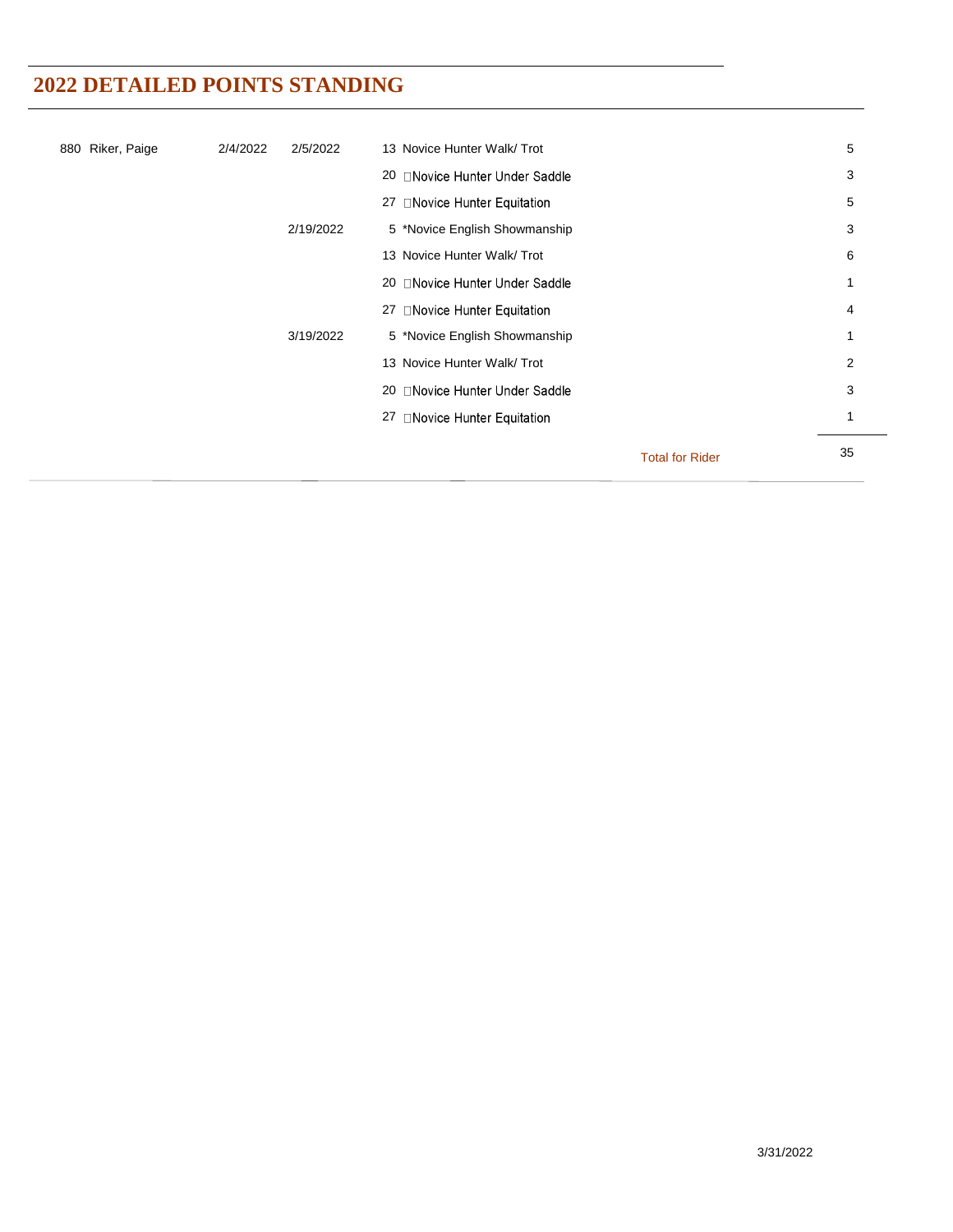| 880 Riker, Paige | 2/4/2022 | 2/5/2022  | 13 Novice Hunter Walk/ Trot    |                        | 5  |
|------------------|----------|-----------|--------------------------------|------------------------|----|
|                  |          |           | 20 □Novice Hunter Under Saddle |                        | 3  |
|                  |          |           | 27 □Novice Hunter Equitation   |                        | 5  |
|                  |          | 2/19/2022 | 5 *Novice English Showmanship  |                        | 3  |
|                  |          |           | 13 Novice Hunter Walk/ Trot    |                        | 6  |
|                  |          |           | 20 □Novice Hunter Under Saddle |                        |    |
|                  |          |           | 27 □Novice Hunter Equitation   |                        | 4  |
|                  |          | 3/19/2022 | 5 *Novice English Showmanship  |                        | 1  |
|                  |          |           | 13 Novice Hunter Walk/ Trot    |                        | 2  |
|                  |          |           | 20 □Novice Hunter Under Saddle |                        | 3  |
|                  |          |           | 27 □Novice Hunter Equitation   |                        | 1  |
|                  |          |           |                                | <b>Total for Rider</b> | 35 |
|                  |          |           |                                |                        |    |

 $\overline{\phantom{a}}$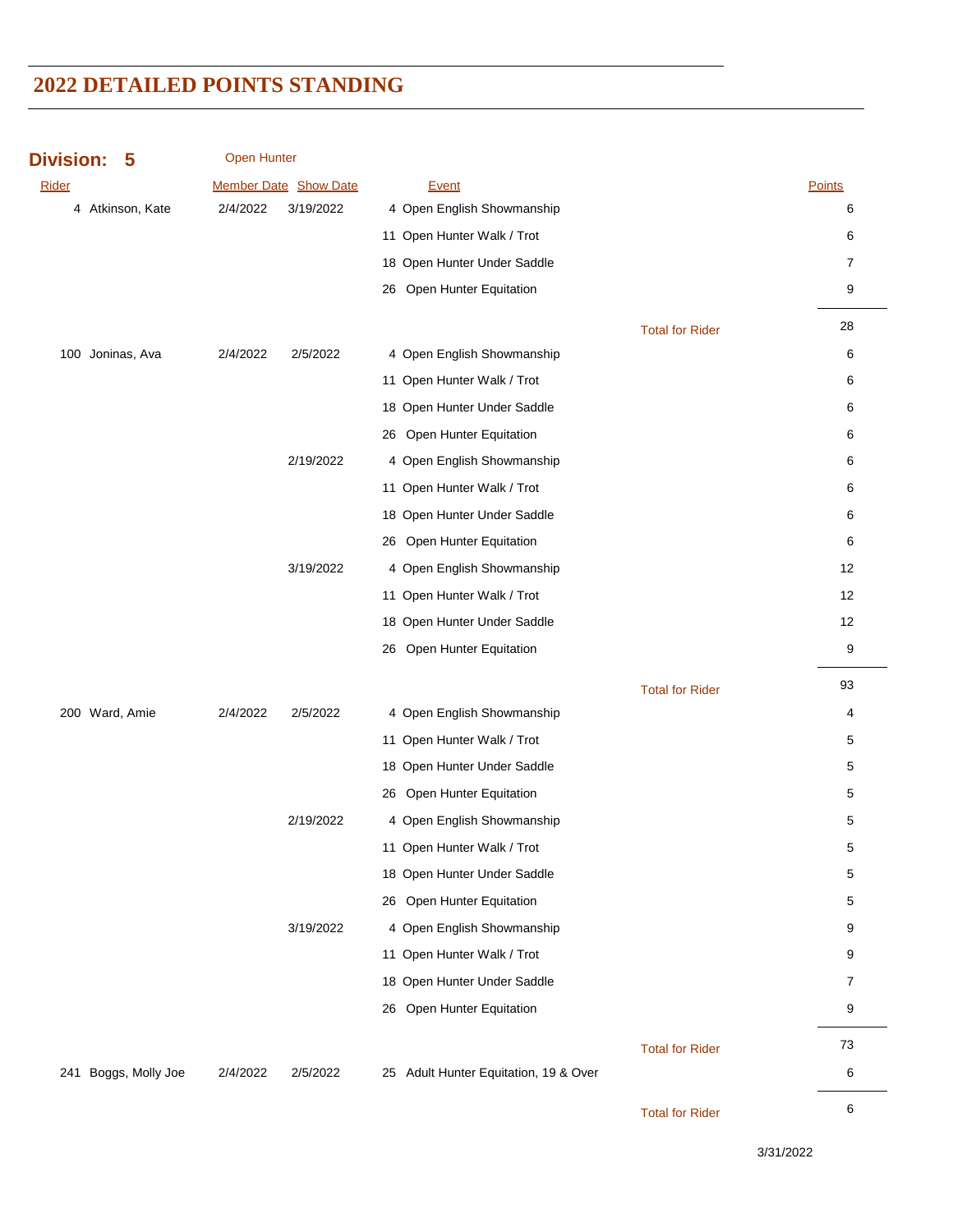**Division: 5**

Open Hunter

| Rider |                      |          | Member Date Show Date |    | <b>Event</b>                          |                        | Points         |
|-------|----------------------|----------|-----------------------|----|---------------------------------------|------------------------|----------------|
|       | 4 Atkinson, Kate     | 2/4/2022 | 3/19/2022             |    | 4 Open English Showmanship            |                        | 6              |
|       |                      |          |                       |    | 11 Open Hunter Walk / Trot            |                        | 6              |
|       |                      |          |                       |    | 18 Open Hunter Under Saddle           |                        | 7              |
|       |                      |          |                       |    | 26 Open Hunter Equitation             |                        | 9              |
|       |                      |          |                       |    |                                       | <b>Total for Rider</b> | 28             |
|       | 100 Joninas, Ava     | 2/4/2022 | 2/5/2022              |    | 4 Open English Showmanship            |                        | 6              |
|       |                      |          |                       |    | 11 Open Hunter Walk / Trot            |                        | 6              |
|       |                      |          |                       |    | 18 Open Hunter Under Saddle           |                        | 6              |
|       |                      |          |                       |    | 26 Open Hunter Equitation             |                        | 6              |
|       |                      |          | 2/19/2022             |    | 4 Open English Showmanship            |                        | 6              |
|       |                      |          |                       |    | 11 Open Hunter Walk / Trot            |                        | 6              |
|       |                      |          |                       |    | 18 Open Hunter Under Saddle           |                        | 6              |
|       |                      |          |                       |    | 26 Open Hunter Equitation             |                        | 6              |
|       |                      |          | 3/19/2022             |    | 4 Open English Showmanship            |                        | 12             |
|       |                      |          |                       |    | 11 Open Hunter Walk / Trot            |                        | 12             |
|       |                      |          |                       |    | 18 Open Hunter Under Saddle           |                        | 12             |
|       |                      |          |                       | 26 | Open Hunter Equitation                |                        | 9              |
|       |                      |          |                       |    |                                       | <b>Total for Rider</b> | 93             |
|       | 200 Ward, Amie       | 2/4/2022 | 2/5/2022              |    | 4 Open English Showmanship            |                        | 4              |
|       |                      |          |                       |    | 11 Open Hunter Walk / Trot            |                        | 5              |
|       |                      |          |                       |    | 18 Open Hunter Under Saddle           |                        | 5              |
|       |                      |          |                       |    | 26 Open Hunter Equitation             |                        | 5              |
|       |                      |          | 2/19/2022             |    | 4 Open English Showmanship            |                        | 5              |
|       |                      |          |                       |    | 11 Open Hunter Walk / Trot            |                        | 5              |
|       |                      |          |                       |    | 18 Open Hunter Under Saddle           |                        | 5              |
|       |                      |          |                       |    | 26 Open Hunter Equitation             |                        | 5              |
|       |                      |          | 3/19/2022             |    | 4 Open English Showmanship            |                        | 9              |
|       |                      |          |                       |    | 11 Open Hunter Walk / Trot            |                        | 9              |
|       |                      |          |                       |    | 18 Open Hunter Under Saddle           |                        | $\overline{7}$ |
|       |                      |          |                       |    | 26 Open Hunter Equitation             |                        | 9              |
|       |                      |          |                       |    |                                       | <b>Total for Rider</b> | 73             |
|       | 241 Boggs, Molly Joe | 2/4/2022 | 2/5/2022              |    | 25 Adult Hunter Equitation, 19 & Over |                        | 6              |
|       |                      |          |                       |    |                                       | <b>Total for Rider</b> | 6              |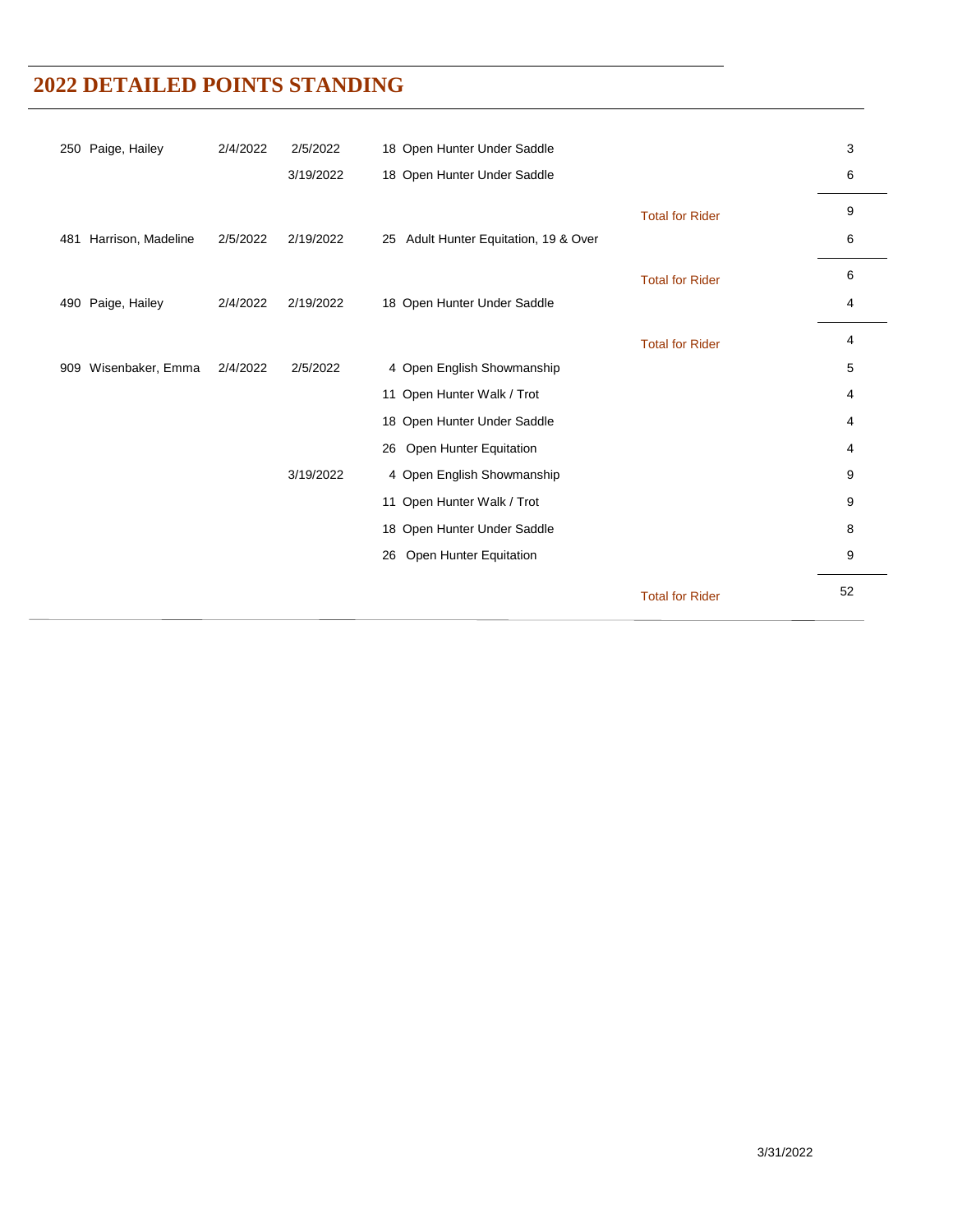|                           | 2/4/2022 | 2/5/2022  |                                       |                        | 3  |
|---------------------------|----------|-----------|---------------------------------------|------------------------|----|
| 250 Paige, Hailey         |          |           | 18 Open Hunter Under Saddle           |                        |    |
|                           |          | 3/19/2022 | 18 Open Hunter Under Saddle           |                        | 6  |
|                           |          |           |                                       | <b>Total for Rider</b> | 9  |
| Harrison, Madeline<br>481 | 2/5/2022 | 2/19/2022 | 25 Adult Hunter Equitation, 19 & Over |                        | 6  |
|                           |          |           |                                       | <b>Total for Rider</b> | 6  |
| Paige, Hailey<br>490      | 2/4/2022 | 2/19/2022 | 18 Open Hunter Under Saddle           |                        | 4  |
|                           |          |           |                                       | <b>Total for Rider</b> | 4  |
| Wisenbaker, Emma<br>909   | 2/4/2022 | 2/5/2022  | 4 Open English Showmanship            |                        | 5  |
|                           |          |           | 11 Open Hunter Walk / Trot            |                        | 4  |
|                           |          |           | 18 Open Hunter Under Saddle           |                        | 4  |
|                           |          |           | 26 Open Hunter Equitation             |                        | 4  |
|                           |          | 3/19/2022 | 4 Open English Showmanship            |                        | 9  |
|                           |          |           | 11 Open Hunter Walk / Trot            |                        | 9  |
|                           |          |           | 18 Open Hunter Under Saddle           |                        | 8  |
|                           |          |           | 26 Open Hunter Equitation             |                        | 9  |
|                           |          |           |                                       | <b>Total for Rider</b> | 52 |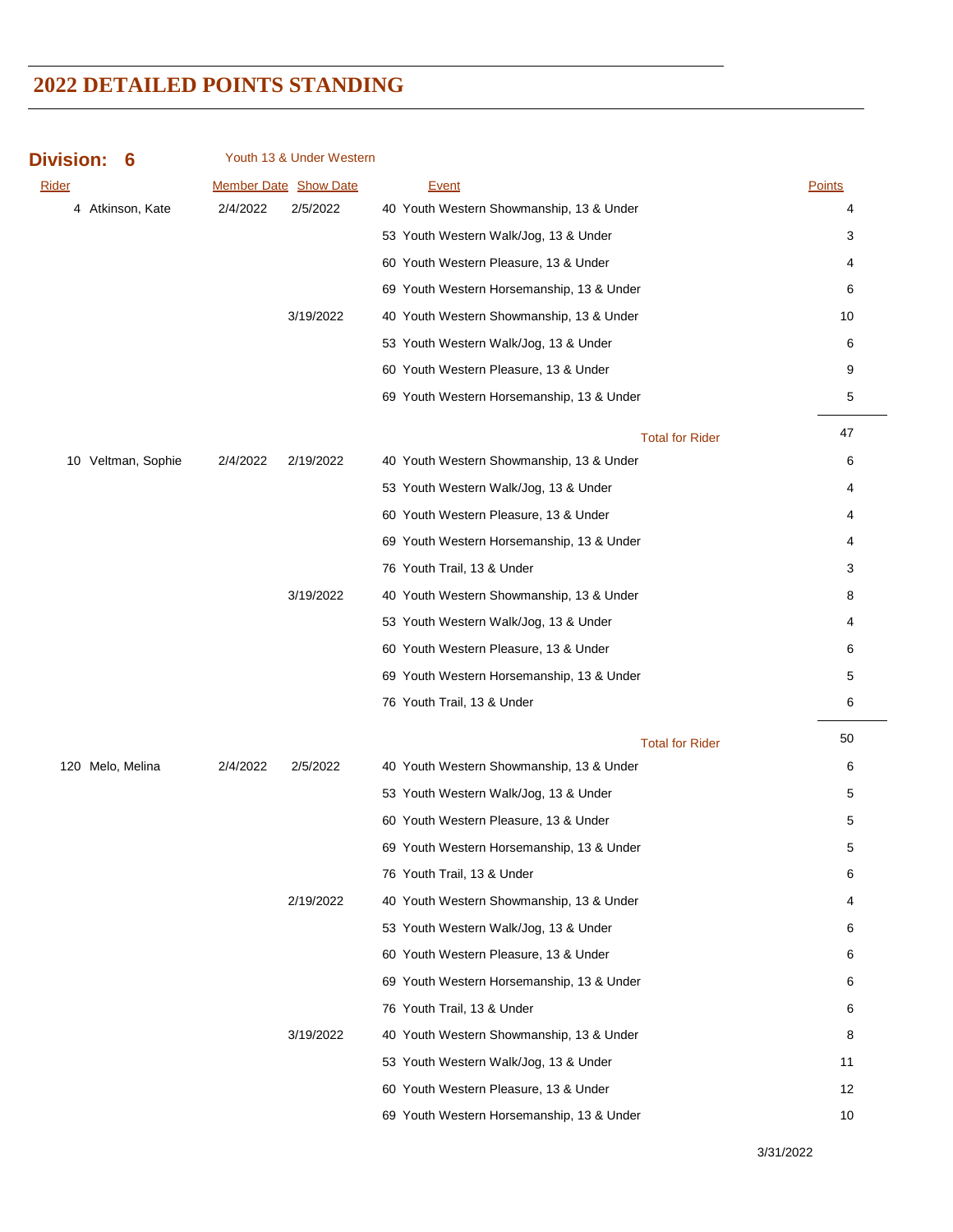| <b>Division:</b><br>6 |          | Youth 13 & Under Western |                                           |               |
|-----------------------|----------|--------------------------|-------------------------------------------|---------------|
| <b>Rider</b>          |          | Member Date Show Date    | <b>Event</b>                              | <b>Points</b> |
| 4 Atkinson, Kate      | 2/4/2022 | 2/5/2022                 | 40 Youth Western Showmanship, 13 & Under  | 4             |
|                       |          |                          | 53 Youth Western Walk/Jog, 13 & Under     | 3             |
|                       |          |                          | 60 Youth Western Pleasure, 13 & Under     | 4             |
|                       |          |                          | 69 Youth Western Horsemanship, 13 & Under | 6             |
|                       |          | 3/19/2022                | 40 Youth Western Showmanship, 13 & Under  | 10            |
|                       |          |                          | 53 Youth Western Walk/Jog, 13 & Under     | 6             |
|                       |          |                          | 60 Youth Western Pleasure, 13 & Under     | 9             |
|                       |          |                          | 69 Youth Western Horsemanship, 13 & Under | 5             |
|                       |          |                          | <b>Total for Rider</b>                    | 47            |
| 10 Veltman, Sophie    | 2/4/2022 | 2/19/2022                | 40 Youth Western Showmanship, 13 & Under  | 6             |
|                       |          |                          | 53 Youth Western Walk/Jog, 13 & Under     | 4             |
|                       |          |                          | 60 Youth Western Pleasure, 13 & Under     | 4             |
|                       |          |                          | 69 Youth Western Horsemanship, 13 & Under | 4             |
|                       |          |                          | 76 Youth Trail, 13 & Under                | 3             |
|                       |          | 3/19/2022                | 40 Youth Western Showmanship, 13 & Under  | 8             |
|                       |          |                          | 53 Youth Western Walk/Jog, 13 & Under     | 4             |
|                       |          |                          | 60 Youth Western Pleasure, 13 & Under     | 6             |
|                       |          |                          | 69 Youth Western Horsemanship, 13 & Under | 5             |
|                       |          |                          | 76 Youth Trail, 13 & Under                | 6             |
|                       |          |                          | <b>Total for Rider</b>                    | 50            |
| 120 Melo, Melina      | 2/4/2022 | 2/5/2022                 | 40 Youth Western Showmanship, 13 & Under  | 6             |
|                       |          |                          | 53 Youth Western Walk/Jog, 13 & Under     | 5             |
|                       |          |                          | 60 Youth Western Pleasure, 13 & Under     | 5             |
|                       |          |                          | 69 Youth Western Horsemanship, 13 & Under | 5             |
|                       |          |                          | 76 Youth Trail, 13 & Under                | 6             |
|                       |          | 2/19/2022                | 40 Youth Western Showmanship, 13 & Under  | 4             |
|                       |          |                          | 53 Youth Western Walk/Jog, 13 & Under     | 6             |
|                       |          |                          | 60 Youth Western Pleasure, 13 & Under     | 6             |
|                       |          |                          | 69 Youth Western Horsemanship, 13 & Under | 6             |
|                       |          |                          | 76 Youth Trail, 13 & Under                | 6             |
|                       |          | 3/19/2022                | 40 Youth Western Showmanship, 13 & Under  | 8             |
|                       |          |                          | 53 Youth Western Walk/Jog, 13 & Under     | 11            |
|                       |          |                          | 60 Youth Western Pleasure, 13 & Under     | 12            |
|                       |          |                          | 69 Youth Western Horsemanship, 13 & Under | 10            |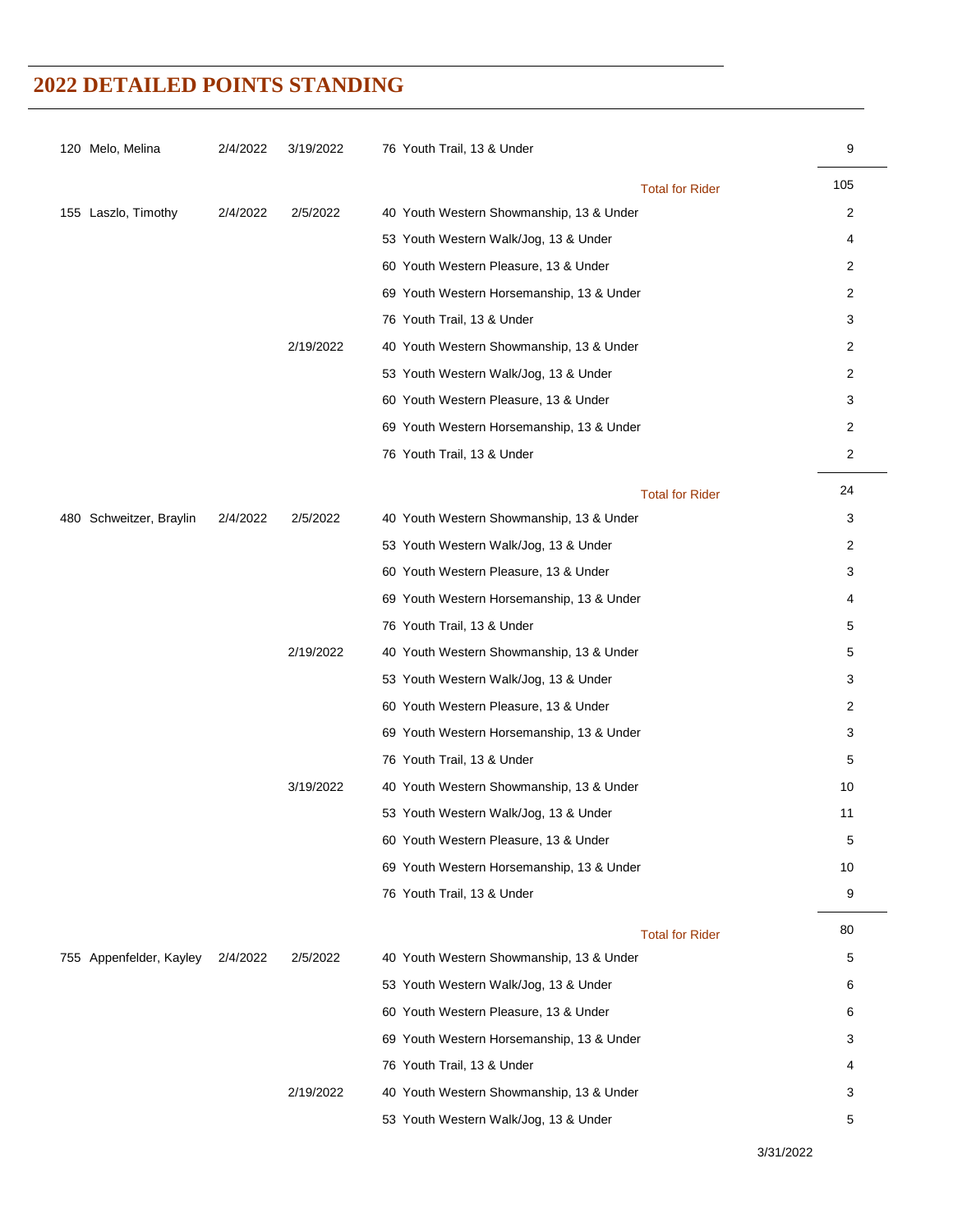| 120 Melo, Melina        | 2/4/2022 | 3/19/2022 | 76 Youth Trail, 13 & Under                | 9              |
|-------------------------|----------|-----------|-------------------------------------------|----------------|
|                         |          |           | <b>Total for Rider</b>                    | 105            |
| 155 Laszlo, Timothy     | 2/4/2022 | 2/5/2022  | 40 Youth Western Showmanship, 13 & Under  | 2              |
|                         |          |           | 53 Youth Western Walk/Jog, 13 & Under     | 4              |
|                         |          |           | 60 Youth Western Pleasure, 13 & Under     | 2              |
|                         |          |           | 69 Youth Western Horsemanship, 13 & Under | 2              |
|                         |          |           | 76 Youth Trail, 13 & Under                | 3              |
|                         |          | 2/19/2022 | 40 Youth Western Showmanship, 13 & Under  | 2              |
|                         |          |           | 53 Youth Western Walk/Jog, 13 & Under     | 2              |
|                         |          |           | 60 Youth Western Pleasure, 13 & Under     | 3              |
|                         |          |           | 69 Youth Western Horsemanship, 13 & Under | $\overline{c}$ |
|                         |          |           | 76 Youth Trail, 13 & Under                | 2              |
|                         |          |           | <b>Total for Rider</b>                    | 24             |
| 480 Schweitzer, Braylin | 2/4/2022 | 2/5/2022  | 40 Youth Western Showmanship, 13 & Under  | 3              |
|                         |          |           | 53 Youth Western Walk/Jog, 13 & Under     | $\overline{2}$ |
|                         |          |           | 60 Youth Western Pleasure, 13 & Under     | 3              |
|                         |          |           | 69 Youth Western Horsemanship, 13 & Under | 4              |
|                         |          |           | 76 Youth Trail, 13 & Under                | 5              |
|                         |          | 2/19/2022 | 40 Youth Western Showmanship, 13 & Under  | 5              |
|                         |          |           | 53 Youth Western Walk/Jog, 13 & Under     | 3              |
|                         |          |           | 60 Youth Western Pleasure, 13 & Under     | 2              |
|                         |          |           | 69 Youth Western Horsemanship, 13 & Under | 3              |
|                         |          |           | 76 Youth Trail, 13 & Under                | 5              |
|                         |          | 3/19/2022 | 40 Youth Western Showmanship, 13 & Under  | 10             |
|                         |          |           | 53 Youth Western Walk/Jog, 13 & Under     | 11             |
|                         |          |           | 60 Youth Western Pleasure, 13 & Under     | 5              |
|                         |          |           | 69 Youth Western Horsemanship, 13 & Under | 10             |
|                         |          |           | 76 Youth Trail, 13 & Under                | 9              |
|                         |          |           | <b>Total for Rider</b>                    | 80             |
| 755 Appenfelder, Kayley | 2/4/2022 | 2/5/2022  | 40 Youth Western Showmanship, 13 & Under  | 5              |
|                         |          |           | 53 Youth Western Walk/Jog, 13 & Under     | 6              |
|                         |          |           | 60 Youth Western Pleasure, 13 & Under     | 6              |
|                         |          |           | 69 Youth Western Horsemanship, 13 & Under | 3              |
|                         |          |           | 76 Youth Trail, 13 & Under                | 4              |
|                         |          | 2/19/2022 | 40 Youth Western Showmanship, 13 & Under  | 3              |
|                         |          |           | 53 Youth Western Walk/Jog, 13 & Under     | 5              |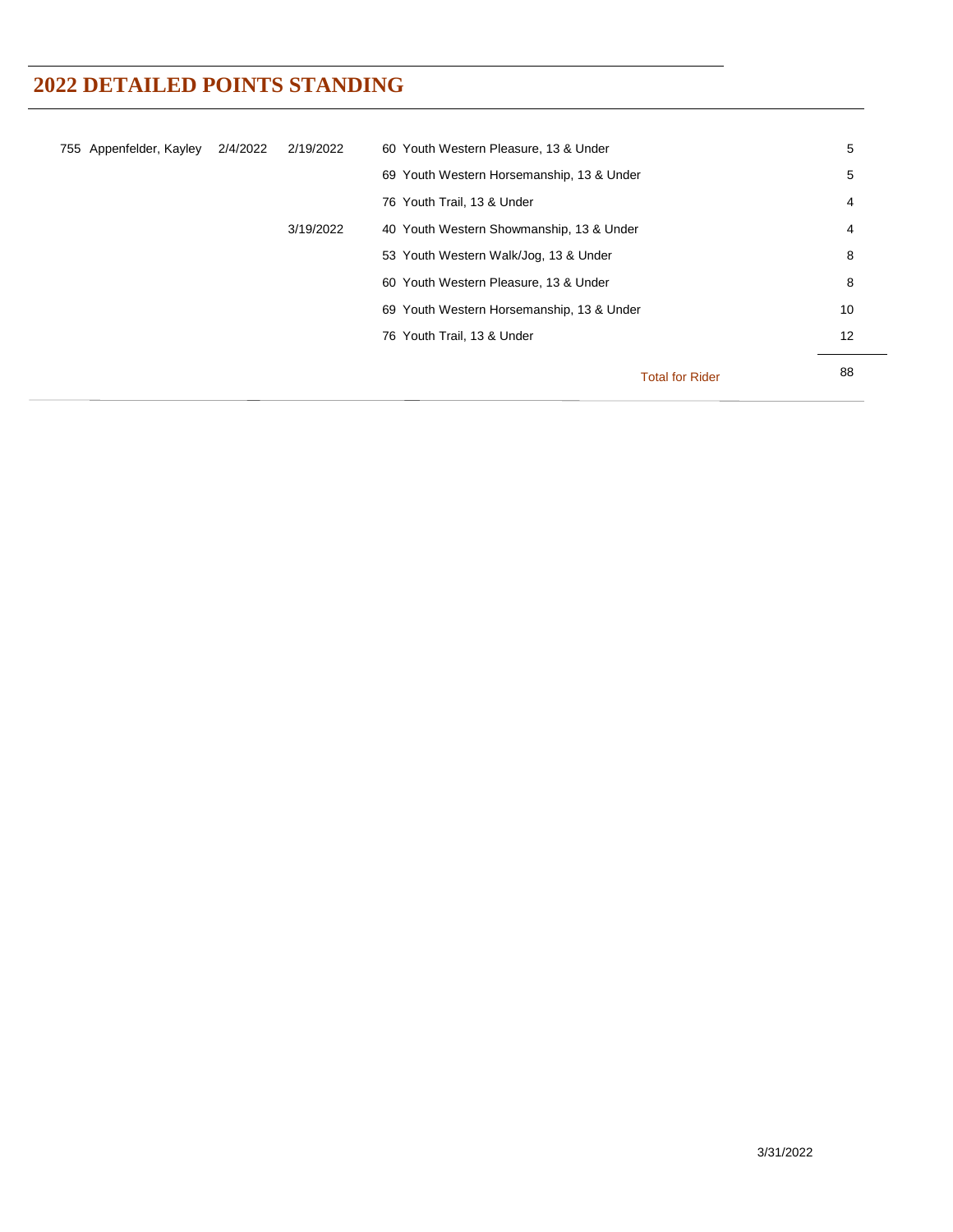| 755 Appenfelder, Kayley | 2/4/2022 | 2/19/2022 | 60 Youth Western Pleasure, 13 & Under     | 5  |
|-------------------------|----------|-----------|-------------------------------------------|----|
|                         |          |           | 69 Youth Western Horsemanship, 13 & Under | 5  |
|                         |          |           | 76 Youth Trail, 13 & Under                | 4  |
|                         |          | 3/19/2022 | 40 Youth Western Showmanship, 13 & Under  | 4  |
|                         |          |           | 53 Youth Western Walk/Jog, 13 & Under     | 8  |
|                         |          |           | 60 Youth Western Pleasure, 13 & Under     | 8  |
|                         |          |           | 69 Youth Western Horsemanship, 13 & Under | 10 |
|                         |          |           | 76 Youth Trail, 13 & Under                | 12 |
|                         |          |           |                                           | 88 |
|                         |          |           | <b>Total for Rider</b>                    |    |
|                         |          |           |                                           |    |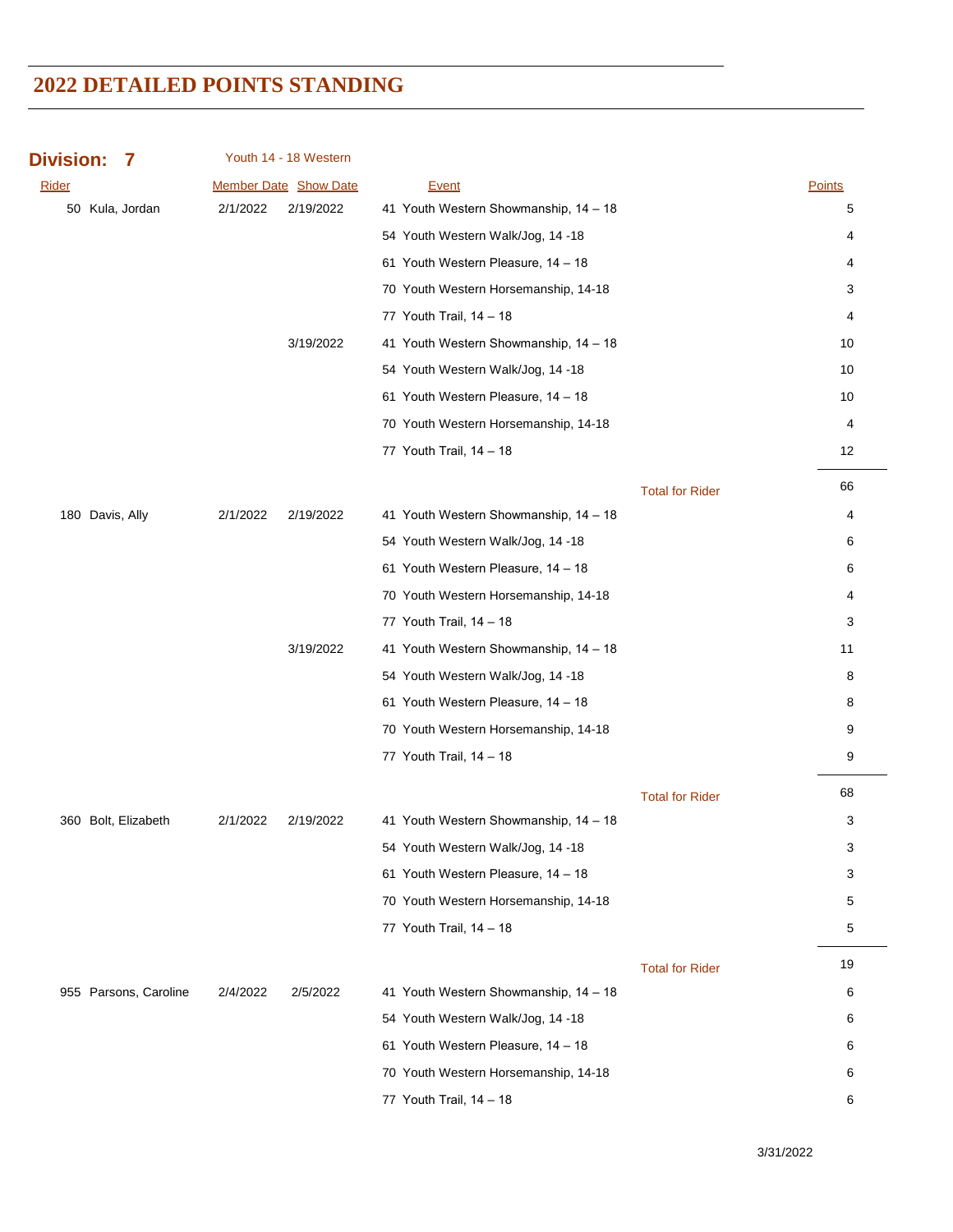| <b>Division:</b><br>7 |          | Youth 14 - 18 Western |                                       |                        |               |
|-----------------------|----------|-----------------------|---------------------------------------|------------------------|---------------|
| <b>Rider</b>          |          | Member Date Show Date | <b>Event</b>                          |                        | <b>Points</b> |
| 50 Kula, Jordan       | 2/1/2022 | 2/19/2022             | 41 Youth Western Showmanship, 14 - 18 |                        | 5             |
|                       |          |                       | 54 Youth Western Walk/Jog, 14 -18     |                        | 4             |
|                       |          |                       | 61 Youth Western Pleasure, 14 - 18    |                        | 4             |
|                       |          |                       | 70 Youth Western Horsemanship, 14-18  |                        | 3             |
|                       |          |                       | 77 Youth Trail, 14 - 18               |                        | 4             |
|                       |          | 3/19/2022             | 41 Youth Western Showmanship, 14 - 18 |                        | 10            |
|                       |          |                       | 54 Youth Western Walk/Jog, 14 -18     |                        | 10            |
|                       |          |                       | 61 Youth Western Pleasure, 14 - 18    |                        | 10            |
|                       |          |                       | 70 Youth Western Horsemanship, 14-18  |                        | 4             |
|                       |          |                       | 77 Youth Trail, 14 - 18               |                        | 12            |
|                       |          |                       |                                       | <b>Total for Rider</b> | 66            |
| 180 Davis, Ally       | 2/1/2022 | 2/19/2022             | 41 Youth Western Showmanship, 14 - 18 |                        | 4             |
|                       |          |                       | 54 Youth Western Walk/Jog, 14 -18     |                        | 6             |
|                       |          |                       | 61 Youth Western Pleasure, 14 - 18    |                        | 6             |
|                       |          |                       | 70 Youth Western Horsemanship, 14-18  |                        | 4             |
|                       |          |                       | 77 Youth Trail, 14 - 18               |                        | 3             |
|                       |          | 3/19/2022             | 41 Youth Western Showmanship, 14 - 18 |                        | 11            |
|                       |          |                       | 54 Youth Western Walk/Jog, 14 -18     |                        | 8             |
|                       |          |                       | 61 Youth Western Pleasure, 14 - 18    |                        | 8             |
|                       |          |                       | 70 Youth Western Horsemanship, 14-18  |                        | 9             |
|                       |          |                       | 77 Youth Trail, 14 - 18               |                        | 9             |
|                       |          |                       |                                       | <b>Total for Rider</b> | 68            |
| 360 Bolt, Elizabeth   | 2/1/2022 | 2/19/2022             | 41 Youth Western Showmanship, 14 - 18 |                        | 3             |
|                       |          |                       | 54 Youth Western Walk/Jog, 14 -18     |                        | 3             |
|                       |          |                       | 61 Youth Western Pleasure, 14 - 18    |                        | 3             |
|                       |          |                       | 70 Youth Western Horsemanship, 14-18  |                        | 5             |
|                       |          |                       | 77 Youth Trail, 14 - 18               |                        | 5             |
|                       |          |                       |                                       | <b>Total for Rider</b> | 19            |
| 955 Parsons, Caroline | 2/4/2022 | 2/5/2022              | 41 Youth Western Showmanship, 14 - 18 |                        | 6             |
|                       |          |                       | 54 Youth Western Walk/Jog, 14 -18     |                        | 6             |
|                       |          |                       | 61 Youth Western Pleasure, 14 - 18    |                        | 6             |
|                       |          |                       | 70 Youth Western Horsemanship, 14-18  |                        | 6             |
|                       |          |                       | 77 Youth Trail, 14 - 18               |                        | 6             |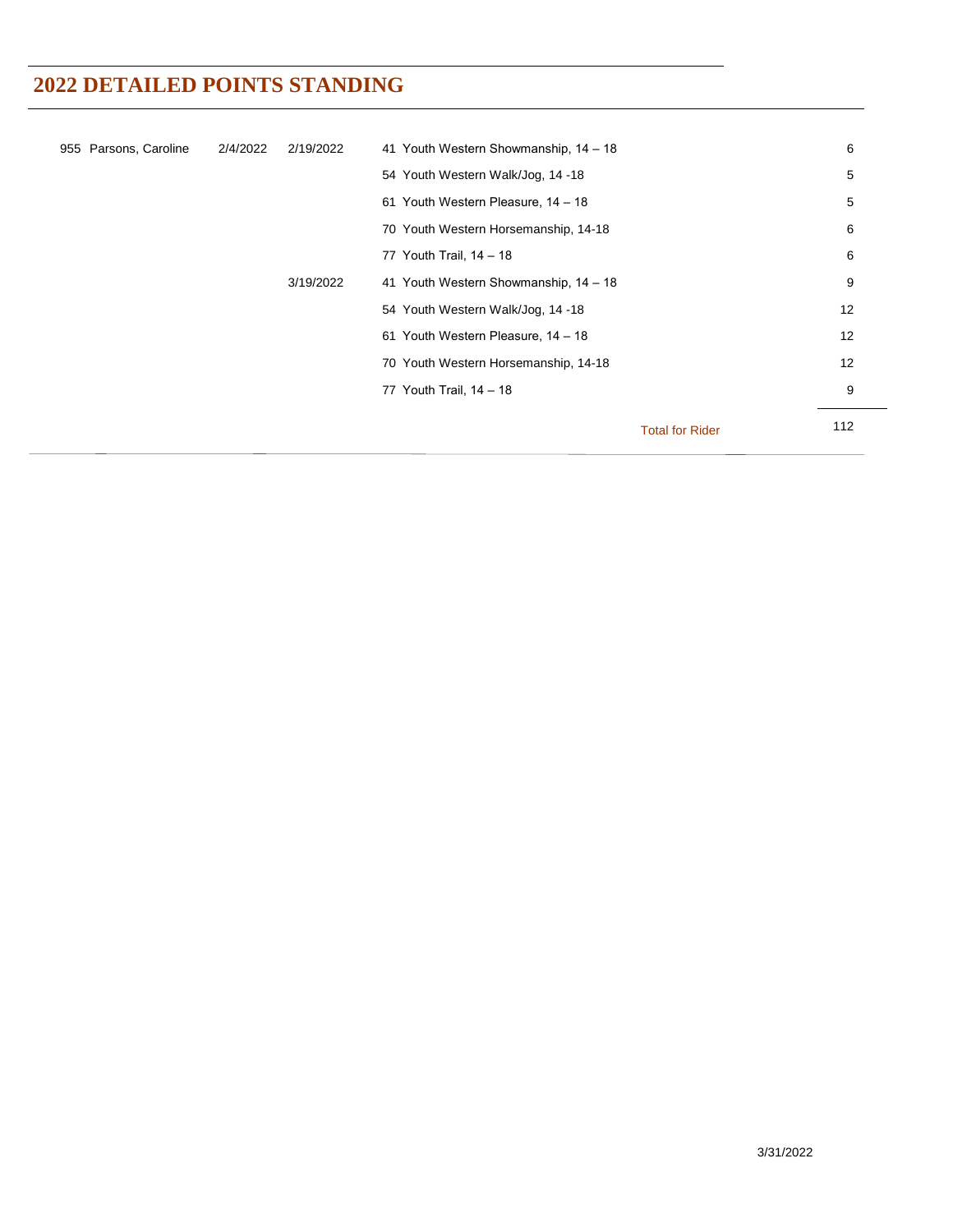| 955 Parsons, Caroline | 2/4/2022 | 2/19/2022 | 41 Youth Western Showmanship, 14 - 18 |                        | 6   |
|-----------------------|----------|-----------|---------------------------------------|------------------------|-----|
|                       |          |           | 54 Youth Western Walk/Jog, 14 -18     |                        | 5   |
|                       |          |           | 61 Youth Western Pleasure, 14 - 18    |                        | 5   |
|                       |          |           | 70 Youth Western Horsemanship, 14-18  |                        | 6   |
|                       |          |           | 77 Youth Trail, 14 - 18               |                        | 6   |
|                       |          | 3/19/2022 | 41 Youth Western Showmanship, 14 - 18 |                        | 9   |
|                       |          |           | 54 Youth Western Walk/Jog, 14 -18     |                        | 12  |
|                       |          |           | 61 Youth Western Pleasure, 14 - 18    |                        | 12  |
|                       |          |           | 70 Youth Western Horsemanship, 14-18  |                        | 12  |
|                       |          |           | 77 Youth Trail, 14 - 18               |                        | 9   |
|                       |          |           |                                       |                        | 112 |
|                       |          |           |                                       | <b>Total for Rider</b> |     |
|                       |          |           |                                       |                        |     |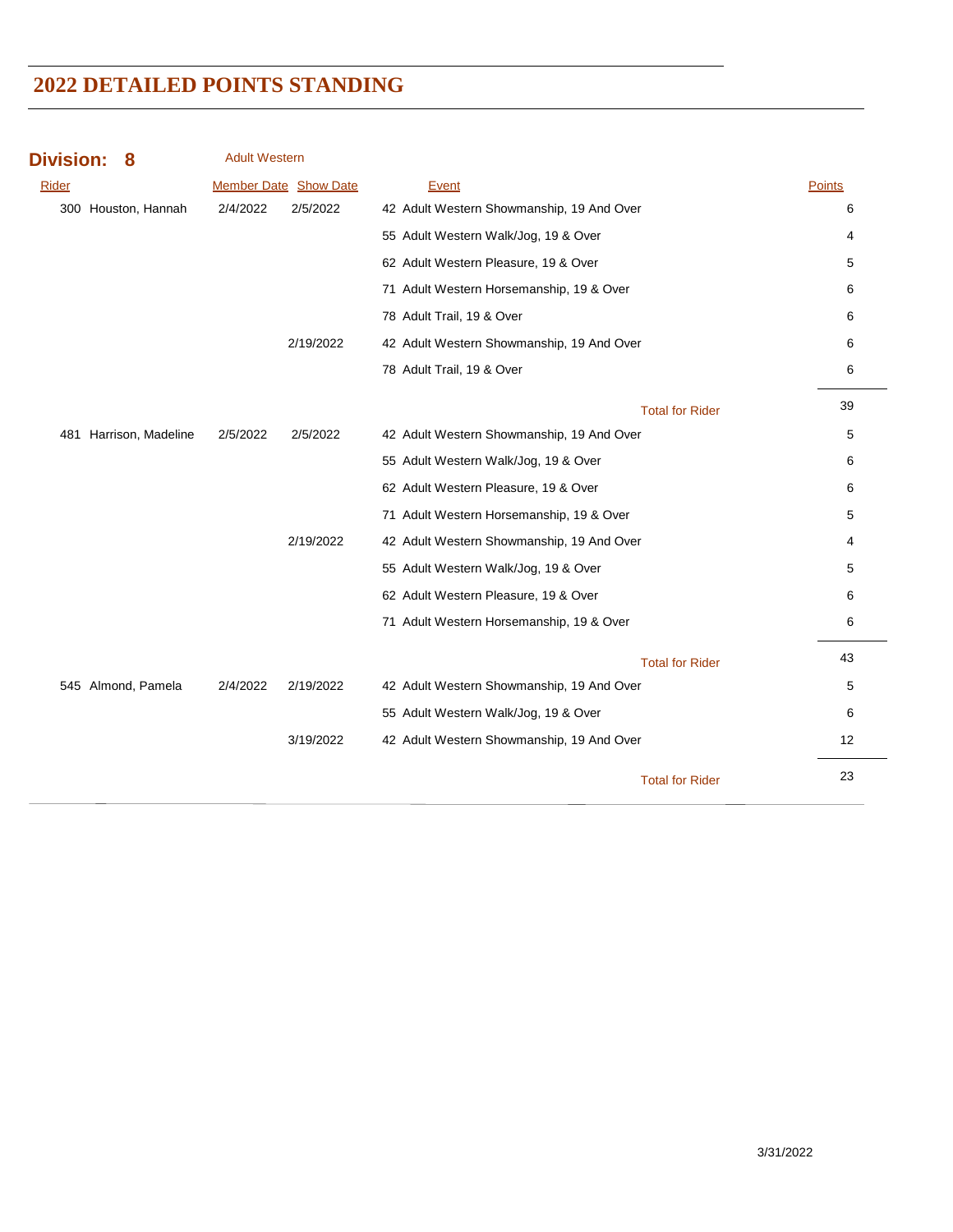| <b>Division:</b><br>8  | <b>Adult Western</b>         |           |                                           |        |    |
|------------------------|------------------------------|-----------|-------------------------------------------|--------|----|
| Rider                  | <b>Member Date Show Date</b> |           | Event                                     | Points |    |
| 300 Houston, Hannah    | 2/4/2022                     | 2/5/2022  | 42 Adult Western Showmanship, 19 And Over |        | 6  |
|                        |                              |           | 55 Adult Western Walk/Jog, 19 & Over      |        | 4  |
|                        |                              |           | 62 Adult Western Pleasure, 19 & Over      |        | 5  |
|                        |                              |           | 71 Adult Western Horsemanship, 19 & Over  |        | 6  |
|                        |                              |           | 78 Adult Trail, 19 & Over                 |        | 6  |
|                        |                              | 2/19/2022 | 42 Adult Western Showmanship, 19 And Over |        | 6  |
|                        |                              |           | 78 Adult Trail, 19 & Over                 |        | 6  |
|                        |                              |           | <b>Total for Rider</b>                    |        | 39 |
| 481 Harrison, Madeline | 2/5/2022                     | 2/5/2022  | 42 Adult Western Showmanship, 19 And Over |        | 5  |
|                        |                              |           | 55 Adult Western Walk/Jog, 19 & Over      |        | 6  |
|                        |                              |           | 62 Adult Western Pleasure, 19 & Over      |        | 6  |
|                        |                              |           | 71 Adult Western Horsemanship, 19 & Over  |        | 5  |
|                        |                              | 2/19/2022 | 42 Adult Western Showmanship, 19 And Over |        | 4  |
|                        |                              |           | 55 Adult Western Walk/Jog, 19 & Over      |        | 5  |
|                        |                              |           | 62 Adult Western Pleasure, 19 & Over      |        | 6  |
|                        |                              |           | 71 Adult Western Horsemanship, 19 & Over  |        | 6  |
|                        |                              |           | <b>Total for Rider</b>                    |        | 43 |
| 545 Almond, Pamela     | 2/4/2022                     | 2/19/2022 | 42 Adult Western Showmanship, 19 And Over |        | 5  |
|                        |                              |           | 55 Adult Western Walk/Jog, 19 & Over      |        | 6  |
|                        |                              | 3/19/2022 | 42 Adult Western Showmanship, 19 And Over |        | 12 |
|                        |                              |           | <b>Total for Rider</b>                    |        | 23 |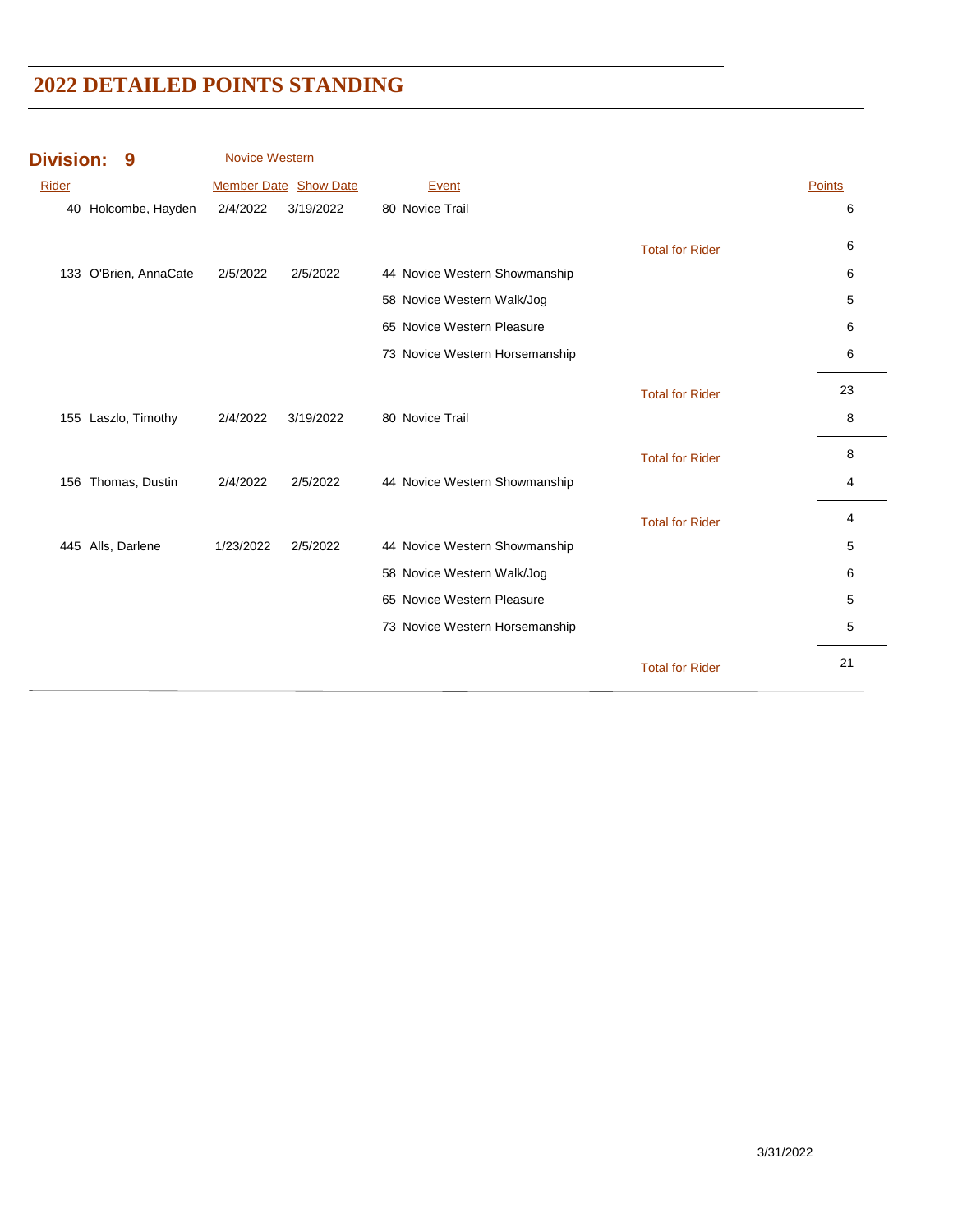| <b>Division:</b> | 9                     | Novice Western |                       |                                |                        |        |
|------------------|-----------------------|----------------|-----------------------|--------------------------------|------------------------|--------|
| Rider            |                       |                | Member Date Show Date | Event                          |                        | Points |
|                  | 40 Holcombe, Hayden   | 2/4/2022       | 3/19/2022             | 80 Novice Trail                |                        | 6      |
|                  |                       |                |                       |                                | <b>Total for Rider</b> | 6      |
|                  | 133 O'Brien, AnnaCate | 2/5/2022       | 2/5/2022              | 44 Novice Western Showmanship  |                        | 6      |
|                  |                       |                |                       | 58 Novice Western Walk/Jog     |                        | 5      |
|                  |                       |                |                       | 65 Novice Western Pleasure     |                        | 6      |
|                  |                       |                |                       | 73 Novice Western Horsemanship |                        | 6      |
|                  |                       |                |                       |                                | <b>Total for Rider</b> | 23     |
|                  | 155 Laszlo, Timothy   | 2/4/2022       | 3/19/2022             | 80 Novice Trail                |                        | 8      |
|                  |                       |                |                       |                                | <b>Total for Rider</b> | 8      |
|                  | 156 Thomas, Dustin    | 2/4/2022       | 2/5/2022              | 44 Novice Western Showmanship  |                        | 4      |
|                  |                       |                |                       |                                | <b>Total for Rider</b> | 4      |
|                  | 445 Alls, Darlene     | 1/23/2022      | 2/5/2022              | 44 Novice Western Showmanship  |                        | 5      |
|                  |                       |                |                       | 58 Novice Western Walk/Jog     |                        | 6      |
|                  |                       |                |                       | 65 Novice Western Pleasure     |                        | 5      |
|                  |                       |                |                       | 73 Novice Western Horsemanship |                        | 5      |
|                  |                       |                |                       |                                | <b>Total for Rider</b> | 21     |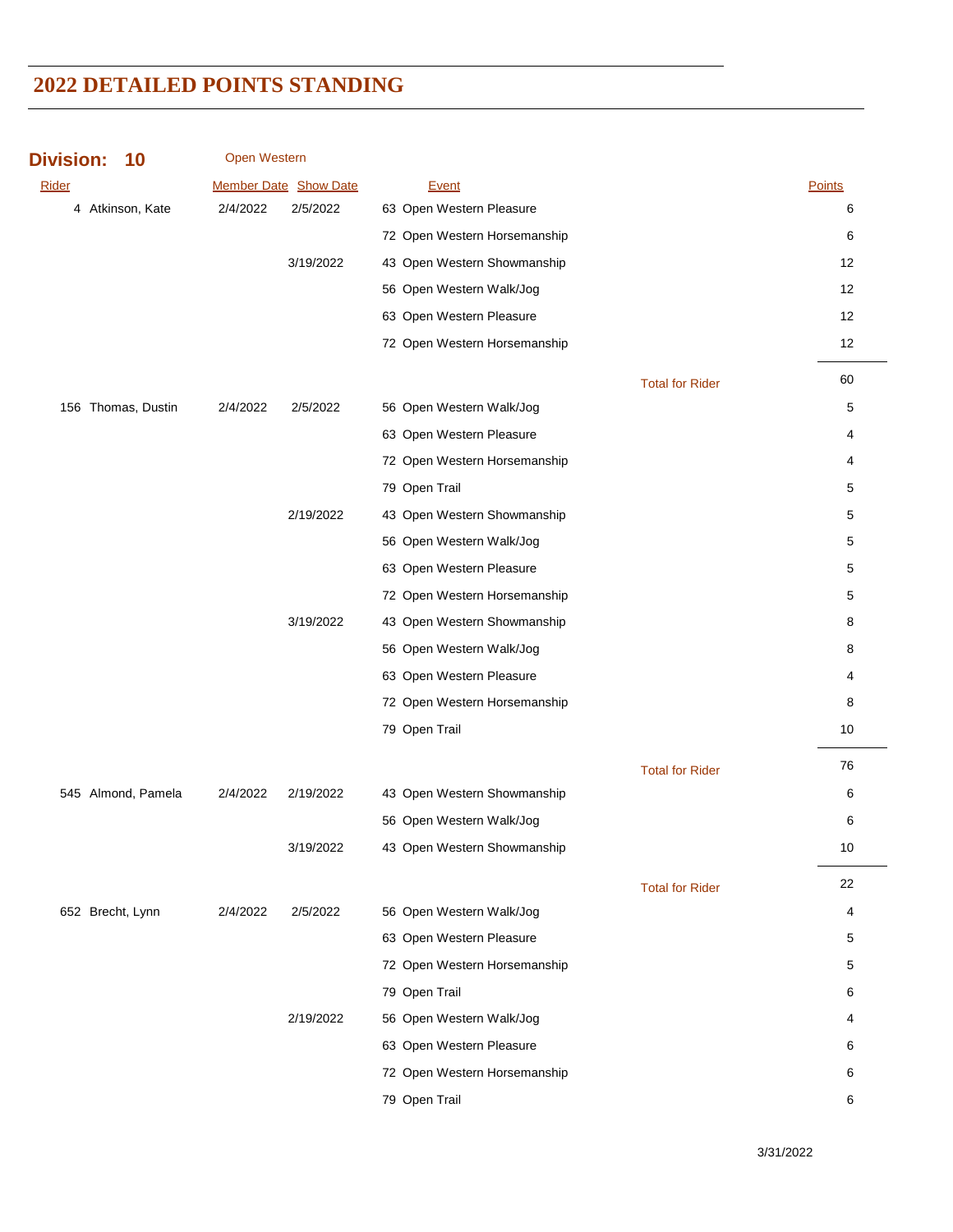| <b>Division:</b> | 10 |
|------------------|----|
|------------------|----|

Open Western

| <b>Rider</b> |                    |          | Member Date Show Date | <b>Event</b>                 |                        | Points |
|--------------|--------------------|----------|-----------------------|------------------------------|------------------------|--------|
|              | 4 Atkinson, Kate   | 2/4/2022 | 2/5/2022              | 63 Open Western Pleasure     |                        | 6      |
|              |                    |          |                       | 72 Open Western Horsemanship |                        | 6      |
|              |                    |          | 3/19/2022             | 43 Open Western Showmanship  |                        | 12     |
|              |                    |          |                       | 56 Open Western Walk/Jog     |                        | 12     |
|              |                    |          |                       | 63 Open Western Pleasure     |                        | 12     |
|              |                    |          |                       | 72 Open Western Horsemanship |                        | 12     |
|              |                    |          |                       |                              | <b>Total for Rider</b> | 60     |
|              | 156 Thomas, Dustin | 2/4/2022 | 2/5/2022              | 56 Open Western Walk/Jog     |                        | 5      |
|              |                    |          |                       | 63 Open Western Pleasure     |                        | 4      |
|              |                    |          |                       | 72 Open Western Horsemanship |                        | 4      |
|              |                    |          |                       | 79 Open Trail                |                        | 5      |
|              |                    |          | 2/19/2022             | 43 Open Western Showmanship  |                        | 5      |
|              |                    |          |                       | 56 Open Western Walk/Jog     |                        | 5      |
|              |                    |          |                       | 63 Open Western Pleasure     |                        | 5      |
|              |                    |          |                       | 72 Open Western Horsemanship |                        | 5      |
|              |                    |          | 3/19/2022             | 43 Open Western Showmanship  |                        | 8      |
|              |                    |          |                       | 56 Open Western Walk/Jog     |                        | 8      |
|              |                    |          |                       | 63 Open Western Pleasure     |                        | 4      |
|              |                    |          |                       | 72 Open Western Horsemanship |                        | 8      |
|              |                    |          |                       | 79 Open Trail                |                        | 10     |
|              |                    |          |                       |                              | <b>Total for Rider</b> | 76     |
|              | 545 Almond, Pamela | 2/4/2022 | 2/19/2022             | 43 Open Western Showmanship  |                        | 6      |
|              |                    |          |                       | 56 Open Western Walk/Jog     |                        | 6      |
|              |                    |          | 3/19/2022             | 43 Open Western Showmanship  |                        | 10     |
|              |                    |          |                       |                              |                        | 22     |
|              | 652 Brecht, Lynn   | 2/4/2022 | 2/5/2022              | 56 Open Western Walk/Jog     | <b>Total for Rider</b> | 4      |
|              |                    |          |                       | 63 Open Western Pleasure     |                        | 5      |
|              |                    |          |                       | 72 Open Western Horsemanship |                        | 5      |
|              |                    |          |                       | 79 Open Trail                |                        | 6      |
|              |                    |          | 2/19/2022             | 56 Open Western Walk/Jog     |                        | 4      |
|              |                    |          |                       | 63 Open Western Pleasure     |                        | 6      |
|              |                    |          |                       | 72 Open Western Horsemanship |                        | 6      |
|              |                    |          |                       | 79 Open Trail                |                        | 6      |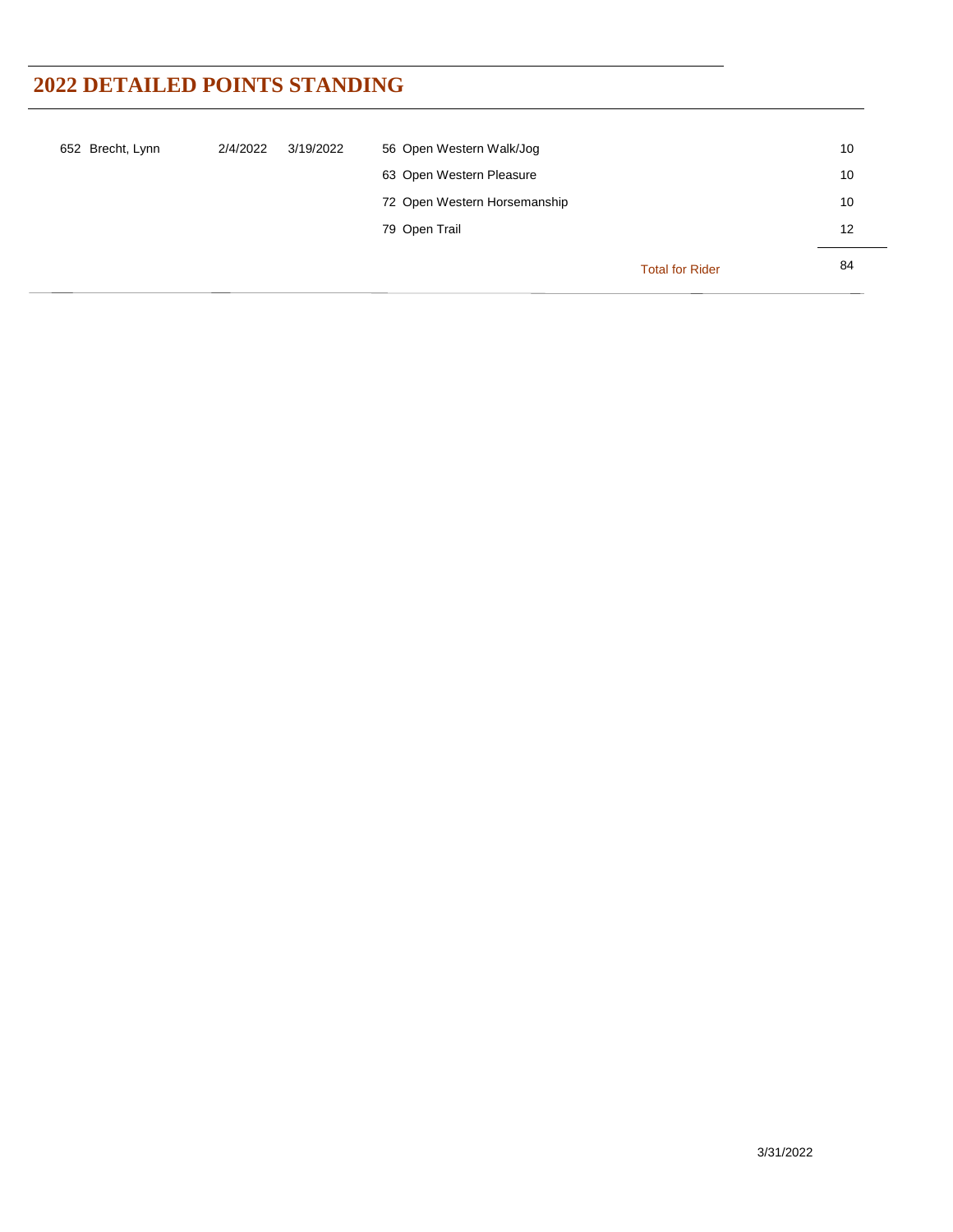| 652 Brecht, Lynn | 2/4/2022 | 3/19/2022 | 56 Open Western Walk/Jog     |                        | 10 |
|------------------|----------|-----------|------------------------------|------------------------|----|
|                  |          |           | 63 Open Western Pleasure     |                        | 10 |
|                  |          |           | 72 Open Western Horsemanship |                        | 10 |
|                  |          |           | 79 Open Trail                |                        | 12 |
|                  |          |           |                              | <b>Total for Rider</b> | 84 |
|                  |          |           |                              |                        |    |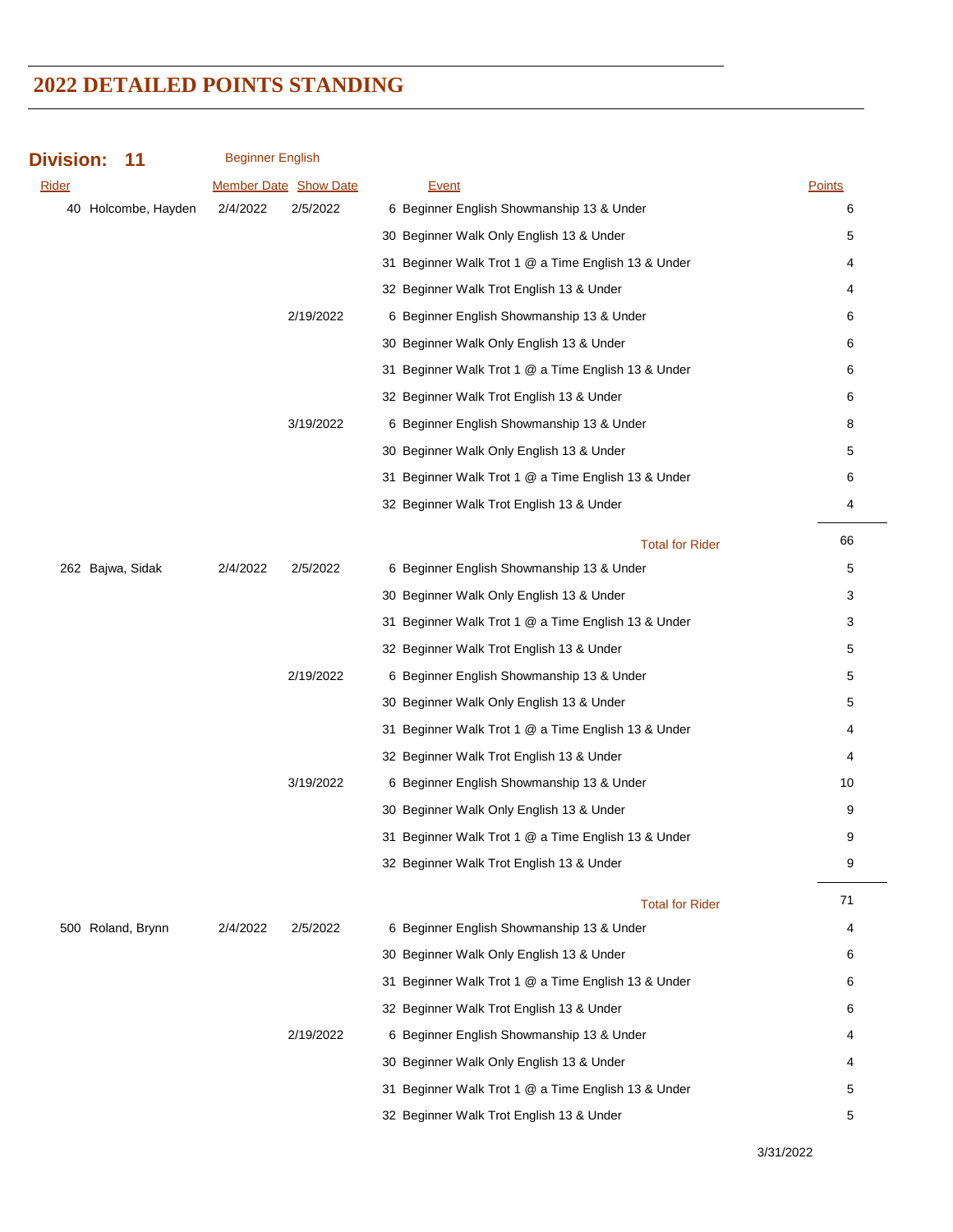| <b>Division:</b><br>11 | <b>Beginner English</b> |                              |                                                     |               |
|------------------------|-------------------------|------------------------------|-----------------------------------------------------|---------------|
| Rider                  |                         | <b>Member Date Show Date</b> | <b>Event</b>                                        | <b>Points</b> |
| 40 Holcombe, Hayden    | 2/4/2022                | 2/5/2022                     | 6 Beginner English Showmanship 13 & Under           | 6             |
|                        |                         |                              | 30 Beginner Walk Only English 13 & Under            | 5             |
|                        |                         |                              | 31 Beginner Walk Trot 1 @ a Time English 13 & Under | 4             |
|                        |                         |                              | 32 Beginner Walk Trot English 13 & Under            | 4             |
|                        |                         | 2/19/2022                    | 6 Beginner English Showmanship 13 & Under           | 6             |
|                        |                         |                              | 30 Beginner Walk Only English 13 & Under            | 6             |
|                        |                         |                              | 31 Beginner Walk Trot 1 @ a Time English 13 & Under | 6             |
|                        |                         |                              | 32 Beginner Walk Trot English 13 & Under            | 6             |
|                        |                         | 3/19/2022                    | 6 Beginner English Showmanship 13 & Under           | 8             |
|                        |                         |                              | 30 Beginner Walk Only English 13 & Under            | 5             |
|                        |                         |                              | 31 Beginner Walk Trot 1 @ a Time English 13 & Under | 6             |
|                        |                         |                              | 32 Beginner Walk Trot English 13 & Under            | 4             |
|                        |                         |                              | <b>Total for Rider</b>                              | 66            |
| 262 Bajwa, Sidak       | 2/4/2022                | 2/5/2022                     | 6 Beginner English Showmanship 13 & Under           | 5             |
|                        |                         |                              | 30 Beginner Walk Only English 13 & Under            | 3             |
|                        |                         |                              | 31 Beginner Walk Trot 1 @ a Time English 13 & Under | 3             |
|                        |                         |                              | 32 Beginner Walk Trot English 13 & Under            | 5             |
|                        |                         | 2/19/2022                    | 6 Beginner English Showmanship 13 & Under           | 5             |
|                        |                         |                              | 30 Beginner Walk Only English 13 & Under            | 5             |
|                        |                         |                              | 31 Beginner Walk Trot 1 @ a Time English 13 & Under | 4             |
|                        |                         |                              | 32 Beginner Walk Trot English 13 & Under            | 4             |
|                        |                         | 3/19/2022                    | 6 Beginner English Showmanship 13 & Under           | 10            |
|                        |                         |                              | 30 Beginner Walk Only English 13 & Under            | 9             |
|                        |                         |                              | 31 Beginner Walk Trot 1 @ a Time English 13 & Under | 9             |
|                        |                         |                              | 32 Beginner Walk Trot English 13 & Under            | 9             |
|                        |                         |                              | <b>Total for Rider</b>                              | 71            |
| 500 Roland, Brynn      | 2/4/2022                | 2/5/2022                     | 6 Beginner English Showmanship 13 & Under           | 4             |
|                        |                         |                              | 30 Beginner Walk Only English 13 & Under            | 6             |
|                        |                         |                              | 31 Beginner Walk Trot 1 @ a Time English 13 & Under | 6             |
|                        |                         |                              | 32 Beginner Walk Trot English 13 & Under            | 6             |
|                        |                         | 2/19/2022                    | 6 Beginner English Showmanship 13 & Under           | 4             |
|                        |                         |                              | 30 Beginner Walk Only English 13 & Under            | 4             |
|                        |                         |                              | 31 Beginner Walk Trot 1 @ a Time English 13 & Under | 5             |
|                        |                         |                              | 32 Beginner Walk Trot English 13 & Under            | 5             |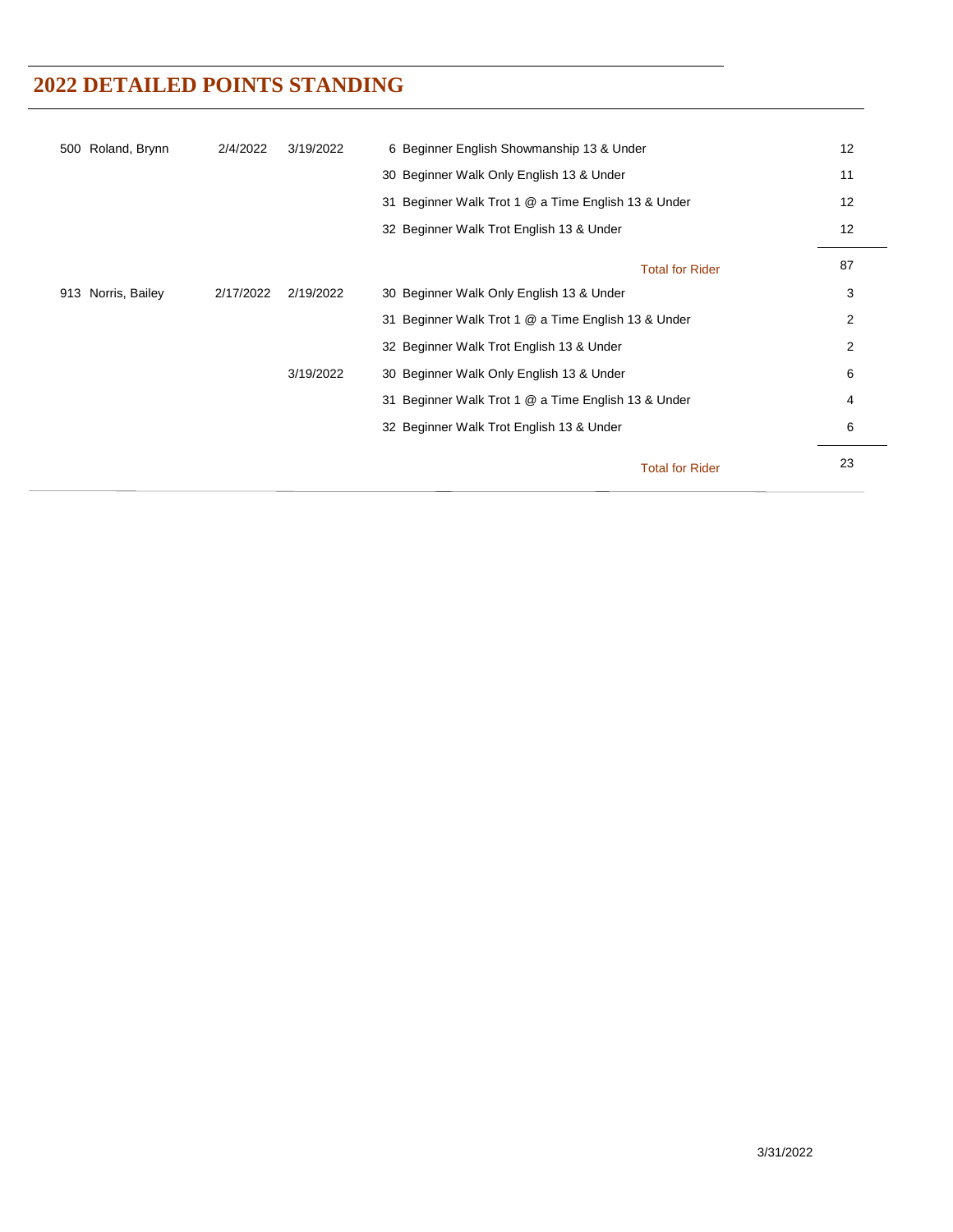| 500 Roland, Brynn  | 2/4/2022  | 3/19/2022 | 6 Beginner English Showmanship 13 & Under           |                        | 12             |
|--------------------|-----------|-----------|-----------------------------------------------------|------------------------|----------------|
|                    |           |           | 30 Beginner Walk Only English 13 & Under            |                        | 11             |
|                    |           |           | 31 Beginner Walk Trot 1 @ a Time English 13 & Under |                        | 12             |
|                    |           |           | 32 Beginner Walk Trot English 13 & Under            |                        | 12             |
|                    |           |           |                                                     | <b>Total for Rider</b> | 87             |
| 913 Norris, Bailey | 2/17/2022 | 2/19/2022 | 30 Beginner Walk Only English 13 & Under            |                        | 3              |
|                    |           |           | 31 Beginner Walk Trot 1 @ a Time English 13 & Under |                        | 2              |
|                    |           |           | 32 Beginner Walk Trot English 13 & Under            |                        | $\overline{2}$ |
|                    |           | 3/19/2022 | 30 Beginner Walk Only English 13 & Under            |                        | 6              |
|                    |           |           | 31 Beginner Walk Trot 1 @ a Time English 13 & Under |                        | 4              |
|                    |           |           | 32 Beginner Walk Trot English 13 & Under            |                        | 6              |
|                    |           |           |                                                     | <b>Total for Rider</b> | 23             |
|                    |           |           |                                                     |                        |                |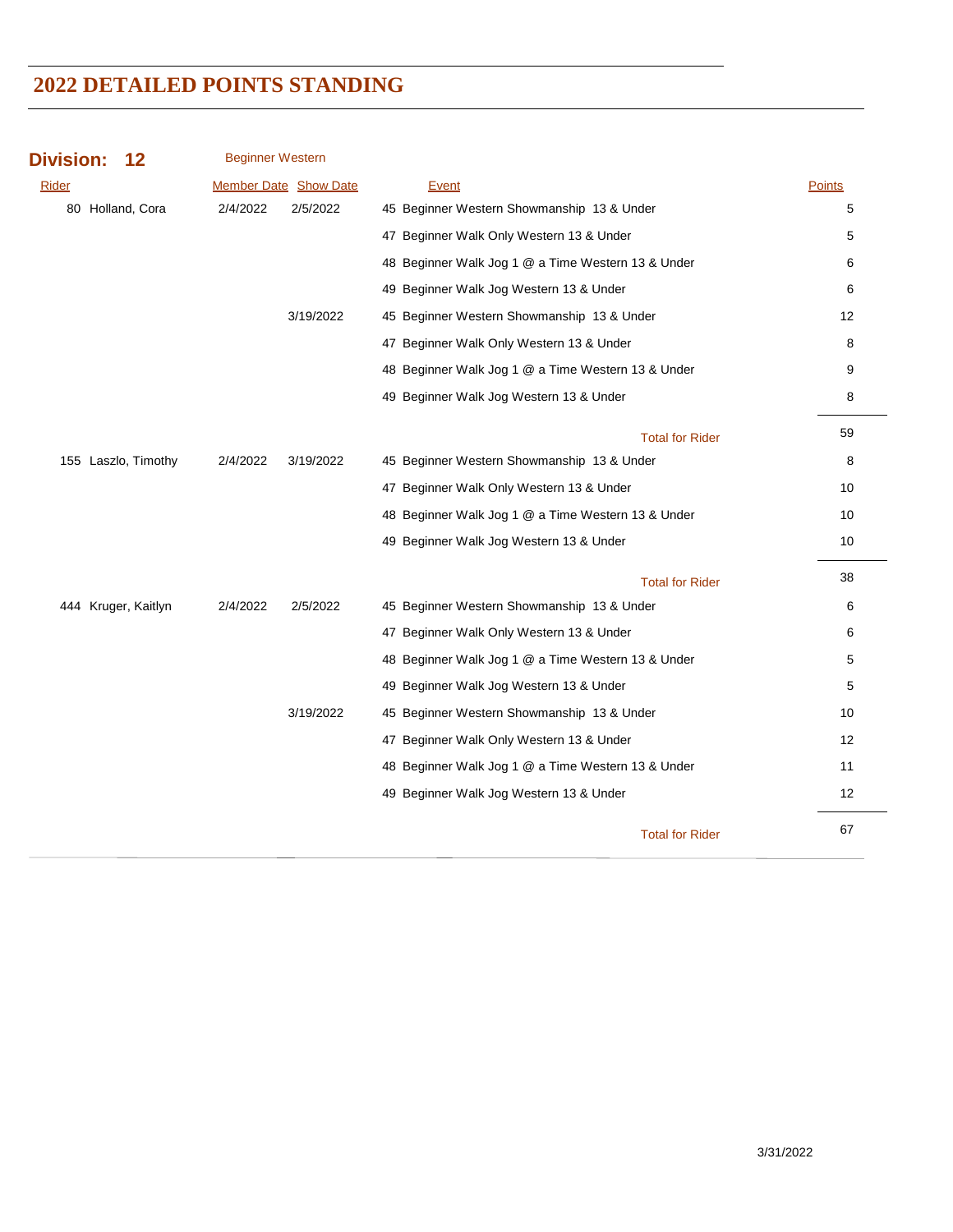| <b>Division:</b><br>12 | <b>Beginner Western</b>      |                                                    |                   |
|------------------------|------------------------------|----------------------------------------------------|-------------------|
| Rider                  | <b>Member Date Show Date</b> | Event                                              | <b>Points</b>     |
| 80 Holland, Cora       | 2/4/2022<br>2/5/2022         | 45 Beginner Western Showmanship 13 & Under         | 5                 |
|                        |                              | 47 Beginner Walk Only Western 13 & Under           | 5                 |
|                        |                              | 48 Beginner Walk Jog 1 @ a Time Western 13 & Under | 6                 |
|                        |                              | 49 Beginner Walk Jog Western 13 & Under            | 6                 |
|                        | 3/19/2022                    | 45 Beginner Western Showmanship 13 & Under         | 12                |
|                        |                              | 47 Beginner Walk Only Western 13 & Under           | 8                 |
|                        |                              | 48 Beginner Walk Jog 1 @ a Time Western 13 & Under | 9                 |
|                        |                              | 49 Beginner Walk Jog Western 13 & Under            | 8                 |
|                        |                              | <b>Total for Rider</b>                             | 59                |
| 155 Laszlo, Timothy    | 2/4/2022<br>3/19/2022        | 45 Beginner Western Showmanship 13 & Under         | 8                 |
|                        |                              | 47 Beginner Walk Only Western 13 & Under           | 10                |
|                        |                              | 48 Beginner Walk Jog 1 @ a Time Western 13 & Under | 10                |
|                        |                              | 49 Beginner Walk Jog Western 13 & Under            | 10                |
|                        |                              | <b>Total for Rider</b>                             | 38                |
| 444 Kruger, Kaitlyn    | 2/4/2022<br>2/5/2022         | 45 Beginner Western Showmanship 13 & Under         | 6                 |
|                        |                              | 47 Beginner Walk Only Western 13 & Under           | 6                 |
|                        |                              | 48 Beginner Walk Jog 1 @ a Time Western 13 & Under | 5                 |
|                        |                              | 49 Beginner Walk Jog Western 13 & Under            | 5                 |
|                        | 3/19/2022                    | 45 Beginner Western Showmanship 13 & Under         | 10                |
|                        |                              | 47 Beginner Walk Only Western 13 & Under           | $12 \overline{ }$ |
|                        |                              | 48 Beginner Walk Jog 1 @ a Time Western 13 & Under | 11                |
|                        |                              | 49 Beginner Walk Jog Western 13 & Under            | 12                |
|                        |                              | <b>Total for Rider</b>                             | 67                |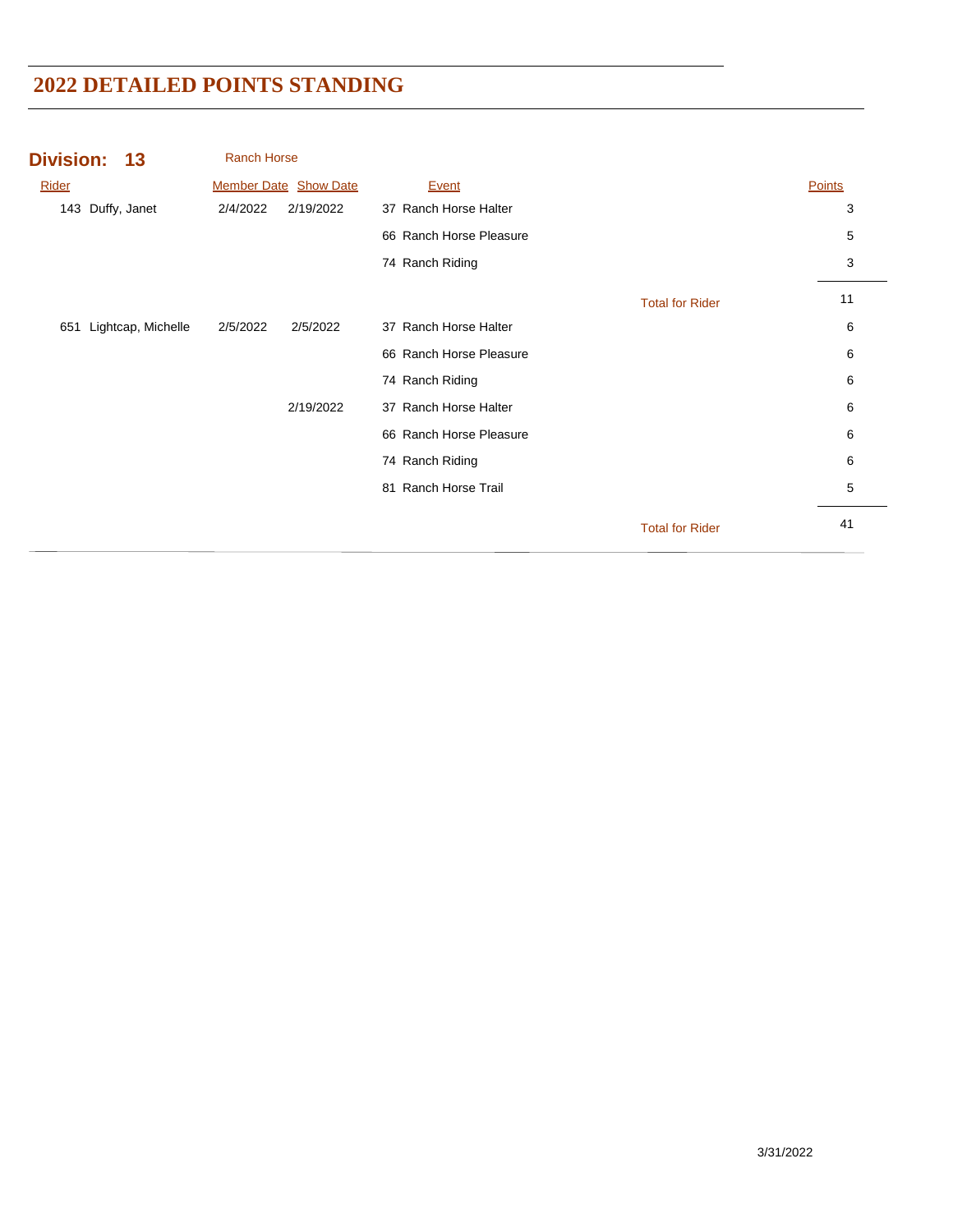| Division: 13     |                    | <b>Ranch Horse</b> |                              |                         |                        |        |
|------------------|--------------------|--------------------|------------------------------|-------------------------|------------------------|--------|
| Rider            |                    |                    | <b>Member Date Show Date</b> | Event                   |                        | Points |
| 143 Duffy, Janet |                    | 2/4/2022           | 2/19/2022                    | 37 Ranch Horse Halter   |                        | 3      |
|                  |                    |                    |                              | 66 Ranch Horse Pleasure |                        | 5      |
|                  |                    |                    |                              | 74 Ranch Riding         |                        | 3      |
|                  |                    |                    |                              |                         | <b>Total for Rider</b> | 11     |
| 651              | Lightcap, Michelle | 2/5/2022           | 2/5/2022                     | 37 Ranch Horse Halter   |                        | 6      |
|                  |                    |                    |                              | 66 Ranch Horse Pleasure |                        | 6      |
|                  |                    |                    |                              | 74 Ranch Riding         |                        | 6      |
|                  |                    |                    | 2/19/2022                    | 37 Ranch Horse Halter   |                        | 6      |
|                  |                    |                    |                              | 66 Ranch Horse Pleasure |                        | 6      |
|                  |                    |                    |                              | 74 Ranch Riding         |                        | 6      |
|                  |                    |                    |                              | 81 Ranch Horse Trail    |                        | 5      |
|                  |                    |                    |                              |                         | <b>Total for Rider</b> | 41     |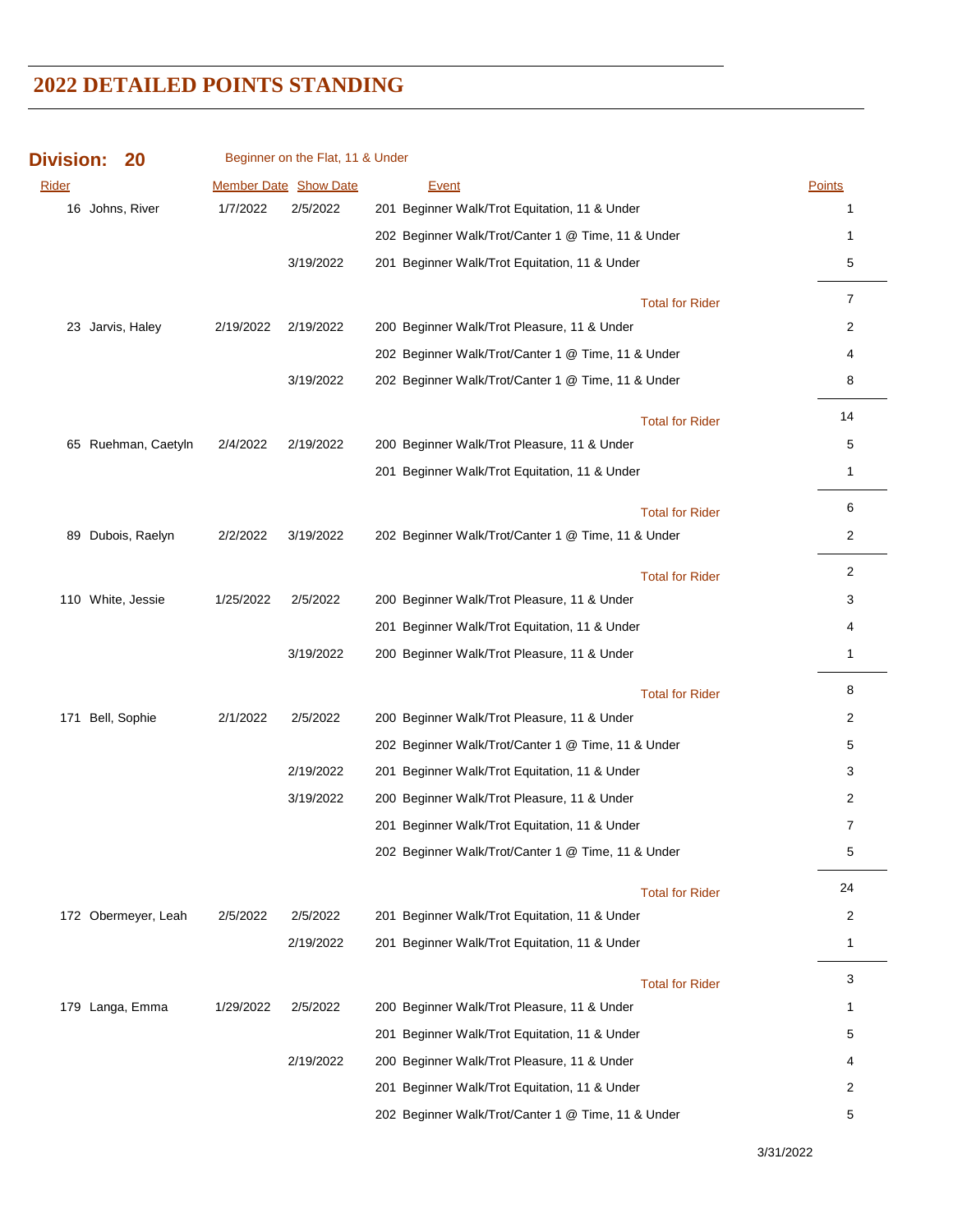| <b>Division:</b> | 20                  |           | Beginner on the Flat, 11 & Under |                                                    |                |
|------------------|---------------------|-----------|----------------------------------|----------------------------------------------------|----------------|
| Rider            |                     |           | Member Date Show Date            | <b>Event</b>                                       | Points         |
|                  | 16 Johns, River     | 1/7/2022  | 2/5/2022                         | 201 Beginner Walk/Trot Equitation, 11 & Under      | 1              |
|                  |                     |           |                                  | 202 Beginner Walk/Trot/Canter 1 @ Time, 11 & Under | 1              |
|                  |                     |           | 3/19/2022                        | 201 Beginner Walk/Trot Equitation, 11 & Under      | 5              |
|                  |                     |           |                                  | <b>Total for Rider</b>                             | $\overline{7}$ |
|                  | 23 Jarvis, Haley    | 2/19/2022 | 2/19/2022                        | 200 Beginner Walk/Trot Pleasure, 11 & Under        | 2              |
|                  |                     |           |                                  | 202 Beginner Walk/Trot/Canter 1 @ Time, 11 & Under | 4              |
|                  |                     |           | 3/19/2022                        | 202 Beginner Walk/Trot/Canter 1 @ Time, 11 & Under | 8              |
|                  |                     |           |                                  | <b>Total for Rider</b>                             | 14             |
|                  | 65 Ruehman, Caetyln | 2/4/2022  | 2/19/2022                        | 200 Beginner Walk/Trot Pleasure, 11 & Under        | 5              |
|                  |                     |           |                                  | 201 Beginner Walk/Trot Equitation, 11 & Under      | 1              |
|                  |                     |           |                                  | <b>Total for Rider</b>                             | 6              |
|                  | 89 Dubois, Raelyn   | 2/2/2022  | 3/19/2022                        | 202 Beginner Walk/Trot/Canter 1 @ Time, 11 & Under | $\overline{2}$ |
|                  |                     |           |                                  | <b>Total for Rider</b>                             | $\overline{2}$ |
|                  | 110 White, Jessie   | 1/25/2022 | 2/5/2022                         | 200 Beginner Walk/Trot Pleasure, 11 & Under        | 3              |
|                  |                     |           |                                  | 201 Beginner Walk/Trot Equitation, 11 & Under      | 4              |
|                  |                     |           | 3/19/2022                        | 200 Beginner Walk/Trot Pleasure, 11 & Under        | 1              |
|                  |                     |           |                                  | <b>Total for Rider</b>                             | 8              |
| 171              | Bell, Sophie        | 2/1/2022  | 2/5/2022                         | 200 Beginner Walk/Trot Pleasure, 11 & Under        | 2              |
|                  |                     |           |                                  | 202 Beginner Walk/Trot/Canter 1 @ Time, 11 & Under | 5              |
|                  |                     |           | 2/19/2022                        | 201 Beginner Walk/Trot Equitation, 11 & Under      | 3              |
|                  |                     |           | 3/19/2022                        | 200 Beginner Walk/Trot Pleasure, 11 & Under        | $\overline{2}$ |
|                  |                     |           |                                  | 201 Beginner Walk/Trot Equitation, 11 & Under      | $\overline{7}$ |
|                  |                     |           |                                  | 202 Beginner Walk/Trot/Canter 1 @ Time, 11 & Under | 5              |
|                  |                     |           |                                  | <b>Total for Rider</b>                             | 24             |
|                  | 172 Obermeyer, Leah | 2/5/2022  | 2/5/2022                         | 201 Beginner Walk/Trot Equitation, 11 & Under      | 2              |
|                  |                     |           | 2/19/2022                        | 201 Beginner Walk/Trot Equitation, 11 & Under      | 1              |
|                  |                     |           |                                  | <b>Total for Rider</b>                             | 3              |
|                  | 179 Langa, Emma     | 1/29/2022 | 2/5/2022                         | 200 Beginner Walk/Trot Pleasure, 11 & Under        | 1              |
|                  |                     |           |                                  | 201 Beginner Walk/Trot Equitation, 11 & Under      | 5              |
|                  |                     |           | 2/19/2022                        | 200 Beginner Walk/Trot Pleasure, 11 & Under        | 4              |
|                  |                     |           |                                  | 201 Beginner Walk/Trot Equitation, 11 & Under      | 2              |
|                  |                     |           |                                  | 202 Beginner Walk/Trot/Canter 1 @ Time, 11 & Under | 5              |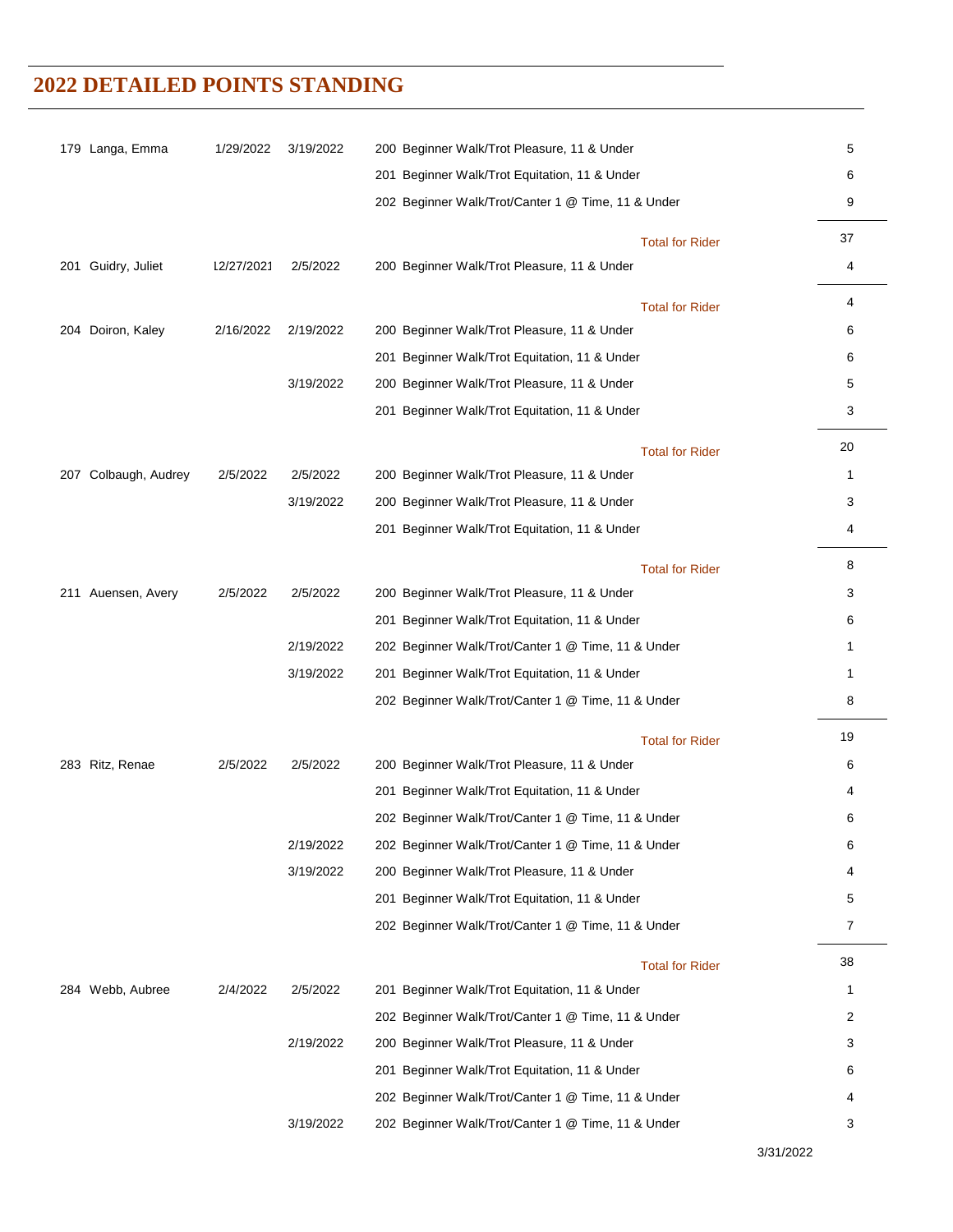| 179 Langa, Emma      | 1/29/2022  | 3/19/2022 | 200 Beginner Walk/Trot Pleasure, 11 & Under        | 5  |
|----------------------|------------|-----------|----------------------------------------------------|----|
|                      |            |           | 201 Beginner Walk/Trot Equitation, 11 & Under      | 6  |
|                      |            |           | 202 Beginner Walk/Trot/Canter 1 @ Time, 11 & Under | 9  |
|                      |            |           | <b>Total for Rider</b>                             | 37 |
| 201 Guidry, Juliet   | 12/27/2021 | 2/5/2022  | 200 Beginner Walk/Trot Pleasure, 11 & Under        | 4  |
|                      |            |           | <b>Total for Rider</b>                             | 4  |
| 204 Doiron, Kaley    | 2/16/2022  | 2/19/2022 | 200 Beginner Walk/Trot Pleasure, 11 & Under        | 6  |
|                      |            |           | 201 Beginner Walk/Trot Equitation, 11 & Under      | 6  |
|                      |            | 3/19/2022 | 200 Beginner Walk/Trot Pleasure, 11 & Under        | 5  |
|                      |            |           | 201 Beginner Walk/Trot Equitation, 11 & Under      | 3  |
|                      |            |           | <b>Total for Rider</b>                             | 20 |
| 207 Colbaugh, Audrey | 2/5/2022   | 2/5/2022  | 200 Beginner Walk/Trot Pleasure, 11 & Under        | 1  |
|                      |            | 3/19/2022 | 200 Beginner Walk/Trot Pleasure, 11 & Under        | 3  |
|                      |            |           | 201 Beginner Walk/Trot Equitation, 11 & Under      | 4  |
|                      |            |           | <b>Total for Rider</b>                             | 8  |
| 211 Auensen, Avery   | 2/5/2022   | 2/5/2022  | 200 Beginner Walk/Trot Pleasure, 11 & Under        | 3  |
|                      |            |           | 201 Beginner Walk/Trot Equitation, 11 & Under      | 6  |
|                      |            | 2/19/2022 | 202 Beginner Walk/Trot/Canter 1 @ Time, 11 & Under | 1  |
|                      |            | 3/19/2022 | 201 Beginner Walk/Trot Equitation, 11 & Under      | 1  |
|                      |            |           | 202 Beginner Walk/Trot/Canter 1 @ Time, 11 & Under | 8  |
|                      |            |           | <b>Total for Rider</b>                             | 19 |
| 283 Ritz, Renae      | 2/5/2022   | 2/5/2022  | 200 Beginner Walk/Trot Pleasure, 11 & Under        | 6  |
|                      |            |           | 201 Beginner Walk/Trot Equitation, 11 & Under      | 4  |
|                      |            |           | 202 Beginner Walk/Trot/Canter 1 @ Time, 11 & Under | 6  |
|                      |            | 2/19/2022 | 202 Beginner Walk/Trot/Canter 1 @ Time, 11 & Under | 6  |
|                      |            | 3/19/2022 | 200 Beginner Walk/Trot Pleasure, 11 & Under        | 4  |
|                      |            |           | 201 Beginner Walk/Trot Equitation, 11 & Under      | 5  |
|                      |            |           | 202 Beginner Walk/Trot/Canter 1 @ Time, 11 & Under | 7  |
|                      |            |           | <b>Total for Rider</b>                             | 38 |
| 284 Webb, Aubree     | 2/4/2022   | 2/5/2022  | 201 Beginner Walk/Trot Equitation, 11 & Under      | 1  |
|                      |            |           | 202 Beginner Walk/Trot/Canter 1 @ Time, 11 & Under | 2  |
|                      |            | 2/19/2022 | 200 Beginner Walk/Trot Pleasure, 11 & Under        | 3  |
|                      |            |           | 201 Beginner Walk/Trot Equitation, 11 & Under      | 6  |
|                      |            |           | 202 Beginner Walk/Trot/Canter 1 @ Time, 11 & Under | 4  |
|                      |            | 3/19/2022 | 202 Beginner Walk/Trot/Canter 1 @ Time, 11 & Under | 3  |
|                      |            |           |                                                    |    |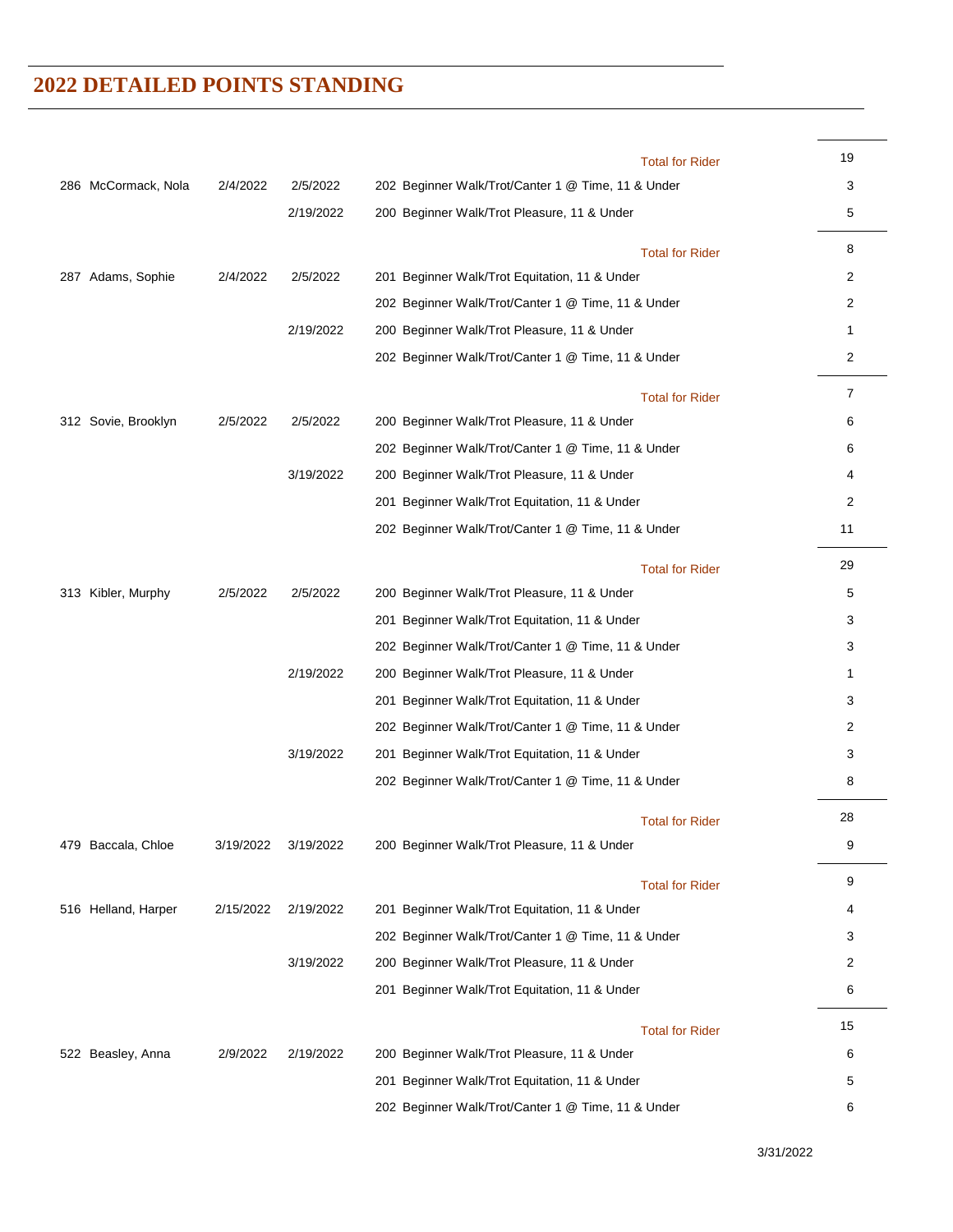|                     |           |           | <b>Total for Rider</b>                             | 19           |
|---------------------|-----------|-----------|----------------------------------------------------|--------------|
| 286 McCormack, Nola | 2/4/2022  | 2/5/2022  | 202 Beginner Walk/Trot/Canter 1 @ Time, 11 & Under | 3            |
|                     |           | 2/19/2022 | 200 Beginner Walk/Trot Pleasure, 11 & Under        | 5            |
|                     |           |           | <b>Total for Rider</b>                             | 8            |
| 287 Adams, Sophie   | 2/4/2022  | 2/5/2022  | 201 Beginner Walk/Trot Equitation, 11 & Under      | 2            |
|                     |           |           | 202 Beginner Walk/Trot/Canter 1 @ Time, 11 & Under | 2            |
|                     |           | 2/19/2022 | 200 Beginner Walk/Trot Pleasure, 11 & Under        | $\mathbf{1}$ |
|                     |           |           | 202 Beginner Walk/Trot/Canter 1 @ Time, 11 & Under | 2            |
|                     |           |           | <b>Total for Rider</b>                             | 7            |
| 312 Sovie, Brooklyn | 2/5/2022  | 2/5/2022  | 200 Beginner Walk/Trot Pleasure, 11 & Under        | 6            |
|                     |           |           | 202 Beginner Walk/Trot/Canter 1 @ Time, 11 & Under | 6            |
|                     |           | 3/19/2022 | 200 Beginner Walk/Trot Pleasure, 11 & Under        | 4            |
|                     |           |           | 201 Beginner Walk/Trot Equitation, 11 & Under      | 2            |
|                     |           |           | 202 Beginner Walk/Trot/Canter 1 @ Time, 11 & Under | 11           |
|                     |           |           | <b>Total for Rider</b>                             | 29           |
| 313 Kibler, Murphy  | 2/5/2022  | 2/5/2022  | 200 Beginner Walk/Trot Pleasure, 11 & Under        | 5            |
|                     |           |           | 201 Beginner Walk/Trot Equitation, 11 & Under      | 3            |
|                     |           |           | 202 Beginner Walk/Trot/Canter 1 @ Time, 11 & Under | 3            |
|                     |           | 2/19/2022 | 200 Beginner Walk/Trot Pleasure, 11 & Under        | 1            |
|                     |           |           | 201 Beginner Walk/Trot Equitation, 11 & Under      | 3            |
|                     |           |           | 202 Beginner Walk/Trot/Canter 1 @ Time, 11 & Under | 2            |
|                     |           | 3/19/2022 | 201 Beginner Walk/Trot Equitation, 11 & Under      | 3            |
|                     |           |           | 202 Beginner Walk/Trot/Canter 1 @ Time, 11 & Under | 8            |
|                     |           |           | <b>Total for Rider</b>                             | 28           |
| 479 Baccala, Chloe  | 3/19/2022 | 3/19/2022 | 200 Beginner Walk/Trot Pleasure, 11 & Under        | 9            |
|                     |           |           | <b>Total for Rider</b>                             | 9            |
| 516 Helland, Harper | 2/15/2022 | 2/19/2022 | 201 Beginner Walk/Trot Equitation, 11 & Under      | 4            |
|                     |           |           | 202 Beginner Walk/Trot/Canter 1 @ Time, 11 & Under | 3            |
|                     |           | 3/19/2022 | 200 Beginner Walk/Trot Pleasure, 11 & Under        | 2            |
|                     |           |           | 201 Beginner Walk/Trot Equitation, 11 & Under      | 6            |
|                     |           |           | <b>Total for Rider</b>                             | 15           |
| 522 Beasley, Anna   | 2/9/2022  | 2/19/2022 | 200 Beginner Walk/Trot Pleasure, 11 & Under        | 6            |
|                     |           |           | 201 Beginner Walk/Trot Equitation, 11 & Under      | 5            |
|                     |           |           | 202 Beginner Walk/Trot/Canter 1 @ Time, 11 & Under | 6            |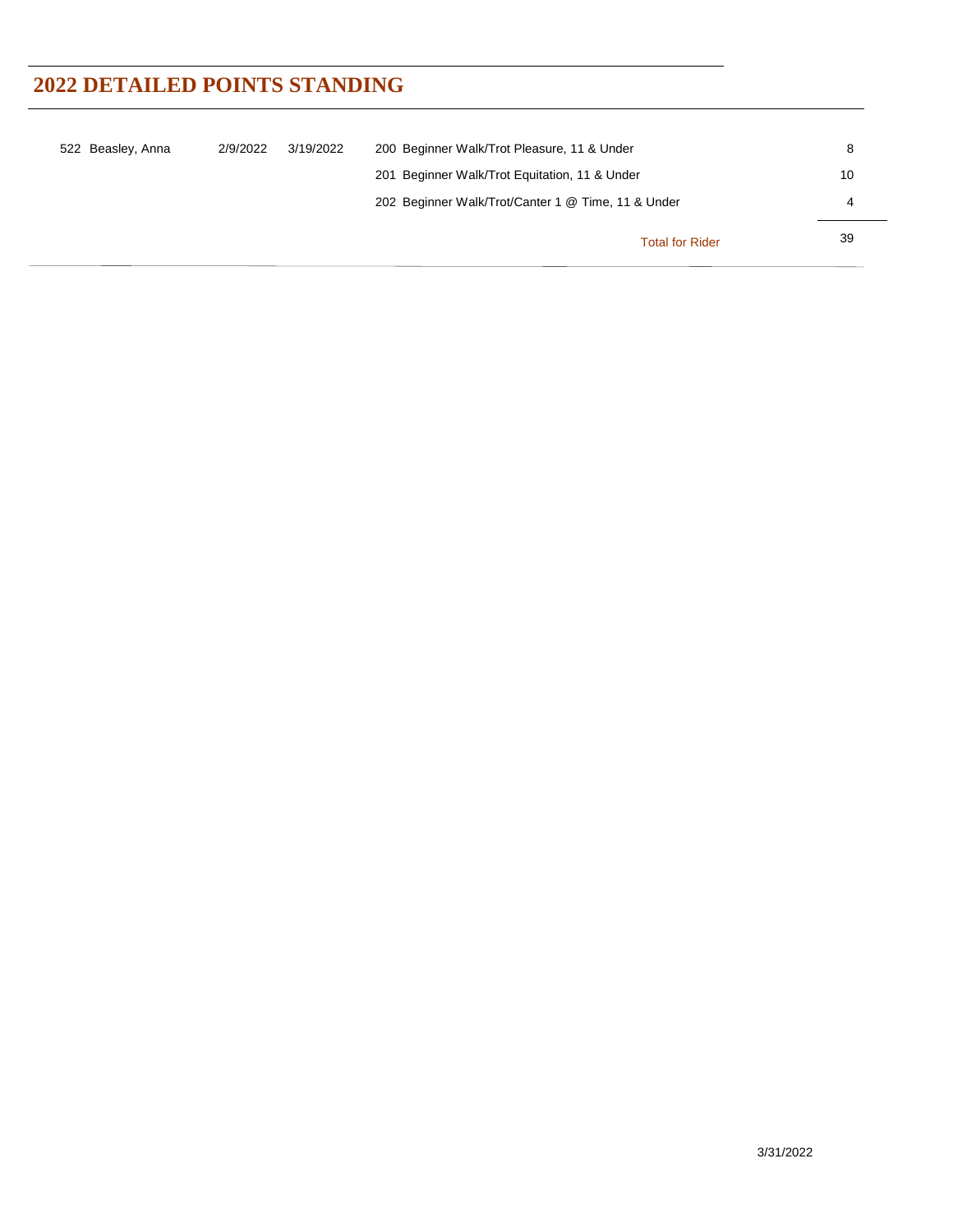| 522 Beasley, Anna | 2/9/2022 | 3/19/2022 | 200 Beginner Walk/Trot Pleasure, 11 & Under        | 8  |
|-------------------|----------|-----------|----------------------------------------------------|----|
|                   |          |           | 201 Beginner Walk/Trot Equitation, 11 & Under      | 10 |
|                   |          |           | 202 Beginner Walk/Trot/Canter 1 @ Time, 11 & Under | 4  |
|                   |          |           | <b>Total for Rider</b>                             | 39 |

 $\overline{\phantom{a}}$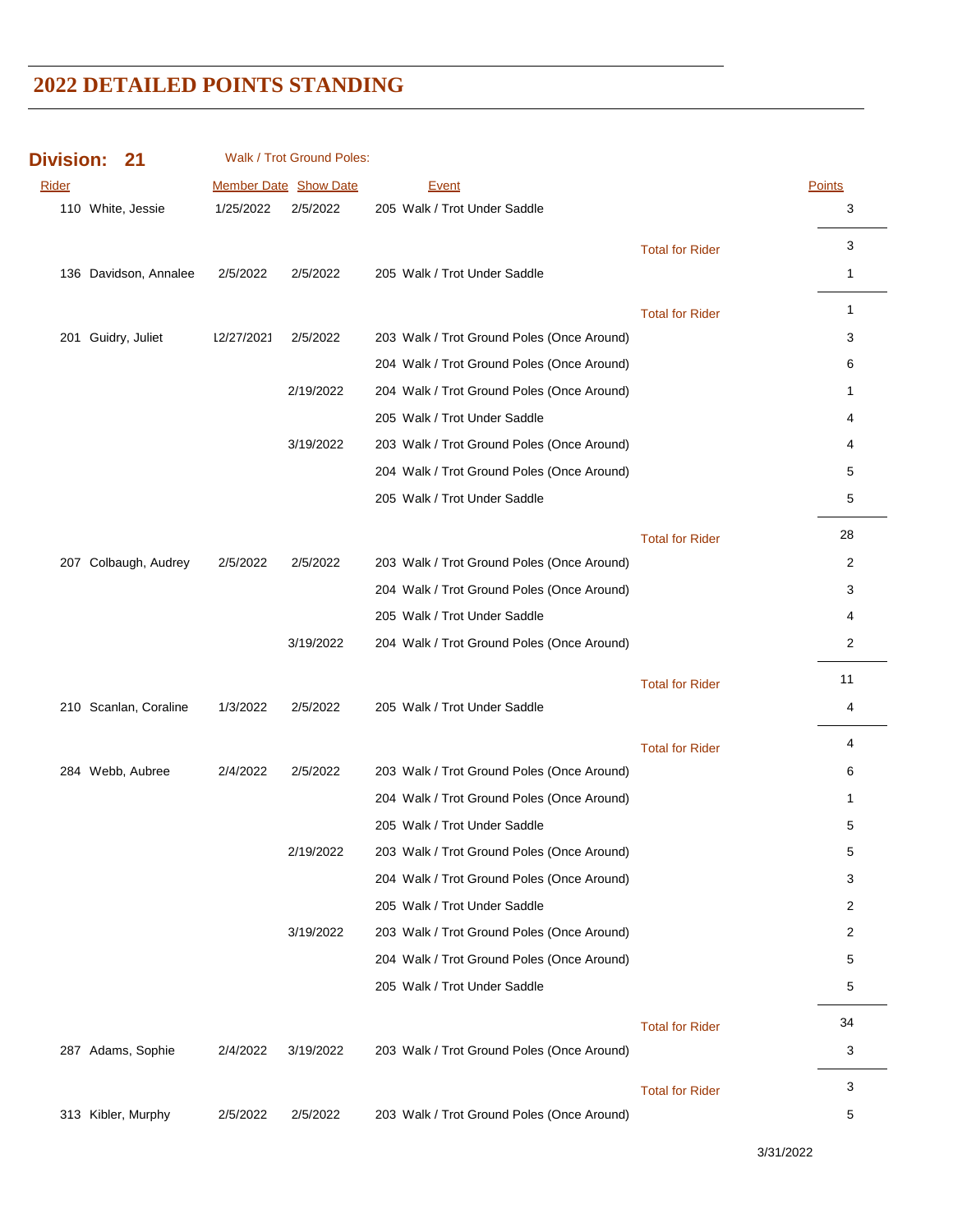| <b>Division:</b> | -21                   |            | Walk / Trot Ground Poles:    |                                            |                        |               |
|------------------|-----------------------|------------|------------------------------|--------------------------------------------|------------------------|---------------|
| Rider            |                       |            | <b>Member Date Show Date</b> | <b>Event</b>                               |                        | <b>Points</b> |
|                  | 110 White, Jessie     | 1/25/2022  | 2/5/2022                     | 205 Walk / Trot Under Saddle               |                        | 3             |
|                  |                       |            |                              |                                            | <b>Total for Rider</b> | 3             |
|                  | 136 Davidson, Annalee | 2/5/2022   | 2/5/2022                     | 205 Walk / Trot Under Saddle               |                        | 1             |
|                  |                       |            |                              |                                            |                        | 1             |
| 201              | Guidry, Juliet        | 12/27/2021 | 2/5/2022                     | 203 Walk / Trot Ground Poles (Once Around) | <b>Total for Rider</b> | 3             |
|                  |                       |            |                              | 204 Walk / Trot Ground Poles (Once Around) |                        | 6             |
|                  |                       |            | 2/19/2022                    | 204 Walk / Trot Ground Poles (Once Around) |                        | 1             |
|                  |                       |            |                              | 205 Walk / Trot Under Saddle               |                        | 4             |
|                  |                       |            | 3/19/2022                    | 203 Walk / Trot Ground Poles (Once Around) |                        | 4             |
|                  |                       |            |                              | 204 Walk / Trot Ground Poles (Once Around) |                        | 5             |
|                  |                       |            |                              | 205 Walk / Trot Under Saddle               |                        | 5             |
|                  |                       |            |                              |                                            |                        |               |
|                  |                       |            |                              |                                            | <b>Total for Rider</b> | 28            |
|                  | 207 Colbaugh, Audrey  | 2/5/2022   | 2/5/2022                     | 203 Walk / Trot Ground Poles (Once Around) |                        | 2             |
|                  |                       |            |                              | 204 Walk / Trot Ground Poles (Once Around) |                        | 3             |
|                  |                       |            |                              | 205 Walk / Trot Under Saddle               |                        | 4             |
|                  |                       |            | 3/19/2022                    | 204 Walk / Trot Ground Poles (Once Around) |                        | 2             |
|                  |                       |            |                              |                                            | <b>Total for Rider</b> | 11            |
|                  | 210 Scanlan, Coraline | 1/3/2022   | 2/5/2022                     | 205 Walk / Trot Under Saddle               |                        | 4             |
|                  |                       |            |                              |                                            | <b>Total for Rider</b> | 4             |
|                  | 284 Webb, Aubree      | 2/4/2022   | 2/5/2022                     | 203 Walk / Trot Ground Poles (Once Around) |                        | 6             |
|                  |                       |            |                              | 204 Walk / Trot Ground Poles (Once Around) |                        | 1             |
|                  |                       |            |                              | 205 Walk / Trot Under Saddle               |                        | 5             |
|                  |                       |            | 2/19/2022                    | 203 Walk / Trot Ground Poles (Once Around) |                        | 5             |
|                  |                       |            |                              | 204 Walk / Trot Ground Poles (Once Around) |                        | 3             |
|                  |                       |            |                              | 205 Walk / Trot Under Saddle               |                        | 2             |
|                  |                       |            | 3/19/2022                    | 203 Walk / Trot Ground Poles (Once Around) |                        | 2             |
|                  |                       |            |                              | 204 Walk / Trot Ground Poles (Once Around) |                        | 5             |
|                  |                       |            |                              | 205 Walk / Trot Under Saddle               |                        | 5             |
|                  |                       |            |                              |                                            |                        |               |
|                  |                       |            |                              |                                            | <b>Total for Rider</b> | 34            |
|                  | 287 Adams, Sophie     | 2/4/2022   | 3/19/2022                    | 203 Walk / Trot Ground Poles (Once Around) |                        | 3             |
|                  |                       |            |                              |                                            | <b>Total for Rider</b> | 3             |
|                  | 313 Kibler, Murphy    | 2/5/2022   | 2/5/2022                     | 203 Walk / Trot Ground Poles (Once Around) |                        | 5             |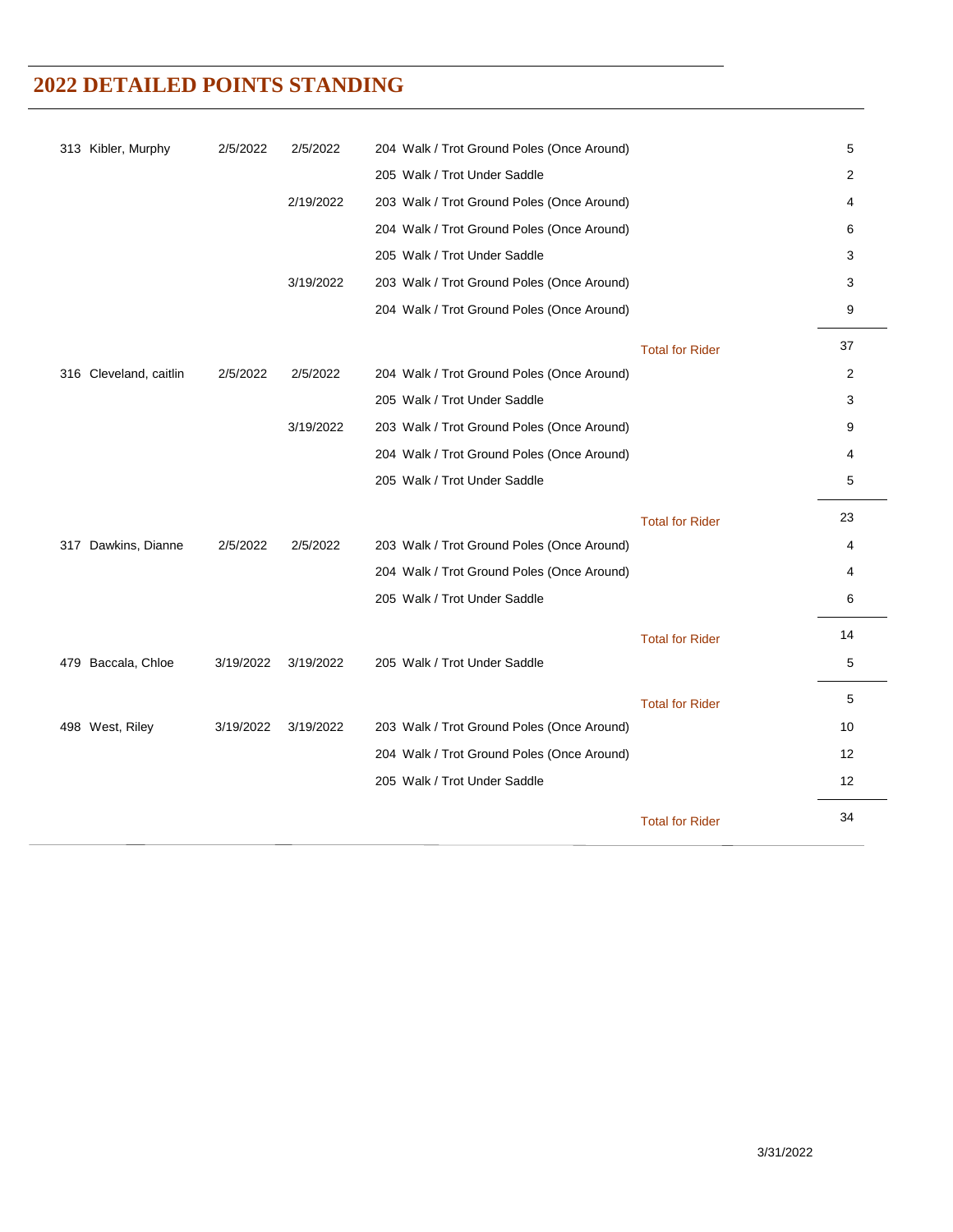| 313 Kibler, Murphy     | 2/5/2022  | 2/5/2022  | 204 Walk / Trot Ground Poles (Once Around) |                        | 5              |
|------------------------|-----------|-----------|--------------------------------------------|------------------------|----------------|
|                        |           |           | 205 Walk / Trot Under Saddle               |                        | 2              |
|                        |           | 2/19/2022 | 203 Walk / Trot Ground Poles (Once Around) |                        | 4              |
|                        |           |           | 204 Walk / Trot Ground Poles (Once Around) |                        | 6              |
|                        |           |           | 205 Walk / Trot Under Saddle               |                        | 3              |
|                        |           | 3/19/2022 | 203 Walk / Trot Ground Poles (Once Around) |                        | 3              |
|                        |           |           | 204 Walk / Trot Ground Poles (Once Around) |                        | 9              |
|                        |           |           |                                            | <b>Total for Rider</b> | 37             |
| 316 Cleveland, caitlin | 2/5/2022  | 2/5/2022  | 204 Walk / Trot Ground Poles (Once Around) |                        | $\overline{2}$ |
|                        |           |           | 205 Walk / Trot Under Saddle               |                        | 3              |
|                        |           | 3/19/2022 | 203 Walk / Trot Ground Poles (Once Around) |                        | 9              |
|                        |           |           | 204 Walk / Trot Ground Poles (Once Around) |                        | 4              |
|                        |           |           | 205 Walk / Trot Under Saddle               |                        | 5              |
|                        |           |           |                                            | <b>Total for Rider</b> | 23             |
| 317 Dawkins, Dianne    | 2/5/2022  | 2/5/2022  | 203 Walk / Trot Ground Poles (Once Around) |                        | 4              |
|                        |           |           | 204 Walk / Trot Ground Poles (Once Around) |                        | 4              |
|                        |           |           | 205 Walk / Trot Under Saddle               |                        | 6              |
|                        |           |           |                                            | <b>Total for Rider</b> | 14             |
| 479 Baccala, Chloe     | 3/19/2022 | 3/19/2022 | 205 Walk / Trot Under Saddle               |                        | 5              |
|                        |           |           |                                            | <b>Total for Rider</b> | 5              |
| 498 West, Riley        | 3/19/2022 | 3/19/2022 | 203 Walk / Trot Ground Poles (Once Around) |                        | 10             |
|                        |           |           | 204 Walk / Trot Ground Poles (Once Around) |                        | 12             |
|                        |           |           | 205 Walk / Trot Under Saddle               |                        | 12             |
|                        |           |           |                                            | <b>Total for Rider</b> | 34             |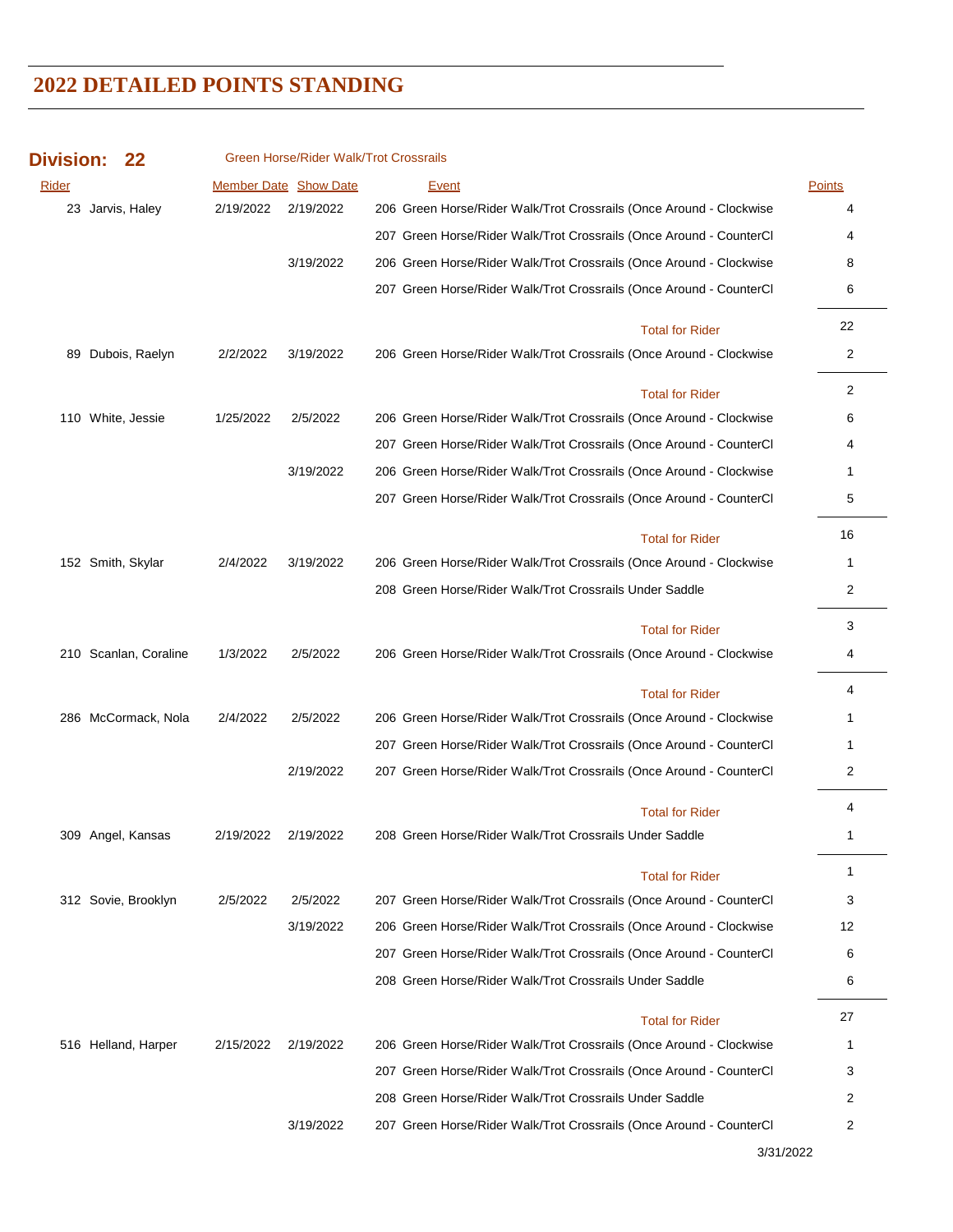| <b>Division:</b> |                   |                     |           | Green Horse/Rider Walk/Trot Crossrails |                                                                     |               |
|------------------|-------------------|---------------------|-----------|----------------------------------------|---------------------------------------------------------------------|---------------|
| <b>Rider</b>     |                   |                     |           | <b>Member Date Show Date</b>           | <b>Event</b>                                                        | <b>Points</b> |
|                  | 23 Jarvis, Haley  |                     | 2/19/2022 | 2/19/2022                              | 206 Green Horse/Rider Walk/Trot Crossrails (Once Around - Clockwise | 4             |
|                  |                   |                     |           |                                        | 207 Green Horse/Rider Walk/Trot Crossrails (Once Around - CounterCl | 4             |
|                  |                   |                     |           | 3/19/2022                              | 206 Green Horse/Rider Walk/Trot Crossrails (Once Around - Clockwise | 8             |
|                  |                   |                     |           |                                        | 207 Green Horse/Rider Walk/Trot Crossrails (Once Around - CounterCl | 6             |
|                  |                   |                     |           |                                        | <b>Total for Rider</b>                                              | 22            |
| 89               |                   | Dubois, Raelyn      | 2/2/2022  | 3/19/2022                              | 206 Green Horse/Rider Walk/Trot Crossrails (Once Around - Clockwise | 2             |
|                  |                   |                     |           |                                        | <b>Total for Rider</b>                                              | 2             |
|                  | 110 White, Jessie |                     | 1/25/2022 | 2/5/2022                               | 206 Green Horse/Rider Walk/Trot Crossrails (Once Around - Clockwise | 6             |
|                  |                   |                     |           |                                        | 207 Green Horse/Rider Walk/Trot Crossrails (Once Around - CounterCl | 4             |
|                  |                   |                     |           | 3/19/2022                              | 206 Green Horse/Rider Walk/Trot Crossrails (Once Around - Clockwise | 1             |
|                  |                   |                     |           |                                        | 207 Green Horse/Rider Walk/Trot Crossrails (Once Around - CounterCl | 5             |
|                  |                   |                     |           |                                        | <b>Total for Rider</b>                                              | 16            |
|                  | 152 Smith, Skylar |                     | 2/4/2022  | 3/19/2022                              | 206 Green Horse/Rider Walk/Trot Crossrails (Once Around - Clockwise | 1             |
|                  |                   |                     |           |                                        | 208 Green Horse/Rider Walk/Trot Crossrails Under Saddle             | 2             |
|                  |                   |                     |           |                                        | <b>Total for Rider</b>                                              | 3             |
| 210              |                   | Scanlan, Coraline   | 1/3/2022  | 2/5/2022                               | 206 Green Horse/Rider Walk/Trot Crossrails (Once Around - Clockwise | 4             |
|                  |                   |                     |           |                                        | <b>Total for Rider</b>                                              | 4             |
|                  |                   | 286 McCormack, Nola | 2/4/2022  | 2/5/2022                               | 206 Green Horse/Rider Walk/Trot Crossrails (Once Around - Clockwise | 1             |
|                  |                   |                     |           |                                        | 207 Green Horse/Rider Walk/Trot Crossrails (Once Around - CounterCl | 1             |
|                  |                   |                     |           | 2/19/2022                              | 207 Green Horse/Rider Walk/Trot Crossrails (Once Around - CounterCl | 2             |
|                  |                   |                     |           |                                        | <b>Total for Rider</b>                                              | 4             |
|                  | 309 Angel, Kansas |                     | 2/19/2022 | 2/19/2022                              | 208 Green Horse/Rider Walk/Trot Crossrails Under Saddle             | 1             |
|                  |                   |                     |           |                                        | <b>Total for Rider</b>                                              | 1             |
|                  |                   | 312 Sovie, Brooklyn | 2/5/2022  | 2/5/2022                               | 207 Green Horse/Rider Walk/Trot Crossrails (Once Around - CounterCl | 3             |
|                  |                   |                     |           | 3/19/2022                              | 206 Green Horse/Rider Walk/Trot Crossrails (Once Around - Clockwise | 12            |
|                  |                   |                     |           |                                        | 207 Green Horse/Rider Walk/Trot Crossrails (Once Around - CounterCl | 6             |
|                  |                   |                     |           |                                        | 208 Green Horse/Rider Walk/Trot Crossrails Under Saddle             | 6             |
|                  |                   |                     |           |                                        | <b>Total for Rider</b>                                              | 27            |
|                  |                   | 516 Helland, Harper | 2/15/2022 | 2/19/2022                              | 206 Green Horse/Rider Walk/Trot Crossrails (Once Around - Clockwise | 1             |
|                  |                   |                     |           |                                        | 207 Green Horse/Rider Walk/Trot Crossrails (Once Around - CounterCl | 3             |
|                  |                   |                     |           |                                        | 208 Green Horse/Rider Walk/Trot Crossrails Under Saddle             | 2             |
|                  |                   |                     |           | 3/19/2022                              | 207 Green Horse/Rider Walk/Trot Crossrails (Once Around - CounterCl | 2             |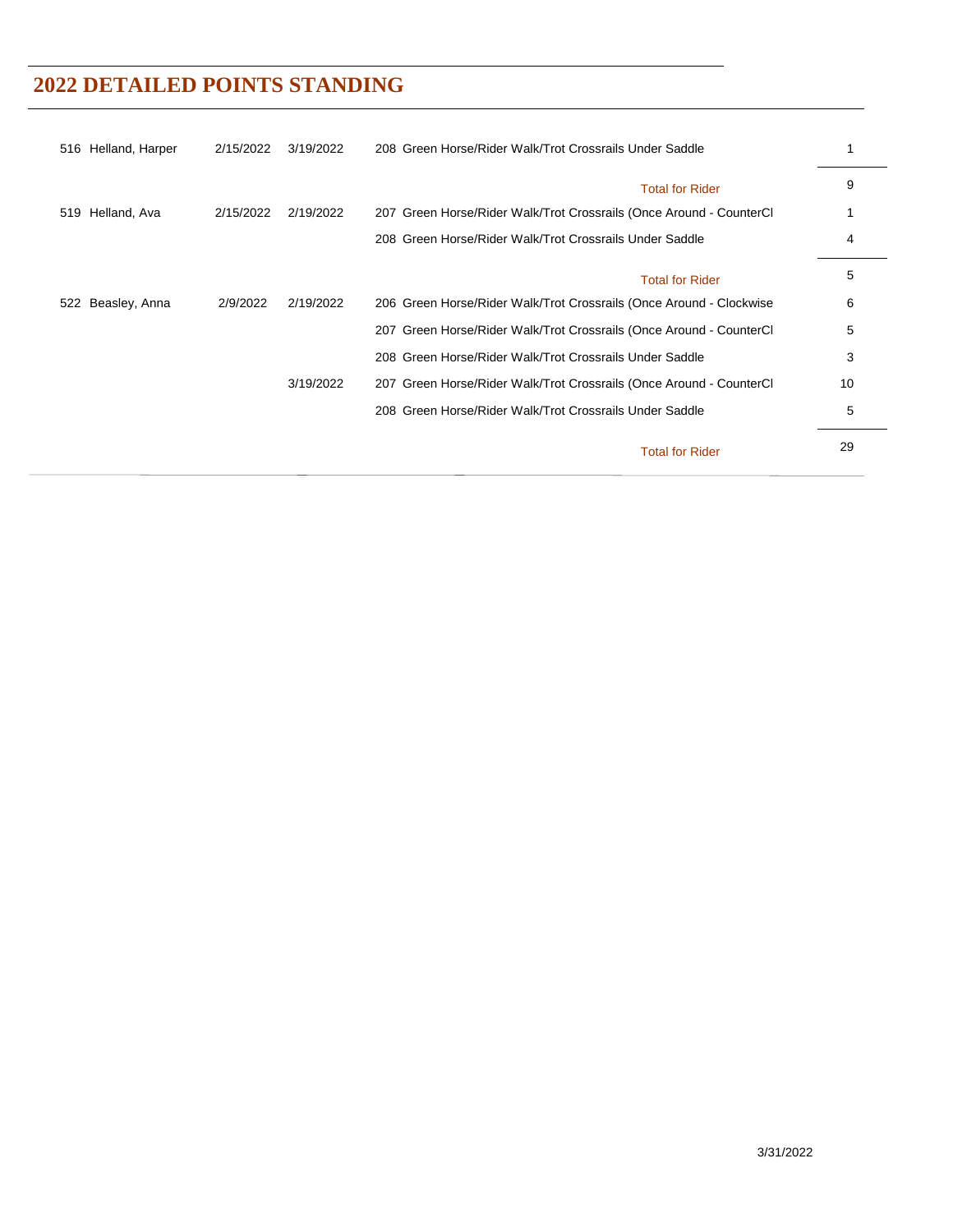| 516 Helland, Harper  | 2/15/2022 | 3/19/2022 | 208 Green Horse/Rider Walk/Trot Crossrails Under Saddle             |    |
|----------------------|-----------|-----------|---------------------------------------------------------------------|----|
|                      |           |           | <b>Total for Rider</b>                                              | 9  |
| Helland, Ava<br>519  | 2/15/2022 | 2/19/2022 | 207 Green Horse/Rider Walk/Trot Crossrails (Once Around - CounterCl |    |
|                      |           |           | 208 Green Horse/Rider Walk/Trot Crossrails Under Saddle             | 4  |
|                      |           |           | <b>Total for Rider</b>                                              | 5  |
| Beasley, Anna<br>522 | 2/9/2022  | 2/19/2022 | 206 Green Horse/Rider Walk/Trot Crossrails (Once Around - Clockwise | 6  |
|                      |           |           | 207 Green Horse/Rider Walk/Trot Crossrails (Once Around - CounterCl | 5  |
|                      |           |           | 208 Green Horse/Rider Walk/Trot Crossrails Under Saddle             | 3  |
|                      |           | 3/19/2022 | 207 Green Horse/Rider Walk/Trot Crossrails (Once Around - CounterCl | 10 |
|                      |           |           | 208 Green Horse/Rider Walk/Trot Crossrails Under Saddle             | 5  |
|                      |           |           | <b>Total for Rider</b>                                              | 29 |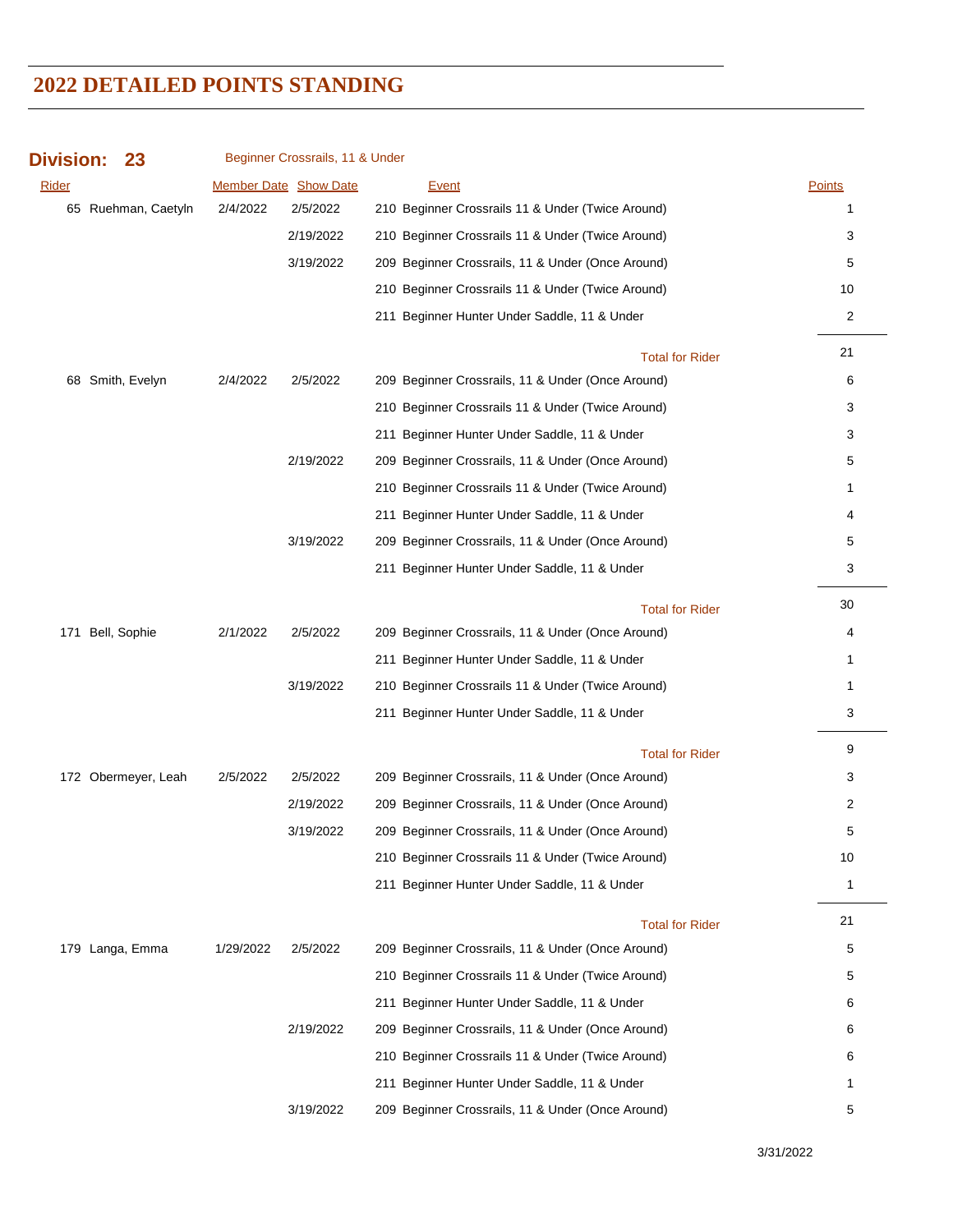| <b>Division:</b> | 23                  |           | Beginner Crossrails, 11 & Under |                                                   |              |
|------------------|---------------------|-----------|---------------------------------|---------------------------------------------------|--------------|
| <b>Rider</b>     |                     |           | <b>Member Date Show Date</b>    | Event                                             | Points       |
|                  | 65 Ruehman, Caetyln | 2/4/2022  | 2/5/2022                        | 210 Beginner Crossrails 11 & Under (Twice Around) | 1            |
|                  |                     |           | 2/19/2022                       | 210 Beginner Crossrails 11 & Under (Twice Around) | 3            |
|                  |                     |           | 3/19/2022                       | 209 Beginner Crossrails, 11 & Under (Once Around) | 5            |
|                  |                     |           |                                 | 210 Beginner Crossrails 11 & Under (Twice Around) | 10           |
|                  |                     |           |                                 | 211 Beginner Hunter Under Saddle, 11 & Under      | 2            |
|                  |                     |           |                                 | <b>Total for Rider</b>                            | 21           |
|                  | 68 Smith, Evelyn    | 2/4/2022  | 2/5/2022                        | 209 Beginner Crossrails, 11 & Under (Once Around) | 6            |
|                  |                     |           |                                 | 210 Beginner Crossrails 11 & Under (Twice Around) | 3            |
|                  |                     |           |                                 | 211 Beginner Hunter Under Saddle, 11 & Under      | 3            |
|                  |                     |           | 2/19/2022                       | 209 Beginner Crossrails, 11 & Under (Once Around) | 5            |
|                  |                     |           |                                 | 210 Beginner Crossrails 11 & Under (Twice Around) | $\mathbf{1}$ |
|                  |                     |           |                                 | 211 Beginner Hunter Under Saddle, 11 & Under      | 4            |
|                  |                     |           | 3/19/2022                       | 209 Beginner Crossrails, 11 & Under (Once Around) | 5            |
|                  |                     |           |                                 | 211 Beginner Hunter Under Saddle, 11 & Under      | 3            |
|                  |                     |           |                                 | <b>Total for Rider</b>                            | 30           |
| 171              | Bell, Sophie        | 2/1/2022  | 2/5/2022                        | 209 Beginner Crossrails, 11 & Under (Once Around) | 4            |
|                  |                     |           |                                 | 211 Beginner Hunter Under Saddle, 11 & Under      | 1            |
|                  |                     |           | 3/19/2022                       | 210 Beginner Crossrails 11 & Under (Twice Around) | $\mathbf{1}$ |
|                  |                     |           |                                 | 211 Beginner Hunter Under Saddle, 11 & Under      | 3            |
|                  |                     |           |                                 | <b>Total for Rider</b>                            | 9            |
|                  | 172 Obermeyer, Leah | 2/5/2022  | 2/5/2022                        | 209 Beginner Crossrails, 11 & Under (Once Around) | 3            |
|                  |                     |           | 2/19/2022                       | 209 Beginner Crossrails, 11 & Under (Once Around) | 2            |
|                  |                     |           | 3/19/2022                       | 209 Beginner Crossrails, 11 & Under (Once Around) | 5            |
|                  |                     |           |                                 | 210 Beginner Crossrails 11 & Under (Twice Around) | 10           |
|                  |                     |           |                                 | 211 Beginner Hunter Under Saddle, 11 & Under      | $\mathbf{1}$ |
|                  |                     |           |                                 | <b>Total for Rider</b>                            | 21           |
|                  | 179 Langa, Emma     | 1/29/2022 | 2/5/2022                        | 209 Beginner Crossrails, 11 & Under (Once Around) | 5            |
|                  |                     |           |                                 | 210 Beginner Crossrails 11 & Under (Twice Around) | 5            |
|                  |                     |           |                                 | 211 Beginner Hunter Under Saddle, 11 & Under      | 6            |
|                  |                     |           | 2/19/2022                       | 209 Beginner Crossrails, 11 & Under (Once Around) | 6            |
|                  |                     |           |                                 | 210 Beginner Crossrails 11 & Under (Twice Around) | 6            |
|                  |                     |           |                                 | 211 Beginner Hunter Under Saddle, 11 & Under      | 1            |
|                  |                     |           | 3/19/2022                       | 209 Beginner Crossrails, 11 & Under (Once Around) | 5            |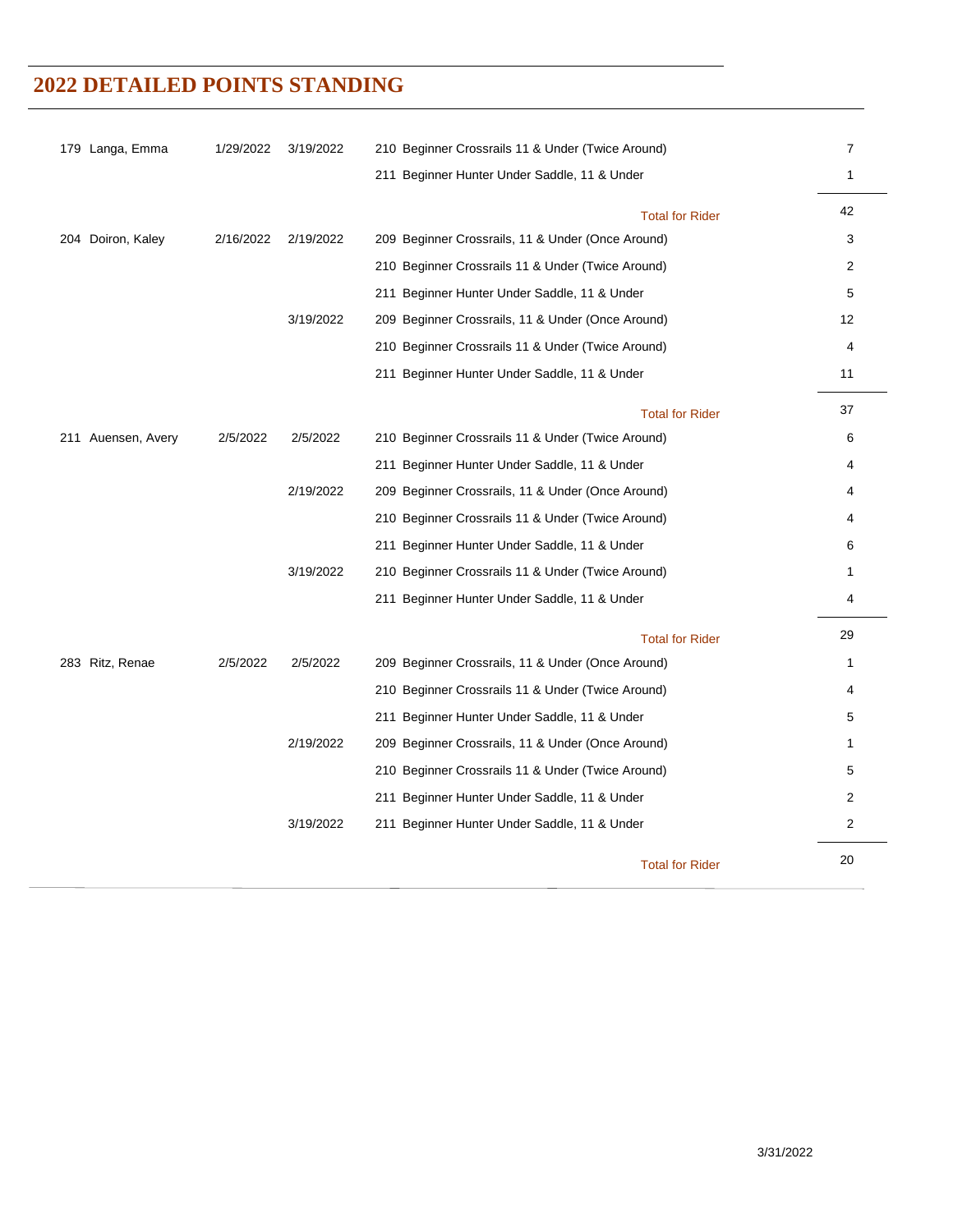| 179 Langa, Emma    | 1/29/2022 | 3/19/2022 | 210 Beginner Crossrails 11 & Under (Twice Around) | $\overline{7}$ |
|--------------------|-----------|-----------|---------------------------------------------------|----------------|
|                    |           |           | 211 Beginner Hunter Under Saddle, 11 & Under      | $\mathbf{1}$   |
|                    |           |           | <b>Total for Rider</b>                            | 42             |
| 204 Doiron, Kaley  | 2/16/2022 | 2/19/2022 | 209 Beginner Crossrails, 11 & Under (Once Around) | 3              |
|                    |           |           | 210 Beginner Crossrails 11 & Under (Twice Around) | $\overline{2}$ |
|                    |           |           | 211 Beginner Hunter Under Saddle, 11 & Under      | 5              |
|                    |           | 3/19/2022 | 209 Beginner Crossrails, 11 & Under (Once Around) | 12             |
|                    |           |           | 210 Beginner Crossrails 11 & Under (Twice Around) | 4              |
|                    |           |           | 211 Beginner Hunter Under Saddle, 11 & Under      | 11             |
|                    |           |           | <b>Total for Rider</b>                            | 37             |
| 211 Auensen, Avery | 2/5/2022  | 2/5/2022  | 210 Beginner Crossrails 11 & Under (Twice Around) | 6              |
|                    |           |           | 211 Beginner Hunter Under Saddle, 11 & Under      | 4              |
|                    |           | 2/19/2022 | 209 Beginner Crossrails, 11 & Under (Once Around) | 4              |
|                    |           |           | 210 Beginner Crossrails 11 & Under (Twice Around) | 4              |
|                    |           |           | 211 Beginner Hunter Under Saddle, 11 & Under      | 6              |
|                    |           | 3/19/2022 | 210 Beginner Crossrails 11 & Under (Twice Around) | 1              |
|                    |           |           | 211 Beginner Hunter Under Saddle, 11 & Under      | 4              |
|                    |           |           | <b>Total for Rider</b>                            | 29             |
| 283 Ritz, Renae    | 2/5/2022  | 2/5/2022  | 209 Beginner Crossrails, 11 & Under (Once Around) | 1              |
|                    |           |           | 210 Beginner Crossrails 11 & Under (Twice Around) | 4              |
|                    |           |           | 211 Beginner Hunter Under Saddle, 11 & Under      | 5              |
|                    |           | 2/19/2022 | 209 Beginner Crossrails, 11 & Under (Once Around) | 1              |
|                    |           |           | 210 Beginner Crossrails 11 & Under (Twice Around) | 5              |
|                    |           |           | 211 Beginner Hunter Under Saddle, 11 & Under      | 2              |
|                    |           | 3/19/2022 | 211 Beginner Hunter Under Saddle, 11 & Under      | 2              |
|                    |           |           | <b>Total for Rider</b>                            | 20             |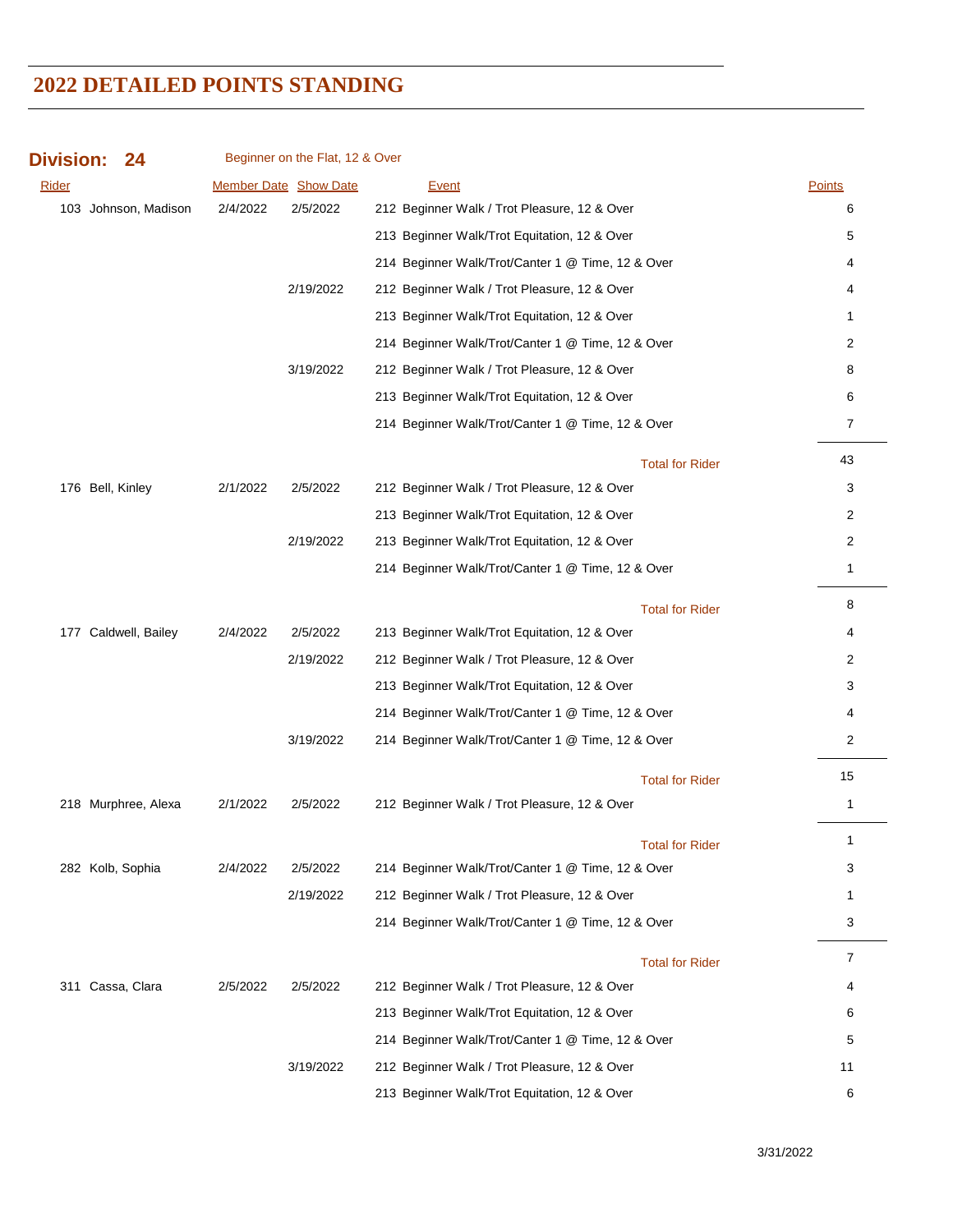| <b>Division:</b>     | 24                   |          | Beginner on the Flat, 12 & Over |                                                   |                |
|----------------------|----------------------|----------|---------------------------------|---------------------------------------------------|----------------|
| <b>Rider</b>         |                      |          | <b>Member Date Show Date</b>    | <b>Event</b>                                      | Points         |
|                      | 103 Johnson, Madison | 2/4/2022 | 2/5/2022                        | 212 Beginner Walk / Trot Pleasure, 12 & Over      | 6              |
|                      |                      |          |                                 | 213 Beginner Walk/Trot Equitation, 12 & Over      | 5              |
|                      |                      |          |                                 | 214 Beginner Walk/Trot/Canter 1 @ Time, 12 & Over | 4              |
|                      |                      |          | 2/19/2022                       | 212 Beginner Walk / Trot Pleasure, 12 & Over      | 4              |
|                      |                      |          |                                 | 213 Beginner Walk/Trot Equitation, 12 & Over      | 1              |
|                      |                      |          |                                 | 214 Beginner Walk/Trot/Canter 1 @ Time, 12 & Over | 2              |
|                      |                      |          | 3/19/2022                       | 212 Beginner Walk / Trot Pleasure, 12 & Over      | 8              |
|                      |                      |          |                                 | 213 Beginner Walk/Trot Equitation, 12 & Over      | 6              |
|                      |                      |          |                                 | 214 Beginner Walk/Trot/Canter 1 @ Time, 12 & Over | 7              |
|                      |                      |          |                                 | <b>Total for Rider</b>                            | 43             |
| 176 Bell, Kinley     |                      | 2/1/2022 | 2/5/2022                        | 212 Beginner Walk / Trot Pleasure, 12 & Over      | 3              |
|                      |                      |          |                                 | 213 Beginner Walk/Trot Equitation, 12 & Over      | 2              |
|                      |                      |          | 2/19/2022                       | 213 Beginner Walk/Trot Equitation, 12 & Over      | 2              |
|                      |                      |          |                                 | 214 Beginner Walk/Trot/Canter 1 @ Time, 12 & Over | 1              |
|                      |                      |          |                                 | <b>Total for Rider</b>                            | 8              |
| 177 Caldwell, Bailey |                      | 2/4/2022 | 2/5/2022                        | 213 Beginner Walk/Trot Equitation, 12 & Over      | 4              |
|                      |                      |          | 2/19/2022                       | 212 Beginner Walk / Trot Pleasure, 12 & Over      | 2              |
|                      |                      |          |                                 | 213 Beginner Walk/Trot Equitation, 12 & Over      | 3              |
|                      |                      |          |                                 | 214 Beginner Walk/Trot/Canter 1 @ Time, 12 & Over | 4              |
|                      |                      |          | 3/19/2022                       | 214 Beginner Walk/Trot/Canter 1 @ Time, 12 & Over | 2              |
|                      |                      |          |                                 | <b>Total for Rider</b>                            | 15             |
| 218 Murphree, Alexa  |                      | 2/1/2022 | 2/5/2022                        | 212 Beginner Walk / Trot Pleasure, 12 & Over      | $\mathbf{1}$   |
|                      |                      |          |                                 | <b>Total for Rider</b>                            | 1              |
| 282 Kolb, Sophia     |                      | 2/4/2022 | 2/5/2022                        | 214 Beginner Walk/Trot/Canter 1 @ Time, 12 & Over | 3              |
|                      |                      |          | 2/19/2022                       | 212 Beginner Walk / Trot Pleasure, 12 & Over      | 1              |
|                      |                      |          |                                 | 214 Beginner Walk/Trot/Canter 1 @ Time, 12 & Over | 3              |
|                      |                      |          |                                 | <b>Total for Rider</b>                            | $\overline{7}$ |
| 311 Cassa, Clara     |                      | 2/5/2022 | 2/5/2022                        | 212 Beginner Walk / Trot Pleasure, 12 & Over      | 4              |
|                      |                      |          |                                 | 213 Beginner Walk/Trot Equitation, 12 & Over      | 6              |
|                      |                      |          |                                 | 214 Beginner Walk/Trot/Canter 1 @ Time, 12 & Over | 5              |
|                      |                      |          | 3/19/2022                       | 212 Beginner Walk / Trot Pleasure, 12 & Over      | 11             |
|                      |                      |          |                                 | 213 Beginner Walk/Trot Equitation, 12 & Over      | 6              |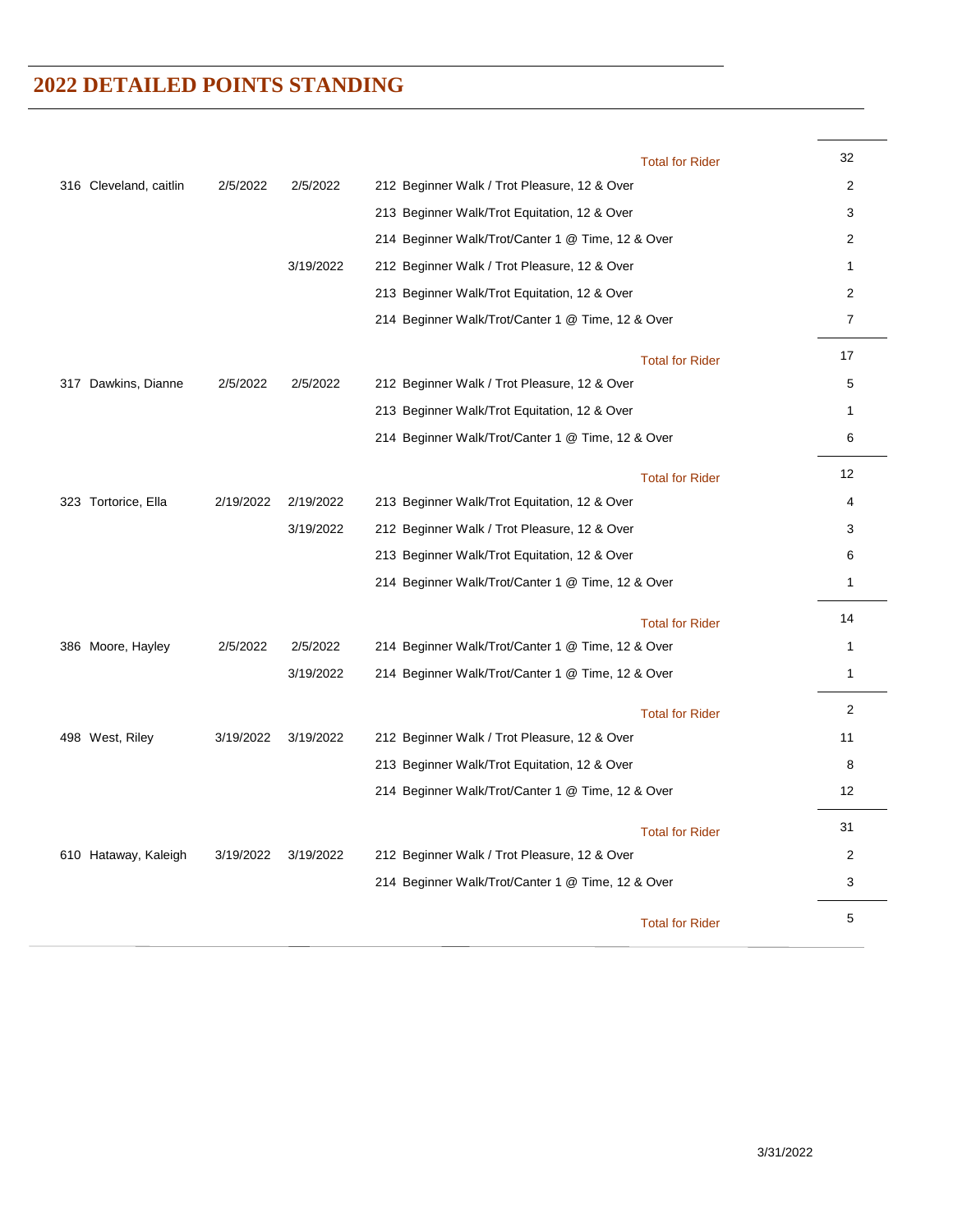|                        |           |           | <b>Total for Rider</b>                            | 32             |
|------------------------|-----------|-----------|---------------------------------------------------|----------------|
| 316 Cleveland, caitlin | 2/5/2022  | 2/5/2022  | 212 Beginner Walk / Trot Pleasure, 12 & Over      | 2              |
|                        |           |           | 213 Beginner Walk/Trot Equitation, 12 & Over      | 3              |
|                        |           |           | 214 Beginner Walk/Trot/Canter 1 @ Time, 12 & Over | 2              |
|                        |           | 3/19/2022 | 212 Beginner Walk / Trot Pleasure, 12 & Over      | $\mathbf{1}$   |
|                        |           |           | 213 Beginner Walk/Trot Equitation, 12 & Over      | 2              |
|                        |           |           | 214 Beginner Walk/Trot/Canter 1 @ Time, 12 & Over | $\overline{7}$ |
|                        |           |           | <b>Total for Rider</b>                            | 17             |
| 317 Dawkins, Dianne    | 2/5/2022  | 2/5/2022  | 212 Beginner Walk / Trot Pleasure, 12 & Over      | 5              |
|                        |           |           | 213 Beginner Walk/Trot Equitation, 12 & Over      | $\mathbf{1}$   |
|                        |           |           | 214 Beginner Walk/Trot/Canter 1 @ Time, 12 & Over | 6              |
|                        |           |           | <b>Total for Rider</b>                            | 12             |
| 323 Tortorice, Ella    | 2/19/2022 | 2/19/2022 | 213 Beginner Walk/Trot Equitation, 12 & Over      | 4              |
|                        |           | 3/19/2022 | 212 Beginner Walk / Trot Pleasure, 12 & Over      | 3              |
|                        |           |           | 213 Beginner Walk/Trot Equitation, 12 & Over      | 6              |
|                        |           |           | 214 Beginner Walk/Trot/Canter 1 @ Time, 12 & Over | $\mathbf{1}$   |
|                        |           |           | <b>Total for Rider</b>                            | 14             |
| 386 Moore, Hayley      | 2/5/2022  | 2/5/2022  | 214 Beginner Walk/Trot/Canter 1 @ Time, 12 & Over | 1              |
|                        |           | 3/19/2022 | 214 Beginner Walk/Trot/Canter 1 @ Time, 12 & Over | $\mathbf{1}$   |
|                        |           |           | <b>Total for Rider</b>                            | $\overline{2}$ |
| 498 West, Riley        | 3/19/2022 | 3/19/2022 | 212 Beginner Walk / Trot Pleasure, 12 & Over      | 11             |
|                        |           |           | 213 Beginner Walk/Trot Equitation, 12 & Over      | 8              |
|                        |           |           | 214 Beginner Walk/Trot/Canter 1 @ Time, 12 & Over | 12             |
|                        |           |           | <b>Total for Rider</b>                            | 31             |
| 610 Hataway, Kaleigh   | 3/19/2022 | 3/19/2022 | 212 Beginner Walk / Trot Pleasure, 12 & Over      | 2              |
|                        |           |           | 214 Beginner Walk/Trot/Canter 1 @ Time, 12 & Over | 3              |
|                        |           |           | <b>Total for Rider</b>                            | 5              |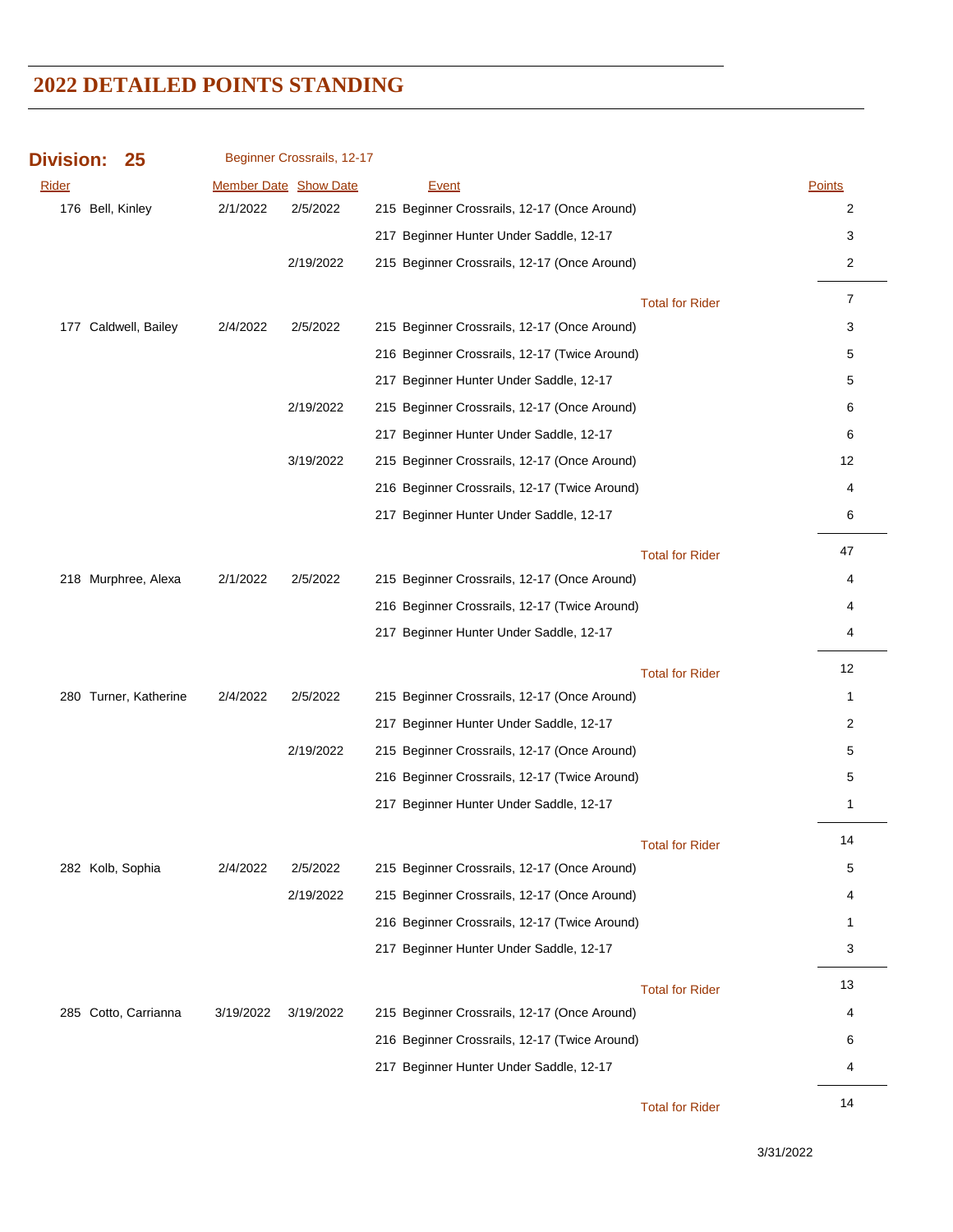| <b>Division:</b> | 25                    | Beginner Crossrails, 12-17 |                              |                                               |                        |                |
|------------------|-----------------------|----------------------------|------------------------------|-----------------------------------------------|------------------------|----------------|
| <b>Rider</b>     |                       |                            | <b>Member Date Show Date</b> | <b>Event</b>                                  | <b>Points</b>          |                |
|                  | 176 Bell, Kinley      | 2/1/2022                   | 2/5/2022                     | 215 Beginner Crossrails, 12-17 (Once Around)  |                        | 2              |
|                  |                       |                            |                              | 217 Beginner Hunter Under Saddle, 12-17       |                        | 3              |
|                  |                       |                            | 2/19/2022                    | 215 Beginner Crossrails, 12-17 (Once Around)  |                        | 2              |
|                  |                       |                            |                              |                                               | <b>Total for Rider</b> | $\overline{7}$ |
|                  | 177 Caldwell, Bailey  | 2/4/2022                   | 2/5/2022                     | 215 Beginner Crossrails, 12-17 (Once Around)  |                        | 3              |
|                  |                       |                            |                              | 216 Beginner Crossrails, 12-17 (Twice Around) |                        | 5              |
|                  |                       |                            |                              | 217 Beginner Hunter Under Saddle, 12-17       |                        | 5              |
|                  |                       |                            | 2/19/2022                    | 215 Beginner Crossrails, 12-17 (Once Around)  |                        | 6              |
|                  |                       |                            |                              | 217 Beginner Hunter Under Saddle, 12-17       |                        | 6              |
|                  |                       |                            | 3/19/2022                    | 215 Beginner Crossrails, 12-17 (Once Around)  |                        | 12             |
|                  |                       |                            |                              | 216 Beginner Crossrails, 12-17 (Twice Around) |                        | 4              |
|                  |                       |                            |                              | 217 Beginner Hunter Under Saddle, 12-17       |                        | 6              |
|                  |                       |                            |                              |                                               | <b>Total for Rider</b> | 47             |
|                  | 218 Murphree, Alexa   | 2/1/2022                   | 2/5/2022                     | 215 Beginner Crossrails, 12-17 (Once Around)  |                        | 4              |
|                  |                       |                            |                              | 216 Beginner Crossrails, 12-17 (Twice Around) |                        | 4              |
|                  |                       |                            |                              | 217 Beginner Hunter Under Saddle, 12-17       |                        | 4              |
|                  |                       |                            |                              |                                               | <b>Total for Rider</b> | 12             |
|                  | 280 Turner, Katherine | 2/4/2022                   | 2/5/2022                     | 215 Beginner Crossrails, 12-17 (Once Around)  |                        | $\mathbf{1}$   |
|                  |                       |                            |                              | 217 Beginner Hunter Under Saddle, 12-17       |                        | 2              |
|                  |                       |                            | 2/19/2022                    | 215 Beginner Crossrails, 12-17 (Once Around)  |                        | 5              |
|                  |                       |                            |                              | 216 Beginner Crossrails, 12-17 (Twice Around) |                        | 5              |
|                  |                       |                            |                              | 217 Beginner Hunter Under Saddle, 12-17       |                        | $\mathbf{1}$   |
|                  |                       |                            |                              |                                               | <b>Total for Rider</b> | 14             |
|                  | 282 Kolb, Sophia      | 2/4/2022                   | 2/5/2022                     | 215 Beginner Crossrails, 12-17 (Once Around)  |                        | 5              |
|                  |                       |                            | 2/19/2022                    | 215 Beginner Crossrails, 12-17 (Once Around)  |                        | 4              |
|                  |                       |                            |                              | 216 Beginner Crossrails, 12-17 (Twice Around) |                        | $\mathbf{1}$   |
|                  |                       |                            |                              | 217 Beginner Hunter Under Saddle, 12-17       |                        | 3              |
|                  |                       |                            |                              |                                               | <b>Total for Rider</b> | 13             |
|                  | 285 Cotto, Carrianna  | 3/19/2022                  | 3/19/2022                    | 215 Beginner Crossrails, 12-17 (Once Around)  |                        | 4              |
|                  |                       |                            |                              | 216 Beginner Crossrails, 12-17 (Twice Around) |                        | 6              |
|                  |                       |                            |                              | 217 Beginner Hunter Under Saddle, 12-17       |                        | 4              |
|                  |                       |                            |                              |                                               | <b>Total for Rider</b> | 14             |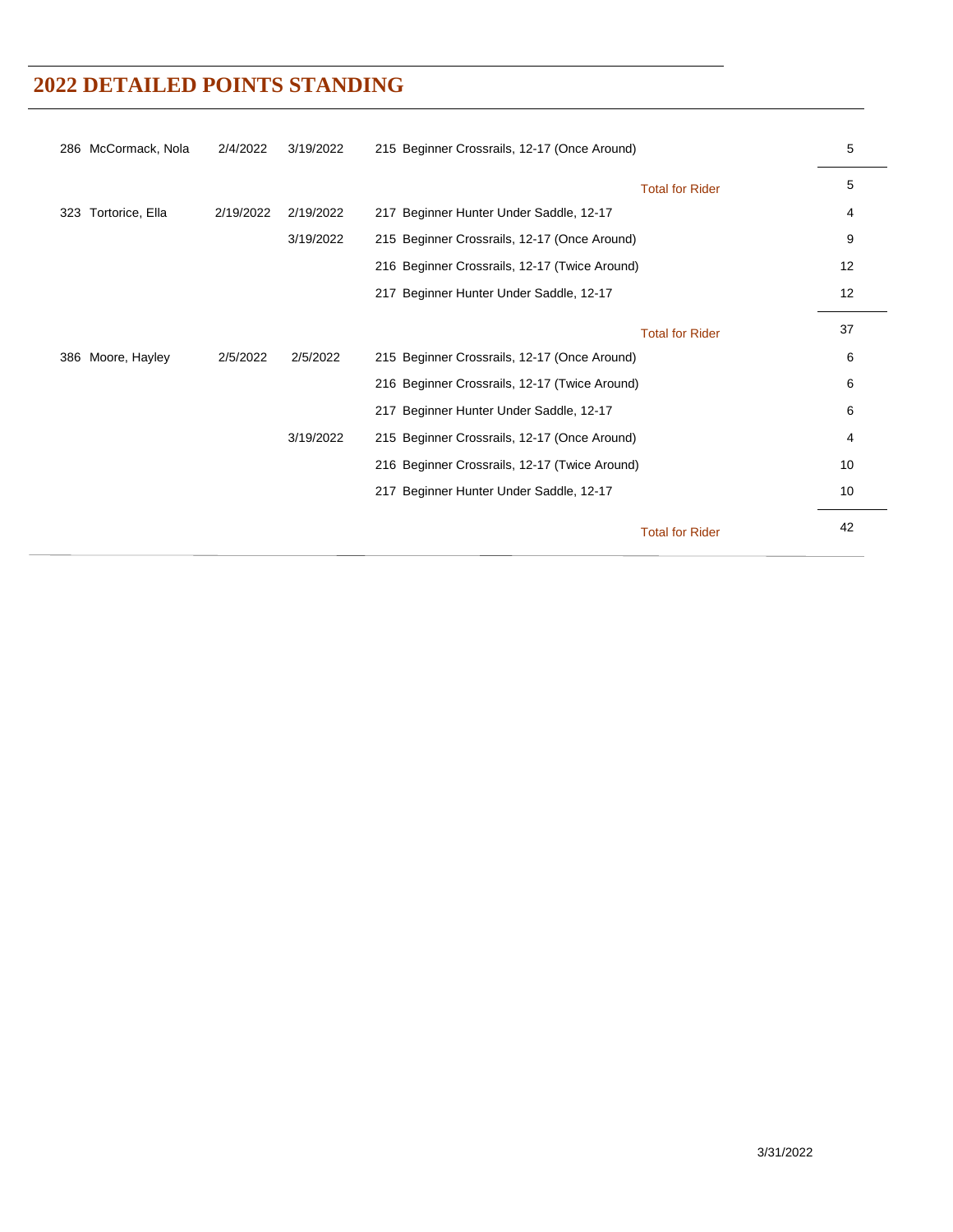| 286 McCormack, Nola    | 2/4/2022  | 3/19/2022 | 215 Beginner Crossrails, 12-17 (Once Around)  | 5  |
|------------------------|-----------|-----------|-----------------------------------------------|----|
|                        |           |           | <b>Total for Rider</b>                        | 5  |
| Tortorice, Ella<br>323 | 2/19/2022 | 2/19/2022 | 217 Beginner Hunter Under Saddle, 12-17       | 4  |
|                        |           | 3/19/2022 | 215 Beginner Crossrails, 12-17 (Once Around)  | 9  |
|                        |           |           | 216 Beginner Crossrails, 12-17 (Twice Around) | 12 |
|                        |           |           | 217 Beginner Hunter Under Saddle, 12-17       | 12 |
|                        |           |           | <b>Total for Rider</b>                        | 37 |
| Moore, Hayley<br>386   | 2/5/2022  | 2/5/2022  | 215 Beginner Crossrails, 12-17 (Once Around)  | 6  |
|                        |           |           | 216 Beginner Crossrails, 12-17 (Twice Around) | 6  |
|                        |           |           | 217 Beginner Hunter Under Saddle, 12-17       | 6  |
|                        |           | 3/19/2022 | 215 Beginner Crossrails, 12-17 (Once Around)  | 4  |
|                        |           |           | 216 Beginner Crossrails, 12-17 (Twice Around) | 10 |
|                        |           |           | 217 Beginner Hunter Under Saddle, 12-17       | 10 |
|                        |           |           | <b>Total for Rider</b>                        | 42 |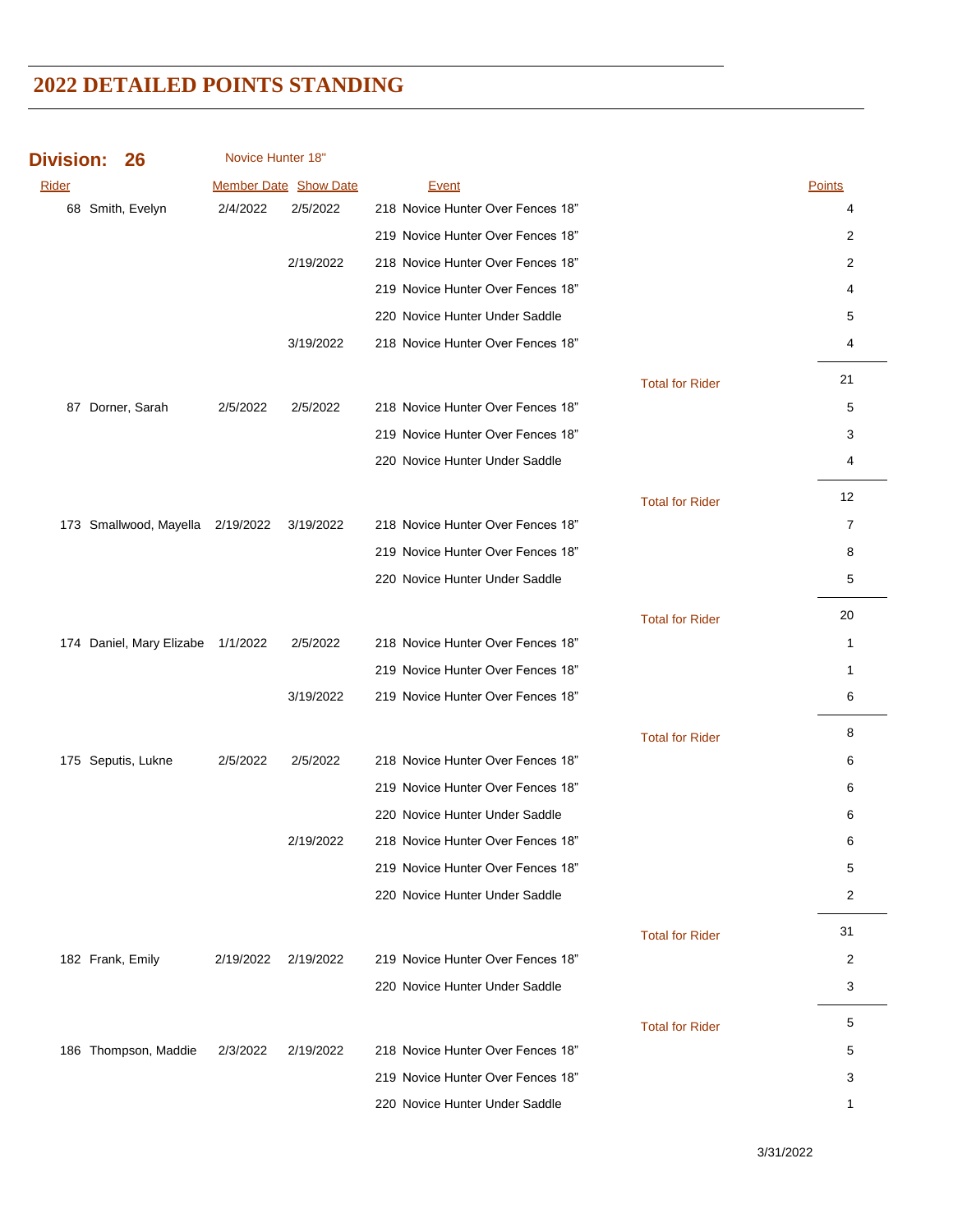| <b>Division:</b> | 26 |
|------------------|----|
|------------------|----|

Novice Hunter 18"

| Rider |                                   |           | <b>Member Date Show Date</b> | Event                             |                        | Points         |
|-------|-----------------------------------|-----------|------------------------------|-----------------------------------|------------------------|----------------|
|       | 68 Smith, Evelyn                  | 2/4/2022  | 2/5/2022                     | 218 Novice Hunter Over Fences 18" |                        | 4              |
|       |                                   |           |                              | 219 Novice Hunter Over Fences 18" |                        | 2              |
|       |                                   |           | 2/19/2022                    | 218 Novice Hunter Over Fences 18" |                        | 2              |
|       |                                   |           |                              | 219 Novice Hunter Over Fences 18" |                        | 4              |
|       |                                   |           |                              | 220 Novice Hunter Under Saddle    |                        | 5              |
|       |                                   |           | 3/19/2022                    | 218 Novice Hunter Over Fences 18" |                        | 4              |
|       |                                   |           |                              |                                   | <b>Total for Rider</b> | 21             |
|       | 87 Dorner, Sarah                  | 2/5/2022  | 2/5/2022                     | 218 Novice Hunter Over Fences 18" |                        | 5              |
|       |                                   |           |                              | 219 Novice Hunter Over Fences 18" |                        | 3              |
|       |                                   |           |                              | 220 Novice Hunter Under Saddle    |                        | 4              |
|       |                                   |           |                              |                                   | <b>Total for Rider</b> | 12             |
|       | 173 Smallwood, Mayella 2/19/2022  |           | 3/19/2022                    | 218 Novice Hunter Over Fences 18" |                        | $\overline{7}$ |
|       |                                   |           |                              | 219 Novice Hunter Over Fences 18" |                        | 8              |
|       |                                   |           |                              | 220 Novice Hunter Under Saddle    |                        | 5              |
|       |                                   |           |                              |                                   | <b>Total for Rider</b> | 20             |
|       | 174 Daniel, Mary Elizabe 1/1/2022 |           | 2/5/2022                     | 218 Novice Hunter Over Fences 18" |                        | 1              |
|       |                                   |           |                              | 219 Novice Hunter Over Fences 18" |                        | $\mathbf{1}$   |
|       |                                   |           | 3/19/2022                    | 219 Novice Hunter Over Fences 18" |                        | 6              |
|       |                                   |           |                              |                                   | <b>Total for Rider</b> | 8              |
|       | 175 Seputis, Lukne                | 2/5/2022  | 2/5/2022                     | 218 Novice Hunter Over Fences 18" |                        | 6              |
|       |                                   |           |                              | 219 Novice Hunter Over Fences 18" |                        | 6              |
|       |                                   |           |                              | 220 Novice Hunter Under Saddle    |                        | 6              |
|       |                                   |           | 2/19/2022                    | 218 Novice Hunter Over Fences 18" |                        | 6              |
|       |                                   |           |                              | 219 Novice Hunter Over Fences 18" |                        | 5              |
|       |                                   |           |                              | 220 Novice Hunter Under Saddle    |                        | 2              |
|       |                                   |           |                              |                                   | <b>Total for Rider</b> | 31             |
|       | 182 Frank, Emily                  | 2/19/2022 | 2/19/2022                    | 219 Novice Hunter Over Fences 18" |                        | 2              |
|       |                                   |           |                              | 220 Novice Hunter Under Saddle    |                        | 3              |
|       |                                   |           |                              |                                   | <b>Total for Rider</b> | 5              |
|       | 186 Thompson, Maddie              | 2/3/2022  | 2/19/2022                    | 218 Novice Hunter Over Fences 18" |                        | 5              |
|       |                                   |           |                              | 219 Novice Hunter Over Fences 18" |                        | 3              |
|       |                                   |           |                              | 220 Novice Hunter Under Saddle    |                        | 1              |

3/31/2022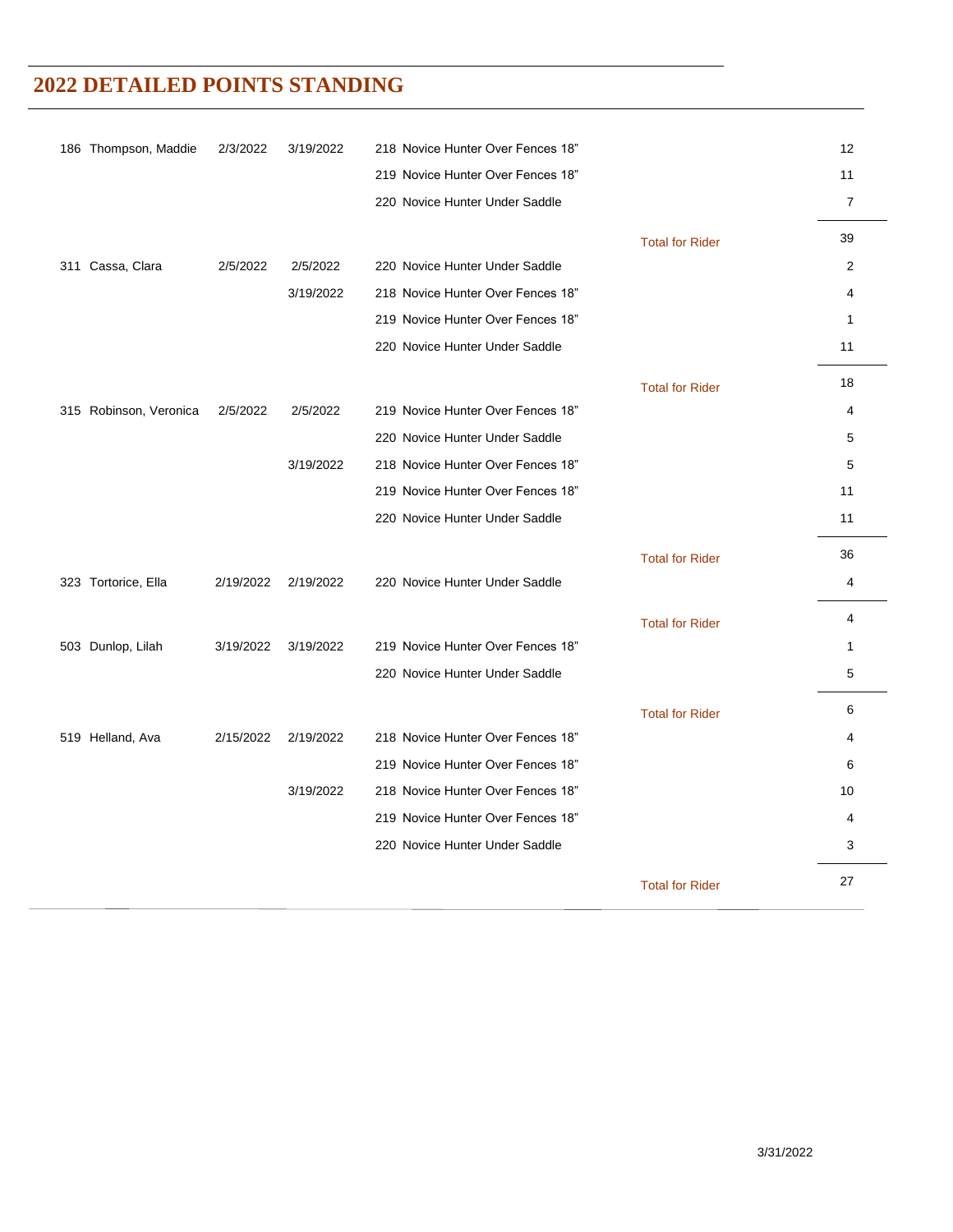| 186 Thompson, Maddie   | 2/3/2022  | 3/19/2022 | 218 Novice Hunter Over Fences 18" |                        | 12             |
|------------------------|-----------|-----------|-----------------------------------|------------------------|----------------|
|                        |           |           | 219 Novice Hunter Over Fences 18" |                        | 11             |
|                        |           |           | 220 Novice Hunter Under Saddle    |                        | $\overline{7}$ |
|                        |           |           |                                   | <b>Total for Rider</b> | 39             |
| 311 Cassa, Clara       | 2/5/2022  | 2/5/2022  | 220 Novice Hunter Under Saddle    |                        | 2              |
|                        |           | 3/19/2022 | 218 Novice Hunter Over Fences 18" |                        | 4              |
|                        |           |           | 219 Novice Hunter Over Fences 18" |                        | $\mathbf{1}$   |
|                        |           |           | 220 Novice Hunter Under Saddle    |                        | 11             |
|                        |           |           |                                   | <b>Total for Rider</b> | 18             |
| 315 Robinson, Veronica | 2/5/2022  | 2/5/2022  | 219 Novice Hunter Over Fences 18" |                        | 4              |
|                        |           |           | 220 Novice Hunter Under Saddle    |                        | 5              |
|                        |           | 3/19/2022 | 218 Novice Hunter Over Fences 18" |                        | 5              |
|                        |           |           | 219 Novice Hunter Over Fences 18" |                        | 11             |
|                        |           |           | 220 Novice Hunter Under Saddle    |                        | 11             |
|                        |           |           |                                   | <b>Total for Rider</b> | 36             |
| 323 Tortorice, Ella    | 2/19/2022 | 2/19/2022 | 220 Novice Hunter Under Saddle    |                        | 4              |
|                        |           |           |                                   | <b>Total for Rider</b> | 4              |
| 503 Dunlop, Lilah      | 3/19/2022 | 3/19/2022 | 219 Novice Hunter Over Fences 18" |                        | 1              |
|                        |           |           | 220 Novice Hunter Under Saddle    |                        | 5              |
|                        |           |           |                                   | <b>Total for Rider</b> | 6              |
| 519 Helland, Ava       | 2/15/2022 | 2/19/2022 | 218 Novice Hunter Over Fences 18" |                        | 4              |
|                        |           |           | 219 Novice Hunter Over Fences 18" |                        | 6              |
|                        |           | 3/19/2022 | 218 Novice Hunter Over Fences 18" |                        | 10             |
|                        |           |           | 219 Novice Hunter Over Fences 18" |                        | 4              |
|                        |           |           | 220 Novice Hunter Under Saddle    |                        | 3              |
|                        |           |           |                                   | <b>Total for Rider</b> | 27             |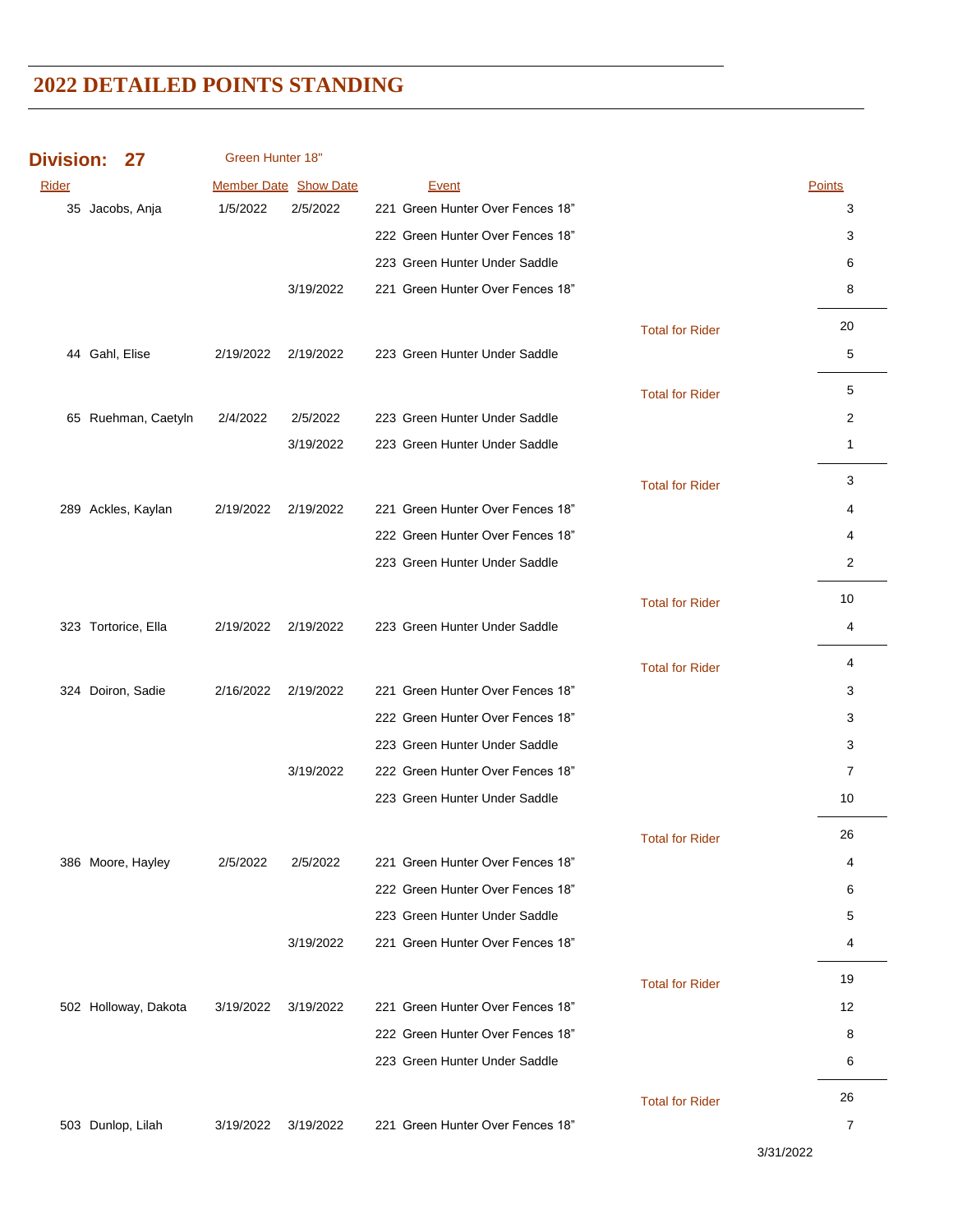**Division: 27 Rider Show Date Show Date Acceptance Event Accept Points** Points Points Points Points Green Hunter 18" Jacobs, Anja 1/5/2022 2/5/2022 221 Green Hunter Over Fences 18" 3 222 Green Hunter Over Fences 18" 33 Green Hunter Under Saddle 6 3/19/2022 221 Green Hunter Over Fences 18" 8 Total for Rider Gahl, Elise 2/19/2022 2/19/2022 223 Green Hunter Under Saddle 5 Total for Rider Ruehman, Caetyln 2/4/2022 2/5/2022 223 Green Hunter Under Saddle 2 3/19/2022 223 Green Hunter Under Saddle 1 Total for Rider Ackles, Kaylan 2/19/2022 2/19/2022 221 Green Hunter Over Fences 18" 4 Green Hunter Over Fences 18" 4 Green Hunter Under Saddle 2 Total for Rider Tortorice, Ella 2/19/2022 2/19/2022 223 Green Hunter Under Saddle 4 Total for Rider Doiron, Sadie 2/16/2022 2/19/2022 221 Green Hunter Over Fences 18" 3 222 Green Hunter Over Fences 18" 3 223 Green Hunter Under Saddle 3 3 3/19/2022 222 Green Hunter Over Fences 18" 7 Green Hunter Under Saddle 10 Total for Rider Moore, Hayley 2/5/2022 2/5/2022 221 Green Hunter Over Fences 18" 4 222 Green Hunter Over Fences 18" 6 Green Hunter Under Saddle 5 3/19/2022 221 Green Hunter Over Fences 18" 4 Total for Rider Holloway, Dakota 3/19/2022 3/19/2022 221 Green Hunter Over Fences 18" 12 222 Green Hunter Over Fences 18" 8 Green Hunter Under Saddle 6 Total for Rider Dunlop, Lilah 3/19/2022 3/19/2022 221 Green Hunter Over Fences 18" 7

3/31/2022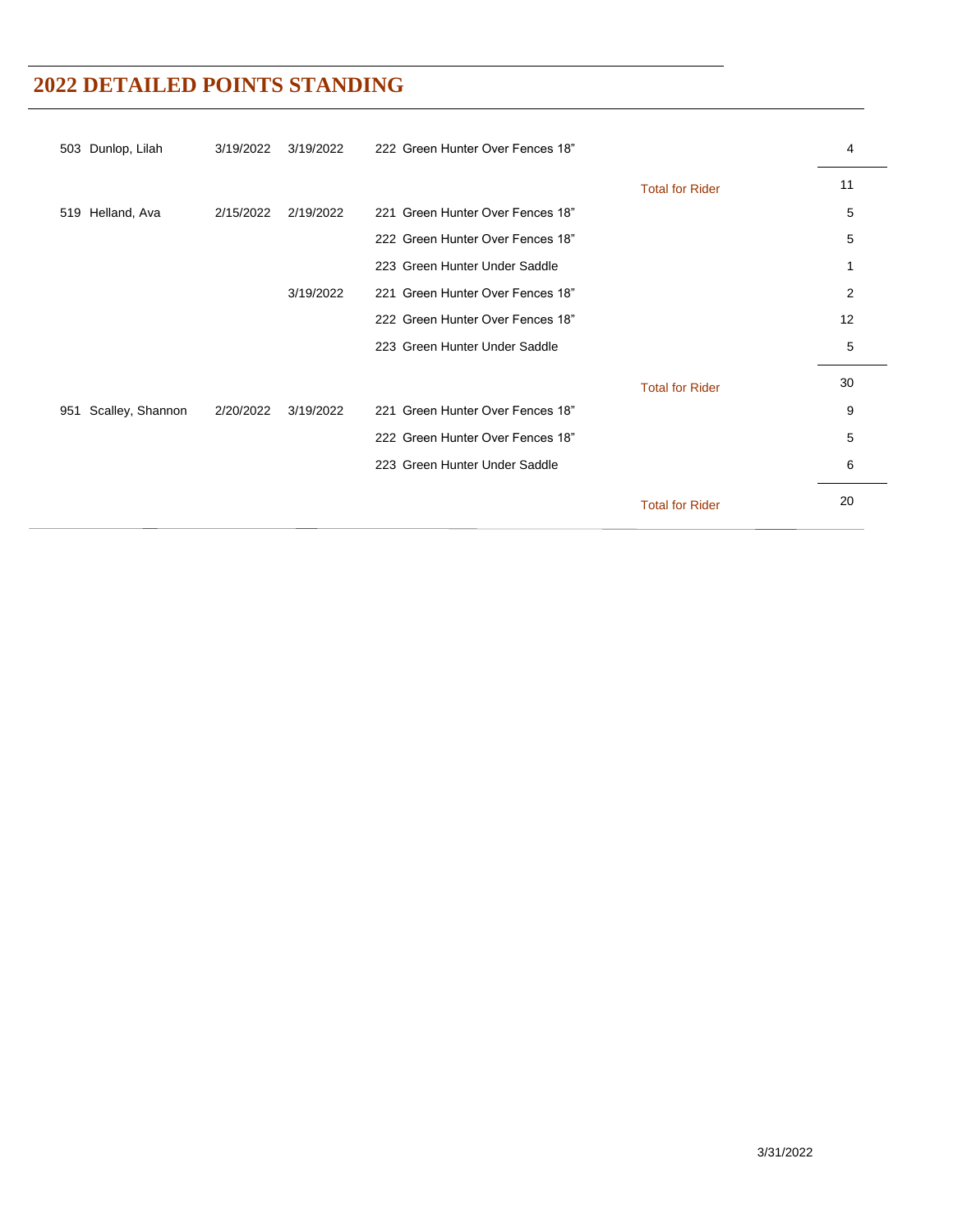| 503 Dunlop, Lilah       | 3/19/2022 | 3/19/2022 | 222 Green Hunter Over Fences 18" |                        | 4  |
|-------------------------|-----------|-----------|----------------------------------|------------------------|----|
|                         |           |           |                                  | <b>Total for Rider</b> | 11 |
| 519 Helland, Ava        | 2/15/2022 | 2/19/2022 | 221 Green Hunter Over Fences 18" |                        | 5  |
|                         |           |           | 222 Green Hunter Over Fences 18" |                        | 5  |
|                         |           |           | 223 Green Hunter Under Saddle    |                        | 1  |
|                         |           | 3/19/2022 | 221 Green Hunter Over Fences 18" |                        | 2  |
|                         |           |           | 222 Green Hunter Over Fences 18" |                        | 12 |
|                         |           |           | 223 Green Hunter Under Saddle    |                        | 5  |
|                         |           |           |                                  | <b>Total for Rider</b> | 30 |
| Scalley, Shannon<br>951 | 2/20/2022 | 3/19/2022 | 221 Green Hunter Over Fences 18" |                        | 9  |
|                         |           |           | 222 Green Hunter Over Fences 18" |                        | 5  |
|                         |           |           | 223 Green Hunter Under Saddle    |                        | 6  |
|                         |           |           |                                  | <b>Total for Rider</b> | 20 |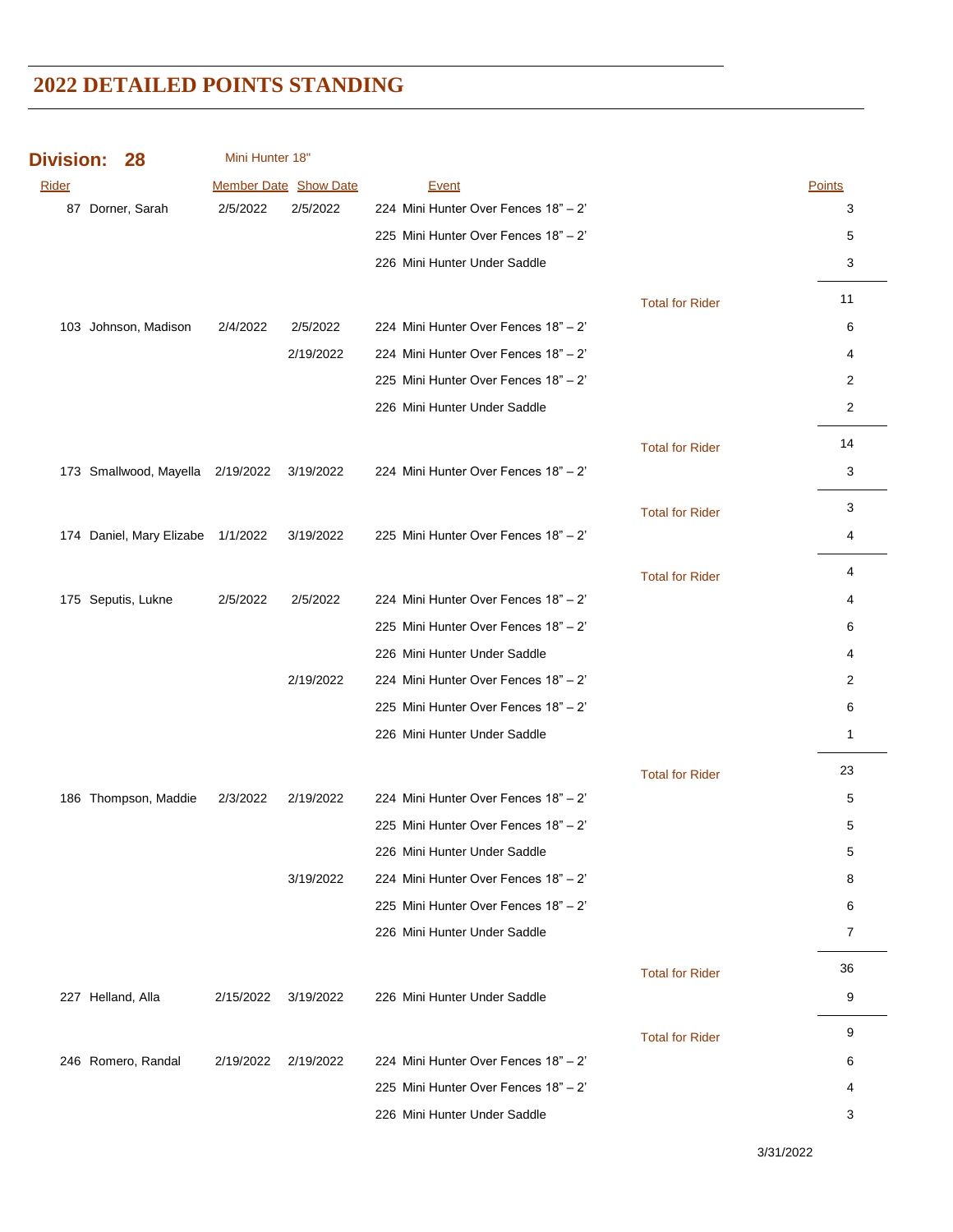| <b>Division:</b> | 28                                | Mini Hunter 18"       |           |                                      |                        |                |
|------------------|-----------------------------------|-----------------------|-----------|--------------------------------------|------------------------|----------------|
| <b>Rider</b>     |                                   | Member Date Show Date |           | <b>Event</b>                         |                        | <b>Points</b>  |
|                  | 87 Dorner, Sarah                  | 2/5/2022              | 2/5/2022  | 224 Mini Hunter Over Fences 18" - 2" |                        | 3              |
|                  |                                   |                       |           | 225 Mini Hunter Over Fences 18" - 2' |                        | 5              |
|                  |                                   |                       |           | 226 Mini Hunter Under Saddle         |                        | 3              |
|                  |                                   |                       |           |                                      | <b>Total for Rider</b> | 11             |
|                  | 103 Johnson, Madison              | 2/4/2022              | 2/5/2022  | 224 Mini Hunter Over Fences 18" - 2" |                        | 6              |
|                  |                                   |                       | 2/19/2022 | 224 Mini Hunter Over Fences 18" - 2" |                        | 4              |
|                  |                                   |                       |           | 225 Mini Hunter Over Fences 18" - 2" |                        | 2              |
|                  |                                   |                       |           | 226 Mini Hunter Under Saddle         |                        | $\overline{c}$ |
|                  |                                   |                       |           |                                      | <b>Total for Rider</b> | 14             |
|                  | 173 Smallwood, Mayella 2/19/2022  |                       | 3/19/2022 | 224 Mini Hunter Over Fences 18" - 2" |                        | 3              |
|                  |                                   |                       |           |                                      | <b>Total for Rider</b> | 3              |
|                  | 174 Daniel, Mary Elizabe 1/1/2022 |                       | 3/19/2022 | 225 Mini Hunter Over Fences 18" - 2" |                        | 4              |
|                  |                                   |                       |           |                                      |                        |                |
|                  |                                   |                       |           |                                      | <b>Total for Rider</b> | 4              |
|                  | 175 Seputis, Lukne                | 2/5/2022              | 2/5/2022  | 224 Mini Hunter Over Fences 18" - 2" |                        | 4              |
|                  |                                   |                       |           | 225 Mini Hunter Over Fences 18" - 2" |                        | 6              |
|                  |                                   |                       |           | 226 Mini Hunter Under Saddle         |                        | 4              |
|                  |                                   |                       | 2/19/2022 | 224 Mini Hunter Over Fences 18" - 2" |                        | 2              |
|                  |                                   |                       |           | 225 Mini Hunter Over Fences 18" - 2" |                        | 6              |
|                  |                                   |                       |           | 226 Mini Hunter Under Saddle         |                        | $\mathbf{1}$   |
|                  |                                   |                       |           |                                      | <b>Total for Rider</b> | 23             |
|                  | 186 Thompson, Maddie              | 2/3/2022              | 2/19/2022 | 224 Mini Hunter Over Fences 18" - 2" |                        | 5              |
|                  |                                   |                       |           | 225 Mini Hunter Over Fences 18" - 2" |                        | 5              |
|                  |                                   |                       |           | 226 Mini Hunter Under Saddle         |                        | 5              |
|                  |                                   |                       | 3/19/2022 | 224 Mini Hunter Over Fences 18" - 2" |                        | 8              |
|                  |                                   |                       |           | 225 Mini Hunter Over Fences 18" - 2" |                        | 6              |
|                  |                                   |                       |           | 226 Mini Hunter Under Saddle         |                        | 7              |
|                  |                                   |                       |           |                                      | <b>Total for Rider</b> | 36             |
|                  | 227 Helland, Alla                 | 2/15/2022             | 3/19/2022 | 226 Mini Hunter Under Saddle         |                        | 9              |
|                  |                                   |                       |           |                                      | <b>Total for Rider</b> | 9              |
|                  | 246 Romero, Randal                | 2/19/2022             | 2/19/2022 | 224 Mini Hunter Over Fences 18" - 2" |                        | 6              |
|                  |                                   |                       |           | 225 Mini Hunter Over Fences 18" - 2" |                        | 4              |
|                  |                                   |                       |           | 226 Mini Hunter Under Saddle         |                        | 3              |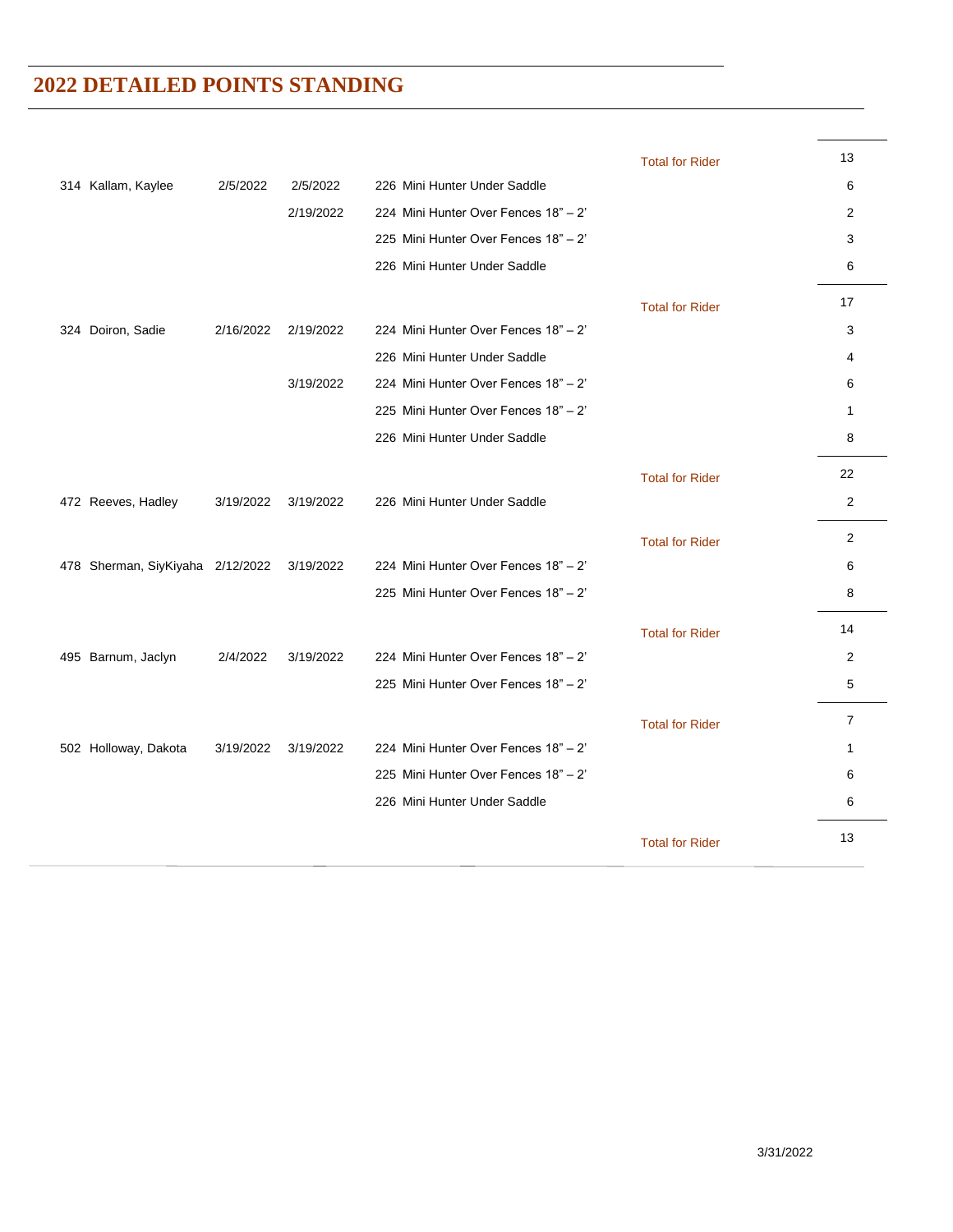|                      |                                  |           |                                      | <b>Total for Rider</b> | 13             |
|----------------------|----------------------------------|-----------|--------------------------------------|------------------------|----------------|
| 314 Kallam, Kaylee   | 2/5/2022                         | 2/5/2022  | 226 Mini Hunter Under Saddle         |                        | 6              |
|                      |                                  | 2/19/2022 | 224 Mini Hunter Over Fences 18" - 2" |                        | 2              |
|                      |                                  |           | 225 Mini Hunter Over Fences 18" - 2" |                        | 3              |
|                      |                                  |           | 226 Mini Hunter Under Saddle         |                        | 6              |
|                      |                                  |           |                                      | <b>Total for Rider</b> | 17             |
| 324 Doiron, Sadie    | 2/16/2022                        | 2/19/2022 | 224 Mini Hunter Over Fences 18" - 2" |                        | 3              |
|                      |                                  |           | 226 Mini Hunter Under Saddle         |                        | 4              |
|                      |                                  | 3/19/2022 | 224 Mini Hunter Over Fences 18" - 2" |                        | 6              |
|                      |                                  |           | 225 Mini Hunter Over Fences 18" - 2" |                        | 1              |
|                      |                                  |           | 226 Mini Hunter Under Saddle         |                        | 8              |
|                      |                                  |           |                                      | <b>Total for Rider</b> | 22             |
| 472 Reeves, Hadley   | 3/19/2022                        | 3/19/2022 | 226 Mini Hunter Under Saddle         |                        | 2              |
|                      |                                  |           |                                      | <b>Total for Rider</b> | $\overline{2}$ |
|                      | 478 Sherman, SiyKiyaha 2/12/2022 | 3/19/2022 | 224 Mini Hunter Over Fences 18" - 2" |                        | 6              |
|                      |                                  |           | 225 Mini Hunter Over Fences 18" - 2" |                        | 8              |
|                      |                                  |           |                                      | <b>Total for Rider</b> | 14             |
| 495 Barnum, Jaclyn   | 2/4/2022                         | 3/19/2022 | 224 Mini Hunter Over Fences 18" - 2" |                        | 2              |
|                      |                                  |           | 225 Mini Hunter Over Fences 18" - 2" |                        | 5              |
|                      |                                  |           |                                      | <b>Total for Rider</b> | $\overline{7}$ |
| 502 Holloway, Dakota | 3/19/2022                        | 3/19/2022 | 224 Mini Hunter Over Fences 18" - 2" |                        | $\mathbf{1}$   |
|                      |                                  |           | 225 Mini Hunter Over Fences 18" - 2" |                        | 6              |
|                      |                                  |           | 226 Mini Hunter Under Saddle         |                        | 6              |
|                      |                                  |           |                                      | <b>Total for Rider</b> | 13             |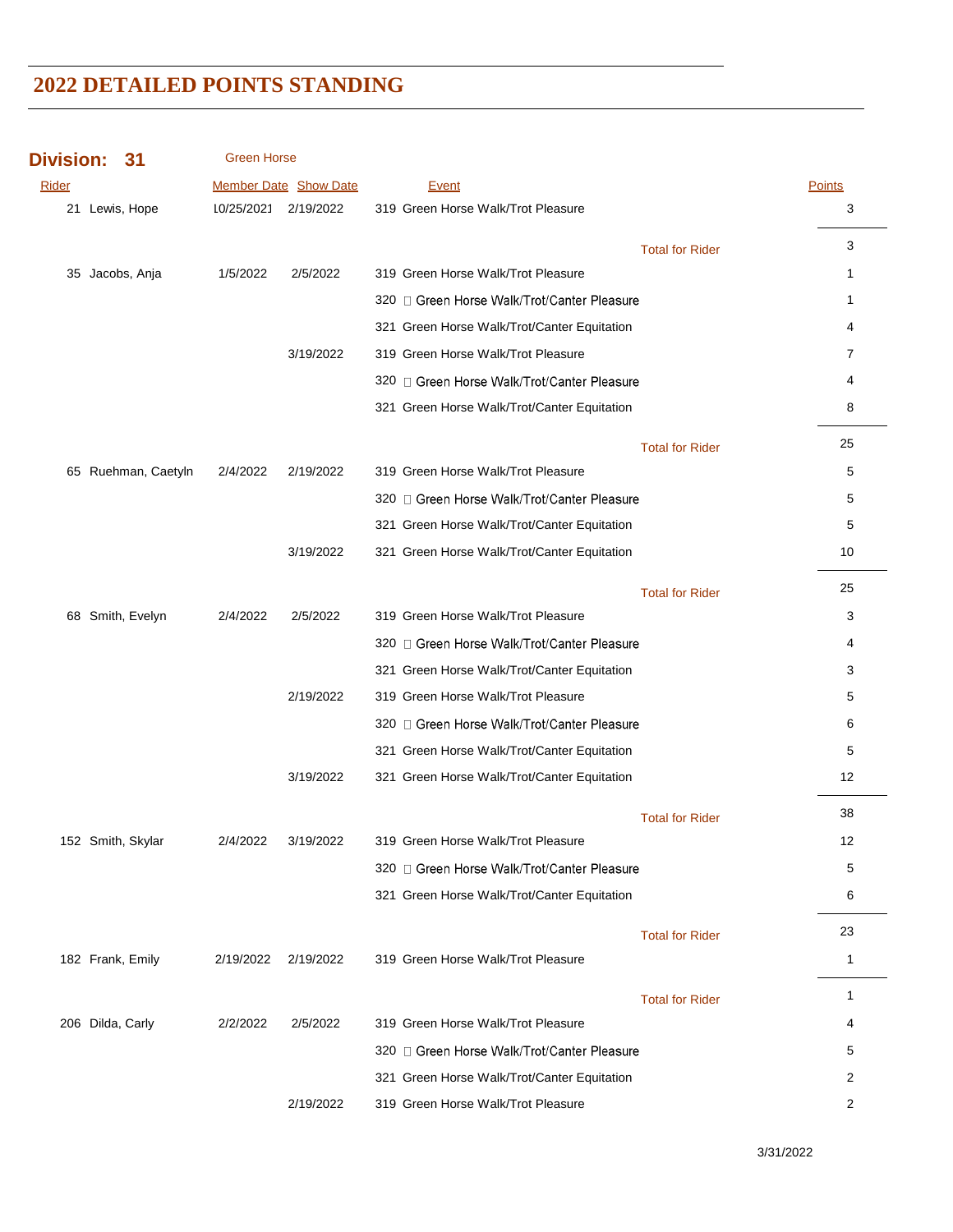| <b>Division:</b><br>31 |                     | <b>Green Horse</b> |                              |                                             |                        |               |
|------------------------|---------------------|--------------------|------------------------------|---------------------------------------------|------------------------|---------------|
| Rider                  |                     |                    | <b>Member Date Show Date</b> | Event                                       |                        | <b>Points</b> |
|                        | 21 Lewis, Hope      |                    | 10/25/2021 2/19/2022         | 319 Green Horse Walk/Trot Pleasure          |                        | 3             |
|                        |                     |                    |                              |                                             | <b>Total for Rider</b> | 3             |
|                        | 35 Jacobs, Anja     | 1/5/2022           | 2/5/2022                     | 319 Green Horse Walk/Trot Pleasure          |                        | 1             |
|                        |                     |                    |                              | 320 □ Green Horse Walk/Trot/Canter Pleasure |                        | $\mathbf{1}$  |
|                        |                     |                    |                              | 321 Green Horse Walk/Trot/Canter Equitation |                        | 4             |
|                        |                     |                    | 3/19/2022                    | 319 Green Horse Walk/Trot Pleasure          |                        | 7             |
|                        |                     |                    |                              | 320 C Green Horse Walk/Trot/Canter Pleasure |                        | 4             |
|                        |                     |                    |                              | 321 Green Horse Walk/Trot/Canter Equitation |                        | 8             |
|                        |                     |                    |                              |                                             | <b>Total for Rider</b> | 25            |
|                        | 65 Ruehman, Caetyln | 2/4/2022           | 2/19/2022                    | 319 Green Horse Walk/Trot Pleasure          |                        | 5             |
|                        |                     |                    |                              | 320 □ Green Horse Walk/Trot/Canter Pleasure |                        | 5             |
|                        |                     |                    |                              | 321 Green Horse Walk/Trot/Canter Equitation |                        | 5             |
|                        |                     |                    | 3/19/2022                    | 321 Green Horse Walk/Trot/Canter Equitation |                        | 10            |
|                        |                     |                    |                              |                                             | <b>Total for Rider</b> | 25            |
|                        | 68 Smith, Evelyn    | 2/4/2022           | 2/5/2022                     | 319 Green Horse Walk/Trot Pleasure          |                        | 3             |
|                        |                     |                    |                              | 320 □ Green Horse Walk/Trot/Canter Pleasure |                        | 4             |
|                        |                     |                    |                              | 321 Green Horse Walk/Trot/Canter Equitation |                        | 3             |
|                        |                     |                    | 2/19/2022                    | 319 Green Horse Walk/Trot Pleasure          |                        | 5             |
|                        |                     |                    |                              | 320 □ Green Horse Walk/Trot/Canter Pleasure |                        | 6             |
|                        |                     |                    |                              | 321 Green Horse Walk/Trot/Canter Equitation |                        | 5             |
|                        |                     |                    | 3/19/2022                    | 321 Green Horse Walk/Trot/Canter Equitation |                        | 12            |
|                        |                     |                    |                              |                                             | <b>Total for Rider</b> | 38            |
|                        | 152 Smith, Skylar   | 2/4/2022           | 3/19/2022                    | 319 Green Horse Walk/Trot Pleasure          |                        | 12            |
|                        |                     |                    |                              | 320 □ Green Horse Walk/Trot/Canter Pleasure |                        | 5             |
|                        |                     |                    |                              | 321 Green Horse Walk/Trot/Canter Equitation |                        | 6             |
|                        |                     |                    |                              |                                             | <b>Total for Rider</b> | 23            |
|                        | 182 Frank, Emily    | 2/19/2022          | 2/19/2022                    | 319 Green Horse Walk/Trot Pleasure          |                        | $\mathbf{1}$  |
|                        |                     |                    |                              |                                             | <b>Total for Rider</b> | $\mathbf{1}$  |
|                        | 206 Dilda, Carly    | 2/2/2022           | 2/5/2022                     | 319 Green Horse Walk/Trot Pleasure          |                        | 4             |
|                        |                     |                    |                              | 320 Green Horse Walk/Trot/Canter Pleasure   |                        | 5             |
|                        |                     |                    |                              | 321 Green Horse Walk/Trot/Canter Equitation |                        | 2             |
|                        |                     |                    | 2/19/2022                    | 319 Green Horse Walk/Trot Pleasure          |                        | 2             |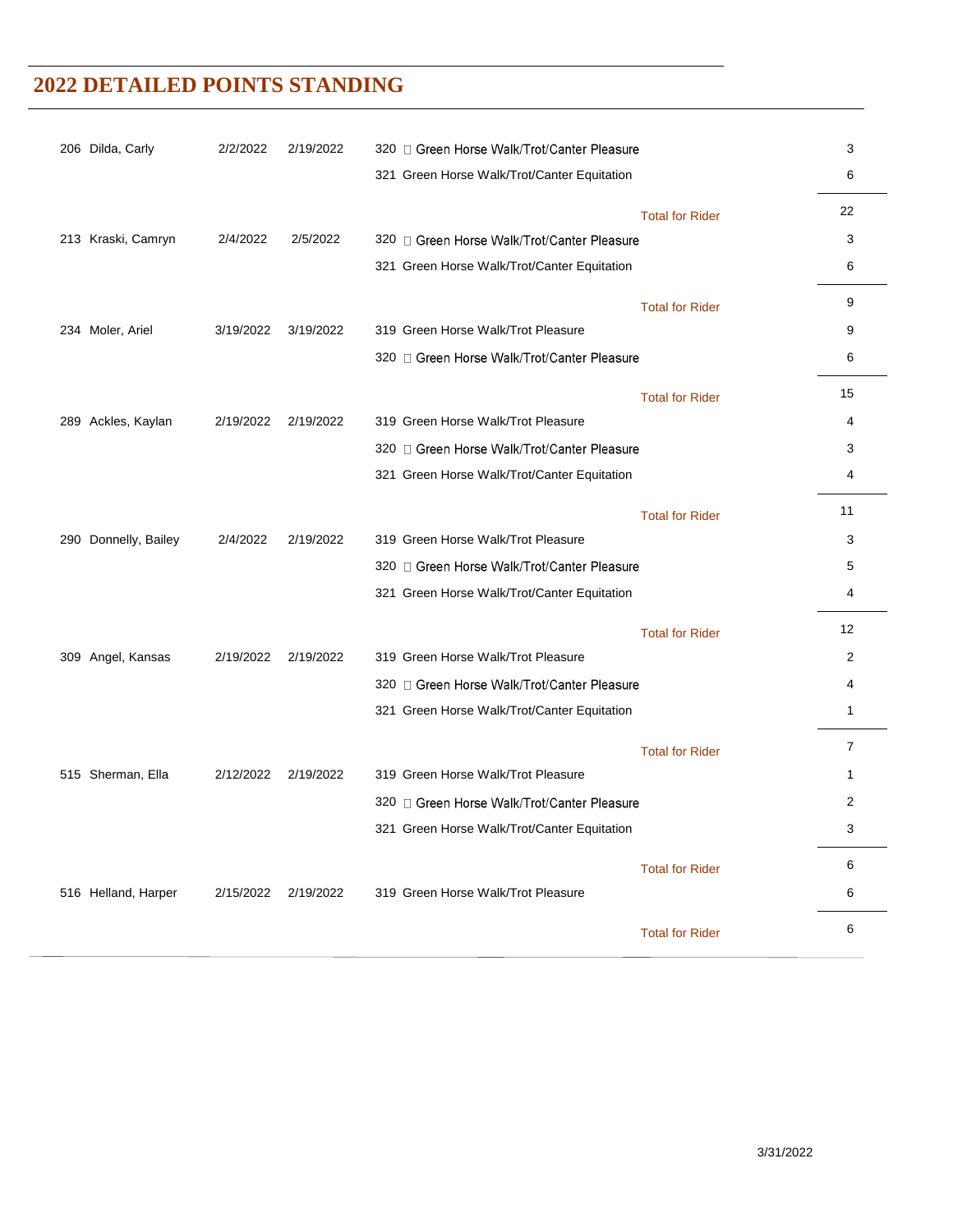| 206 Dilda, Carly     | 2/2/2022  | 2/19/2022 | 320 C Green Horse Walk/Trot/Canter Pleasure |                        | 3                 |
|----------------------|-----------|-----------|---------------------------------------------|------------------------|-------------------|
|                      |           |           | 321 Green Horse Walk/Trot/Canter Equitation |                        | 6                 |
|                      |           |           |                                             | <b>Total for Rider</b> | 22                |
| 213 Kraski, Camryn   | 2/4/2022  | 2/5/2022  | 320 □ Green Horse Walk/Trot/Canter Pleasure |                        | 3                 |
|                      |           |           | 321 Green Horse Walk/Trot/Canter Equitation |                        | 6                 |
|                      |           |           |                                             | <b>Total for Rider</b> | 9                 |
| 234 Moler, Ariel     | 3/19/2022 | 3/19/2022 | 319 Green Horse Walk/Trot Pleasure          |                        | 9                 |
|                      |           |           | 320 □ Green Horse Walk/Trot/Canter Pleasure |                        | 6                 |
|                      |           |           |                                             | <b>Total for Rider</b> | 15                |
| 289 Ackles, Kaylan   | 2/19/2022 | 2/19/2022 | 319 Green Horse Walk/Trot Pleasure          |                        | 4                 |
|                      |           |           | 320 □ Green Horse Walk/Trot/Canter Pleasure |                        | 3                 |
|                      |           |           | 321 Green Horse Walk/Trot/Canter Equitation |                        | 4                 |
|                      |           |           |                                             | <b>Total for Rider</b> | 11                |
| 290 Donnelly, Bailey | 2/4/2022  | 2/19/2022 | 319 Green Horse Walk/Trot Pleasure          |                        | 3                 |
|                      |           |           | 320 □ Green Horse Walk/Trot/Canter Pleasure |                        | 5                 |
|                      |           |           | 321 Green Horse Walk/Trot/Canter Equitation |                        | 4                 |
|                      |           |           |                                             | <b>Total for Rider</b> | $12 \overline{ }$ |
| 309 Angel, Kansas    | 2/19/2022 | 2/19/2022 | 319 Green Horse Walk/Trot Pleasure          |                        | 2                 |
|                      |           |           | 320 □ Green Horse Walk/Trot/Canter Pleasure |                        | 4                 |
|                      |           |           | 321 Green Horse Walk/Trot/Canter Equitation |                        | 1                 |
|                      |           |           |                                             | <b>Total for Rider</b> | 7                 |
| 515 Sherman, Ella    | 2/12/2022 | 2/19/2022 | 319 Green Horse Walk/Trot Pleasure          |                        | 1                 |
|                      |           |           | 320 □ Green Horse Walk/Trot/Canter Pleasure |                        | 2                 |
|                      |           |           | 321 Green Horse Walk/Trot/Canter Equitation |                        | 3                 |
|                      |           |           |                                             | <b>Total for Rider</b> | 6                 |
| 516 Helland, Harper  | 2/15/2022 | 2/19/2022 | 319 Green Horse Walk/Trot Pleasure          |                        | 6                 |
|                      |           |           |                                             | <b>Total for Rider</b> | 6                 |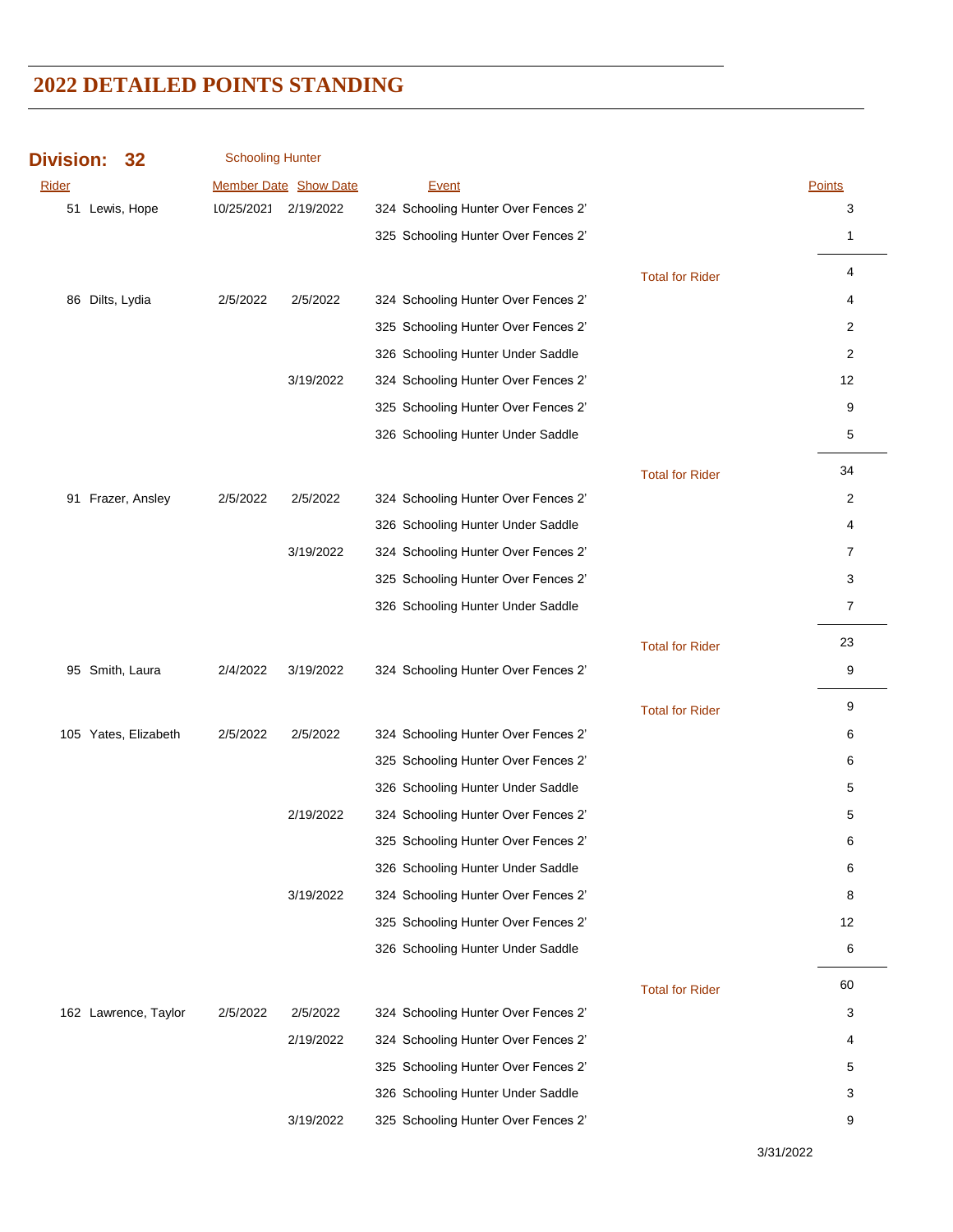| <b>Division:</b> | 32                   | <b>Schooling Hunter</b> |                              |                                     |                        |                |
|------------------|----------------------|-------------------------|------------------------------|-------------------------------------|------------------------|----------------|
| Rider            |                      |                         | <b>Member Date Show Date</b> | Event                               |                        | Points         |
| 51               | Lewis, Hope          | 10/25/2021 2/19/2022    |                              | 324 Schooling Hunter Over Fences 2' |                        | 3              |
|                  |                      |                         |                              | 325 Schooling Hunter Over Fences 2' |                        | $\mathbf{1}$   |
|                  |                      |                         |                              |                                     | <b>Total for Rider</b> | 4              |
|                  | 86 Dilts, Lydia      | 2/5/2022                | 2/5/2022                     | 324 Schooling Hunter Over Fences 2' |                        | 4              |
|                  |                      |                         |                              | 325 Schooling Hunter Over Fences 2' |                        | 2              |
|                  |                      |                         |                              | 326 Schooling Hunter Under Saddle   |                        | 2              |
|                  |                      |                         | 3/19/2022                    | 324 Schooling Hunter Over Fences 2' |                        | 12             |
|                  |                      |                         |                              | 325 Schooling Hunter Over Fences 2' |                        | 9              |
|                  |                      |                         |                              | 326 Schooling Hunter Under Saddle   |                        | 5              |
|                  |                      |                         |                              |                                     | <b>Total for Rider</b> | 34             |
|                  | 91 Frazer, Ansley    | 2/5/2022                | 2/5/2022                     | 324 Schooling Hunter Over Fences 2' |                        | 2              |
|                  |                      |                         |                              | 326 Schooling Hunter Under Saddle   |                        | 4              |
|                  |                      |                         | 3/19/2022                    | 324 Schooling Hunter Over Fences 2' |                        | 7              |
|                  |                      |                         |                              | 325 Schooling Hunter Over Fences 2' |                        | 3              |
|                  |                      |                         |                              | 326 Schooling Hunter Under Saddle   |                        | $\overline{7}$ |
|                  |                      |                         |                              |                                     | <b>Total for Rider</b> | 23             |
|                  | 95 Smith, Laura      | 2/4/2022                | 3/19/2022                    | 324 Schooling Hunter Over Fences 2' |                        | 9              |
|                  |                      |                         |                              |                                     | <b>Total for Rider</b> | 9              |
|                  | 105 Yates, Elizabeth | 2/5/2022                | 2/5/2022                     | 324 Schooling Hunter Over Fences 2' |                        | 6              |
|                  |                      |                         |                              | 325 Schooling Hunter Over Fences 2' |                        | 6              |
|                  |                      |                         |                              | 326 Schooling Hunter Under Saddle   |                        | 5              |
|                  |                      |                         | 2/19/2022                    | 324 Schooling Hunter Over Fences 2' |                        | 5              |
|                  |                      |                         |                              | 325 Schooling Hunter Over Fences 2' |                        | 6              |
|                  |                      |                         |                              | 326 Schooling Hunter Under Saddle   |                        | 6              |
|                  |                      |                         | 3/19/2022                    | 324 Schooling Hunter Over Fences 2' |                        | 8              |
|                  |                      |                         |                              | 325 Schooling Hunter Over Fences 2' |                        | 12             |
|                  |                      |                         |                              | 326 Schooling Hunter Under Saddle   |                        | 6              |
|                  |                      |                         |                              |                                     | <b>Total for Rider</b> | 60             |
|                  | 162 Lawrence, Taylor | 2/5/2022                | 2/5/2022                     | 324 Schooling Hunter Over Fences 2' |                        | 3              |
|                  |                      |                         | 2/19/2022                    | 324 Schooling Hunter Over Fences 2' |                        | 4              |
|                  |                      |                         |                              | 325 Schooling Hunter Over Fences 2' |                        | 5              |
|                  |                      |                         |                              | 326 Schooling Hunter Under Saddle   |                        | 3              |
|                  |                      |                         | 3/19/2022                    | 325 Schooling Hunter Over Fences 2' |                        | 9              |

3/31/2022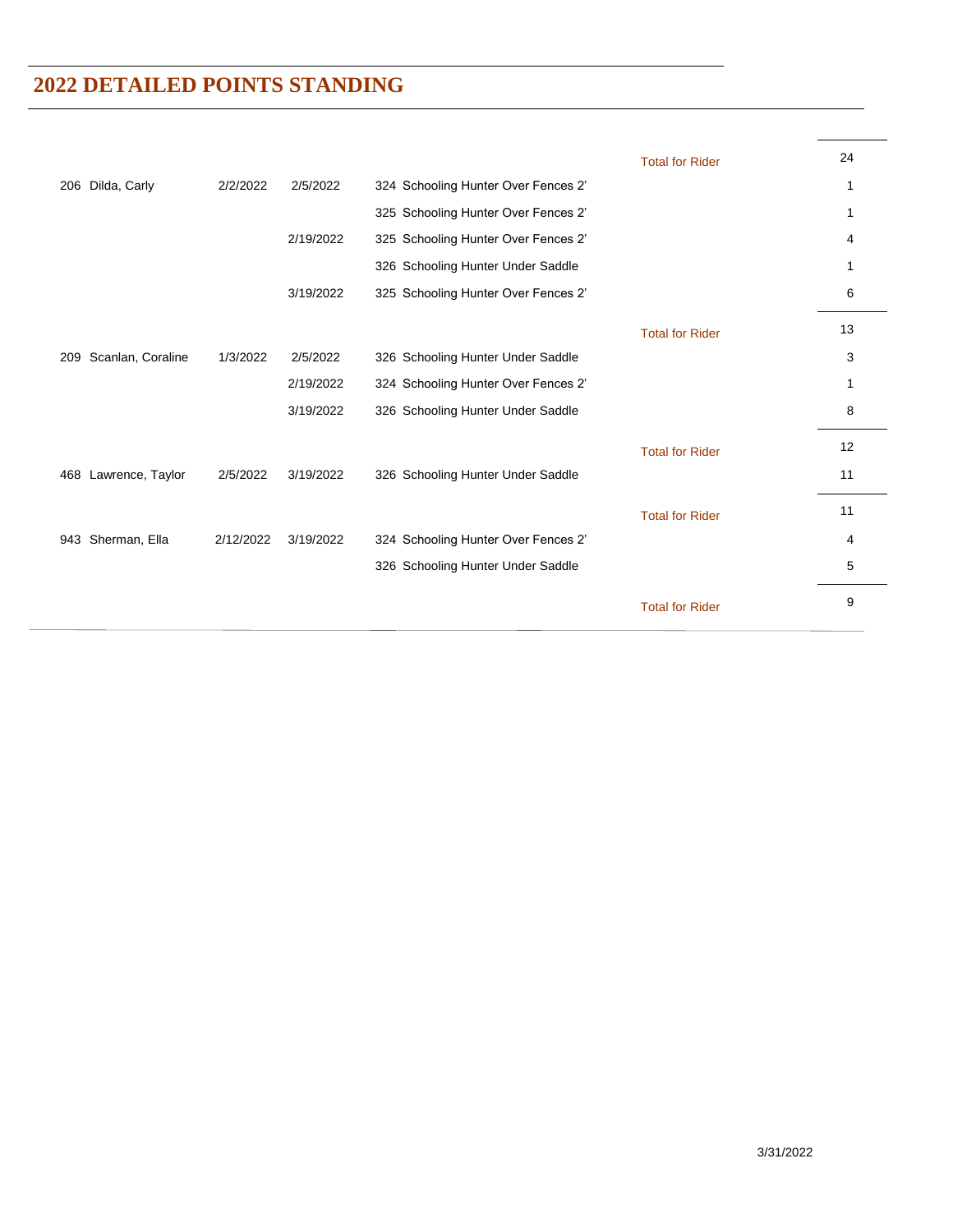|                          |           |           |                                     | <b>Total for Rider</b> | 24 |
|--------------------------|-----------|-----------|-------------------------------------|------------------------|----|
| Dilda, Carly<br>206      | 2/2/2022  | 2/5/2022  | 324 Schooling Hunter Over Fences 2' |                        | 1  |
|                          |           |           | 325 Schooling Hunter Over Fences 2' |                        | 1  |
|                          |           | 2/19/2022 | 325 Schooling Hunter Over Fences 2' |                        | 4  |
|                          |           |           | 326 Schooling Hunter Under Saddle   |                        | 1  |
|                          |           | 3/19/2022 | 325 Schooling Hunter Over Fences 2' |                        | 6  |
|                          |           |           |                                     | <b>Total for Rider</b> | 13 |
| Scanlan, Coraline<br>209 | 1/3/2022  | 2/5/2022  | 326 Schooling Hunter Under Saddle   |                        | 3  |
|                          |           | 2/19/2022 | 324 Schooling Hunter Over Fences 2' |                        | 1  |
|                          |           | 3/19/2022 | 326 Schooling Hunter Under Saddle   |                        | 8  |
|                          |           |           |                                     | <b>Total for Rider</b> | 12 |
| 468 Lawrence, Taylor     | 2/5/2022  | 3/19/2022 | 326 Schooling Hunter Under Saddle   |                        | 11 |
|                          |           |           |                                     | <b>Total for Rider</b> | 11 |
| Sherman, Ella<br>943     | 2/12/2022 | 3/19/2022 | 324 Schooling Hunter Over Fences 2' |                        | 4  |
|                          |           |           | 326 Schooling Hunter Under Saddle   |                        | 5  |
|                          |           |           |                                     | <b>Total for Rider</b> | 9  |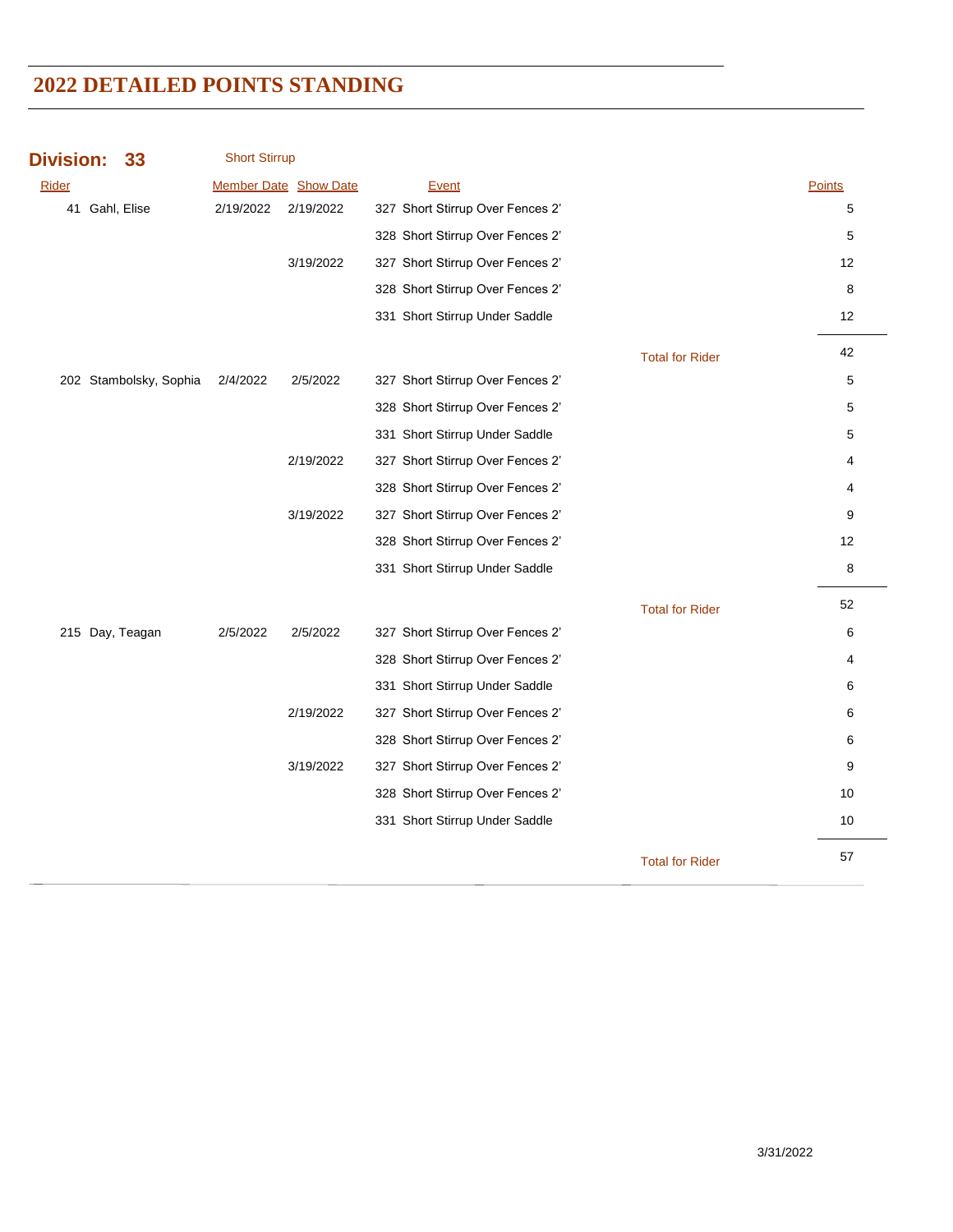| <b>Division:</b> | 33                     | <b>Short Stirrup</b> |                              |                                  |                        |               |
|------------------|------------------------|----------------------|------------------------------|----------------------------------|------------------------|---------------|
| Rider            |                        |                      | <b>Member Date Show Date</b> | Event                            |                        | <b>Points</b> |
|                  | 41 Gahl, Elise         | 2/19/2022            | 2/19/2022                    | 327 Short Stirrup Over Fences 2' |                        | 5             |
|                  |                        |                      |                              | 328 Short Stirrup Over Fences 2' |                        | 5             |
|                  |                        |                      | 3/19/2022                    | 327 Short Stirrup Over Fences 2' |                        | 12            |
|                  |                        |                      |                              | 328 Short Stirrup Over Fences 2' |                        | 8             |
|                  |                        |                      |                              | 331 Short Stirrup Under Saddle   |                        | 12            |
|                  |                        |                      |                              |                                  | <b>Total for Rider</b> | 42            |
|                  | 202 Stambolsky, Sophia | 2/4/2022             | 2/5/2022                     | 327 Short Stirrup Over Fences 2' |                        | 5             |
|                  |                        |                      |                              | 328 Short Stirrup Over Fences 2' |                        | 5             |
|                  |                        |                      |                              | 331 Short Stirrup Under Saddle   |                        | 5             |
|                  |                        |                      | 2/19/2022                    | 327 Short Stirrup Over Fences 2' |                        | 4             |
|                  |                        |                      |                              | 328 Short Stirrup Over Fences 2' |                        | 4             |
|                  |                        |                      | 3/19/2022                    | 327 Short Stirrup Over Fences 2' |                        | 9             |
|                  |                        |                      |                              | 328 Short Stirrup Over Fences 2' |                        | 12            |
|                  |                        |                      |                              | 331 Short Stirrup Under Saddle   |                        | 8             |
|                  |                        |                      |                              |                                  | <b>Total for Rider</b> | 52            |
|                  | 215 Day, Teagan        | 2/5/2022             | 2/5/2022                     | 327 Short Stirrup Over Fences 2' |                        | 6             |
|                  |                        |                      |                              | 328 Short Stirrup Over Fences 2' |                        | 4             |
|                  |                        |                      |                              | 331 Short Stirrup Under Saddle   |                        | 6             |
|                  |                        |                      | 2/19/2022                    | 327 Short Stirrup Over Fences 2' |                        | 6             |
|                  |                        |                      |                              | 328 Short Stirrup Over Fences 2' |                        | 6             |
|                  |                        |                      | 3/19/2022                    | 327 Short Stirrup Over Fences 2' |                        | 9             |
|                  |                        |                      |                              | 328 Short Stirrup Over Fences 2' |                        | 10            |
|                  |                        |                      |                              | 331 Short Stirrup Under Saddle   |                        | 10            |
|                  |                        |                      |                              |                                  | <b>Total for Rider</b> | 57            |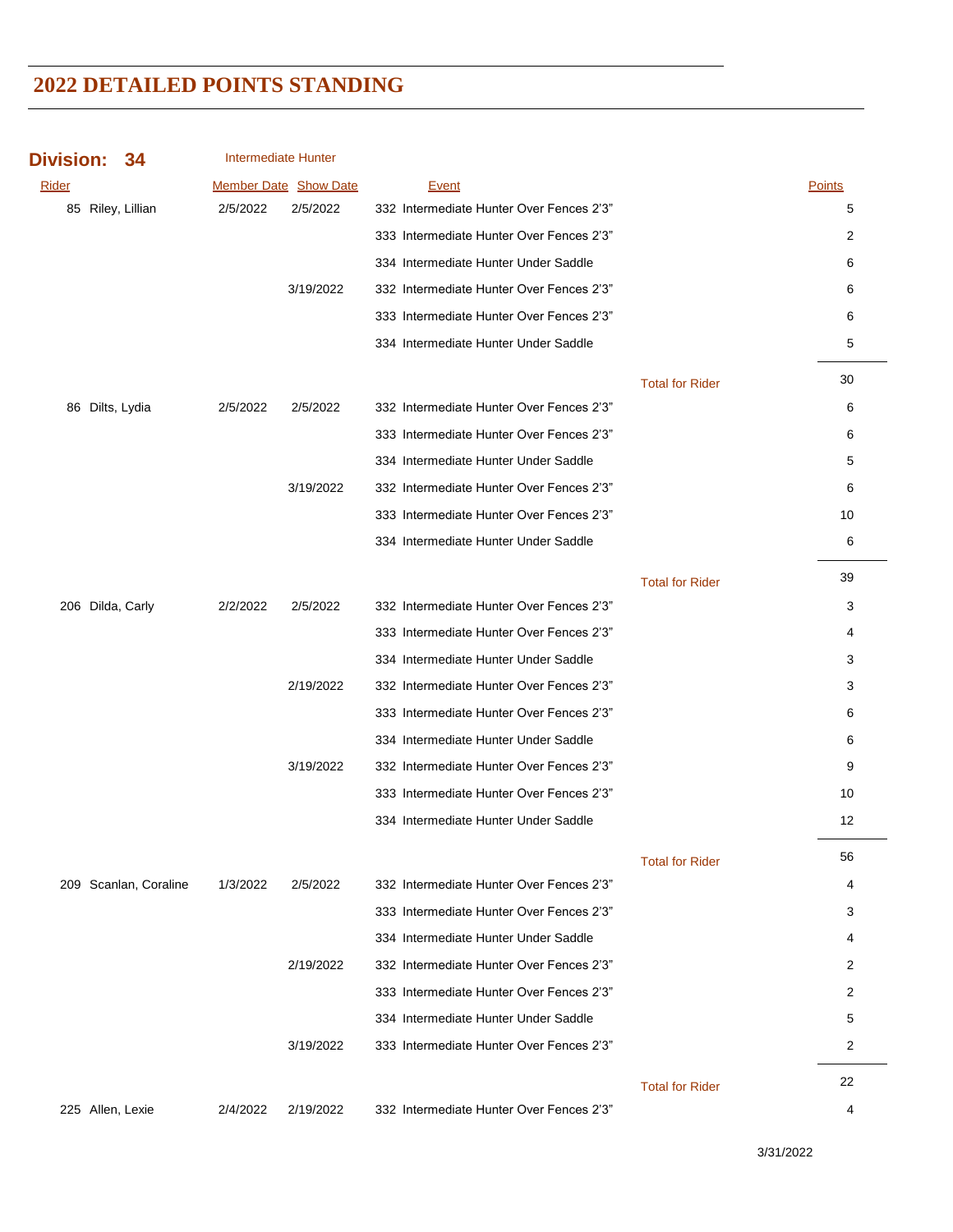| <b>Division:</b>  | 34                    | Intermediate Hunter |                              |                                          |                        |                |
|-------------------|-----------------------|---------------------|------------------------------|------------------------------------------|------------------------|----------------|
| Rider             |                       |                     | <b>Member Date Show Date</b> | Event                                    |                        | <b>Points</b>  |
| 85 Riley, Lillian |                       | 2/5/2022            | 2/5/2022                     | 332 Intermediate Hunter Over Fences 2'3" |                        | 5              |
|                   |                       |                     |                              | 333 Intermediate Hunter Over Fences 2'3" |                        | $\overline{2}$ |
|                   |                       |                     |                              | 334 Intermediate Hunter Under Saddle     |                        | 6              |
|                   |                       |                     | 3/19/2022                    | 332 Intermediate Hunter Over Fences 2'3" |                        | 6              |
|                   |                       |                     |                              | 333 Intermediate Hunter Over Fences 2'3" |                        | 6              |
|                   |                       |                     |                              | 334 Intermediate Hunter Under Saddle     |                        | 5              |
|                   |                       |                     |                              |                                          | <b>Total for Rider</b> | 30             |
| 86 Dilts, Lydia   |                       | 2/5/2022            | 2/5/2022                     | 332 Intermediate Hunter Over Fences 2'3" |                        | 6              |
|                   |                       |                     |                              | 333 Intermediate Hunter Over Fences 2'3" |                        | 6              |
|                   |                       |                     |                              | 334 Intermediate Hunter Under Saddle     |                        | 5              |
|                   |                       |                     | 3/19/2022                    | 332 Intermediate Hunter Over Fences 2'3" |                        | 6              |
|                   |                       |                     |                              | 333 Intermediate Hunter Over Fences 2'3" |                        | 10             |
|                   |                       |                     |                              | 334 Intermediate Hunter Under Saddle     |                        | 6              |
|                   |                       |                     |                              |                                          | <b>Total for Rider</b> | 39             |
| 206 Dilda, Carly  |                       | 2/2/2022            | 2/5/2022                     | 332 Intermediate Hunter Over Fences 2'3" |                        | 3              |
|                   |                       |                     |                              | 333 Intermediate Hunter Over Fences 2'3" |                        | 4              |
|                   |                       |                     |                              | 334 Intermediate Hunter Under Saddle     |                        | 3              |
|                   |                       |                     | 2/19/2022                    | 332 Intermediate Hunter Over Fences 2'3" |                        | 3              |
|                   |                       |                     |                              | 333 Intermediate Hunter Over Fences 2'3" |                        | 6              |
|                   |                       |                     |                              | 334 Intermediate Hunter Under Saddle     |                        | 6              |
|                   |                       |                     | 3/19/2022                    | 332 Intermediate Hunter Over Fences 2'3" |                        | 9              |
|                   |                       |                     |                              | 333 Intermediate Hunter Over Fences 2'3" |                        | 10             |
|                   |                       |                     |                              | 334 Intermediate Hunter Under Saddle     |                        | 12             |
|                   |                       |                     |                              |                                          | <b>Total for Rider</b> | 56             |
|                   | 209 Scanlan, Coraline | 1/3/2022            | 2/5/2022                     | 332 Intermediate Hunter Over Fences 2'3" |                        | 4              |
|                   |                       |                     |                              | 333 Intermediate Hunter Over Fences 2'3" |                        | 3              |
|                   |                       |                     |                              | 334 Intermediate Hunter Under Saddle     |                        | 4              |
|                   |                       |                     | 2/19/2022                    | 332 Intermediate Hunter Over Fences 2'3" |                        | 2              |
|                   |                       |                     |                              | 333 Intermediate Hunter Over Fences 2'3" |                        | 2              |
|                   |                       |                     |                              | 334 Intermediate Hunter Under Saddle     |                        | 5              |
|                   |                       |                     | 3/19/2022                    | 333 Intermediate Hunter Over Fences 2'3" |                        | $\overline{c}$ |
|                   |                       |                     |                              |                                          | <b>Total for Rider</b> | 22             |
| 225 Allen, Lexie  |                       | 2/4/2022            | 2/19/2022                    | 332 Intermediate Hunter Over Fences 2'3" |                        | 4              |

3/31/2022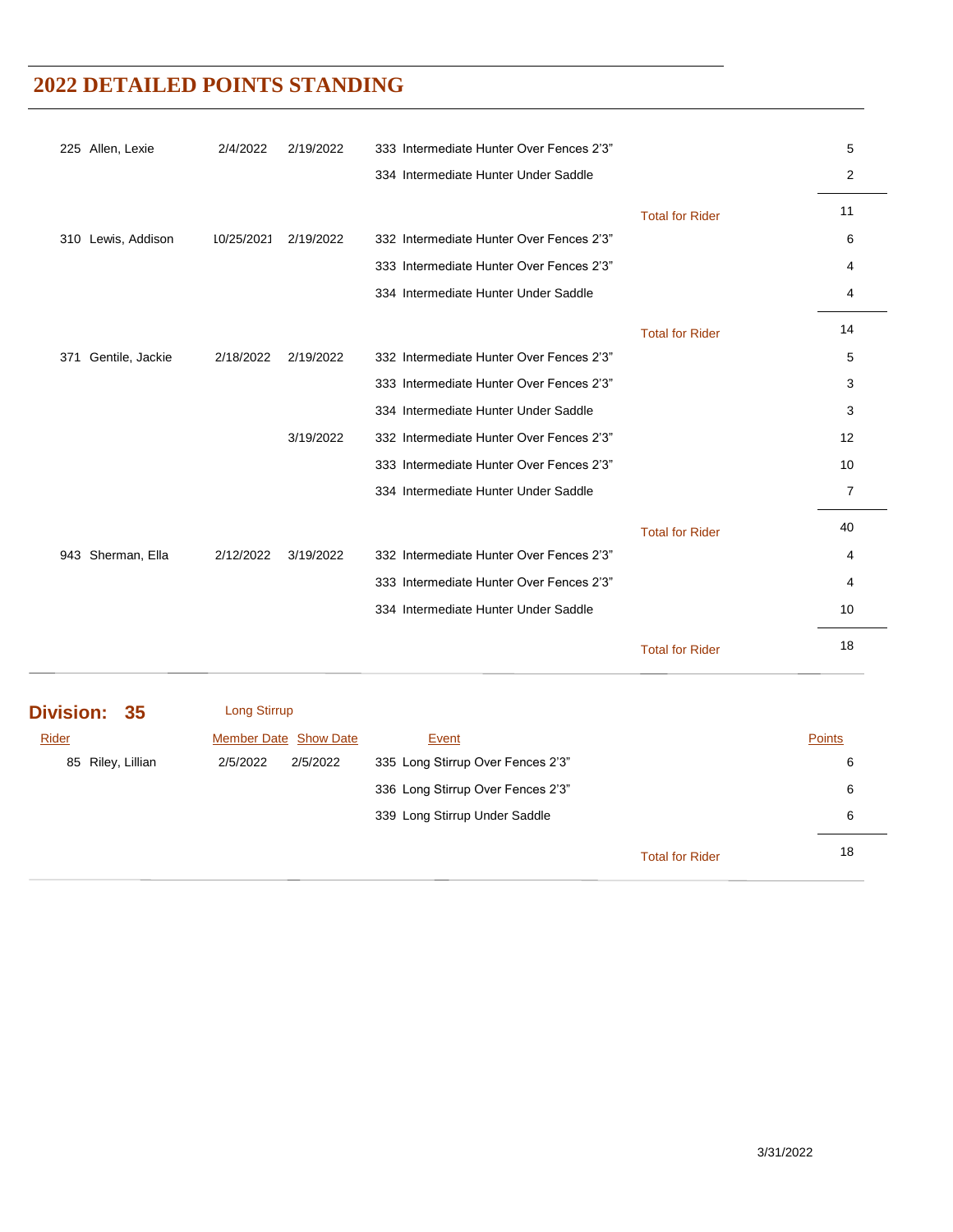| 225 Allen, Lexie       | 2/4/2022   | 2/19/2022 | 333 Intermediate Hunter Over Fences 2'3" |                        | 5              |
|------------------------|------------|-----------|------------------------------------------|------------------------|----------------|
|                        |            |           | 334 Intermediate Hunter Under Saddle     |                        | 2              |
|                        |            |           |                                          | <b>Total for Rider</b> | 11             |
| 310 Lewis, Addison     | 10/25/2021 | 2/19/2022 | 332 Intermediate Hunter Over Fences 2'3" |                        | 6              |
|                        |            |           | 333 Intermediate Hunter Over Fences 2'3" |                        | 4              |
|                        |            |           | 334 Intermediate Hunter Under Saddle     |                        | 4              |
|                        |            |           |                                          | <b>Total for Rider</b> | 14             |
| Gentile, Jackie<br>371 | 2/18/2022  | 2/19/2022 | 332 Intermediate Hunter Over Fences 2'3" |                        | 5              |
|                        |            |           | 333 Intermediate Hunter Over Fences 2'3" |                        | 3              |
|                        |            |           | 334 Intermediate Hunter Under Saddle     |                        | 3              |
|                        |            | 3/19/2022 | 332 Intermediate Hunter Over Fences 2'3" |                        | 12             |
|                        |            |           | 333 Intermediate Hunter Over Fences 2'3" |                        | 10             |
|                        |            |           | 334 Intermediate Hunter Under Saddle     |                        | $\overline{7}$ |
|                        |            |           |                                          | <b>Total for Rider</b> | 40             |
| 943 Sherman, Ella      | 2/12/2022  | 3/19/2022 | 332 Intermediate Hunter Over Fences 2'3" |                        | 4              |
|                        |            |           | 333 Intermediate Hunter Over Fences 2'3" |                        | 4              |
|                        |            |           | 334 Intermediate Hunter Under Saddle     |                        | 10             |
|                        |            |           |                                          | <b>Total for Rider</b> | 18             |

| Division: 35      | Long Stirrup                 |          |                                   |                        |               |
|-------------------|------------------------------|----------|-----------------------------------|------------------------|---------------|
| Rider             | <b>Member Date Show Date</b> |          | Event                             |                        | <b>Points</b> |
| 85 Riley, Lillian | 2/5/2022                     | 2/5/2022 | 335 Long Stirrup Over Fences 2'3" |                        | 6             |
|                   |                              |          | 336 Long Stirrup Over Fences 2'3" |                        | 6             |
|                   |                              |          | 339 Long Stirrup Under Saddle     |                        | 6             |
|                   |                              |          |                                   | <b>Total for Rider</b> | 18            |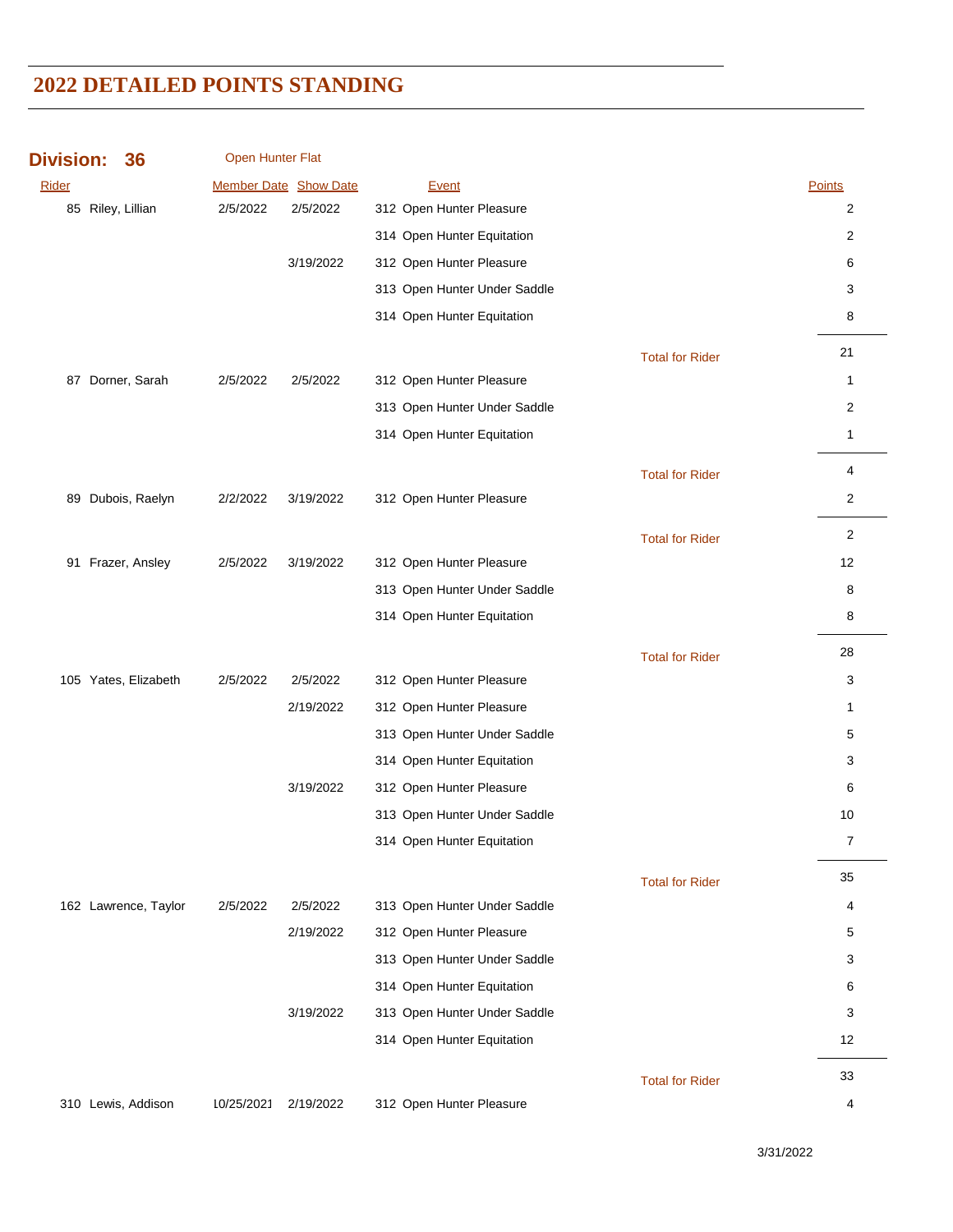| <b>Division:</b> | 36                   | Open Hunter Flat |                       |                              |                        |                |
|------------------|----------------------|------------------|-----------------------|------------------------------|------------------------|----------------|
| Rider            |                      |                  | Member Date Show Date | Event                        |                        | Points         |
|                  | 85 Riley, Lillian    | 2/5/2022         | 2/5/2022              | 312 Open Hunter Pleasure     |                        | 2              |
|                  |                      |                  |                       | 314 Open Hunter Equitation   |                        | 2              |
|                  |                      |                  | 3/19/2022             | 312 Open Hunter Pleasure     |                        | 6              |
|                  |                      |                  |                       | 313 Open Hunter Under Saddle |                        | 3              |
|                  |                      |                  |                       | 314 Open Hunter Equitation   |                        | 8              |
|                  |                      |                  |                       |                              | <b>Total for Rider</b> | 21             |
| 87               | Dorner, Sarah        | 2/5/2022         | 2/5/2022              | 312 Open Hunter Pleasure     |                        | $\mathbf{1}$   |
|                  |                      |                  |                       | 313 Open Hunter Under Saddle |                        | 2              |
|                  |                      |                  |                       | 314 Open Hunter Equitation   |                        | $\mathbf{1}$   |
|                  |                      |                  |                       |                              | <b>Total for Rider</b> | 4              |
|                  | 89 Dubois, Raelyn    | 2/2/2022         | 3/19/2022             | 312 Open Hunter Pleasure     |                        | 2              |
|                  |                      |                  |                       |                              | <b>Total for Rider</b> | 2              |
| 91               | Frazer, Ansley       | 2/5/2022         | 3/19/2022             | 312 Open Hunter Pleasure     |                        | 12             |
|                  |                      |                  |                       | 313 Open Hunter Under Saddle |                        | 8              |
|                  |                      |                  |                       | 314 Open Hunter Equitation   |                        | 8              |
|                  |                      |                  |                       |                              | <b>Total for Rider</b> | 28             |
|                  | 105 Yates, Elizabeth | 2/5/2022         | 2/5/2022              | 312 Open Hunter Pleasure     |                        | 3              |
|                  |                      |                  | 2/19/2022             | 312 Open Hunter Pleasure     |                        | 1              |
|                  |                      |                  |                       | 313 Open Hunter Under Saddle |                        | 5              |
|                  |                      |                  |                       | 314 Open Hunter Equitation   |                        | 3              |
|                  |                      |                  | 3/19/2022             | 312 Open Hunter Pleasure     |                        | 6              |
|                  |                      |                  |                       | 313 Open Hunter Under Saddle |                        | 10             |
|                  |                      |                  |                       | 314 Open Hunter Equitation   |                        | $\overline{7}$ |
|                  |                      |                  |                       |                              | <b>Total for Rider</b> | 35             |
|                  | 162 Lawrence, Taylor | 2/5/2022         | 2/5/2022              | 313 Open Hunter Under Saddle |                        | 4              |
|                  |                      |                  | 2/19/2022             | 312 Open Hunter Pleasure     |                        | 5              |
|                  |                      |                  |                       | 313 Open Hunter Under Saddle |                        | 3              |
|                  |                      |                  |                       | 314 Open Hunter Equitation   |                        | 6              |
|                  |                      |                  | 3/19/2022             | 313 Open Hunter Under Saddle |                        | 3              |
|                  |                      |                  |                       | 314 Open Hunter Equitation   |                        | 12             |
|                  |                      |                  |                       |                              | <b>Total for Rider</b> | 33             |
|                  | 310 Lewis, Addison   | 10/25/2021       | 2/19/2022             | 312 Open Hunter Pleasure     |                        | 4              |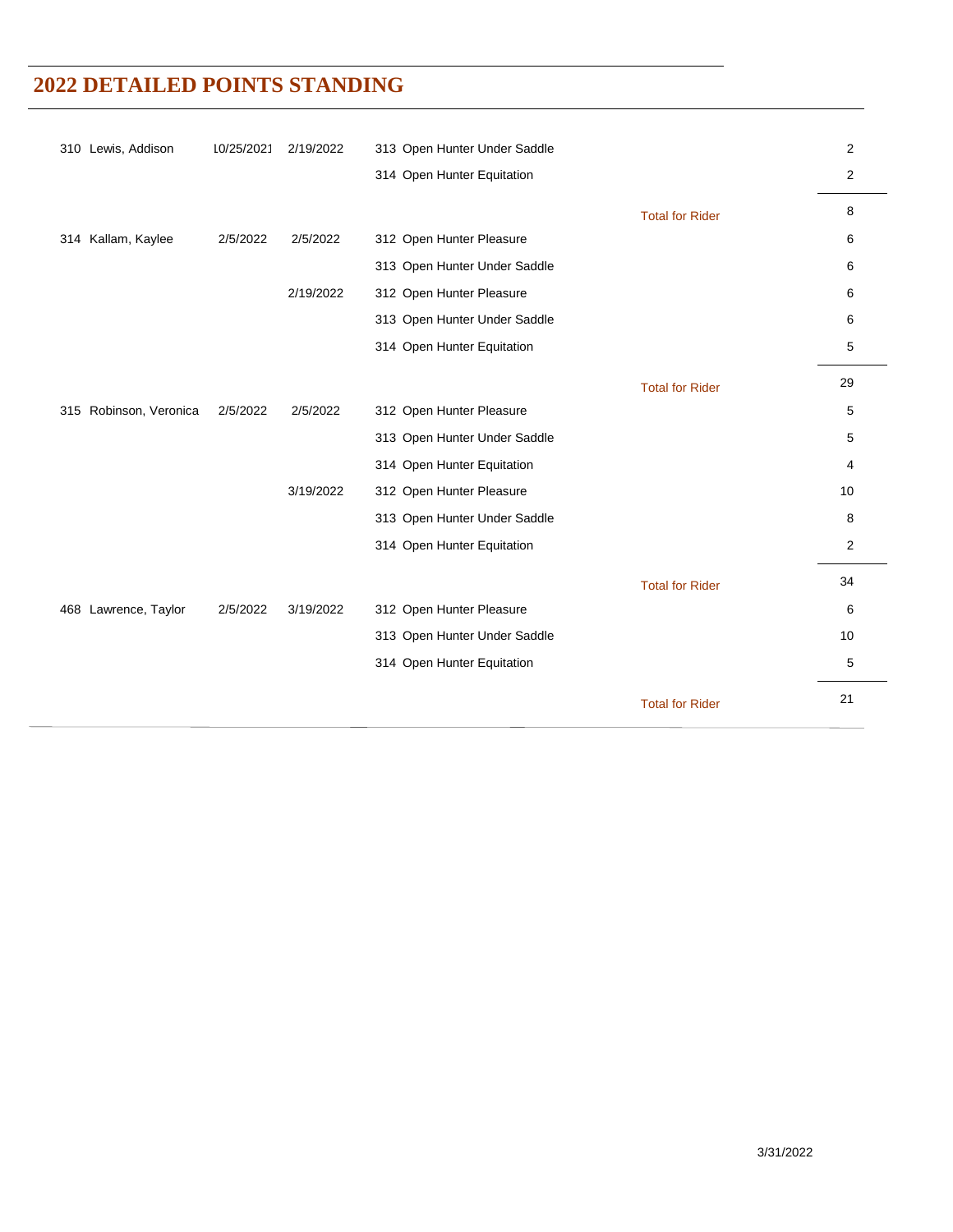| 310 Lewis, Addison     | 10/25/2021 | 2/19/2022 | 313 Open Hunter Under Saddle |                        | 2              |
|------------------------|------------|-----------|------------------------------|------------------------|----------------|
|                        |            |           | 314 Open Hunter Equitation   |                        | $\overline{2}$ |
|                        |            |           |                              | <b>Total for Rider</b> | 8              |
| 314 Kallam, Kaylee     | 2/5/2022   | 2/5/2022  | 312 Open Hunter Pleasure     |                        | 6              |
|                        |            |           | 313 Open Hunter Under Saddle |                        | 6              |
|                        |            | 2/19/2022 | 312 Open Hunter Pleasure     |                        | 6              |
|                        |            |           | 313 Open Hunter Under Saddle |                        | 6              |
|                        |            |           | 314 Open Hunter Equitation   |                        | 5              |
|                        |            |           |                              | <b>Total for Rider</b> | 29             |
| 315 Robinson, Veronica | 2/5/2022   | 2/5/2022  | 312 Open Hunter Pleasure     |                        | 5              |
|                        |            |           | 313 Open Hunter Under Saddle |                        | 5              |
|                        |            |           | 314 Open Hunter Equitation   |                        | 4              |
|                        |            | 3/19/2022 | 312 Open Hunter Pleasure     |                        | 10             |
|                        |            |           | 313 Open Hunter Under Saddle |                        | 8              |
|                        |            |           | 314 Open Hunter Equitation   |                        | $\overline{2}$ |
|                        |            |           |                              | <b>Total for Rider</b> | 34             |
| 468 Lawrence, Taylor   | 2/5/2022   | 3/19/2022 | 312 Open Hunter Pleasure     |                        | 6              |
|                        |            |           | 313 Open Hunter Under Saddle |                        | 10             |
|                        |            |           | 314 Open Hunter Equitation   |                        | 5              |
|                        |            |           |                              | <b>Total for Rider</b> | 21             |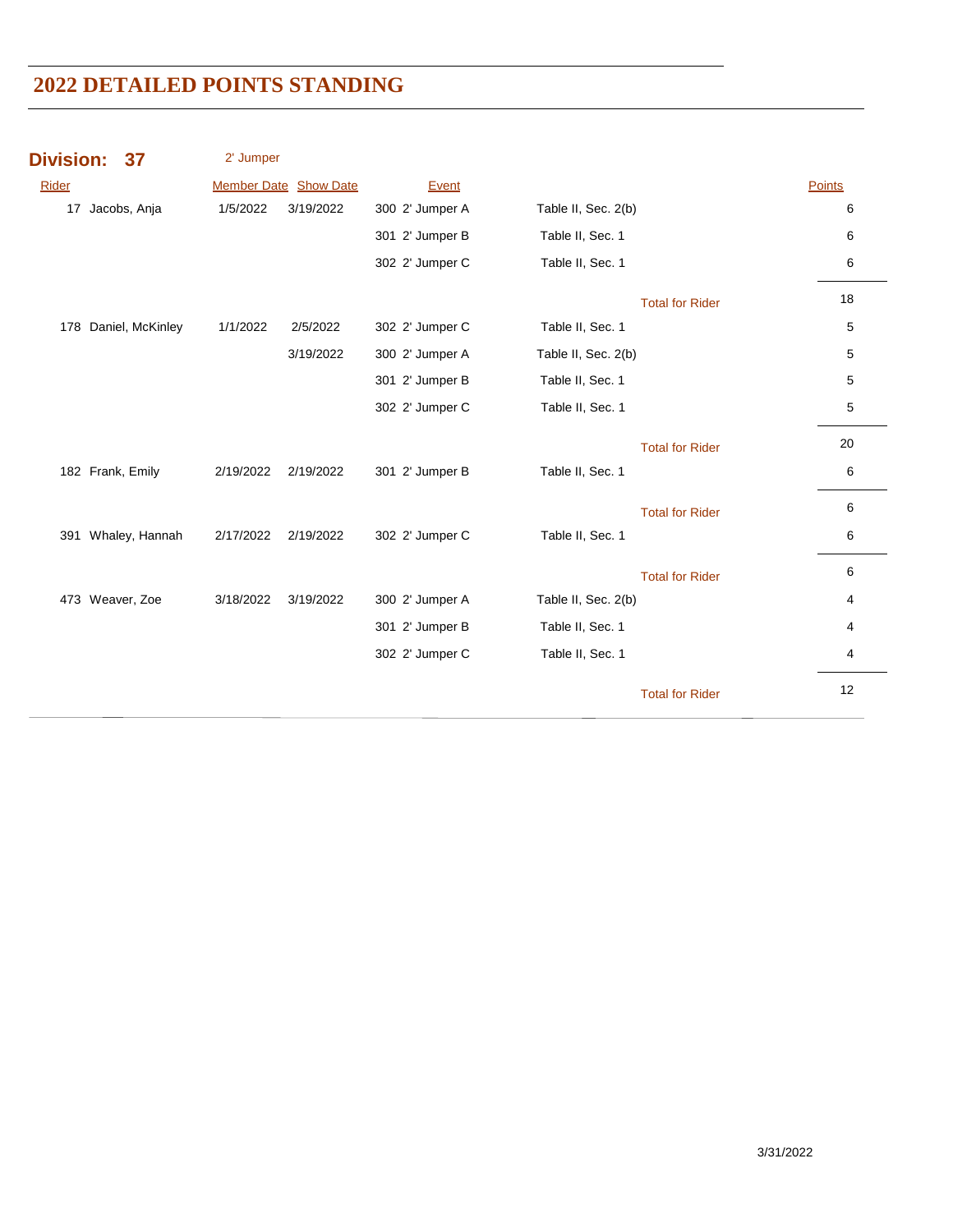| <b>Division:</b> | 37                   | 2' Jumper |                              |                 |                        |               |
|------------------|----------------------|-----------|------------------------------|-----------------|------------------------|---------------|
| Rider            |                      |           | <b>Member Date Show Date</b> | Event           |                        | <b>Points</b> |
|                  | 17 Jacobs, Anja      | 1/5/2022  | 3/19/2022                    | 300 2' Jumper A | Table II, Sec. 2(b)    | 6             |
|                  |                      |           |                              | 301 2' Jumper B | Table II, Sec. 1       | 6             |
|                  |                      |           |                              | 302 2' Jumper C | Table II, Sec. 1       | 6             |
|                  |                      |           |                              |                 | <b>Total for Rider</b> | 18            |
|                  | 178 Daniel, McKinley | 1/1/2022  | 2/5/2022                     | 302 2' Jumper C | Table II, Sec. 1       | $\mathbf 5$   |
|                  |                      |           | 3/19/2022                    | 300 2' Jumper A | Table II, Sec. 2(b)    | 5             |
|                  |                      |           |                              | 301 2' Jumper B | Table II, Sec. 1       | 5             |
|                  |                      |           |                              | 302 2' Jumper C | Table II, Sec. 1       | 5             |
|                  |                      |           |                              |                 | <b>Total for Rider</b> | 20            |
|                  | 182 Frank, Emily     | 2/19/2022 | 2/19/2022                    | 301 2' Jumper B | Table II, Sec. 1       | 6             |
|                  |                      |           |                              |                 | <b>Total for Rider</b> | 6             |
|                  | 391 Whaley, Hannah   | 2/17/2022 | 2/19/2022                    | 302 2' Jumper C | Table II, Sec. 1       | 6             |
|                  |                      |           |                              |                 | <b>Total for Rider</b> | 6             |
|                  | 473 Weaver, Zoe      | 3/18/2022 | 3/19/2022                    | 300 2' Jumper A | Table II, Sec. 2(b)    | 4             |
|                  |                      |           |                              | 301 2' Jumper B | Table II, Sec. 1       | 4             |
|                  |                      |           |                              | 302 2' Jumper C | Table II, Sec. 1       | 4             |
|                  |                      |           |                              |                 | <b>Total for Rider</b> | 12            |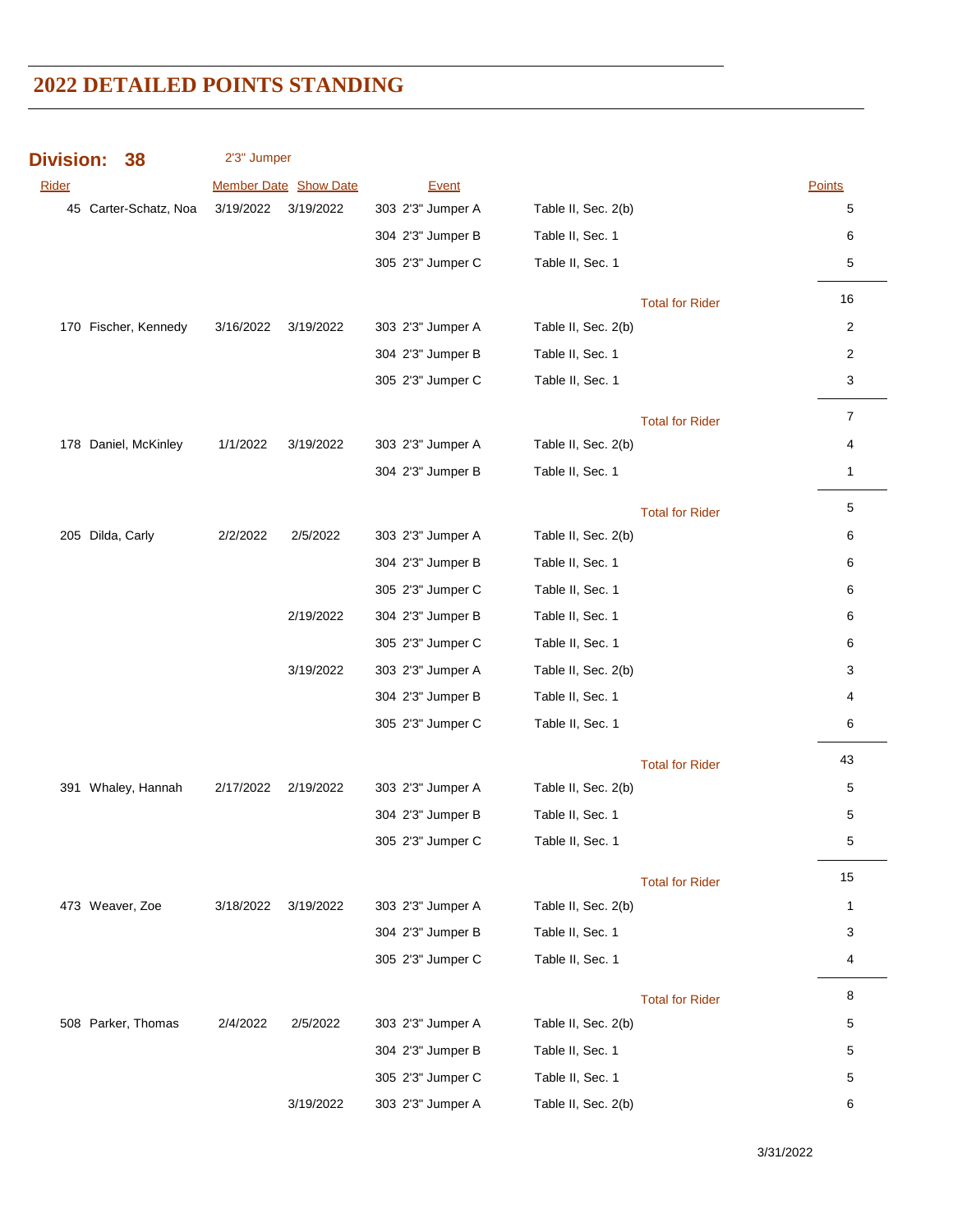| <b>Division:</b><br>38 | 2'3" Jumper |                       |                   |                        |                |
|------------------------|-------------|-----------------------|-------------------|------------------------|----------------|
| Rider                  |             | Member Date Show Date | Event             |                        | Points         |
| 45 Carter-Schatz, Noa  | 3/19/2022   | 3/19/2022             | 303 2'3" Jumper A | Table II, Sec. 2(b)    | 5              |
|                        |             |                       | 304 2'3" Jumper B | Table II, Sec. 1       | 6              |
|                        |             |                       | 305 2'3" Jumper C | Table II, Sec. 1       | 5              |
|                        |             |                       |                   | <b>Total for Rider</b> | 16             |
| 170 Fischer, Kennedy   | 3/16/2022   | 3/19/2022             | 303 2'3" Jumper A | Table II, Sec. 2(b)    | $\overline{2}$ |
|                        |             |                       | 304 2'3" Jumper B | Table II, Sec. 1       | $\overline{2}$ |
|                        |             |                       | 305 2'3" Jumper C | Table II, Sec. 1       | 3              |
|                        |             |                       |                   |                        |                |
|                        |             |                       |                   | <b>Total for Rider</b> | $\overline{7}$ |
| 178 Daniel, McKinley   | 1/1/2022    | 3/19/2022             | 303 2'3" Jumper A | Table II, Sec. 2(b)    | 4              |
|                        |             |                       | 304 2'3" Jumper B | Table II, Sec. 1       | $\mathbf{1}$   |
|                        |             |                       |                   | <b>Total for Rider</b> | 5              |
| 205 Dilda, Carly       | 2/2/2022    | 2/5/2022              | 303 2'3" Jumper A | Table II, Sec. 2(b)    | 6              |
|                        |             |                       | 304 2'3" Jumper B | Table II, Sec. 1       | 6              |
|                        |             |                       | 305 2'3" Jumper C | Table II, Sec. 1       | 6              |
|                        |             | 2/19/2022             | 304 2'3" Jumper B | Table II, Sec. 1       | 6              |
|                        |             |                       | 305 2'3" Jumper C | Table II, Sec. 1       | 6              |
|                        |             | 3/19/2022             | 303 2'3" Jumper A | Table II, Sec. 2(b)    | 3              |
|                        |             |                       | 304 2'3" Jumper B | Table II, Sec. 1       | 4              |
|                        |             |                       | 305 2'3" Jumper C | Table II, Sec. 1       | 6              |
|                        |             |                       |                   | <b>Total for Rider</b> | 43             |
| 391 Whaley, Hannah     | 2/17/2022   | 2/19/2022             | 303 2'3" Jumper A | Table II, Sec. 2(b)    | 5              |
|                        |             |                       | 304 2'3" Jumper B | Table II, Sec. 1       | 5              |
|                        |             |                       | 305 2'3" Jumper C | Table II, Sec. 1       | 5              |
|                        |             |                       |                   | <b>Total for Rider</b> | 15             |
| 473 Weaver, Zoe        | 3/18/2022   | 3/19/2022             | 303 2'3" Jumper A | Table II, Sec. 2(b)    | 1              |
|                        |             |                       | 304 2'3" Jumper B | Table II, Sec. 1       | 3              |
|                        |             |                       | 305 2'3" Jumper C | Table II, Sec. 1       | 4              |
|                        |             |                       |                   | <b>Total for Rider</b> | 8              |
| 508 Parker, Thomas     | 2/4/2022    | 2/5/2022              | 303 2'3" Jumper A | Table II, Sec. 2(b)    | 5              |
|                        |             |                       | 304 2'3" Jumper B | Table II, Sec. 1       | 5              |
|                        |             |                       | 305 2'3" Jumper C | Table II, Sec. 1       | 5              |
|                        |             | 3/19/2022             | 303 2'3" Jumper A | Table II, Sec. 2(b)    | 6              |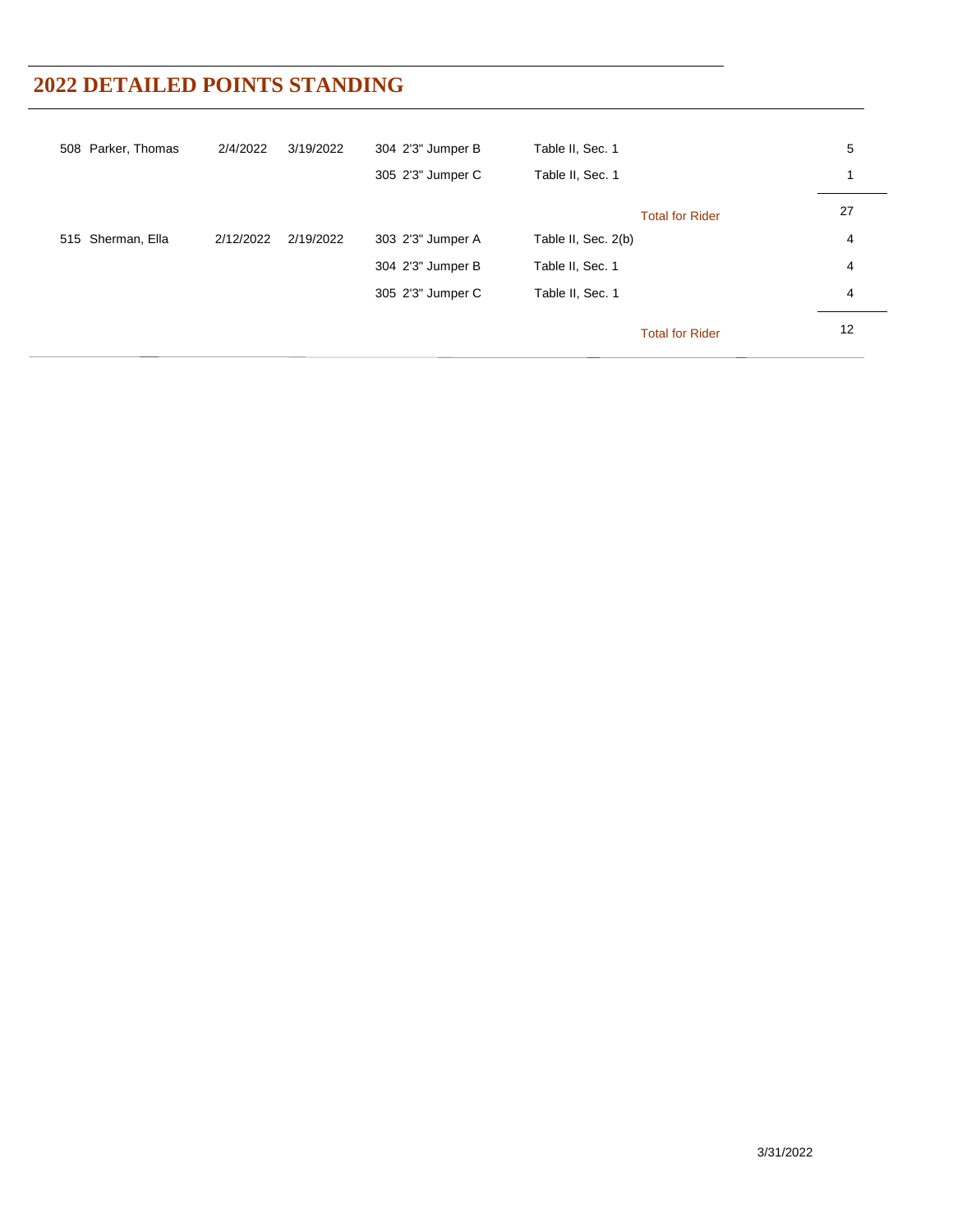| 508 Parker, Thomas | 2/4/2022  | 3/19/2022 | 304 2'3" Jumper B | Table II, Sec. 1       | 5  |
|--------------------|-----------|-----------|-------------------|------------------------|----|
|                    |           |           | 305 2'3" Jumper C | Table II, Sec. 1       |    |
|                    |           |           |                   | <b>Total for Rider</b> | 27 |
| 515 Sherman, Ella  | 2/12/2022 | 2/19/2022 | 303 2'3" Jumper A | Table II, Sec. 2(b)    | 4  |
|                    |           |           | 304 2'3" Jumper B | Table II, Sec. 1       | 4  |
|                    |           |           | 305 2'3" Jumper C | Table II, Sec. 1       | 4  |
|                    |           |           |                   | <b>Total for Rider</b> | 12 |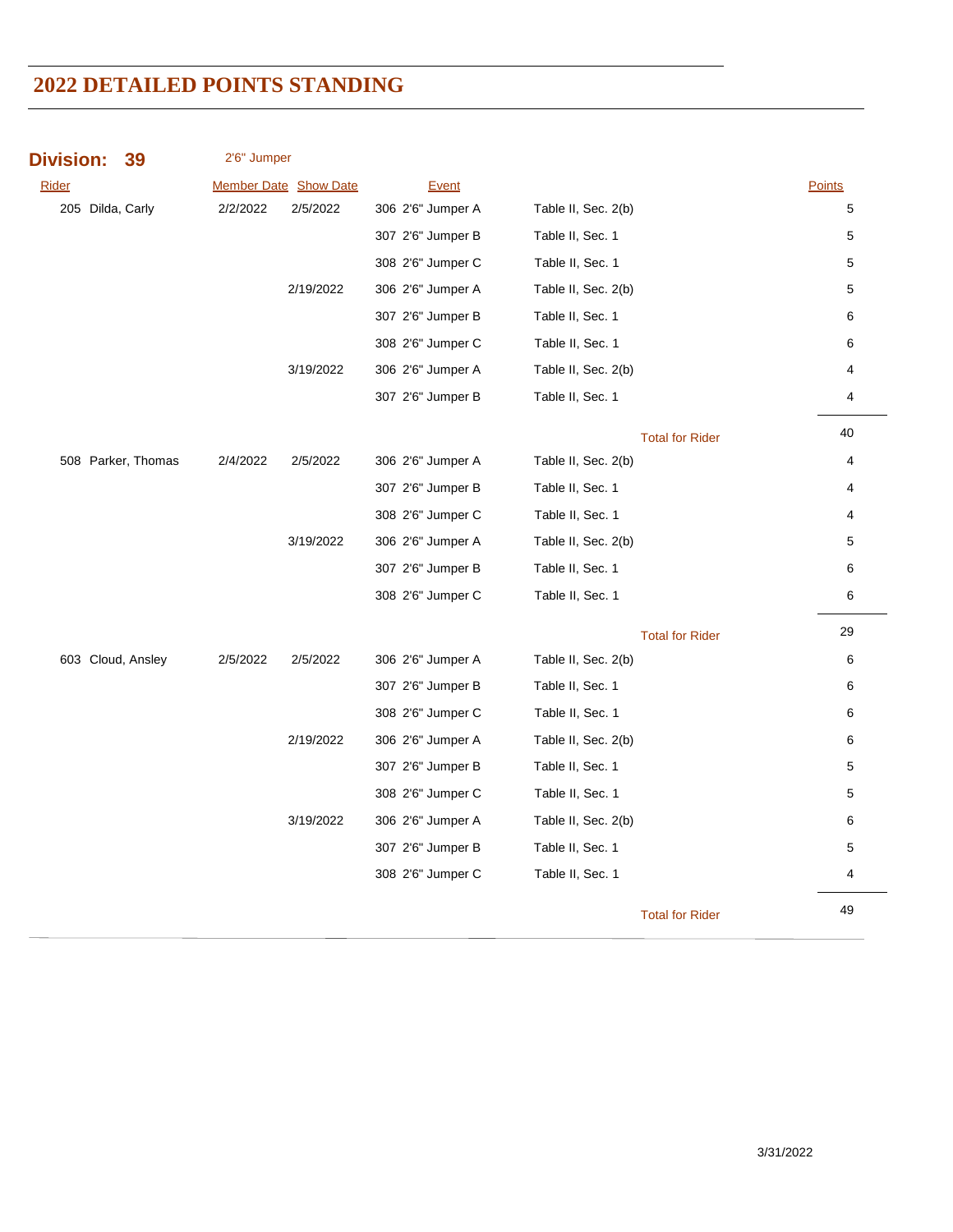| <b>Division:</b>  | 39                 | 2'6" Jumper |                       |                   |                     |                        |        |
|-------------------|--------------------|-------------|-----------------------|-------------------|---------------------|------------------------|--------|
| <b>Rider</b>      |                    |             | Member Date Show Date | Event             |                     |                        | Points |
| 205 Dilda, Carly  |                    | 2/2/2022    | 2/5/2022              | 306 2'6" Jumper A | Table II, Sec. 2(b) |                        | 5      |
|                   |                    |             |                       | 307 2'6" Jumper B | Table II, Sec. 1    |                        | 5      |
|                   |                    |             |                       | 308 2'6" Jumper C | Table II, Sec. 1    |                        | 5      |
|                   |                    |             | 2/19/2022             | 306 2'6" Jumper A | Table II, Sec. 2(b) |                        | 5      |
|                   |                    |             |                       | 307 2'6" Jumper B | Table II, Sec. 1    |                        | 6      |
|                   |                    |             |                       | 308 2'6" Jumper C | Table II, Sec. 1    |                        | 6      |
|                   |                    |             | 3/19/2022             | 306 2'6" Jumper A | Table II, Sec. 2(b) |                        | 4      |
|                   |                    |             |                       | 307 2'6" Jumper B | Table II, Sec. 1    |                        | 4      |
|                   |                    |             |                       |                   |                     | <b>Total for Rider</b> | 40     |
|                   | 508 Parker, Thomas | 2/4/2022    | 2/5/2022              | 306 2'6" Jumper A | Table II, Sec. 2(b) |                        | 4      |
|                   |                    |             |                       | 307 2'6" Jumper B | Table II, Sec. 1    |                        | 4      |
|                   |                    |             |                       | 308 2'6" Jumper C | Table II, Sec. 1    |                        | 4      |
|                   |                    |             | 3/19/2022             | 306 2'6" Jumper A | Table II, Sec. 2(b) |                        | 5      |
|                   |                    |             |                       | 307 2'6" Jumper B | Table II, Sec. 1    |                        | 6      |
|                   |                    |             |                       | 308 2'6" Jumper C | Table II, Sec. 1    |                        | 6      |
|                   |                    |             |                       |                   |                     | <b>Total for Rider</b> | 29     |
| 603 Cloud, Ansley |                    | 2/5/2022    | 2/5/2022              | 306 2'6" Jumper A | Table II, Sec. 2(b) |                        | 6      |
|                   |                    |             |                       | 307 2'6" Jumper B | Table II, Sec. 1    |                        | 6      |
|                   |                    |             |                       | 308 2'6" Jumper C | Table II, Sec. 1    |                        | 6      |
|                   |                    |             | 2/19/2022             | 306 2'6" Jumper A | Table II, Sec. 2(b) |                        | 6      |
|                   |                    |             |                       | 307 2'6" Jumper B | Table II, Sec. 1    |                        | 5      |
|                   |                    |             |                       | 308 2'6" Jumper C | Table II, Sec. 1    |                        | 5      |
|                   |                    |             | 3/19/2022             | 306 2'6" Jumper A | Table II, Sec. 2(b) |                        | 6      |
|                   |                    |             |                       | 307 2'6" Jumper B | Table II, Sec. 1    |                        | 5      |
|                   |                    |             |                       | 308 2'6" Jumper C | Table II, Sec. 1    |                        | 4      |
|                   |                    |             |                       |                   |                     | <b>Total for Rider</b> | 49     |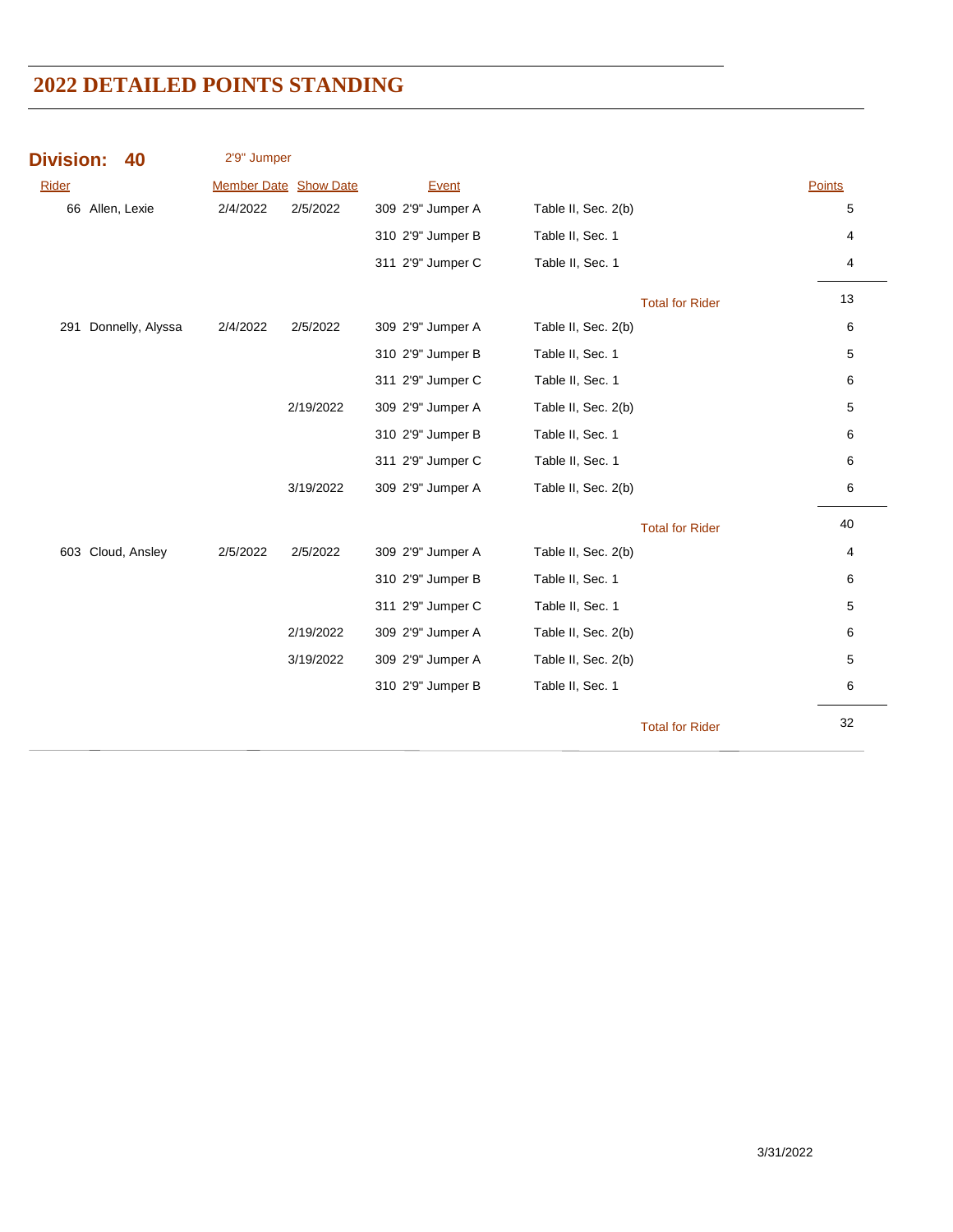| <b>Division:</b> | 40                   | 2'9" Jumper |                              |                   |                        |        |
|------------------|----------------------|-------------|------------------------------|-------------------|------------------------|--------|
| <b>Rider</b>     |                      |             | <b>Member Date Show Date</b> | Event             |                        | Points |
|                  | 66 Allen, Lexie      | 2/4/2022    | 2/5/2022                     | 309 2'9" Jumper A | Table II, Sec. 2(b)    | 5      |
|                  |                      |             |                              | 310 2'9" Jumper B | Table II, Sec. 1       | 4      |
|                  |                      |             |                              | 311 2'9" Jumper C | Table II, Sec. 1       | 4      |
|                  |                      |             |                              |                   | <b>Total for Rider</b> | 13     |
|                  | 291 Donnelly, Alyssa | 2/4/2022    | 2/5/2022                     | 309 2'9" Jumper A | Table II, Sec. 2(b)    | 6      |
|                  |                      |             |                              | 310 2'9" Jumper B | Table II, Sec. 1       | 5      |
|                  |                      |             |                              | 311 2'9" Jumper C | Table II, Sec. 1       | 6      |
|                  |                      |             | 2/19/2022                    | 309 2'9" Jumper A | Table II, Sec. 2(b)    | 5      |
|                  |                      |             |                              | 310 2'9" Jumper B | Table II, Sec. 1       | 6      |
|                  |                      |             |                              | 311 2'9" Jumper C | Table II, Sec. 1       | 6      |
|                  |                      |             | 3/19/2022                    | 309 2'9" Jumper A | Table II, Sec. 2(b)    | 6      |
|                  |                      |             |                              |                   | <b>Total for Rider</b> | 40     |
|                  | 603 Cloud, Ansley    | 2/5/2022    | 2/5/2022                     | 309 2'9" Jumper A | Table II, Sec. 2(b)    | 4      |
|                  |                      |             |                              | 310 2'9" Jumper B | Table II, Sec. 1       | 6      |
|                  |                      |             |                              | 311 2'9" Jumper C | Table II, Sec. 1       | 5      |
|                  |                      |             | 2/19/2022                    | 309 2'9" Jumper A | Table II, Sec. 2(b)    | 6      |
|                  |                      |             | 3/19/2022                    | 309 2'9" Jumper A | Table II, Sec. 2(b)    | 5      |
|                  |                      |             |                              | 310 2'9" Jumper B | Table II, Sec. 1       | 6      |
|                  |                      |             |                              |                   | <b>Total for Rider</b> | 32     |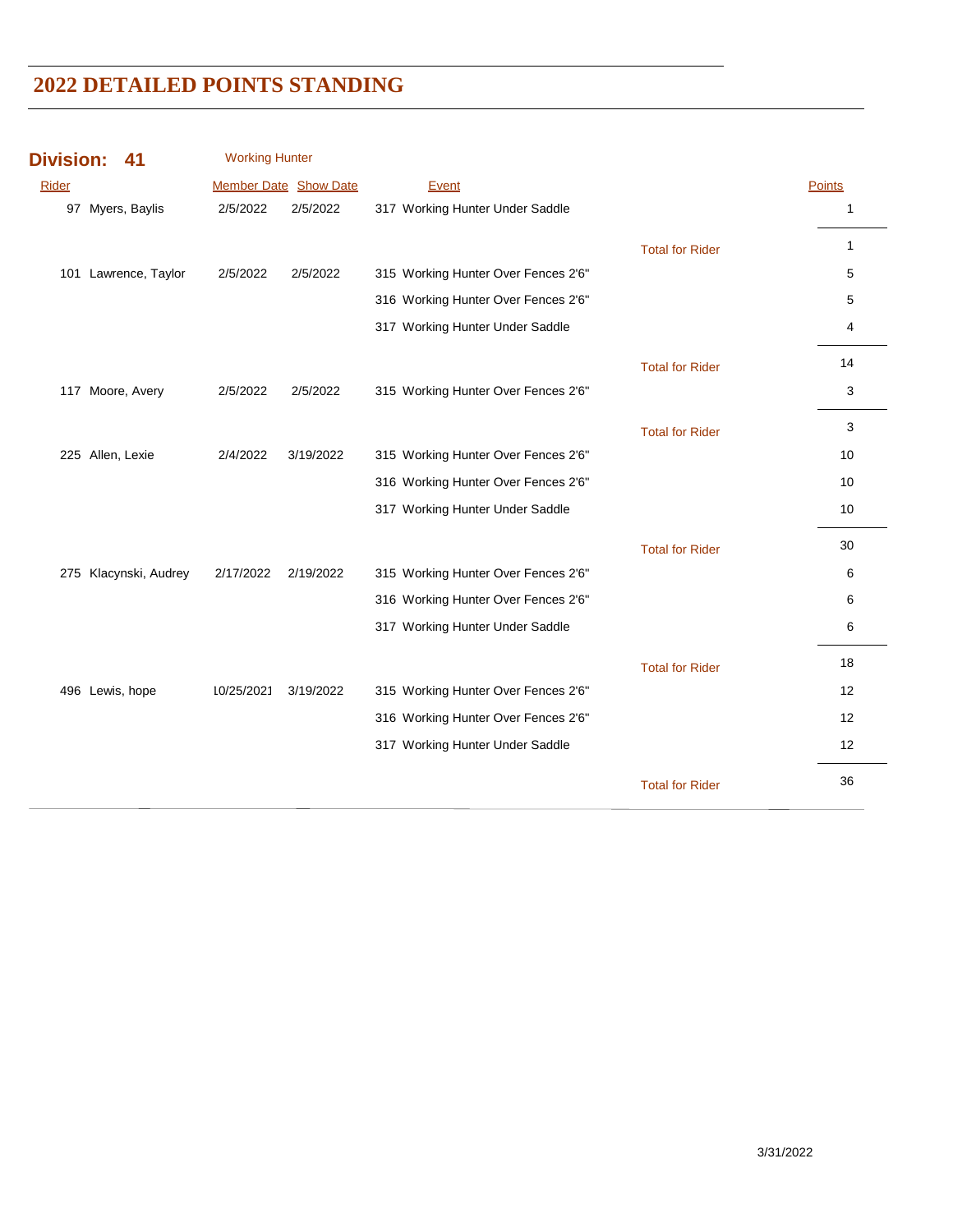| <b>Division:</b> | 41                    | <b>Working Hunter</b> |           |                                     |                        |               |
|------------------|-----------------------|-----------------------|-----------|-------------------------------------|------------------------|---------------|
| <b>Rider</b>     |                       | Member Date Show Date |           | Event                               |                        | <b>Points</b> |
|                  | 97 Myers, Baylis      | 2/5/2022              | 2/5/2022  | 317 Working Hunter Under Saddle     |                        | 1             |
|                  |                       |                       |           |                                     | <b>Total for Rider</b> | 1             |
|                  | 101 Lawrence, Taylor  | 2/5/2022              | 2/5/2022  | 315 Working Hunter Over Fences 2'6" |                        | 5             |
|                  |                       |                       |           | 316 Working Hunter Over Fences 2'6" |                        | 5             |
|                  |                       |                       |           | 317 Working Hunter Under Saddle     |                        | 4             |
|                  |                       |                       |           |                                     | <b>Total for Rider</b> | 14            |
|                  | 117 Moore, Avery      | 2/5/2022              | 2/5/2022  | 315 Working Hunter Over Fences 2'6" |                        | 3             |
|                  |                       |                       |           |                                     | <b>Total for Rider</b> | 3             |
|                  | 225 Allen, Lexie      | 2/4/2022              | 3/19/2022 | 315 Working Hunter Over Fences 2'6" |                        | 10            |
|                  |                       |                       |           | 316 Working Hunter Over Fences 2'6" |                        | 10            |
|                  |                       |                       |           | 317 Working Hunter Under Saddle     |                        | 10            |
|                  |                       |                       |           |                                     | <b>Total for Rider</b> | 30            |
|                  | 275 Klacynski, Audrey | 2/17/2022             | 2/19/2022 | 315 Working Hunter Over Fences 2'6" |                        | 6             |
|                  |                       |                       |           | 316 Working Hunter Over Fences 2'6" |                        | 6             |
|                  |                       |                       |           | 317 Working Hunter Under Saddle     |                        | 6             |
|                  |                       |                       |           |                                     | <b>Total for Rider</b> | 18            |
|                  | 496 Lewis, hope       | 10/25/2021            | 3/19/2022 | 315 Working Hunter Over Fences 2'6" |                        | 12            |
|                  |                       |                       |           | 316 Working Hunter Over Fences 2'6" |                        | 12            |
|                  |                       |                       |           | 317 Working Hunter Under Saddle     |                        | 12            |
|                  |                       |                       |           |                                     | <b>Total for Rider</b> | 36            |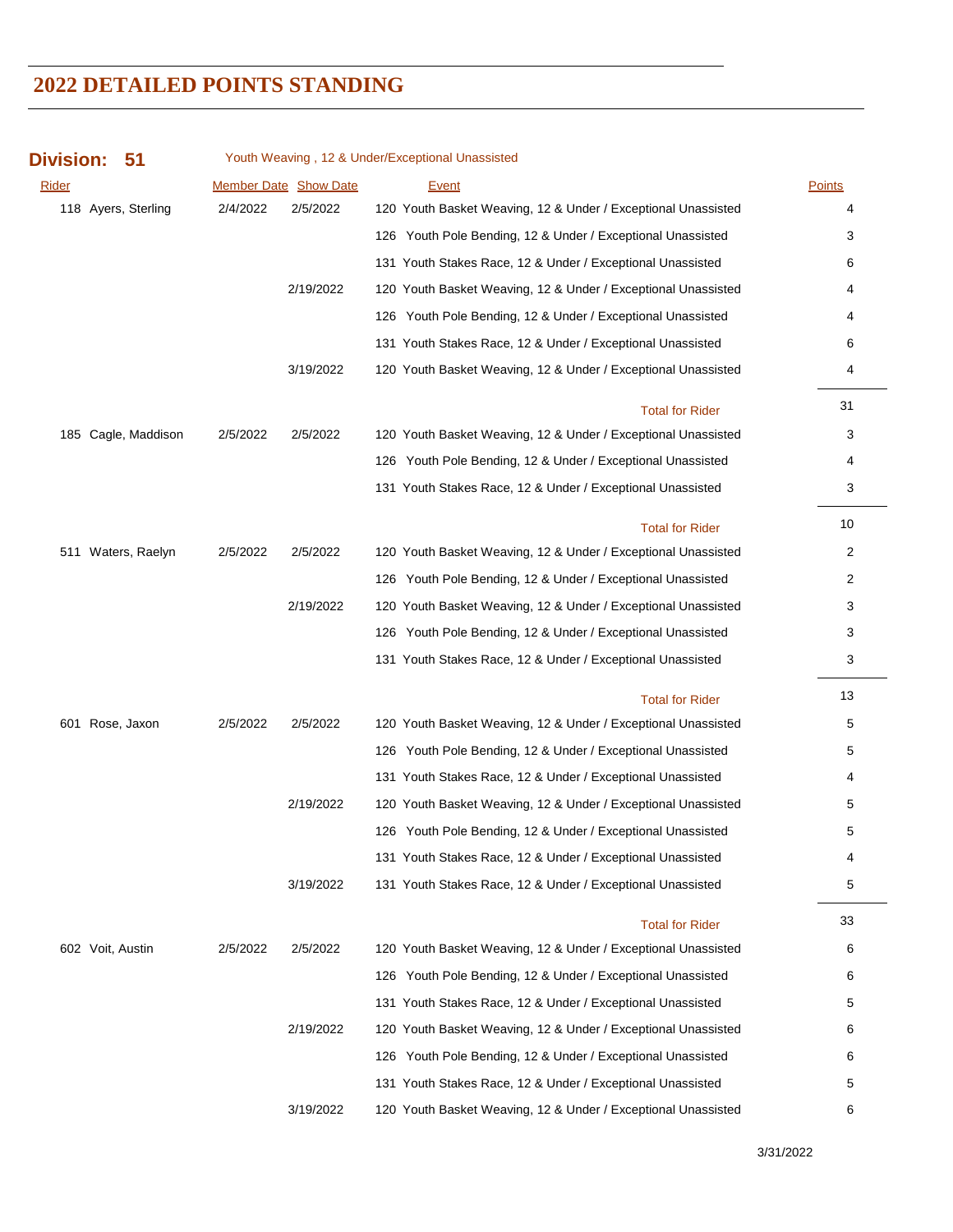| <b>Division:</b><br>51 |          |                       | Youth Weaving, 12 & Under/Exceptional Unassisted              |               |
|------------------------|----------|-----------------------|---------------------------------------------------------------|---------------|
| Rider                  |          | Member Date Show Date | <b>Event</b>                                                  | <b>Points</b> |
| 118 Ayers, Sterling    | 2/4/2022 | 2/5/2022              | 120 Youth Basket Weaving, 12 & Under / Exceptional Unassisted | 4             |
|                        |          |                       | 126 Youth Pole Bending, 12 & Under / Exceptional Unassisted   | 3             |
|                        |          |                       | 131 Youth Stakes Race, 12 & Under / Exceptional Unassisted    | 6             |
|                        |          | 2/19/2022             | 120 Youth Basket Weaving, 12 & Under / Exceptional Unassisted | 4             |
|                        |          |                       | 126 Youth Pole Bending, 12 & Under / Exceptional Unassisted   | 4             |
|                        |          |                       | 131 Youth Stakes Race, 12 & Under / Exceptional Unassisted    | 6             |
|                        |          | 3/19/2022             | 120 Youth Basket Weaving, 12 & Under / Exceptional Unassisted | 4             |
|                        |          |                       | <b>Total for Rider</b>                                        | 31            |
| 185 Cagle, Maddison    | 2/5/2022 | 2/5/2022              | 120 Youth Basket Weaving, 12 & Under / Exceptional Unassisted | 3             |
|                        |          |                       | 126 Youth Pole Bending, 12 & Under / Exceptional Unassisted   | 4             |
|                        |          |                       | 131 Youth Stakes Race, 12 & Under / Exceptional Unassisted    | 3             |
|                        |          |                       | <b>Total for Rider</b>                                        | 10            |
| 511 Waters, Raelyn     | 2/5/2022 | 2/5/2022              | 120 Youth Basket Weaving, 12 & Under / Exceptional Unassisted | 2             |
|                        |          |                       | 126 Youth Pole Bending, 12 & Under / Exceptional Unassisted   | 2             |
|                        |          | 2/19/2022             | 120 Youth Basket Weaving, 12 & Under / Exceptional Unassisted | 3             |
|                        |          |                       | 126 Youth Pole Bending, 12 & Under / Exceptional Unassisted   | 3             |
|                        |          |                       | 131 Youth Stakes Race, 12 & Under / Exceptional Unassisted    | 3             |
|                        |          |                       | <b>Total for Rider</b>                                        | 13            |
| 601 Rose, Jaxon        | 2/5/2022 | 2/5/2022              | 120 Youth Basket Weaving, 12 & Under / Exceptional Unassisted | 5             |
|                        |          |                       | 126 Youth Pole Bending, 12 & Under / Exceptional Unassisted   | 5             |
|                        |          |                       | 131 Youth Stakes Race, 12 & Under / Exceptional Unassisted    | 4             |
|                        |          | 2/19/2022             | 120 Youth Basket Weaving, 12 & Under / Exceptional Unassisted | 5             |
|                        |          |                       | 126 Youth Pole Bending, 12 & Under / Exceptional Unassisted   | 5             |
|                        |          |                       | 131 Youth Stakes Race, 12 & Under / Exceptional Unassisted    | 4             |
|                        |          | 3/19/2022             | 131 Youth Stakes Race, 12 & Under / Exceptional Unassisted    | 5             |
|                        |          |                       | <b>Total for Rider</b>                                        | 33            |
| 602 Voit, Austin       | 2/5/2022 | 2/5/2022              | 120 Youth Basket Weaving, 12 & Under / Exceptional Unassisted | 6             |
|                        |          |                       | 126 Youth Pole Bending, 12 & Under / Exceptional Unassisted   | 6             |
|                        |          |                       | 131 Youth Stakes Race, 12 & Under / Exceptional Unassisted    | 5             |
|                        |          | 2/19/2022             | 120 Youth Basket Weaving, 12 & Under / Exceptional Unassisted | 6             |
|                        |          |                       | 126 Youth Pole Bending, 12 & Under / Exceptional Unassisted   | 6             |
|                        |          |                       | 131 Youth Stakes Race, 12 & Under / Exceptional Unassisted    | 5             |
|                        |          | 3/19/2022             | 120 Youth Basket Weaving, 12 & Under / Exceptional Unassisted | 6             |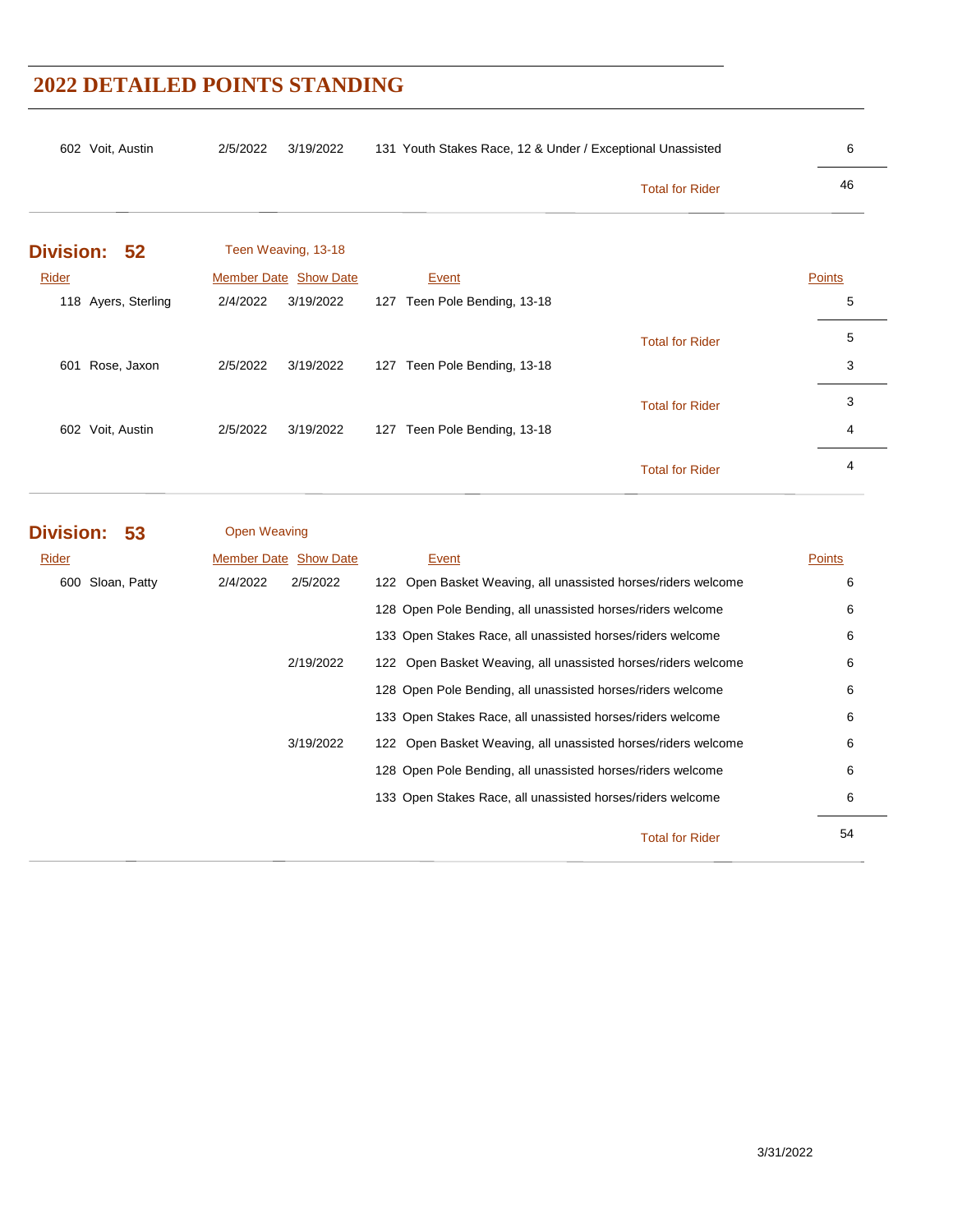|                     |                              |                                 | <b>Total for Rider</b> | 46     |
|---------------------|------------------------------|---------------------------------|------------------------|--------|
| Division: 52        | Teen Weaving, 13-18          |                                 |                        |        |
| Rider               | <b>Member Date Show Date</b> | Event                           |                        | Points |
| 118 Ayers, Sterling | 2/4/2022<br>3/19/2022        | 127 Teen Pole Bending, 13-18    |                        | 5      |
|                     |                              |                                 | <b>Total for Rider</b> | 5      |
| Rose, Jaxon<br>601  | 2/5/2022<br>3/19/2022        | Teen Pole Bending, 13-18<br>127 |                        | 3      |
|                     |                              |                                 | <b>Total for Rider</b> | 3      |
| 602 Voit, Austin    | 2/5/2022<br>3/19/2022        | Teen Pole Bending, 13-18<br>127 |                        | 4      |
|                     |                              |                                 | <b>Total for Rider</b> | 4      |

| Rider            | <b>Member Date Show Date</b> | Event                                                         | <b>Points</b> |
|------------------|------------------------------|---------------------------------------------------------------|---------------|
| 600 Sloan, Patty | 2/4/2022<br>2/5/2022         | 122 Open Basket Weaving, all unassisted horses/riders welcome | 6             |
|                  |                              | 128 Open Pole Bending, all unassisted horses/riders welcome   | 6             |
|                  |                              | 133 Open Stakes Race, all unassisted horses/riders welcome    | 6             |
|                  | 2/19/2022                    | 122 Open Basket Weaving, all unassisted horses/riders welcome | 6             |
|                  |                              | 128 Open Pole Bending, all unassisted horses/riders welcome   | 6             |
|                  |                              | 133 Open Stakes Race, all unassisted horses/riders welcome    | 6             |
|                  | 3/19/2022                    | 122 Open Basket Weaving, all unassisted horses/riders welcome | 6             |
|                  |                              | 128 Open Pole Bending, all unassisted horses/riders welcome   | 6             |
|                  |                              | 133 Open Stakes Race, all unassisted horses/riders welcome    | 6             |
|                  |                              | <b>Total for Rider</b>                                        | 54            |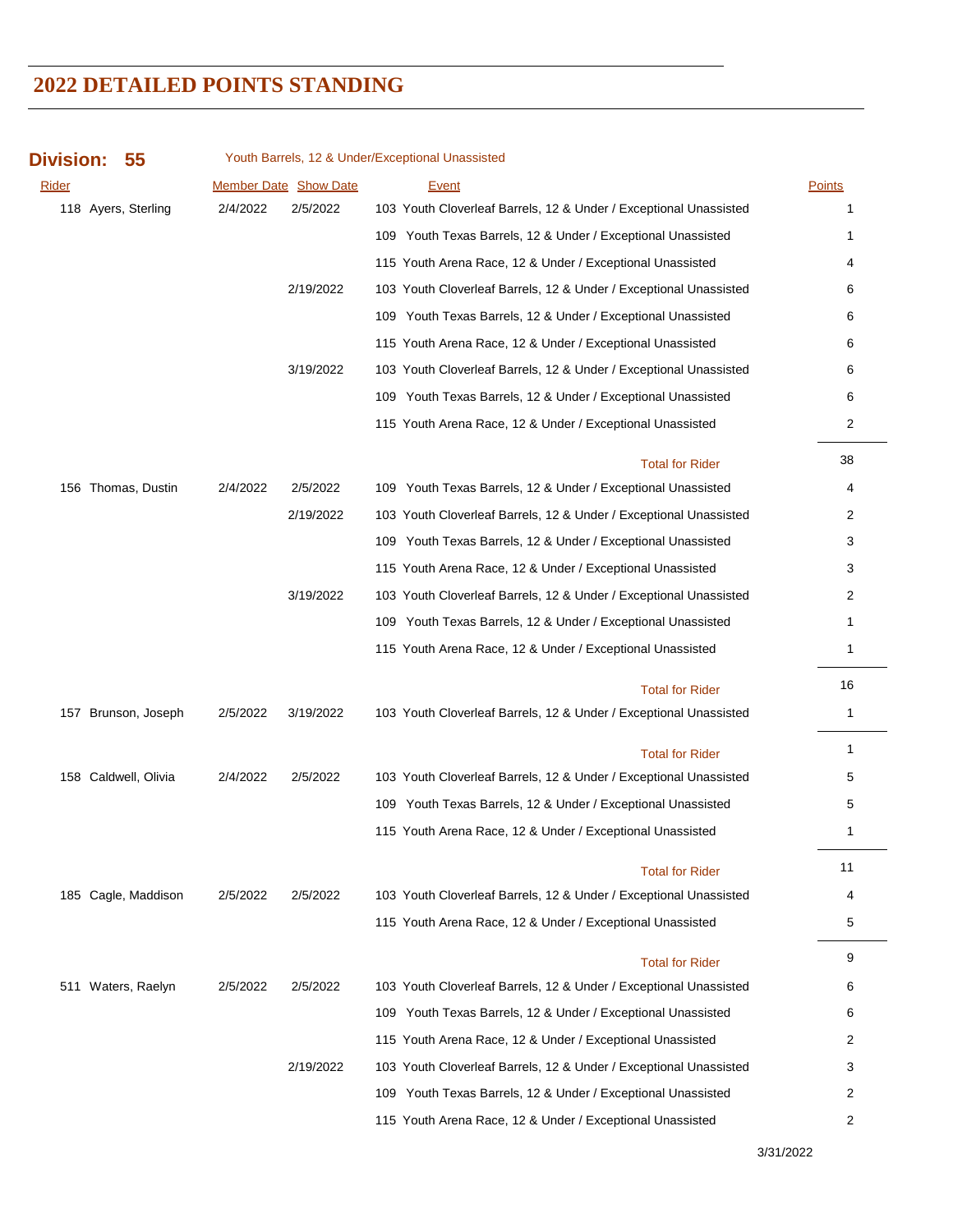| <b>Division:</b><br>55 |          |                              | Youth Barrels, 12 & Under/Exceptional Unassisted                  |                |
|------------------------|----------|------------------------------|-------------------------------------------------------------------|----------------|
| Rider                  |          | <b>Member Date Show Date</b> | <b>Event</b>                                                      | <b>Points</b>  |
| 118 Ayers, Sterling    | 2/4/2022 | 2/5/2022                     | 103 Youth Cloverleaf Barrels, 12 & Under / Exceptional Unassisted | 1              |
|                        |          |                              | 109 Youth Texas Barrels, 12 & Under / Exceptional Unassisted      | 1              |
|                        |          |                              | 115 Youth Arena Race, 12 & Under / Exceptional Unassisted         | 4              |
|                        |          | 2/19/2022                    | 103 Youth Cloverleaf Barrels, 12 & Under / Exceptional Unassisted | 6              |
|                        |          |                              | 109 Youth Texas Barrels, 12 & Under / Exceptional Unassisted      | 6              |
|                        |          |                              | 115 Youth Arena Race, 12 & Under / Exceptional Unassisted         | 6              |
|                        |          | 3/19/2022                    | 103 Youth Cloverleaf Barrels, 12 & Under / Exceptional Unassisted | 6              |
|                        |          |                              | 109 Youth Texas Barrels, 12 & Under / Exceptional Unassisted      | 6              |
|                        |          |                              | 115 Youth Arena Race, 12 & Under / Exceptional Unassisted         | $\overline{2}$ |
|                        |          |                              | <b>Total for Rider</b>                                            | 38             |
| 156 Thomas, Dustin     | 2/4/2022 | 2/5/2022                     | 109 Youth Texas Barrels, 12 & Under / Exceptional Unassisted      | 4              |
|                        |          | 2/19/2022                    | 103 Youth Cloverleaf Barrels, 12 & Under / Exceptional Unassisted | 2              |
|                        |          |                              | 109 Youth Texas Barrels, 12 & Under / Exceptional Unassisted      | 3              |
|                        |          |                              | 115 Youth Arena Race, 12 & Under / Exceptional Unassisted         | 3              |
|                        |          | 3/19/2022                    | 103 Youth Cloverleaf Barrels, 12 & Under / Exceptional Unassisted | 2              |
|                        |          |                              | 109 Youth Texas Barrels, 12 & Under / Exceptional Unassisted      | 1              |
|                        |          |                              | 115 Youth Arena Race, 12 & Under / Exceptional Unassisted         | 1              |
|                        |          |                              | <b>Total for Rider</b>                                            | 16             |
| 157 Brunson, Joseph    | 2/5/2022 | 3/19/2022                    | 103 Youth Cloverleaf Barrels, 12 & Under / Exceptional Unassisted | 1              |
|                        |          |                              | <b>Total for Rider</b>                                            | 1              |
| 158 Caldwell, Olivia   | 2/4/2022 | 2/5/2022                     | 103 Youth Cloverleaf Barrels, 12 & Under / Exceptional Unassisted | 5              |
|                        |          |                              | 109 Youth Texas Barrels, 12 & Under / Exceptional Unassisted      | 5              |
|                        |          |                              | 115 Youth Arena Race, 12 & Under / Exceptional Unassisted         | 1              |
|                        |          |                              | <b>Total for Rider</b>                                            | 11             |
| 185 Cagle, Maddison    | 2/5/2022 | 2/5/2022                     | 103 Youth Cloverleaf Barrels, 12 & Under / Exceptional Unassisted | 4              |
|                        |          |                              | 115 Youth Arena Race, 12 & Under / Exceptional Unassisted         | 5              |
|                        |          |                              | <b>Total for Rider</b>                                            | 9              |
| 511 Waters, Raelyn     | 2/5/2022 | 2/5/2022                     | 103 Youth Cloverleaf Barrels, 12 & Under / Exceptional Unassisted | 6              |
|                        |          |                              | 109 Youth Texas Barrels, 12 & Under / Exceptional Unassisted      | 6              |
|                        |          |                              | 115 Youth Arena Race, 12 & Under / Exceptional Unassisted         | 2              |
|                        |          | 2/19/2022                    | 103 Youth Cloverleaf Barrels, 12 & Under / Exceptional Unassisted | 3              |
|                        |          |                              | 109 Youth Texas Barrels, 12 & Under / Exceptional Unassisted      | 2              |
|                        |          |                              | 115 Youth Arena Race, 12 & Under / Exceptional Unassisted         | 2              |

3/31/2022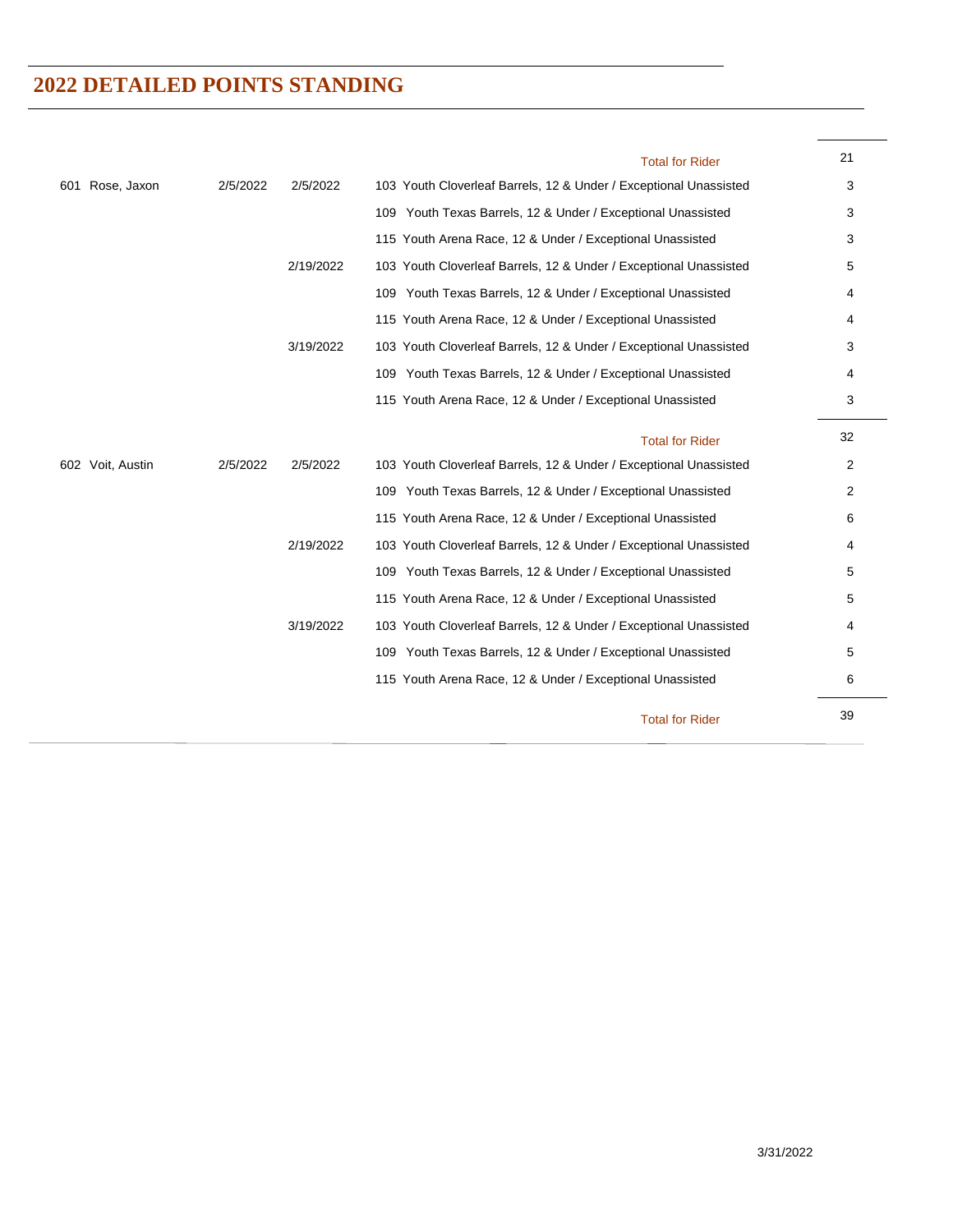|                     |          |           | <b>Total for Rider</b>                                            | 21 |
|---------------------|----------|-----------|-------------------------------------------------------------------|----|
| Rose, Jaxon<br>601. | 2/5/2022 | 2/5/2022  | 103 Youth Cloverleaf Barrels, 12 & Under / Exceptional Unassisted | 3  |
|                     |          |           | 109 Youth Texas Barrels, 12 & Under / Exceptional Unassisted      | 3  |
|                     |          |           | 115 Youth Arena Race, 12 & Under / Exceptional Unassisted         | 3  |
|                     |          | 2/19/2022 | 103 Youth Cloverleaf Barrels, 12 & Under / Exceptional Unassisted | 5  |
|                     |          |           | 109 Youth Texas Barrels, 12 & Under / Exceptional Unassisted      | 4  |
|                     |          |           | 115 Youth Arena Race, 12 & Under / Exceptional Unassisted         | 4  |
|                     |          | 3/19/2022 | 103 Youth Cloverleaf Barrels, 12 & Under / Exceptional Unassisted | 3  |
|                     |          |           | 109 Youth Texas Barrels, 12 & Under / Exceptional Unassisted      | 4  |
|                     |          |           | 115 Youth Arena Race, 12 & Under / Exceptional Unassisted         | 3  |
|                     |          |           | <b>Total for Rider</b>                                            | 32 |
| 602 Voit, Austin    | 2/5/2022 | 2/5/2022  | 103 Youth Cloverleaf Barrels, 12 & Under / Exceptional Unassisted | 2  |
|                     |          |           | 109 Youth Texas Barrels, 12 & Under / Exceptional Unassisted      | 2  |
|                     |          |           | 115 Youth Arena Race, 12 & Under / Exceptional Unassisted         | 6  |
|                     |          | 2/19/2022 | 103 Youth Cloverleaf Barrels, 12 & Under / Exceptional Unassisted | 4  |
|                     |          |           | 109 Youth Texas Barrels, 12 & Under / Exceptional Unassisted      | 5  |
|                     |          |           | 115 Youth Arena Race, 12 & Under / Exceptional Unassisted         | 5  |
|                     |          | 3/19/2022 | 103 Youth Cloverleaf Barrels, 12 & Under / Exceptional Unassisted | 4  |
|                     |          |           | 109 Youth Texas Barrels, 12 & Under / Exceptional Unassisted      | 5  |
|                     |          |           | 115 Youth Arena Race, 12 & Under / Exceptional Unassisted         | 6  |
|                     |          |           | <b>Total for Rider</b>                                            | 39 |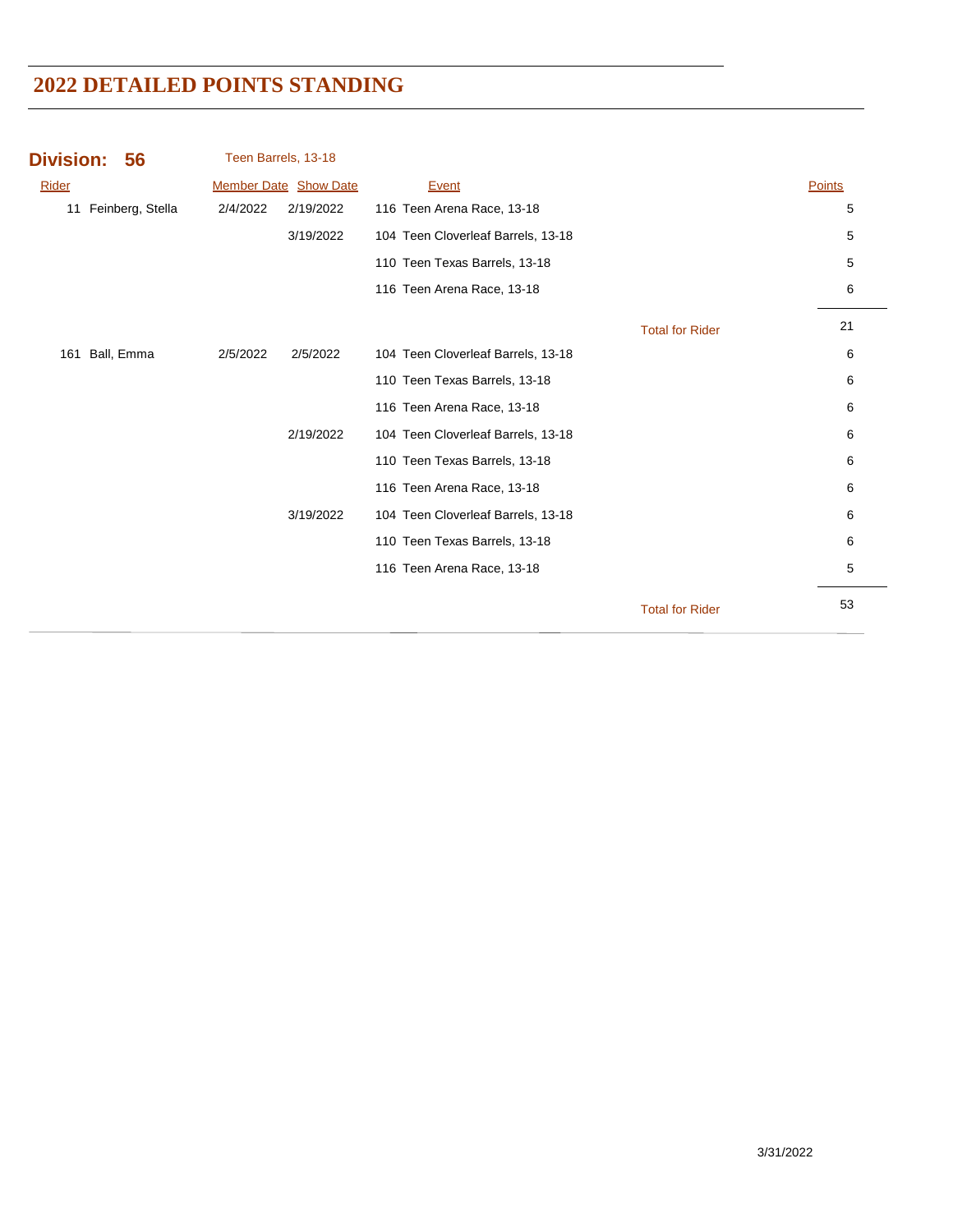|          |           | <b>Event</b>                                 |                        | Points |
|----------|-----------|----------------------------------------------|------------------------|--------|
| 2/4/2022 | 2/19/2022 | 116 Teen Arena Race, 13-18                   |                        | 5      |
|          | 3/19/2022 | 104 Teen Cloverleaf Barrels, 13-18           |                        | 5      |
|          |           | 110 Teen Texas Barrels, 13-18                |                        | 5      |
|          |           | 116 Teen Arena Race, 13-18                   |                        | 6      |
|          |           |                                              | <b>Total for Rider</b> | 21     |
| 2/5/2022 | 2/5/2022  | 104 Teen Cloverleaf Barrels, 13-18           |                        | 6      |
|          |           | 110 Teen Texas Barrels, 13-18                |                        | 6      |
|          |           | 116 Teen Arena Race, 13-18                   |                        | 6      |
|          | 2/19/2022 | 104 Teen Cloverleaf Barrels, 13-18           |                        | 6      |
|          |           | 110 Teen Texas Barrels, 13-18                |                        | 6      |
|          |           | 116 Teen Arena Race, 13-18                   |                        | 6      |
|          | 3/19/2022 | 104 Teen Cloverleaf Barrels, 13-18           |                        | 6      |
|          |           | 110 Teen Texas Barrels, 13-18                |                        | 6      |
|          |           | 116 Teen Arena Race, 13-18                   |                        | 5      |
|          |           |                                              | <b>Total for Rider</b> | 53     |
|          |           | Teen Barrels, 13-18<br>Member Date Show Date |                        |        |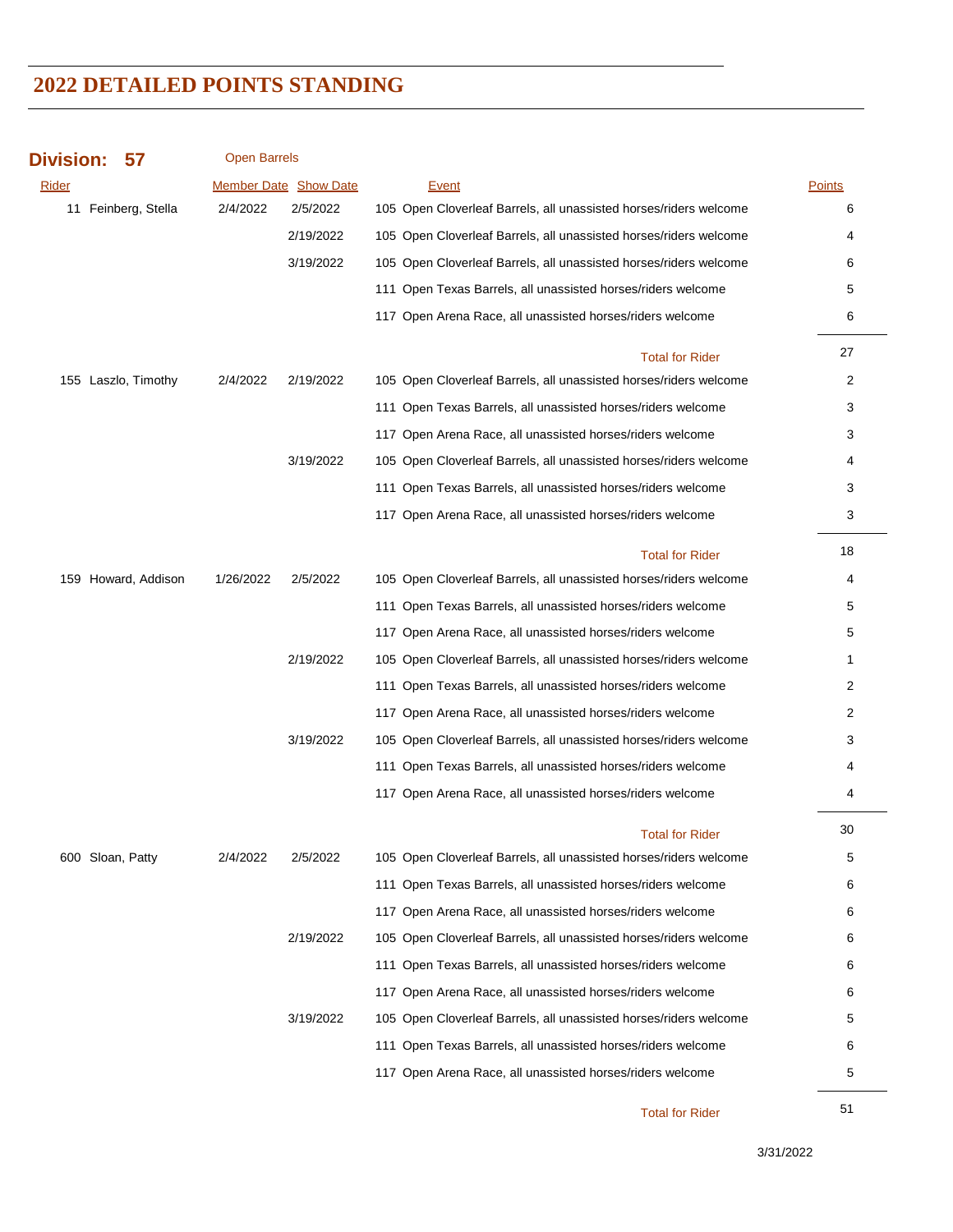#### **Division: 57**

Open Barrels

| Rider               |           | <b>Member Date Show Date</b> | <b>Event</b>                                                      | <b>Points</b> |
|---------------------|-----------|------------------------------|-------------------------------------------------------------------|---------------|
| 11 Feinberg, Stella | 2/4/2022  | 2/5/2022                     | 105 Open Cloverleaf Barrels, all unassisted horses/riders welcome | 6             |
|                     |           | 2/19/2022                    | 105 Open Cloverleaf Barrels, all unassisted horses/riders welcome | 4             |
|                     |           | 3/19/2022                    | 105 Open Cloverleaf Barrels, all unassisted horses/riders welcome | 6             |
|                     |           |                              | 111 Open Texas Barrels, all unassisted horses/riders welcome      | 5             |
|                     |           |                              | 117 Open Arena Race, all unassisted horses/riders welcome         | 6             |
|                     |           |                              | <b>Total for Rider</b>                                            | 27            |
| 155 Laszlo, Timothy | 2/4/2022  | 2/19/2022                    | 105 Open Cloverleaf Barrels, all unassisted horses/riders welcome | 2             |
|                     |           |                              | 111 Open Texas Barrels, all unassisted horses/riders welcome      | 3             |
|                     |           |                              | 117 Open Arena Race, all unassisted horses/riders welcome         | 3             |
|                     |           | 3/19/2022                    | 105 Open Cloverleaf Barrels, all unassisted horses/riders welcome | 4             |
|                     |           |                              | 111 Open Texas Barrels, all unassisted horses/riders welcome      | 3             |
|                     |           |                              | 117 Open Arena Race, all unassisted horses/riders welcome         | 3             |
|                     |           |                              | <b>Total for Rider</b>                                            | 18            |
| 159 Howard, Addison | 1/26/2022 | 2/5/2022                     | 105 Open Cloverleaf Barrels, all unassisted horses/riders welcome | 4             |
|                     |           |                              | 111 Open Texas Barrels, all unassisted horses/riders welcome      | 5             |
|                     |           |                              | 117 Open Arena Race, all unassisted horses/riders welcome         | 5             |
|                     |           | 2/19/2022                    | 105 Open Cloverleaf Barrels, all unassisted horses/riders welcome | 1             |
|                     |           |                              | 111 Open Texas Barrels, all unassisted horses/riders welcome      | 2             |
|                     |           |                              | 117 Open Arena Race, all unassisted horses/riders welcome         | 2             |
|                     |           | 3/19/2022                    | 105 Open Cloverleaf Barrels, all unassisted horses/riders welcome | 3             |
|                     |           |                              | 111 Open Texas Barrels, all unassisted horses/riders welcome      | 4             |
|                     |           |                              | 117 Open Arena Race, all unassisted horses/riders welcome         | 4             |
|                     |           |                              | <b>Total for Rider</b>                                            | 30            |
| 600 Sloan, Patty    | 2/4/2022  | 2/5/2022                     | 105 Open Cloverleaf Barrels, all unassisted horses/riders welcome | 5             |
|                     |           |                              | 111 Open Texas Barrels, all unassisted horses/riders welcome      | 6             |
|                     |           |                              | 117 Open Arena Race, all unassisted horses/riders welcome         | 6             |
|                     |           | 2/19/2022                    | 105 Open Cloverleaf Barrels, all unassisted horses/riders welcome | 6             |
|                     |           |                              | 111 Open Texas Barrels, all unassisted horses/riders welcome      | 6             |
|                     |           |                              | 117 Open Arena Race, all unassisted horses/riders welcome         | 6             |
|                     |           | 3/19/2022                    | 105 Open Cloverleaf Barrels, all unassisted horses/riders welcome | 5             |
|                     |           |                              | 111 Open Texas Barrels, all unassisted horses/riders welcome      | 6             |
|                     |           |                              | 117 Open Arena Race, all unassisted horses/riders welcome         | 5             |
|                     |           |                              |                                                                   |               |

51 Total for Rider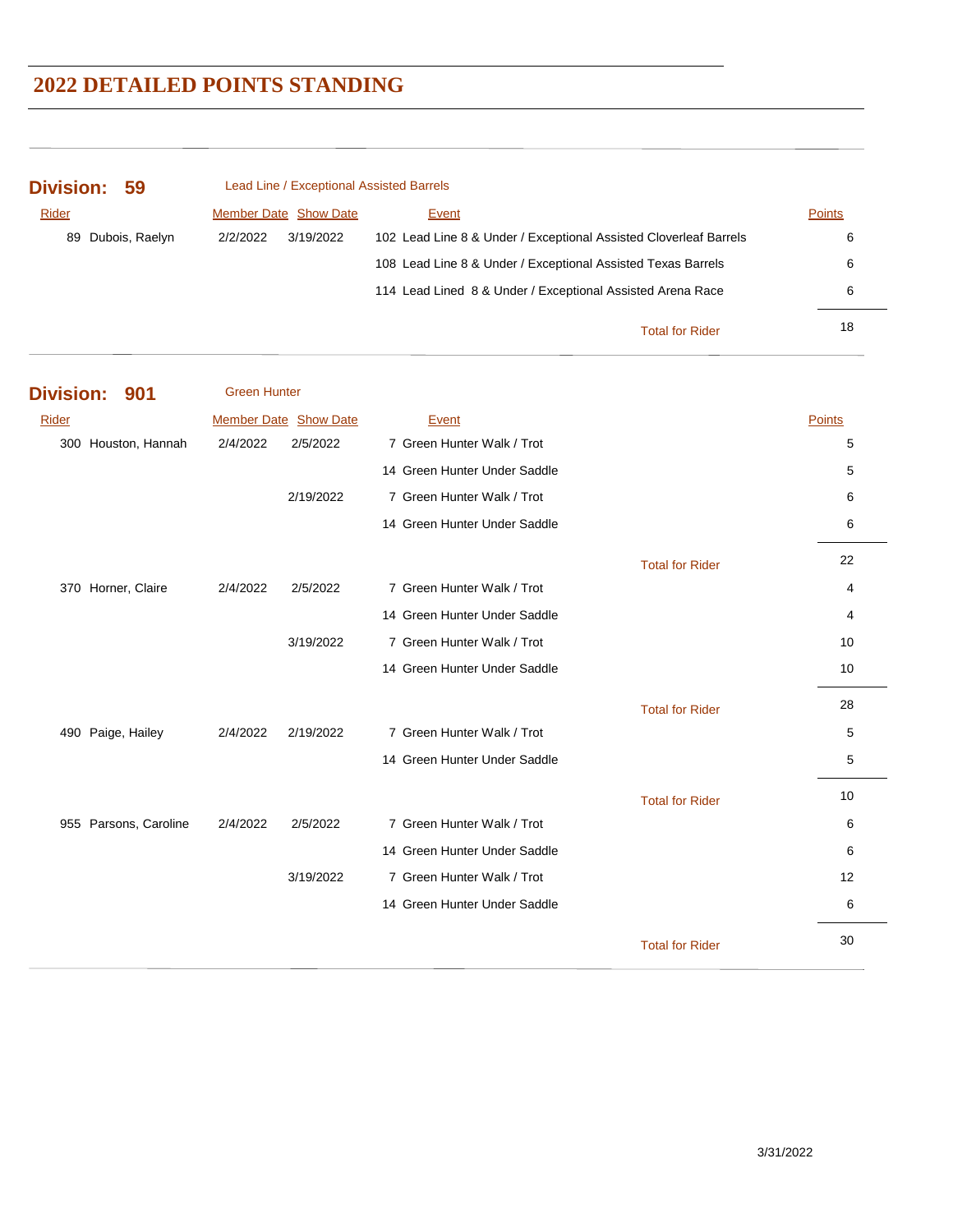| Division: 59      | Lead Line / Exceptional Assisted Barrels |                                                                   |               |
|-------------------|------------------------------------------|-------------------------------------------------------------------|---------------|
| Rider             | <b>Member Date Show Date</b>             | Event                                                             | <b>Points</b> |
| 89 Dubois, Raelyn | 2/2/2022<br>3/19/2022                    | 102 Lead Line 8 & Under / Exceptional Assisted Cloverleaf Barrels | 6             |
|                   |                                          | 108 Lead Line 8 & Under / Exceptional Assisted Texas Barrels      | 6             |
|                   |                                          | 114 Lead Lined 8 & Under / Exceptional Assisted Arena Race        | 6             |
|                   |                                          | <b>Total for Rider</b>                                            | 18            |

**Division: 901 Rider Show Date Event Points Access Points** Points Points Points **Points** Points **Points** Green Hunter 300 Houston, Hannah 2/4/2022 2/5/2022 7 Green Hunter Walk / Trot 5 14 Green Hunter Under Saddle 5 2/19/2022 7 Green Hunter Walk / Trot 6 14 Green Hunter Under Saddle 6 6 22 Total for Rider 370 Horner, Claire 2/4/2022 2/5/2022 7 Green Hunter Walk / Trot 4 14 Green Hunter Under Saddle 4 3/19/2022 7 Green Hunter Walk / Trot 10 14 Green Hunter Under Saddle 10 and 10 and 10 and 10 and 10 and 10 and 10 and 10 and 10 and 10 and 10 and 10 and 10 and 10 and 10 and 10 and 10 and 10 and 10 and 10 and 10 and 10 and 10 and 10 and 10 and 10 and 10 and 10 a 28 Total for Rider 490 Paige, Hailey 2/4/2022 2/19/2022 7 Green Hunter Walk / Trot 5 14 Green Hunter Under Saddle 5 10 Total for Rider 955 Parsons, Caroline 2/4/2022 2/5/2022 7 Green Hunter Walk / Trot 6 14 Green Hunter Under Saddle 6 3/19/2022 7 Green Hunter Walk / Trot 12 14 Green Hunter Under Saddle 6 30 Total for Rider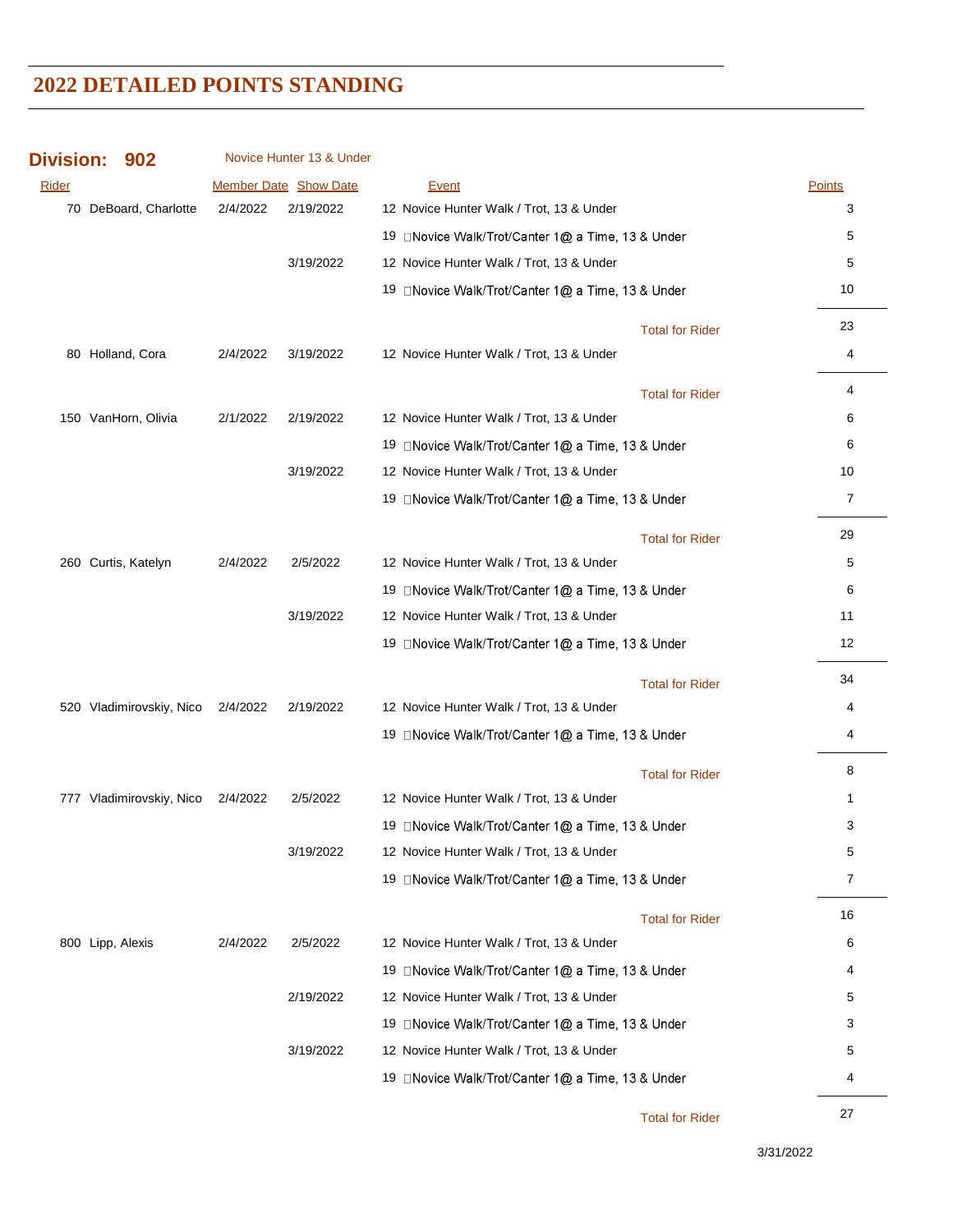| <b>Division:</b> | 902                      |          | Novice Hunter 13 & Under |                                                    |        |
|------------------|--------------------------|----------|--------------------------|----------------------------------------------------|--------|
| Rider            |                          |          | Member Date Show Date    | Event                                              | Points |
|                  | 70 DeBoard, Charlotte    | 2/4/2022 | 2/19/2022                | 12 Novice Hunter Walk / Trot, 13 & Under           | 3      |
|                  |                          |          |                          | 19 □ Novice Walk/Trot/Canter 1@ a Time, 13 & Under | 5      |
|                  |                          |          | 3/19/2022                | 12 Novice Hunter Walk / Trot, 13 & Under           | 5      |
|                  |                          |          |                          | 19 □Novice Walk/Trot/Canter 1@ a Time, 13 & Under  | 10     |
|                  |                          |          |                          | <b>Total for Rider</b>                             | 23     |
|                  | 80 Holland, Cora         | 2/4/2022 | 3/19/2022                | 12 Novice Hunter Walk / Trot, 13 & Under           | 4      |
|                  |                          |          |                          | <b>Total for Rider</b>                             | 4      |
|                  | 150 VanHorn, Olivia      | 2/1/2022 | 2/19/2022                | 12 Novice Hunter Walk / Trot, 13 & Under           | 6      |
|                  |                          |          |                          | 19 □ Novice Walk/Trot/Canter 1@ a Time, 13 & Under | 6      |
|                  |                          |          | 3/19/2022                | 12 Novice Hunter Walk / Trot, 13 & Under           | 10     |
|                  |                          |          |                          | 19 □ Novice Walk/Trot/Canter 1@ a Time, 13 & Under | 7      |
|                  |                          |          |                          | <b>Total for Rider</b>                             | 29     |
|                  | 260 Curtis, Katelyn      | 2/4/2022 | 2/5/2022                 | 12 Novice Hunter Walk / Trot, 13 & Under           | 5      |
|                  |                          |          |                          | 19 □ Novice Walk/Trot/Canter 1@ a Time, 13 & Under | 6      |
|                  |                          |          | 3/19/2022                | 12 Novice Hunter Walk / Trot, 13 & Under           | 11     |
|                  |                          |          |                          | 19 □Novice Walk/Trot/Canter 1@ a Time, 13 & Under  | 12     |
|                  |                          |          |                          | <b>Total for Rider</b>                             | 34     |
|                  | 520 Vladimirovskiy, Nico | 2/4/2022 | 2/19/2022                | 12 Novice Hunter Walk / Trot, 13 & Under           | 4      |
|                  |                          |          |                          | 19 □Novice Walk/Trot/Canter 1@ a Time, 13 & Under  | 4      |
|                  |                          |          |                          | <b>Total for Rider</b>                             | 8      |
|                  | 777 Vladimirovskiy, Nico | 2/4/2022 | 2/5/2022                 | 12 Novice Hunter Walk / Trot, 13 & Under           | 1      |
|                  |                          |          |                          | 19 □ Novice Walk/Trot/Canter 1@ a Time, 13 & Under | 3      |
|                  |                          |          | 3/19/2022                | 12 Novice Hunter Walk / Trot, 13 & Under           | 5      |
|                  |                          |          |                          | 19 □Novice Walk/Trot/Canter 1@ a Time, 13 & Under  | 7      |
|                  |                          |          |                          | <b>Total for Rider</b>                             | 16     |
|                  | 800 Lipp, Alexis         | 2/4/2022 | 2/5/2022                 | 12 Novice Hunter Walk / Trot, 13 & Under           | 6      |
|                  |                          |          |                          | 19 □ Novice Walk/Trot/Canter 1@ a Time, 13 & Under | 4      |
|                  |                          |          | 2/19/2022                | 12 Novice Hunter Walk / Trot, 13 & Under           | 5      |
|                  |                          |          |                          | 19 □Novice Walk/Trot/Canter 1@ a Time, 13 & Under  | 3      |
|                  |                          |          | 3/19/2022                | 12 Novice Hunter Walk / Trot, 13 & Under           | 5      |
|                  |                          |          |                          | 19 □Novice Walk/Trot/Canter 1@ a Time, 13 & Under  | 4      |

27 Total for Rider

3/31/2022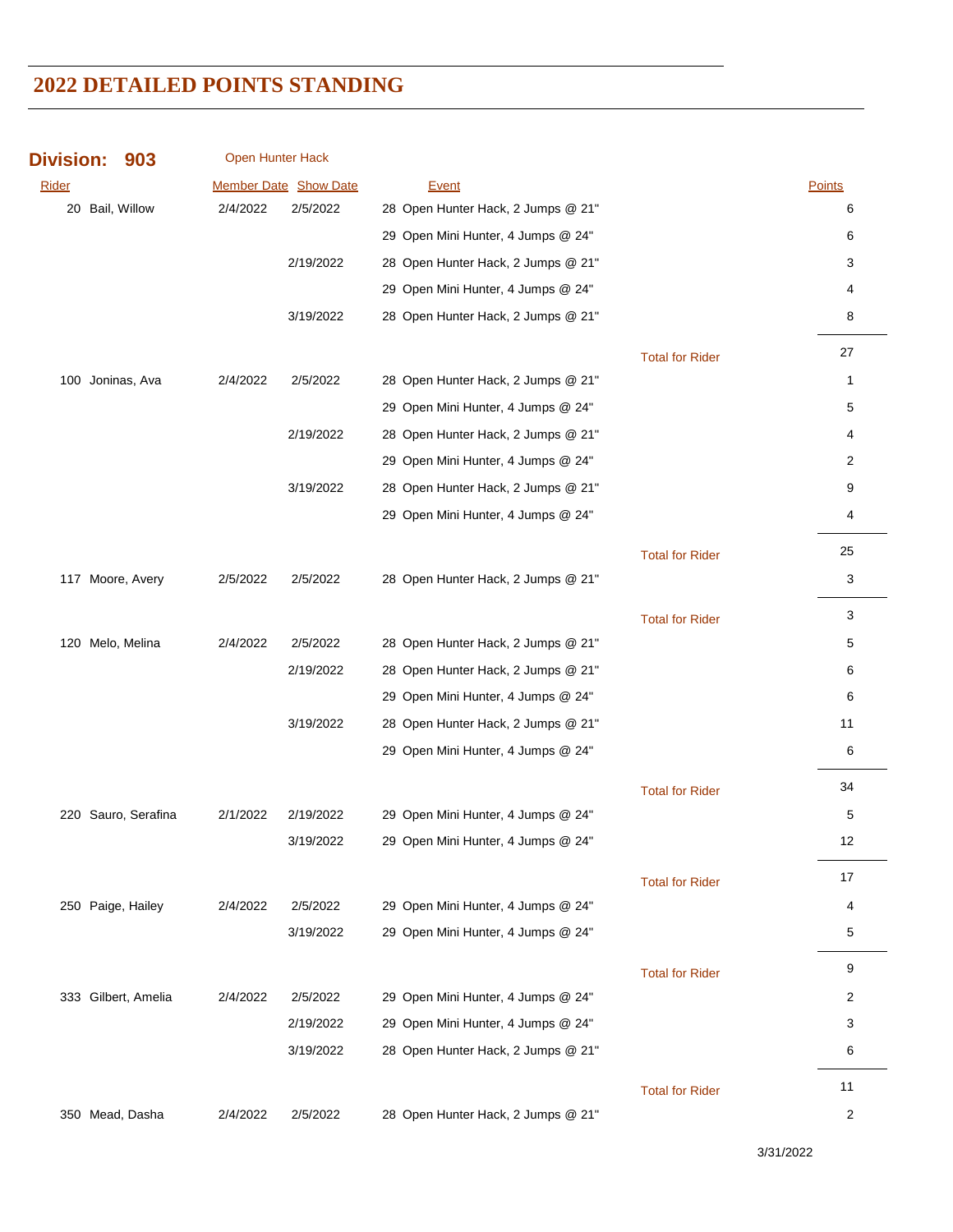| Division: 903 | <b>Open Hunter Hack</b> |
|---------------|-------------------------|
|               |                         |

| Rider |                     |          | <b>Member Date Show Date</b> | Event                              |                        | Points       |
|-------|---------------------|----------|------------------------------|------------------------------------|------------------------|--------------|
|       | 20 Bail, Willow     | 2/4/2022 | 2/5/2022                     | 28 Open Hunter Hack, 2 Jumps @ 21" |                        | 6            |
|       |                     |          |                              | 29 Open Mini Hunter, 4 Jumps @ 24" |                        | 6            |
|       |                     |          | 2/19/2022                    | 28 Open Hunter Hack, 2 Jumps @ 21" |                        | 3            |
|       |                     |          |                              | 29 Open Mini Hunter, 4 Jumps @ 24" |                        | 4            |
|       |                     |          | 3/19/2022                    | 28 Open Hunter Hack, 2 Jumps @ 21" |                        | 8            |
|       |                     |          |                              |                                    | <b>Total for Rider</b> | 27           |
|       | 100 Joninas, Ava    | 2/4/2022 | 2/5/2022                     | 28 Open Hunter Hack, 2 Jumps @ 21" |                        | $\mathbf{1}$ |
|       |                     |          |                              | 29 Open Mini Hunter, 4 Jumps @ 24" |                        | 5            |
|       |                     |          | 2/19/2022                    | 28 Open Hunter Hack, 2 Jumps @ 21" |                        | 4            |
|       |                     |          |                              | 29 Open Mini Hunter, 4 Jumps @ 24" |                        | 2            |
|       |                     |          | 3/19/2022                    | 28 Open Hunter Hack, 2 Jumps @ 21" |                        | 9            |
|       |                     |          |                              | 29 Open Mini Hunter, 4 Jumps @ 24" |                        | 4            |
|       |                     |          |                              |                                    | <b>Total for Rider</b> | 25           |
|       | 117 Moore, Avery    | 2/5/2022 | 2/5/2022                     | 28 Open Hunter Hack, 2 Jumps @ 21" |                        | 3            |
|       |                     |          |                              |                                    | <b>Total for Rider</b> | 3            |
|       | 120 Melo, Melina    | 2/4/2022 | 2/5/2022                     | 28 Open Hunter Hack, 2 Jumps @ 21" |                        | 5            |
|       |                     |          | 2/19/2022                    | 28 Open Hunter Hack, 2 Jumps @ 21" |                        | 6            |
|       |                     |          |                              | 29 Open Mini Hunter, 4 Jumps @ 24" |                        | 6            |
|       |                     |          | 3/19/2022                    | 28 Open Hunter Hack, 2 Jumps @ 21" |                        | 11           |
|       |                     |          |                              | 29 Open Mini Hunter, 4 Jumps @ 24" |                        | 6            |
|       |                     |          |                              |                                    | <b>Total for Rider</b> | 34           |
|       | 220 Sauro, Serafina | 2/1/2022 | 2/19/2022                    | 29 Open Mini Hunter, 4 Jumps @ 24" |                        | 5            |
|       |                     |          | 3/19/2022                    | 29 Open Mini Hunter, 4 Jumps @ 24" |                        | 12           |
|       |                     |          |                              |                                    | <b>Total for Rider</b> | 17           |
|       | 250 Paige, Hailey   | 2/4/2022 | 2/5/2022                     | 29 Open Mini Hunter, 4 Jumps @ 24" |                        | 4            |
|       |                     |          | 3/19/2022                    | 29 Open Mini Hunter, 4 Jumps @ 24" |                        | 5            |
|       |                     |          |                              |                                    | <b>Total for Rider</b> | 9            |
|       | 333 Gilbert, Amelia | 2/4/2022 | 2/5/2022                     | 29 Open Mini Hunter, 4 Jumps @ 24" |                        | 2            |
|       |                     |          | 2/19/2022                    | 29 Open Mini Hunter, 4 Jumps @ 24" |                        | 3            |
|       |                     |          | 3/19/2022                    | 28 Open Hunter Hack, 2 Jumps @ 21" |                        | 6            |
|       |                     |          |                              |                                    | <b>Total for Rider</b> | 11           |
|       | 350 Mead, Dasha     | 2/4/2022 | 2/5/2022                     | 28 Open Hunter Hack, 2 Jumps @ 21" |                        | 2            |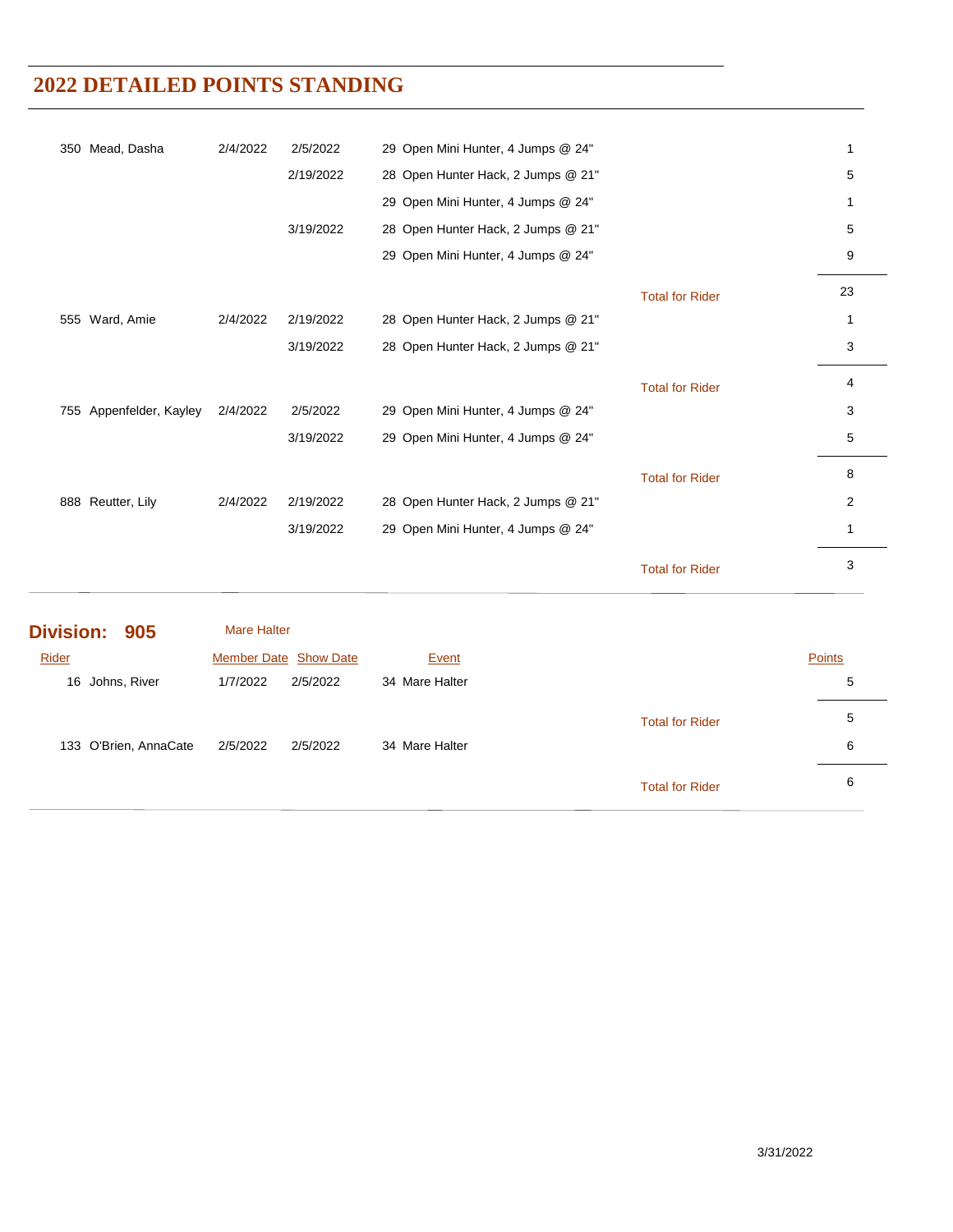|                  | 133 O'Brien, AnnaCate   | 2/5/2022           | 2/5/2022              | 34 Mare Halter                     | <b>Total for Rider</b> | 6              |
|------------------|-------------------------|--------------------|-----------------------|------------------------------------|------------------------|----------------|
|                  | 16 Johns, River         | 1/7/2022           | 2/5/2022              | 34 Mare Halter                     |                        | 5<br>5         |
| Rider            |                         |                    | Member Date Show Date | Event                              |                        | Points         |
| <b>Division:</b> | 905                     | <b>Mare Halter</b> |                       |                                    |                        |                |
|                  |                         |                    |                       |                                    | <b>Total for Rider</b> | 3              |
|                  |                         |                    | 3/19/2022             | 29 Open Mini Hunter, 4 Jumps @ 24" |                        | $\mathbf{1}$   |
|                  | 888 Reutter, Lily       | 2/4/2022           | 2/19/2022             | 28 Open Hunter Hack, 2 Jumps @ 21" |                        | $\overline{c}$ |
|                  |                         |                    |                       |                                    | <b>Total for Rider</b> | 8              |
|                  |                         |                    | 3/19/2022             | 29 Open Mini Hunter, 4 Jumps @ 24" |                        | 5              |
|                  | 755 Appenfelder, Kayley | 2/4/2022           | 2/5/2022              | 29 Open Mini Hunter, 4 Jumps @ 24" |                        | 3              |
|                  |                         |                    |                       |                                    | <b>Total for Rider</b> | 4              |
|                  |                         |                    | 3/19/2022             | 28 Open Hunter Hack, 2 Jumps @ 21" |                        | 3              |
|                  | 555 Ward, Amie          | 2/4/2022           | 2/19/2022             | 28 Open Hunter Hack, 2 Jumps @ 21" |                        | 1              |
|                  |                         |                    |                       |                                    | <b>Total for Rider</b> | 23             |
|                  |                         |                    |                       | 29 Open Mini Hunter, 4 Jumps @ 24" |                        | 9              |
|                  |                         |                    | 3/19/2022             | 28 Open Hunter Hack, 2 Jumps @ 21" |                        | 5              |
|                  |                         |                    |                       | 29 Open Mini Hunter, 4 Jumps @ 24" |                        | 1              |
|                  |                         |                    | 2/19/2022             | 28 Open Hunter Hack, 2 Jumps @ 21" |                        | 5              |
|                  | 350 Mead, Dasha         | 2/4/2022           | 2/5/2022              | 29 Open Mini Hunter, 4 Jumps @ 24" |                        | 1              |

Total for Rider **6**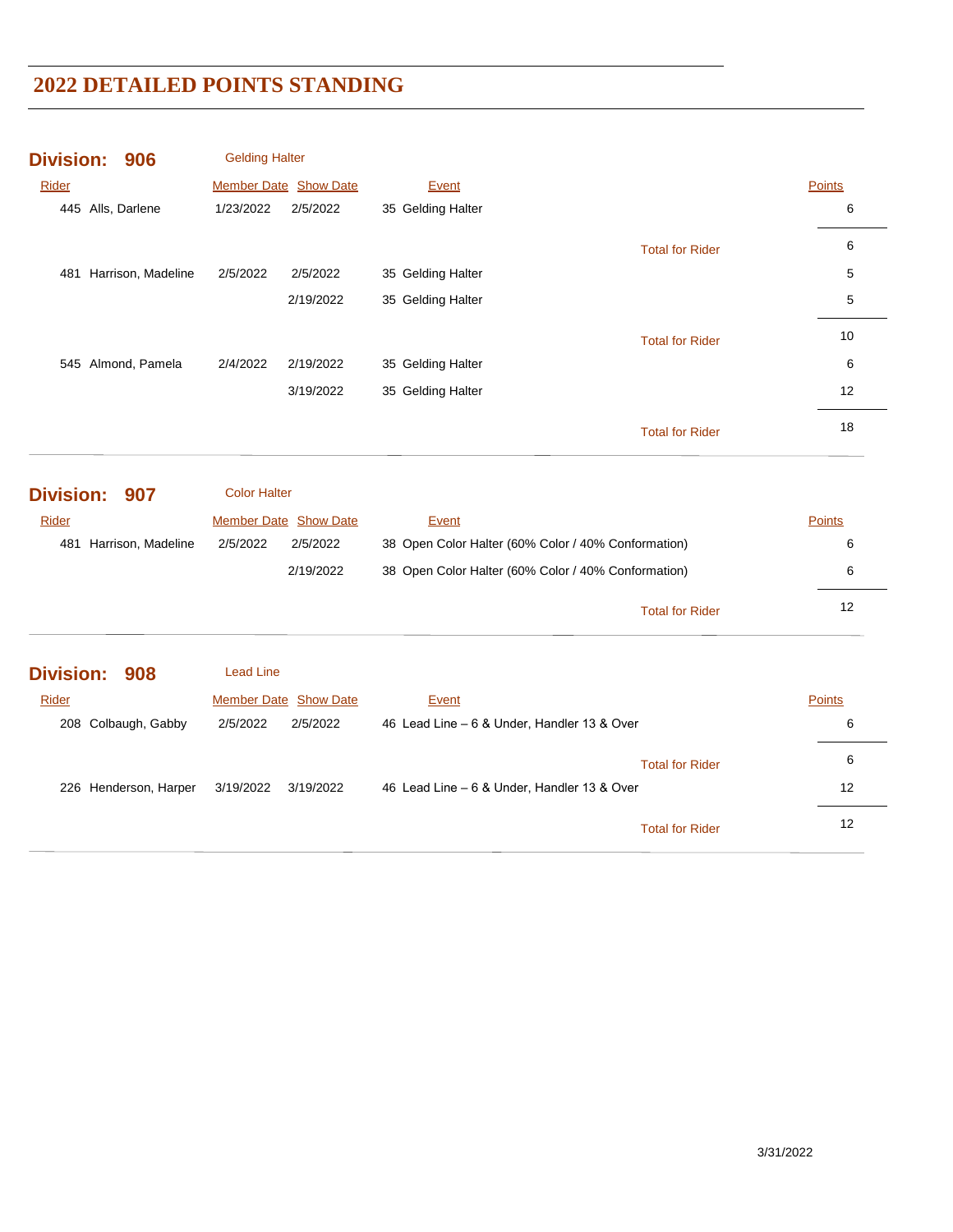| <b>Division:</b><br>906          | <b>Gelding Halter</b>                        |                                                     |               |
|----------------------------------|----------------------------------------------|-----------------------------------------------------|---------------|
| Rider                            | Member Date Show Date                        | Event                                               | <b>Points</b> |
| 445 Alls, Darlene                | 1/23/2022<br>2/5/2022                        | 35 Gelding Halter                                   | 6             |
|                                  |                                              | <b>Total for Rider</b>                              | 6             |
| 481 Harrison, Madeline           | 2/5/2022<br>2/5/2022                         | 35 Gelding Halter                                   | 5             |
|                                  | 2/19/2022                                    | 35 Gelding Halter                                   | 5             |
|                                  |                                              | <b>Total for Rider</b>                              | 10            |
| 545 Almond, Pamela               | 2/4/2022<br>2/19/2022                        | 35 Gelding Halter                                   | 6             |
|                                  | 3/19/2022                                    | 35 Gelding Halter                                   | 12            |
|                                  |                                              | <b>Total for Rider</b>                              | 18            |
| <b>Division:</b><br>907<br>Rider | <b>Color Halter</b><br>Member Date Show Date | Event                                               | <b>Points</b> |
| 481 Harrison, Madeline           | 2/5/2022<br>2/5/2022                         | 38 Open Color Halter (60% Color / 40% Conformation) | 6             |
|                                  | 2/19/2022                                    | 38 Open Color Halter (60% Color / 40% Conformation) | 6             |
|                                  |                                              | <b>Total for Rider</b>                              | 12            |
| <b>Division:</b><br>908          | <b>Lead Line</b>                             |                                                     |               |
| Rider                            | Member Date Show Date                        | Event                                               | <b>Points</b> |
| 208 Colbaugh, Gabby              | 2/5/2022<br>2/5/2022                         | 46 Lead Line - 6 & Under, Handler 13 & Over         | 6             |
|                                  |                                              | <b>Total for Rider</b>                              | 6             |
| 226 Henderson, Harper            | 3/19/2022<br>3/19/2022                       | 46 Lead Line - 6 & Under, Handler 13 & Over         | 12            |
|                                  |                                              | <b>Total for Rider</b>                              | 12            |
|                                  |                                              |                                                     |               |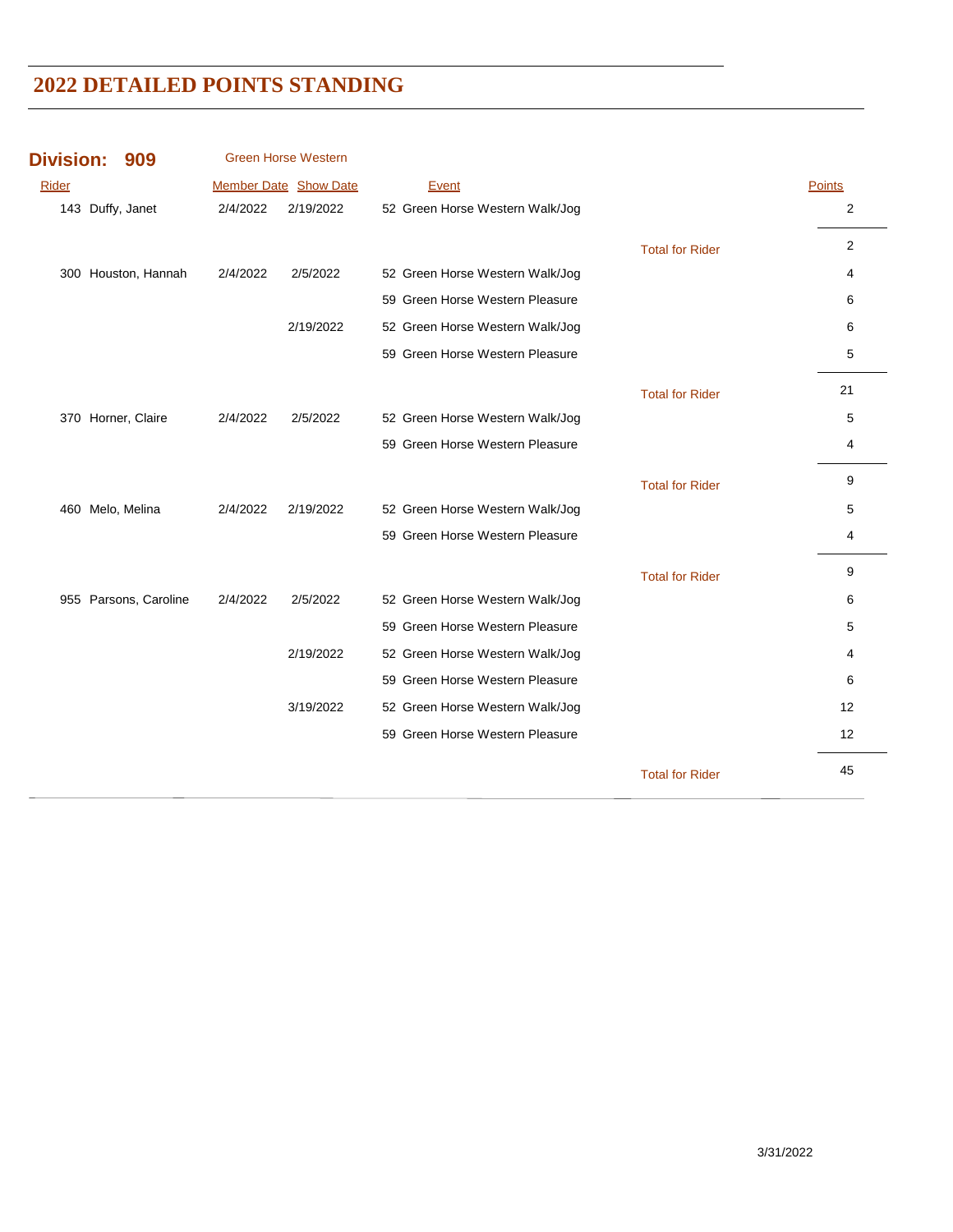| <b>Division:</b> | 909                   |          | <b>Green Horse Western</b> |                                 |                        |                |
|------------------|-----------------------|----------|----------------------------|---------------------------------|------------------------|----------------|
| <b>Rider</b>     |                       |          | Member Date Show Date      | Event                           |                        | <b>Points</b>  |
|                  | 143 Duffy, Janet      | 2/4/2022 | 2/19/2022                  | 52 Green Horse Western Walk/Jog |                        | $\overline{2}$ |
|                  |                       |          |                            |                                 | <b>Total for Rider</b> | $\overline{2}$ |
|                  | 300 Houston, Hannah   | 2/4/2022 | 2/5/2022                   | 52 Green Horse Western Walk/Jog |                        | 4              |
|                  |                       |          |                            | 59 Green Horse Western Pleasure |                        | 6              |
|                  |                       |          | 2/19/2022                  | 52 Green Horse Western Walk/Jog |                        | 6              |
|                  |                       |          |                            | 59 Green Horse Western Pleasure |                        | 5              |
|                  |                       |          |                            |                                 | <b>Total for Rider</b> | 21             |
|                  | 370 Horner, Claire    | 2/4/2022 | 2/5/2022                   | 52 Green Horse Western Walk/Jog |                        | 5              |
|                  |                       |          |                            | 59 Green Horse Western Pleasure |                        | 4              |
|                  |                       |          |                            |                                 | <b>Total for Rider</b> | 9              |
|                  | 460 Melo, Melina      | 2/4/2022 | 2/19/2022                  | 52 Green Horse Western Walk/Jog |                        | 5              |
|                  |                       |          |                            | 59 Green Horse Western Pleasure |                        | 4              |
|                  |                       |          |                            |                                 | <b>Total for Rider</b> | 9              |
|                  | 955 Parsons, Caroline | 2/4/2022 | 2/5/2022                   | 52 Green Horse Western Walk/Jog |                        | 6              |
|                  |                       |          |                            | 59 Green Horse Western Pleasure |                        | 5              |
|                  |                       |          | 2/19/2022                  | 52 Green Horse Western Walk/Jog |                        | 4              |
|                  |                       |          |                            | 59 Green Horse Western Pleasure |                        | 6              |
|                  |                       |          | 3/19/2022                  | 52 Green Horse Western Walk/Jog |                        | 12             |
|                  |                       |          |                            | 59 Green Horse Western Pleasure |                        | 12             |
|                  |                       |          |                            |                                 | <b>Total for Rider</b> | 45             |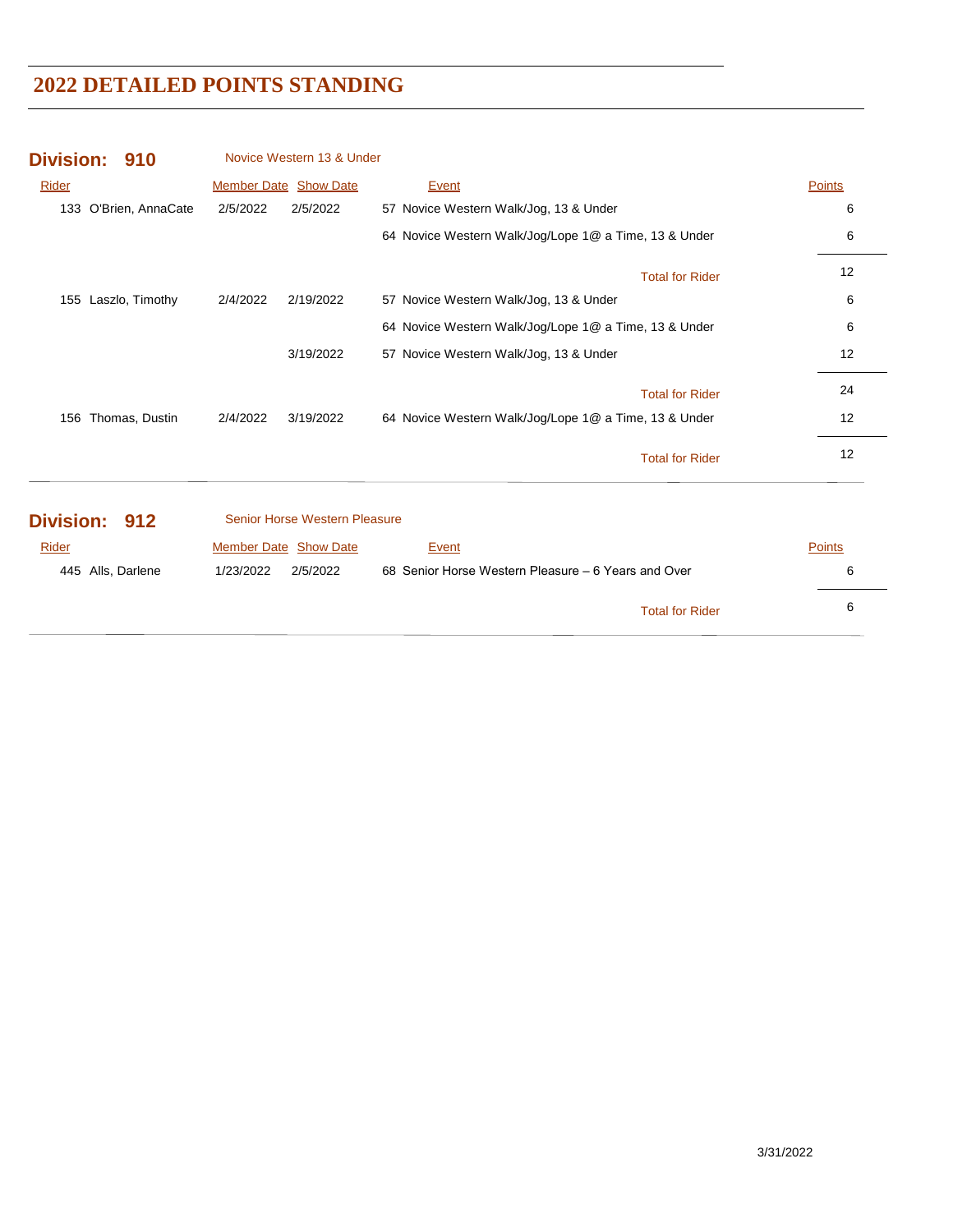| <b>Division:</b><br>910 | Novice Western 13 & Under     |                                                       |               |
|-------------------------|-------------------------------|-------------------------------------------------------|---------------|
| Rider                   | <b>Member Date Show Date</b>  | Event                                                 | <b>Points</b> |
| 133 O'Brien, AnnaCate   | 2/5/2022<br>2/5/2022          | 57 Novice Western Walk/Jog, 13 & Under                | 6             |
|                         |                               | 64 Novice Western Walk/Jog/Lope 1@ a Time, 13 & Under | 6             |
|                         |                               | <b>Total for Rider</b>                                | 12            |
| 155 Laszlo, Timothy     | 2/4/2022<br>2/19/2022         | 57 Novice Western Walk/Jog, 13 & Under                | 6             |
|                         |                               | 64 Novice Western Walk/Jog/Lope 1@ a Time, 13 & Under | 6             |
|                         | 3/19/2022                     | 57 Novice Western Walk/Jog, 13 & Under                | 12            |
|                         |                               | <b>Total for Rider</b>                                | 24            |
| 156 Thomas, Dustin      | 2/4/2022<br>3/19/2022         | 64 Novice Western Walk/Jog/Lope 1@ a Time, 13 & Under | 12            |
|                         |                               | <b>Total for Rider</b>                                | 12            |
| <b>Division:</b><br>912 | Senior Horse Western Pleasure |                                                       |               |
| Rider                   | Member Date Show Date         | Event                                                 | Points        |
| 445 Alls, Darlene       | 1/23/2022<br>2/5/2022         | 68 Senior Horse Western Pleasure – 6 Years and Over   | 6             |
|                         |                               | <b>Total for Rider</b>                                | 6             |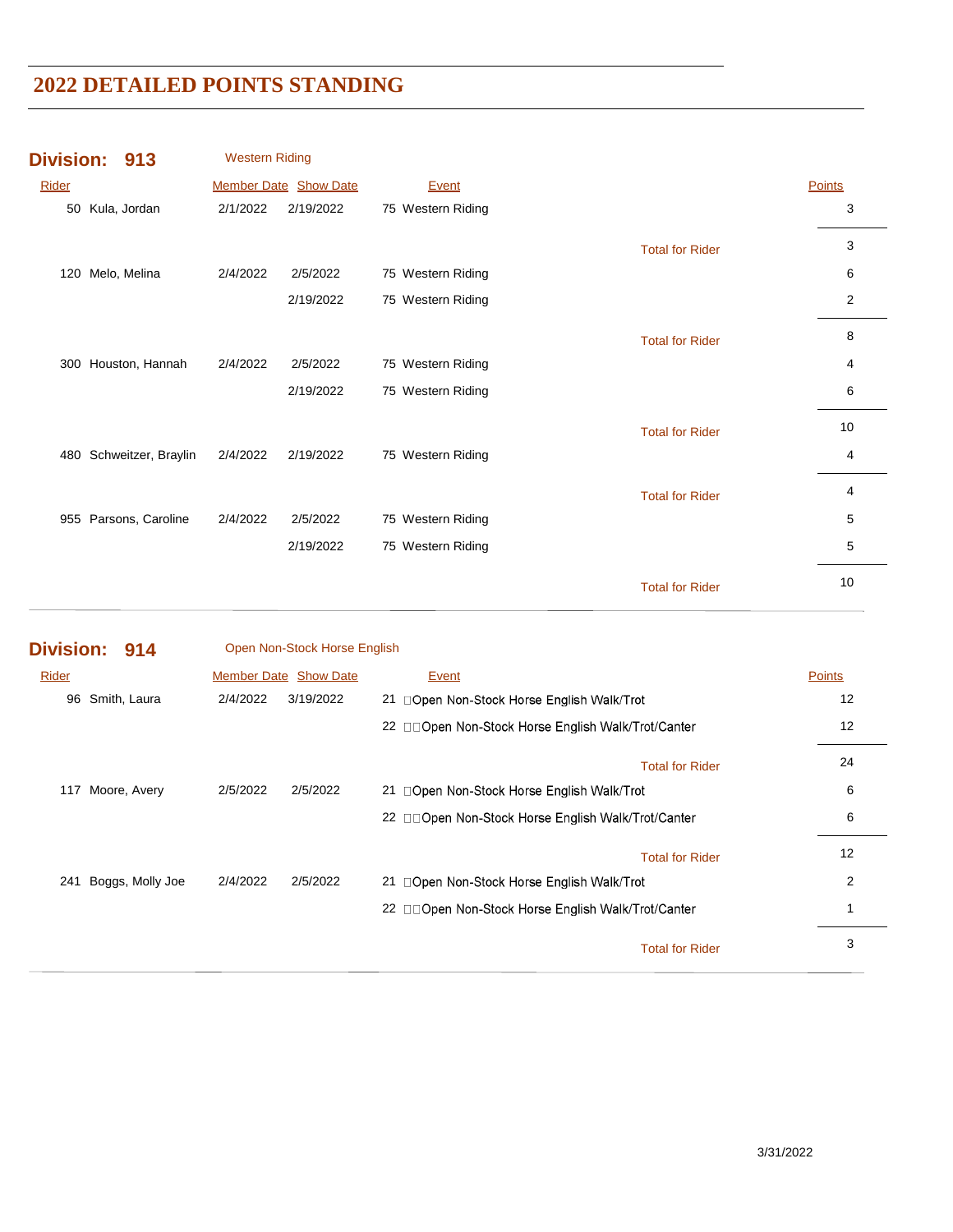|       | Division: 913         | <b>Western Riding</b> |                       |                   |                        |        |
|-------|-----------------------|-----------------------|-----------------------|-------------------|------------------------|--------|
| Rider |                       |                       | Member Date Show Date | Event             |                        | Points |
| 50    | Kula, Jordan          | 2/1/2022              | 2/19/2022             | 75 Western Riding |                        | 3      |
|       |                       |                       |                       |                   | <b>Total for Rider</b> | 3      |
| 120   | Melo, Melina          | 2/4/2022              | 2/5/2022              | 75 Western Riding |                        | 6      |
|       |                       |                       | 2/19/2022             | 75 Western Riding |                        | 2      |
|       |                       |                       |                       |                   | <b>Total for Rider</b> | 8      |
| 300   | Houston, Hannah       | 2/4/2022              | 2/5/2022              | 75 Western Riding |                        | 4      |
|       |                       |                       | 2/19/2022             | 75 Western Riding |                        | 6      |
|       |                       |                       |                       |                   | <b>Total for Rider</b> | 10     |
| 480   | Schweitzer, Braylin   | 2/4/2022              | 2/19/2022             | 75 Western Riding |                        | 4      |
|       |                       |                       |                       |                   | <b>Total for Rider</b> | 4      |
|       | 955 Parsons, Caroline | 2/4/2022              | 2/5/2022              | 75 Western Riding |                        | 5      |
|       |                       |                       | 2/19/2022             | 75 Western Riding |                        | 5      |
|       |                       |                       |                       |                   | <b>Total for Rider</b> | 10     |

| Division: 914 |                  |                       | Open Non-Stock Horse English |                                                    |               |
|---------------|------------------|-----------------------|------------------------------|----------------------------------------------------|---------------|
| Rider         |                  | Member Date Show Date |                              | Event                                              | <b>Points</b> |
| 96            | Smith, Laura     | 2/4/2022              | 3/19/2022                    | 21 □Open Non-Stock Horse English Walk/Trot         | 12            |
|               |                  |                       |                              | 22 □□Open Non-Stock Horse English Walk/Trot/Canter | 12            |
|               |                  |                       |                              | <b>Total for Rider</b>                             | 24            |
| 117           | Moore, Avery     | 2/5/2022              | 2/5/2022                     | 21 □Open Non-Stock Horse English Walk/Trot         | 6             |
|               |                  |                       |                              | 22 □□Open Non-Stock Horse English Walk/Trot/Canter | 6             |
|               |                  |                       |                              | <b>Total for Rider</b>                             | 12            |
| 241           | Boggs, Molly Joe | 2/4/2022              | 2/5/2022                     | 21 □Open Non-Stock Horse English Walk/Trot         | 2             |
|               |                  |                       |                              | 22 □□Open Non-Stock Horse English Walk/Trot/Canter |               |
|               |                  |                       |                              | <b>Total for Rider</b>                             | 3             |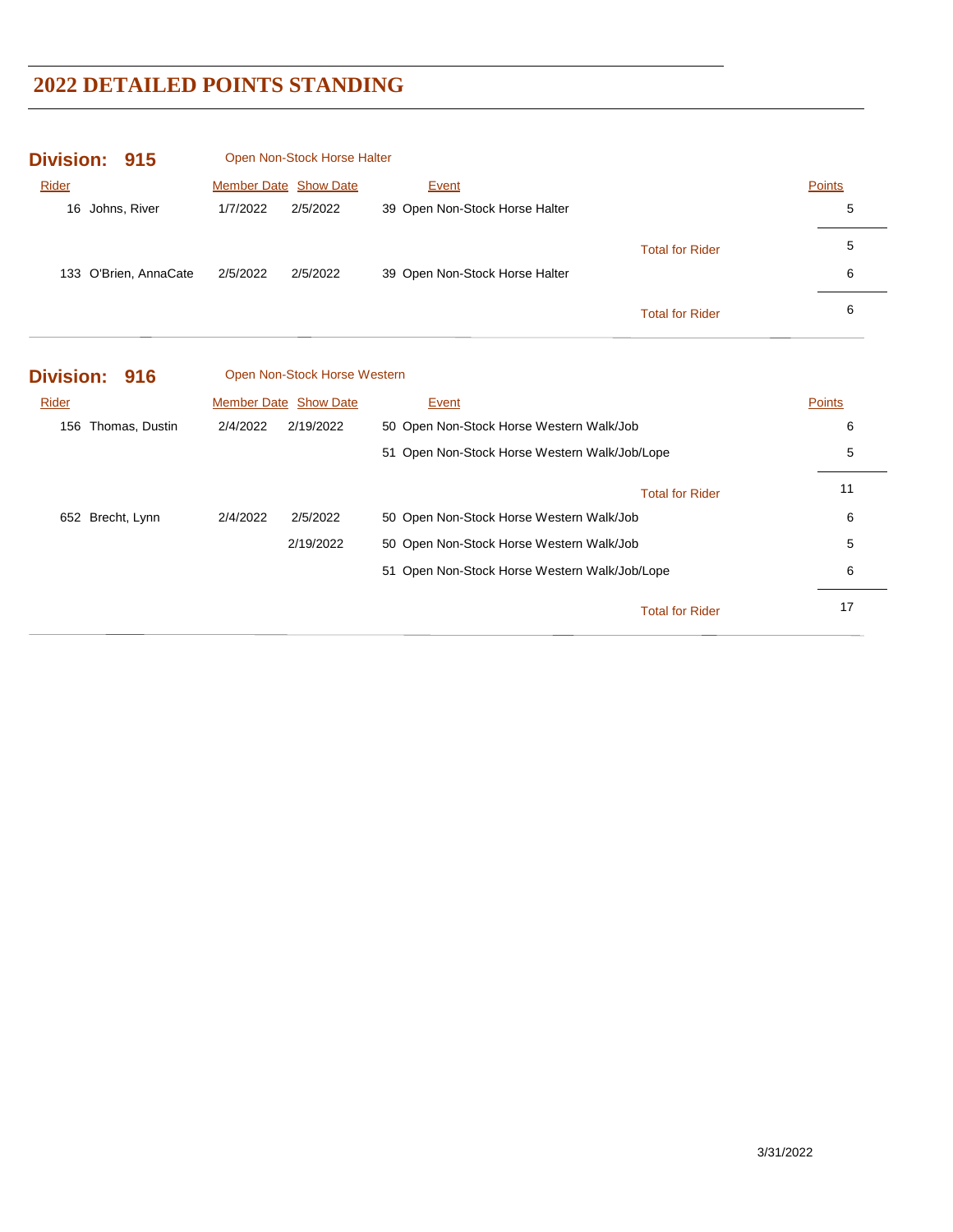| <b>Division:</b><br>915 | Open Non-Stock Horse Halter  |                                               |               |
|-------------------------|------------------------------|-----------------------------------------------|---------------|
| Rider                   | Member Date Show Date        | Event                                         | <b>Points</b> |
| 16 Johns, River         | 1/7/2022<br>2/5/2022         | 39 Open Non-Stock Horse Halter                | 5             |
|                         |                              | <b>Total for Rider</b>                        | 5             |
| 133 O'Brien, AnnaCate   | 2/5/2022<br>2/5/2022         | 39 Open Non-Stock Horse Halter                | 6             |
|                         |                              | <b>Total for Rider</b>                        | 6             |
| <b>Division:</b><br>916 | Open Non-Stock Horse Western |                                               |               |
| Rider                   | Member Date Show Date        | Event                                         | <b>Points</b> |
| 156 Thomas, Dustin      | 2/4/2022<br>2/19/2022        | 50 Open Non-Stock Horse Western Walk/Job      | 6             |
|                         |                              | 51 Open Non-Stock Horse Western Walk/Job/Lope | 5             |
|                         |                              | <b>Total for Rider</b>                        | 11            |
| 652 Brecht, Lynn        | 2/4/2022<br>2/5/2022         | 50 Open Non-Stock Horse Western Walk/Job      | 6             |
|                         | 2/19/2022                    | 50 Open Non-Stock Horse Western Walk/Job      | 5             |
|                         |                              | 51 Open Non-Stock Horse Western Walk/Job/Lope | 6             |
|                         |                              | <b>Total for Rider</b>                        | 17            |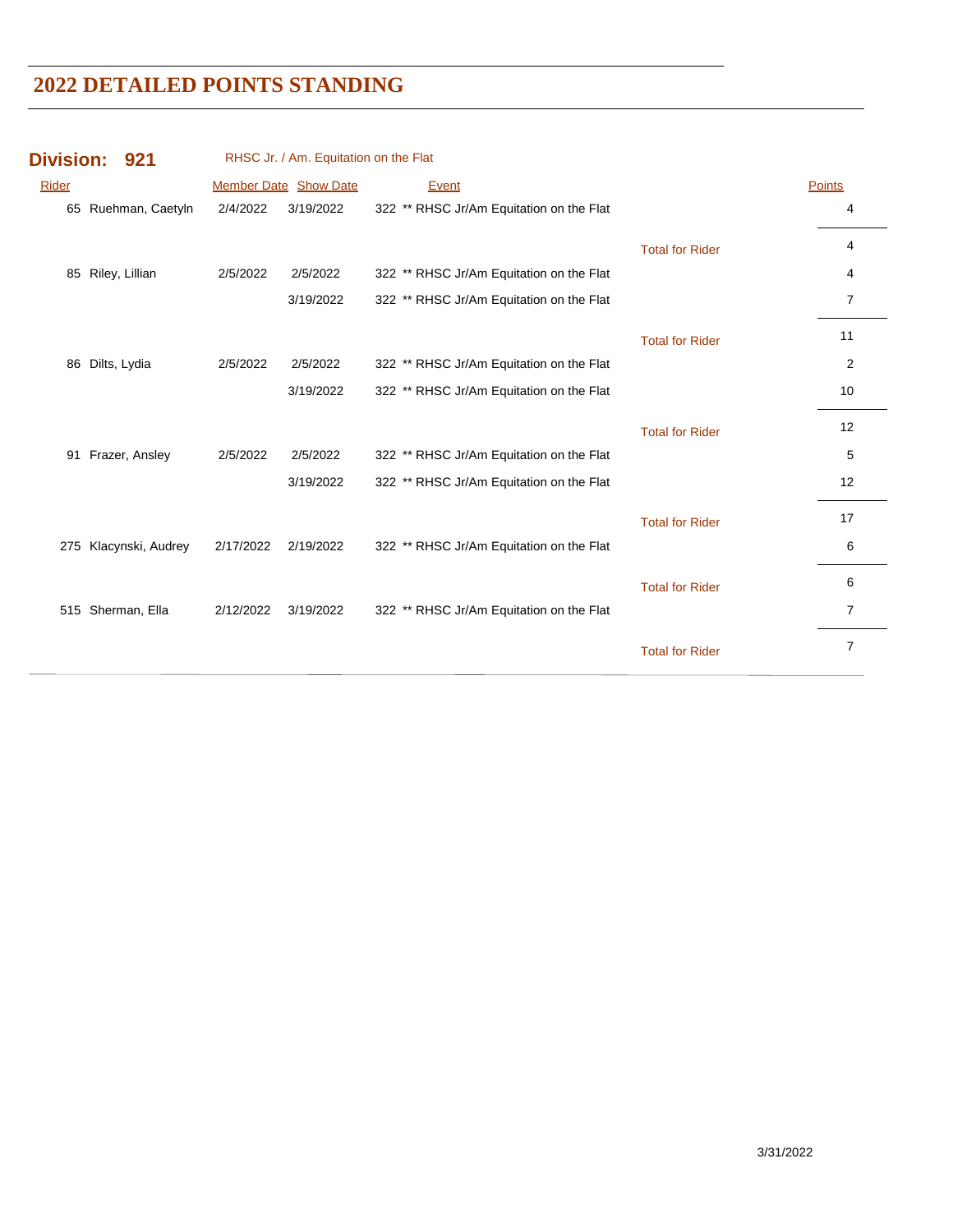| RHSC Jr. / Am. Equitation on the Flat<br><b>Division:</b><br>921 |                       |           |                       |                                          |                        |                |
|------------------------------------------------------------------|-----------------------|-----------|-----------------------|------------------------------------------|------------------------|----------------|
| <b>Rider</b>                                                     |                       |           | Member Date Show Date | Event                                    |                        | <b>Points</b>  |
|                                                                  | 65 Ruehman, Caetyln   | 2/4/2022  | 3/19/2022             | 322 ** RHSC Jr/Am Equitation on the Flat |                        | 4              |
|                                                                  |                       |           |                       |                                          | <b>Total for Rider</b> | 4              |
|                                                                  | 85 Riley, Lillian     | 2/5/2022  | 2/5/2022              | 322 ** RHSC Jr/Am Equitation on the Flat |                        | 4              |
|                                                                  |                       |           | 3/19/2022             | 322 ** RHSC Jr/Am Equitation on the Flat |                        | $\overline{7}$ |
|                                                                  |                       |           |                       |                                          | <b>Total for Rider</b> | 11             |
|                                                                  | 86 Dilts, Lydia       | 2/5/2022  | 2/5/2022              | 322 ** RHSC Jr/Am Equitation on the Flat |                        | 2              |
|                                                                  |                       |           | 3/19/2022             | 322 ** RHSC Jr/Am Equitation on the Flat |                        | 10             |
|                                                                  |                       |           |                       |                                          | <b>Total for Rider</b> | 12             |
|                                                                  | 91 Frazer, Ansley     | 2/5/2022  | 2/5/2022              | 322 ** RHSC Jr/Am Equitation on the Flat |                        | 5              |
|                                                                  |                       |           | 3/19/2022             | 322 ** RHSC Jr/Am Equitation on the Flat |                        | 12             |
|                                                                  |                       |           |                       |                                          | <b>Total for Rider</b> | 17             |
|                                                                  | 275 Klacynski, Audrey | 2/17/2022 | 2/19/2022             | 322 ** RHSC Jr/Am Equitation on the Flat |                        | 6              |
|                                                                  |                       |           |                       |                                          | <b>Total for Rider</b> | 6              |
|                                                                  | 515 Sherman, Ella     | 2/12/2022 | 3/19/2022             | 322 ** RHSC Jr/Am Equitation on the Flat |                        | 7              |
|                                                                  |                       |           |                       |                                          | <b>Total for Rider</b> | $\overline{7}$ |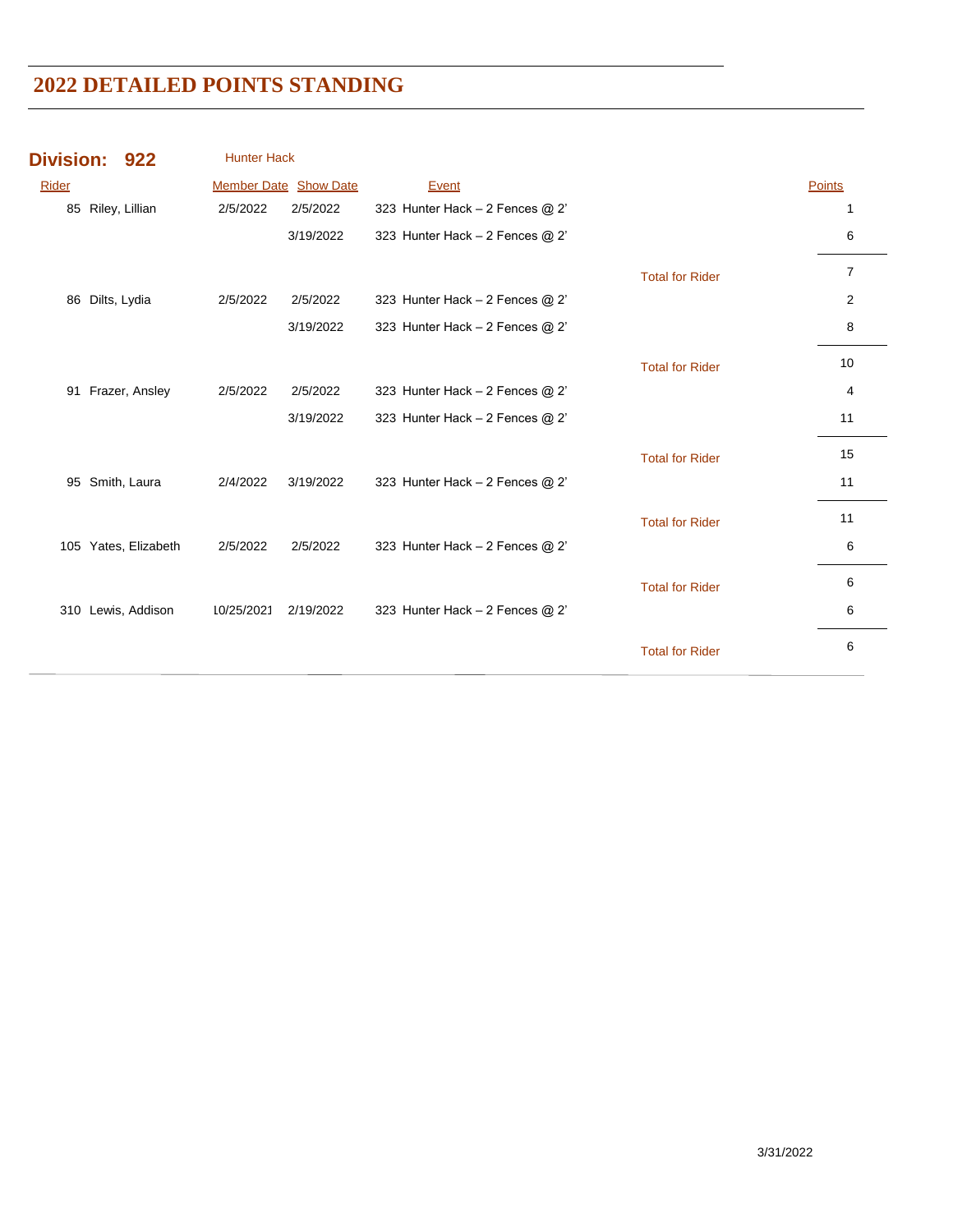| <b>Member Date Show Date</b><br><b>Points</b><br>Rider<br>Event<br>85 Riley, Lillian<br>323 Hunter Hack - 2 Fences @ 2'<br>2/5/2022<br>2/5/2022<br>1<br>3/19/2022<br>323 Hunter Hack $-2$ Fences @ 2'<br>6<br>$\overline{7}$<br><b>Total for Rider</b><br>2<br>Dilts, Lydia<br>2/5/2022<br>2/5/2022<br>323 Hunter Hack $-2$ Fences @ 2'<br>86<br>8<br>3/19/2022<br>323 Hunter Hack $-2$ Fences @ 2'<br>10<br><b>Total for Rider</b><br>Frazer, Ansley<br>2/5/2022<br>2/5/2022<br>323 Hunter Hack $-2$ Fences @ 2'<br>91<br>4<br>3/19/2022<br>323 Hunter Hack $-2$ Fences @ 2'<br>11<br>15<br><b>Total for Rider</b><br>11<br>Smith, Laura<br>2/4/2022<br>3/19/2022<br>323 Hunter Hack $-2$ Fences @ 2'<br>95<br>11<br><b>Total for Rider</b> | <b>Division:</b> | 922 | <b>Hunter Hack</b> |          |                                 |   |
|----------------------------------------------------------------------------------------------------------------------------------------------------------------------------------------------------------------------------------------------------------------------------------------------------------------------------------------------------------------------------------------------------------------------------------------------------------------------------------------------------------------------------------------------------------------------------------------------------------------------------------------------------------------------------------------------------------------------------------------------|------------------|-----|--------------------|----------|---------------------------------|---|
|                                                                                                                                                                                                                                                                                                                                                                                                                                                                                                                                                                                                                                                                                                                                              |                  |     |                    |          |                                 |   |
|                                                                                                                                                                                                                                                                                                                                                                                                                                                                                                                                                                                                                                                                                                                                              |                  |     |                    |          |                                 |   |
|                                                                                                                                                                                                                                                                                                                                                                                                                                                                                                                                                                                                                                                                                                                                              |                  |     |                    |          |                                 |   |
|                                                                                                                                                                                                                                                                                                                                                                                                                                                                                                                                                                                                                                                                                                                                              |                  |     |                    |          |                                 |   |
|                                                                                                                                                                                                                                                                                                                                                                                                                                                                                                                                                                                                                                                                                                                                              |                  |     |                    |          |                                 |   |
|                                                                                                                                                                                                                                                                                                                                                                                                                                                                                                                                                                                                                                                                                                                                              |                  |     |                    |          |                                 |   |
|                                                                                                                                                                                                                                                                                                                                                                                                                                                                                                                                                                                                                                                                                                                                              |                  |     |                    |          |                                 |   |
|                                                                                                                                                                                                                                                                                                                                                                                                                                                                                                                                                                                                                                                                                                                                              |                  |     |                    |          |                                 |   |
|                                                                                                                                                                                                                                                                                                                                                                                                                                                                                                                                                                                                                                                                                                                                              |                  |     |                    |          |                                 |   |
|                                                                                                                                                                                                                                                                                                                                                                                                                                                                                                                                                                                                                                                                                                                                              |                  |     |                    |          |                                 |   |
|                                                                                                                                                                                                                                                                                                                                                                                                                                                                                                                                                                                                                                                                                                                                              |                  |     |                    |          |                                 |   |
|                                                                                                                                                                                                                                                                                                                                                                                                                                                                                                                                                                                                                                                                                                                                              |                  |     |                    |          |                                 |   |
| 105 Yates, Elizabeth                                                                                                                                                                                                                                                                                                                                                                                                                                                                                                                                                                                                                                                                                                                         |                  |     | 2/5/2022           | 2/5/2022 | 323 Hunter Hack - 2 Fences @ 2' | 6 |
| 6<br><b>Total for Rider</b>                                                                                                                                                                                                                                                                                                                                                                                                                                                                                                                                                                                                                                                                                                                  |                  |     |                    |          |                                 |   |
| Lewis, Addison<br>10/25/2021<br>2/19/2022<br>323 Hunter Hack $-2$ Fences @ 2'<br>6<br>310                                                                                                                                                                                                                                                                                                                                                                                                                                                                                                                                                                                                                                                    |                  |     |                    |          |                                 |   |
| 6<br><b>Total for Rider</b>                                                                                                                                                                                                                                                                                                                                                                                                                                                                                                                                                                                                                                                                                                                  |                  |     |                    |          |                                 |   |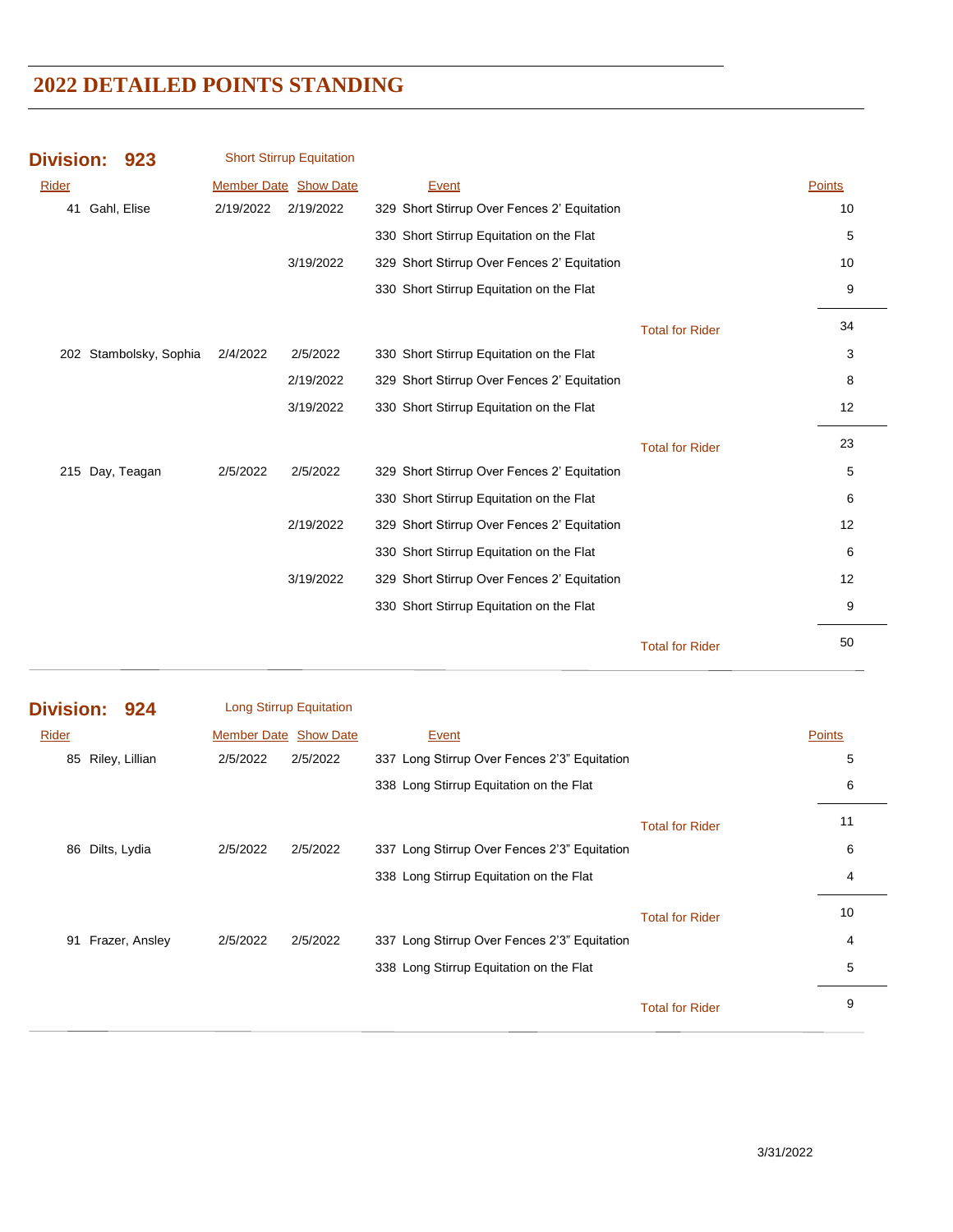| <b>Division:</b> | 923                    |           | <b>Short Stirrup Equitation</b> |                                             |                        |        |
|------------------|------------------------|-----------|---------------------------------|---------------------------------------------|------------------------|--------|
| Rider            |                        |           | <b>Member Date Show Date</b>    | Event                                       |                        | Points |
| 41               | Gahl, Elise            | 2/19/2022 | 2/19/2022                       | 329 Short Stirrup Over Fences 2' Equitation |                        | 10     |
|                  |                        |           |                                 | 330 Short Stirrup Equitation on the Flat    |                        | 5      |
|                  |                        |           | 3/19/2022                       | 329 Short Stirrup Over Fences 2' Equitation |                        | 10     |
|                  |                        |           |                                 | 330 Short Stirrup Equitation on the Flat    |                        | 9      |
|                  |                        |           |                                 |                                             | <b>Total for Rider</b> | 34     |
|                  | 202 Stambolsky, Sophia | 2/4/2022  | 2/5/2022                        | 330 Short Stirrup Equitation on the Flat    |                        | 3      |
|                  |                        |           | 2/19/2022                       | 329 Short Stirrup Over Fences 2' Equitation |                        | 8      |
|                  |                        |           | 3/19/2022                       | 330 Short Stirrup Equitation on the Flat    |                        | 12     |
|                  |                        |           |                                 |                                             | <b>Total for Rider</b> | 23     |
| 215 Day, Teagan  |                        | 2/5/2022  | 2/5/2022                        | 329 Short Stirrup Over Fences 2' Equitation |                        | 5      |
|                  |                        |           |                                 | 330 Short Stirrup Equitation on the Flat    |                        | 6      |
|                  |                        |           | 2/19/2022                       | 329 Short Stirrup Over Fences 2' Equitation |                        | 12     |
|                  |                        |           |                                 | 330 Short Stirrup Equitation on the Flat    |                        | 6      |
|                  |                        |           | 3/19/2022                       | 329 Short Stirrup Over Fences 2' Equitation |                        | 12     |
|                  |                        |           |                                 | 330 Short Stirrup Equitation on the Flat    |                        | 9      |
|                  |                        |           |                                 |                                             | <b>Total for Rider</b> | 50     |

| Division: 924 |                   | Long Stirrup Equitation      |          |                                              |                        |               |
|---------------|-------------------|------------------------------|----------|----------------------------------------------|------------------------|---------------|
| Rider         |                   | <b>Member Date Show Date</b> |          | Event                                        |                        | <b>Points</b> |
|               | 85 Riley, Lillian | 2/5/2022                     | 2/5/2022 | 337 Long Stirrup Over Fences 2'3" Equitation |                        | 5             |
|               |                   |                              |          | 338 Long Stirrup Equitation on the Flat      |                        | 6             |
|               |                   |                              |          |                                              | <b>Total for Rider</b> | 11            |
|               | 86 Dilts, Lydia   | 2/5/2022                     | 2/5/2022 | 337 Long Stirrup Over Fences 2'3" Equitation |                        | 6             |
|               |                   |                              |          | 338 Long Stirrup Equitation on the Flat      |                        | 4             |
|               |                   |                              |          |                                              | <b>Total for Rider</b> | 10            |
| 91            | Frazer, Ansley    | 2/5/2022                     | 2/5/2022 | 337 Long Stirrup Over Fences 2'3" Equitation |                        | 4             |
|               |                   |                              |          | 338 Long Stirrup Equitation on the Flat      |                        | 5             |
|               |                   |                              |          |                                              | <b>Total for Rider</b> | 9             |
|               |                   |                              |          |                                              |                        |               |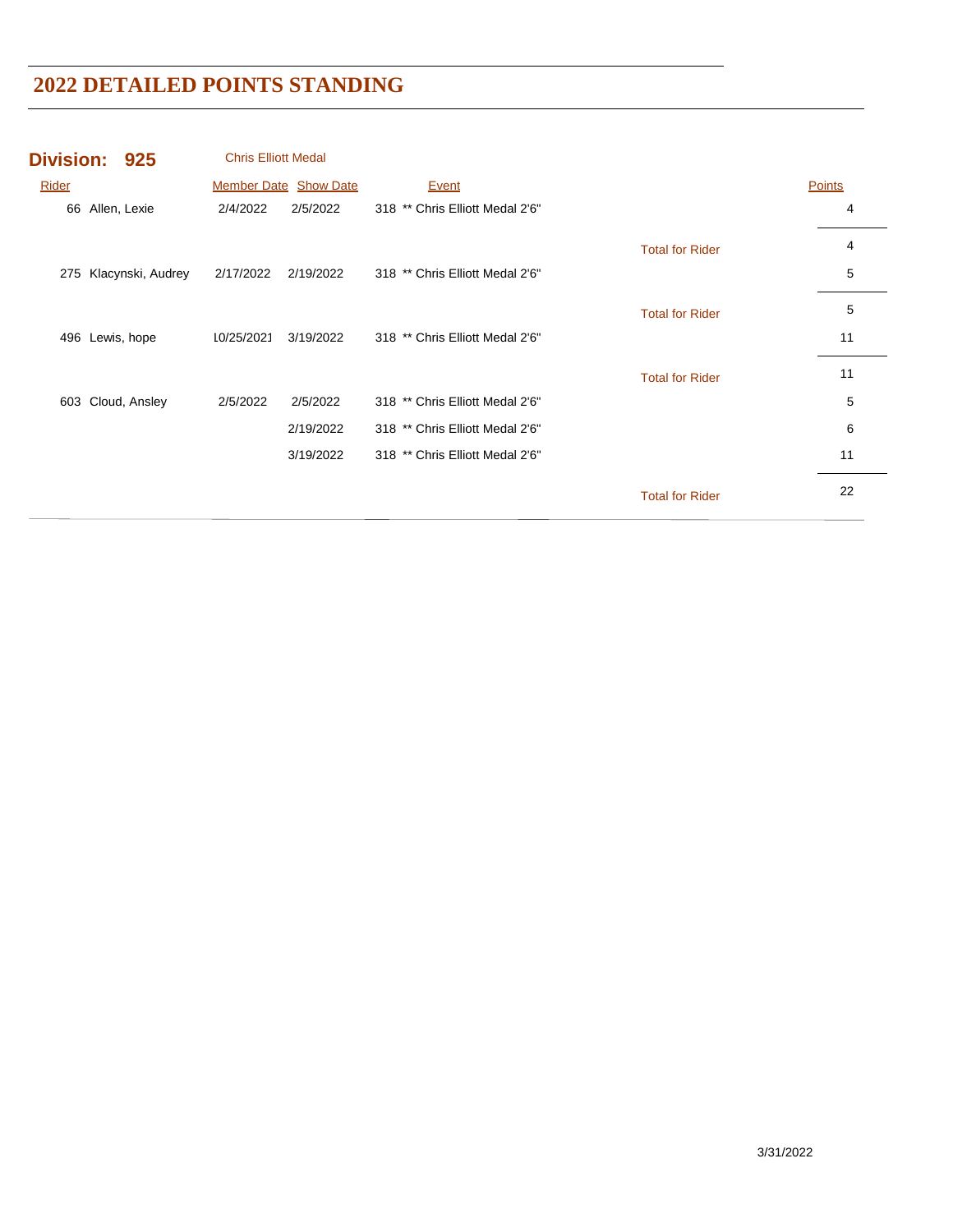|       | Division: 925         | <b>Chris Elliott Medal</b> |                              |                                 |                        |               |
|-------|-----------------------|----------------------------|------------------------------|---------------------------------|------------------------|---------------|
| Rider |                       |                            | <b>Member Date Show Date</b> | <b>Event</b>                    |                        | <b>Points</b> |
|       | 66 Allen, Lexie       | 2/4/2022                   | 2/5/2022                     | 318 ** Chris Elliott Medal 2'6" |                        | 4             |
|       |                       |                            |                              |                                 | <b>Total for Rider</b> | 4             |
|       | 275 Klacynski, Audrey | 2/17/2022                  | 2/19/2022                    | 318 ** Chris Elliott Medal 2'6" |                        | 5             |
|       |                       |                            |                              |                                 | <b>Total for Rider</b> | 5             |
| 496   | Lewis, hope           | 10/25/2021                 | 3/19/2022                    | 318 ** Chris Elliott Medal 2'6" |                        | 11            |
|       |                       |                            |                              |                                 | <b>Total for Rider</b> | 11            |
| 603   | Cloud, Ansley         | 2/5/2022                   | 2/5/2022                     | 318 ** Chris Elliott Medal 2'6" |                        | 5             |
|       |                       |                            | 2/19/2022                    | 318 ** Chris Elliott Medal 2'6" |                        | 6             |
|       |                       |                            | 3/19/2022                    | 318 ** Chris Elliott Medal 2'6" |                        | 11            |
|       |                       |                            |                              |                                 | <b>Total for Rider</b> | 22            |
|       |                       |                            |                              |                                 |                        |               |